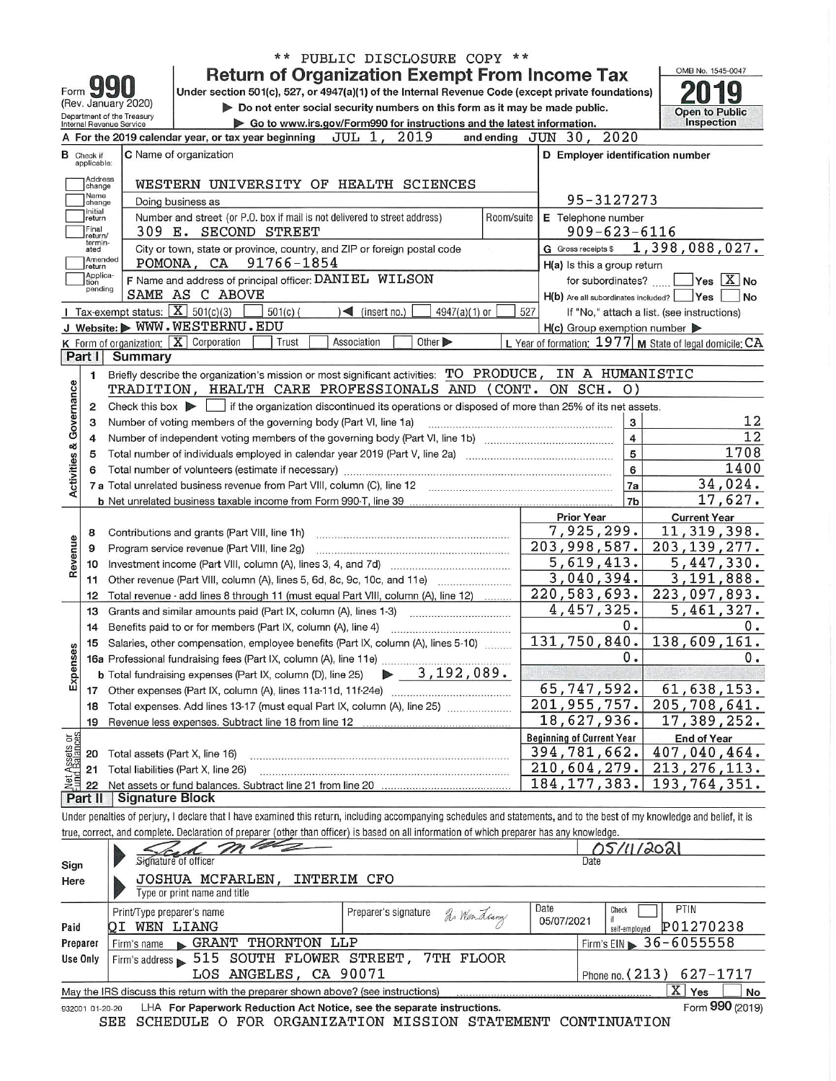| OMB No. 1545-0047<br><b>Return of Organization Exempt From Income Tax</b><br>Under section 501(c), 527, or 4947(a)(1) of the Internal Revenue Code (except private foundations)<br>Form<br>(Rev. January 2020)<br>Do not enter social security numbers on this form as it may be made public.<br><b>Open to Public</b><br>Department of the Treasury<br>Inspection<br>Go to www.irs.gov/Form990 for instructions and the latest information.<br>Internal Revenue Service<br>A For the 2019 calendar year, or tax year beginning JUL 1, 2019<br>and ending JUN 30, 2020<br>C Name of organization<br>D Employer identification number<br>в<br>Check if<br>applicable:<br>Address<br>WESTERN UNIVERSITY OF HEALTH SCIENCES<br>change<br>Name<br>95-3127273<br>Doing business as<br>change<br>Initial<br>Number and street (or P.O. box if mail is not delivered to street address)<br>E Telephone number<br>Room/suite<br>return<br>Final<br>$909 - 623 - 6116$<br>309 E. SECOND STREET<br>return/<br>termin-<br>1,398,088,027.<br>G Gross receipts \$<br>City or town, state or province, country, and ZIP or foreign postal code<br>ated<br>Amended<br>POMONA, CA 91766-1854<br>H(a) Is this a group return<br>return<br>Applica-<br>F Name and address of principal officer: DANIEL WILSON<br>$\sqrt{}$ Yes $\sqrt{X}$ No<br>for subordinates?<br>tion<br>pending<br>SAME AS C ABOVE<br>H(b) Are all subordinates included? Ves<br>No<br><b>I</b> Tax-exempt status: $\boxed{\textbf{X}}$ 501(c)(3)<br>$\blacktriangleleft$ (insert no.)<br>$501(c)$ (<br>$4947(a)(1)$ or<br>527<br>If "No," attach a list. (see instructions)<br>J Website: WWW.WESTERNU.EDU<br>$H(c)$ Group exemption number $\blacktriangleright$<br>K Form of organization: $X$ Corporation<br>Association<br>Other ><br>L Year of formation: $1977$ M State of legal domicile: $CA$<br>Trust<br><b>Summary</b><br>Part I<br>IN A HUMANISTIC<br>Briefly describe the organization's mission or most significant activities: TO PRODUCE,<br>1<br>Governance<br>TRADITION, HEALTH CARE PROFESSIONALS AND<br>(CONT.<br>ON SCH. 0)<br>Check this box $\blacktriangleright$ if the organization discontinued its operations or disposed of more than 25% of its net assets.<br>2<br>3<br>12<br>Number of voting members of the governing body (Part VI, line 1a)<br>3<br>$\overline{12}$<br>4<br>4<br><b>Activities &amp;</b><br>5<br>1708<br>Total number of individuals employed in calendar year 2019 (Part V, line 2a) manufactured contains an intervention<br>5<br>1400<br>6<br>6<br>34,024.<br>7a<br>17,627.<br>7b<br>Prior Year<br><b>Current Year</b><br>7,925,299.<br>11, 319, 398.<br>Contributions and grants (Part VIII, line 1h)<br>8<br>Revenue<br>203,998,587.<br>203, 139, 277.<br>Program service revenue (Part VIII, line 2g)<br>9<br>5,619,413.<br>5,447,330.<br>10<br>3,040,394.<br>3,191,888.<br>Other revenue (Part VIII, column (A), lines 5, 6d, 8c, 9c, 10c, and 11e)<br>11<br>220, 583, 693.<br>223,097,893.<br>Total revenue - add lines 8 through 11 (must equal Part VIII, column (A), line 12)<br>12<br>4,457,325.<br>5,461,327.<br>13<br>Grants and similar amounts paid (Part IX, column (A), lines 1-3)<br>0.<br>0.<br>Benefits paid to or for members (Part IX, column (A), line 4)<br>14<br>131,750,840.<br>138,609,161.<br>15 Salaries, other compensation, employee benefits (Part IX, column (A), lines 5-10) |
|----------------------------------------------------------------------------------------------------------------------------------------------------------------------------------------------------------------------------------------------------------------------------------------------------------------------------------------------------------------------------------------------------------------------------------------------------------------------------------------------------------------------------------------------------------------------------------------------------------------------------------------------------------------------------------------------------------------------------------------------------------------------------------------------------------------------------------------------------------------------------------------------------------------------------------------------------------------------------------------------------------------------------------------------------------------------------------------------------------------------------------------------------------------------------------------------------------------------------------------------------------------------------------------------------------------------------------------------------------------------------------------------------------------------------------------------------------------------------------------------------------------------------------------------------------------------------------------------------------------------------------------------------------------------------------------------------------------------------------------------------------------------------------------------------------------------------------------------------------------------------------------------------------------------------------------------------------------------------------------------------------------------------------------------------------------------------------------------------------------------------------------------------------------------------------------------------------------------------------------------------------------------------------------------------------------------------------------------------------------------------------------------------------------------------------------------------------------------------------------------------------------------------------------------------------------------------------------------------------------------------------------------------------------------------------------------------------------------------------------------------------------------------------------------------------------------------------------------------------------------------------------------------------------------------------------------------------------------------------------------------------------------------------------------------------------------------------------------------------------------------------------------------------------------------------------------------------------------------------------------------------------------------------------------------------------------------------------------------------------------------------------------------------------------|
|                                                                                                                                                                                                                                                                                                                                                                                                                                                                                                                                                                                                                                                                                                                                                                                                                                                                                                                                                                                                                                                                                                                                                                                                                                                                                                                                                                                                                                                                                                                                                                                                                                                                                                                                                                                                                                                                                                                                                                                                                                                                                                                                                                                                                                                                                                                                                                                                                                                                                                                                                                                                                                                                                                                                                                                                                                                                                                                                                                                                                                                                                                                                                                                                                                                                                                                                                                                                                      |
|                                                                                                                                                                                                                                                                                                                                                                                                                                                                                                                                                                                                                                                                                                                                                                                                                                                                                                                                                                                                                                                                                                                                                                                                                                                                                                                                                                                                                                                                                                                                                                                                                                                                                                                                                                                                                                                                                                                                                                                                                                                                                                                                                                                                                                                                                                                                                                                                                                                                                                                                                                                                                                                                                                                                                                                                                                                                                                                                                                                                                                                                                                                                                                                                                                                                                                                                                                                                                      |
|                                                                                                                                                                                                                                                                                                                                                                                                                                                                                                                                                                                                                                                                                                                                                                                                                                                                                                                                                                                                                                                                                                                                                                                                                                                                                                                                                                                                                                                                                                                                                                                                                                                                                                                                                                                                                                                                                                                                                                                                                                                                                                                                                                                                                                                                                                                                                                                                                                                                                                                                                                                                                                                                                                                                                                                                                                                                                                                                                                                                                                                                                                                                                                                                                                                                                                                                                                                                                      |
|                                                                                                                                                                                                                                                                                                                                                                                                                                                                                                                                                                                                                                                                                                                                                                                                                                                                                                                                                                                                                                                                                                                                                                                                                                                                                                                                                                                                                                                                                                                                                                                                                                                                                                                                                                                                                                                                                                                                                                                                                                                                                                                                                                                                                                                                                                                                                                                                                                                                                                                                                                                                                                                                                                                                                                                                                                                                                                                                                                                                                                                                                                                                                                                                                                                                                                                                                                                                                      |
|                                                                                                                                                                                                                                                                                                                                                                                                                                                                                                                                                                                                                                                                                                                                                                                                                                                                                                                                                                                                                                                                                                                                                                                                                                                                                                                                                                                                                                                                                                                                                                                                                                                                                                                                                                                                                                                                                                                                                                                                                                                                                                                                                                                                                                                                                                                                                                                                                                                                                                                                                                                                                                                                                                                                                                                                                                                                                                                                                                                                                                                                                                                                                                                                                                                                                                                                                                                                                      |
|                                                                                                                                                                                                                                                                                                                                                                                                                                                                                                                                                                                                                                                                                                                                                                                                                                                                                                                                                                                                                                                                                                                                                                                                                                                                                                                                                                                                                                                                                                                                                                                                                                                                                                                                                                                                                                                                                                                                                                                                                                                                                                                                                                                                                                                                                                                                                                                                                                                                                                                                                                                                                                                                                                                                                                                                                                                                                                                                                                                                                                                                                                                                                                                                                                                                                                                                                                                                                      |
|                                                                                                                                                                                                                                                                                                                                                                                                                                                                                                                                                                                                                                                                                                                                                                                                                                                                                                                                                                                                                                                                                                                                                                                                                                                                                                                                                                                                                                                                                                                                                                                                                                                                                                                                                                                                                                                                                                                                                                                                                                                                                                                                                                                                                                                                                                                                                                                                                                                                                                                                                                                                                                                                                                                                                                                                                                                                                                                                                                                                                                                                                                                                                                                                                                                                                                                                                                                                                      |
|                                                                                                                                                                                                                                                                                                                                                                                                                                                                                                                                                                                                                                                                                                                                                                                                                                                                                                                                                                                                                                                                                                                                                                                                                                                                                                                                                                                                                                                                                                                                                                                                                                                                                                                                                                                                                                                                                                                                                                                                                                                                                                                                                                                                                                                                                                                                                                                                                                                                                                                                                                                                                                                                                                                                                                                                                                                                                                                                                                                                                                                                                                                                                                                                                                                                                                                                                                                                                      |
|                                                                                                                                                                                                                                                                                                                                                                                                                                                                                                                                                                                                                                                                                                                                                                                                                                                                                                                                                                                                                                                                                                                                                                                                                                                                                                                                                                                                                                                                                                                                                                                                                                                                                                                                                                                                                                                                                                                                                                                                                                                                                                                                                                                                                                                                                                                                                                                                                                                                                                                                                                                                                                                                                                                                                                                                                                                                                                                                                                                                                                                                                                                                                                                                                                                                                                                                                                                                                      |
|                                                                                                                                                                                                                                                                                                                                                                                                                                                                                                                                                                                                                                                                                                                                                                                                                                                                                                                                                                                                                                                                                                                                                                                                                                                                                                                                                                                                                                                                                                                                                                                                                                                                                                                                                                                                                                                                                                                                                                                                                                                                                                                                                                                                                                                                                                                                                                                                                                                                                                                                                                                                                                                                                                                                                                                                                                                                                                                                                                                                                                                                                                                                                                                                                                                                                                                                                                                                                      |
|                                                                                                                                                                                                                                                                                                                                                                                                                                                                                                                                                                                                                                                                                                                                                                                                                                                                                                                                                                                                                                                                                                                                                                                                                                                                                                                                                                                                                                                                                                                                                                                                                                                                                                                                                                                                                                                                                                                                                                                                                                                                                                                                                                                                                                                                                                                                                                                                                                                                                                                                                                                                                                                                                                                                                                                                                                                                                                                                                                                                                                                                                                                                                                                                                                                                                                                                                                                                                      |
|                                                                                                                                                                                                                                                                                                                                                                                                                                                                                                                                                                                                                                                                                                                                                                                                                                                                                                                                                                                                                                                                                                                                                                                                                                                                                                                                                                                                                                                                                                                                                                                                                                                                                                                                                                                                                                                                                                                                                                                                                                                                                                                                                                                                                                                                                                                                                                                                                                                                                                                                                                                                                                                                                                                                                                                                                                                                                                                                                                                                                                                                                                                                                                                                                                                                                                                                                                                                                      |
|                                                                                                                                                                                                                                                                                                                                                                                                                                                                                                                                                                                                                                                                                                                                                                                                                                                                                                                                                                                                                                                                                                                                                                                                                                                                                                                                                                                                                                                                                                                                                                                                                                                                                                                                                                                                                                                                                                                                                                                                                                                                                                                                                                                                                                                                                                                                                                                                                                                                                                                                                                                                                                                                                                                                                                                                                                                                                                                                                                                                                                                                                                                                                                                                                                                                                                                                                                                                                      |
|                                                                                                                                                                                                                                                                                                                                                                                                                                                                                                                                                                                                                                                                                                                                                                                                                                                                                                                                                                                                                                                                                                                                                                                                                                                                                                                                                                                                                                                                                                                                                                                                                                                                                                                                                                                                                                                                                                                                                                                                                                                                                                                                                                                                                                                                                                                                                                                                                                                                                                                                                                                                                                                                                                                                                                                                                                                                                                                                                                                                                                                                                                                                                                                                                                                                                                                                                                                                                      |
|                                                                                                                                                                                                                                                                                                                                                                                                                                                                                                                                                                                                                                                                                                                                                                                                                                                                                                                                                                                                                                                                                                                                                                                                                                                                                                                                                                                                                                                                                                                                                                                                                                                                                                                                                                                                                                                                                                                                                                                                                                                                                                                                                                                                                                                                                                                                                                                                                                                                                                                                                                                                                                                                                                                                                                                                                                                                                                                                                                                                                                                                                                                                                                                                                                                                                                                                                                                                                      |
|                                                                                                                                                                                                                                                                                                                                                                                                                                                                                                                                                                                                                                                                                                                                                                                                                                                                                                                                                                                                                                                                                                                                                                                                                                                                                                                                                                                                                                                                                                                                                                                                                                                                                                                                                                                                                                                                                                                                                                                                                                                                                                                                                                                                                                                                                                                                                                                                                                                                                                                                                                                                                                                                                                                                                                                                                                                                                                                                                                                                                                                                                                                                                                                                                                                                                                                                                                                                                      |
|                                                                                                                                                                                                                                                                                                                                                                                                                                                                                                                                                                                                                                                                                                                                                                                                                                                                                                                                                                                                                                                                                                                                                                                                                                                                                                                                                                                                                                                                                                                                                                                                                                                                                                                                                                                                                                                                                                                                                                                                                                                                                                                                                                                                                                                                                                                                                                                                                                                                                                                                                                                                                                                                                                                                                                                                                                                                                                                                                                                                                                                                                                                                                                                                                                                                                                                                                                                                                      |
|                                                                                                                                                                                                                                                                                                                                                                                                                                                                                                                                                                                                                                                                                                                                                                                                                                                                                                                                                                                                                                                                                                                                                                                                                                                                                                                                                                                                                                                                                                                                                                                                                                                                                                                                                                                                                                                                                                                                                                                                                                                                                                                                                                                                                                                                                                                                                                                                                                                                                                                                                                                                                                                                                                                                                                                                                                                                                                                                                                                                                                                                                                                                                                                                                                                                                                                                                                                                                      |
|                                                                                                                                                                                                                                                                                                                                                                                                                                                                                                                                                                                                                                                                                                                                                                                                                                                                                                                                                                                                                                                                                                                                                                                                                                                                                                                                                                                                                                                                                                                                                                                                                                                                                                                                                                                                                                                                                                                                                                                                                                                                                                                                                                                                                                                                                                                                                                                                                                                                                                                                                                                                                                                                                                                                                                                                                                                                                                                                                                                                                                                                                                                                                                                                                                                                                                                                                                                                                      |
|                                                                                                                                                                                                                                                                                                                                                                                                                                                                                                                                                                                                                                                                                                                                                                                                                                                                                                                                                                                                                                                                                                                                                                                                                                                                                                                                                                                                                                                                                                                                                                                                                                                                                                                                                                                                                                                                                                                                                                                                                                                                                                                                                                                                                                                                                                                                                                                                                                                                                                                                                                                                                                                                                                                                                                                                                                                                                                                                                                                                                                                                                                                                                                                                                                                                                                                                                                                                                      |
|                                                                                                                                                                                                                                                                                                                                                                                                                                                                                                                                                                                                                                                                                                                                                                                                                                                                                                                                                                                                                                                                                                                                                                                                                                                                                                                                                                                                                                                                                                                                                                                                                                                                                                                                                                                                                                                                                                                                                                                                                                                                                                                                                                                                                                                                                                                                                                                                                                                                                                                                                                                                                                                                                                                                                                                                                                                                                                                                                                                                                                                                                                                                                                                                                                                                                                                                                                                                                      |
|                                                                                                                                                                                                                                                                                                                                                                                                                                                                                                                                                                                                                                                                                                                                                                                                                                                                                                                                                                                                                                                                                                                                                                                                                                                                                                                                                                                                                                                                                                                                                                                                                                                                                                                                                                                                                                                                                                                                                                                                                                                                                                                                                                                                                                                                                                                                                                                                                                                                                                                                                                                                                                                                                                                                                                                                                                                                                                                                                                                                                                                                                                                                                                                                                                                                                                                                                                                                                      |
|                                                                                                                                                                                                                                                                                                                                                                                                                                                                                                                                                                                                                                                                                                                                                                                                                                                                                                                                                                                                                                                                                                                                                                                                                                                                                                                                                                                                                                                                                                                                                                                                                                                                                                                                                                                                                                                                                                                                                                                                                                                                                                                                                                                                                                                                                                                                                                                                                                                                                                                                                                                                                                                                                                                                                                                                                                                                                                                                                                                                                                                                                                                                                                                                                                                                                                                                                                                                                      |
|                                                                                                                                                                                                                                                                                                                                                                                                                                                                                                                                                                                                                                                                                                                                                                                                                                                                                                                                                                                                                                                                                                                                                                                                                                                                                                                                                                                                                                                                                                                                                                                                                                                                                                                                                                                                                                                                                                                                                                                                                                                                                                                                                                                                                                                                                                                                                                                                                                                                                                                                                                                                                                                                                                                                                                                                                                                                                                                                                                                                                                                                                                                                                                                                                                                                                                                                                                                                                      |
|                                                                                                                                                                                                                                                                                                                                                                                                                                                                                                                                                                                                                                                                                                                                                                                                                                                                                                                                                                                                                                                                                                                                                                                                                                                                                                                                                                                                                                                                                                                                                                                                                                                                                                                                                                                                                                                                                                                                                                                                                                                                                                                                                                                                                                                                                                                                                                                                                                                                                                                                                                                                                                                                                                                                                                                                                                                                                                                                                                                                                                                                                                                                                                                                                                                                                                                                                                                                                      |
|                                                                                                                                                                                                                                                                                                                                                                                                                                                                                                                                                                                                                                                                                                                                                                                                                                                                                                                                                                                                                                                                                                                                                                                                                                                                                                                                                                                                                                                                                                                                                                                                                                                                                                                                                                                                                                                                                                                                                                                                                                                                                                                                                                                                                                                                                                                                                                                                                                                                                                                                                                                                                                                                                                                                                                                                                                                                                                                                                                                                                                                                                                                                                                                                                                                                                                                                                                                                                      |
|                                                                                                                                                                                                                                                                                                                                                                                                                                                                                                                                                                                                                                                                                                                                                                                                                                                                                                                                                                                                                                                                                                                                                                                                                                                                                                                                                                                                                                                                                                                                                                                                                                                                                                                                                                                                                                                                                                                                                                                                                                                                                                                                                                                                                                                                                                                                                                                                                                                                                                                                                                                                                                                                                                                                                                                                                                                                                                                                                                                                                                                                                                                                                                                                                                                                                                                                                                                                                      |
|                                                                                                                                                                                                                                                                                                                                                                                                                                                                                                                                                                                                                                                                                                                                                                                                                                                                                                                                                                                                                                                                                                                                                                                                                                                                                                                                                                                                                                                                                                                                                                                                                                                                                                                                                                                                                                                                                                                                                                                                                                                                                                                                                                                                                                                                                                                                                                                                                                                                                                                                                                                                                                                                                                                                                                                                                                                                                                                                                                                                                                                                                                                                                                                                                                                                                                                                                                                                                      |
|                                                                                                                                                                                                                                                                                                                                                                                                                                                                                                                                                                                                                                                                                                                                                                                                                                                                                                                                                                                                                                                                                                                                                                                                                                                                                                                                                                                                                                                                                                                                                                                                                                                                                                                                                                                                                                                                                                                                                                                                                                                                                                                                                                                                                                                                                                                                                                                                                                                                                                                                                                                                                                                                                                                                                                                                                                                                                                                                                                                                                                                                                                                                                                                                                                                                                                                                                                                                                      |
|                                                                                                                                                                                                                                                                                                                                                                                                                                                                                                                                                                                                                                                                                                                                                                                                                                                                                                                                                                                                                                                                                                                                                                                                                                                                                                                                                                                                                                                                                                                                                                                                                                                                                                                                                                                                                                                                                                                                                                                                                                                                                                                                                                                                                                                                                                                                                                                                                                                                                                                                                                                                                                                                                                                                                                                                                                                                                                                                                                                                                                                                                                                                                                                                                                                                                                                                                                                                                      |
|                                                                                                                                                                                                                                                                                                                                                                                                                                                                                                                                                                                                                                                                                                                                                                                                                                                                                                                                                                                                                                                                                                                                                                                                                                                                                                                                                                                                                                                                                                                                                                                                                                                                                                                                                                                                                                                                                                                                                                                                                                                                                                                                                                                                                                                                                                                                                                                                                                                                                                                                                                                                                                                                                                                                                                                                                                                                                                                                                                                                                                                                                                                                                                                                                                                                                                                                                                                                                      |
|                                                                                                                                                                                                                                                                                                                                                                                                                                                                                                                                                                                                                                                                                                                                                                                                                                                                                                                                                                                                                                                                                                                                                                                                                                                                                                                                                                                                                                                                                                                                                                                                                                                                                                                                                                                                                                                                                                                                                                                                                                                                                                                                                                                                                                                                                                                                                                                                                                                                                                                                                                                                                                                                                                                                                                                                                                                                                                                                                                                                                                                                                                                                                                                                                                                                                                                                                                                                                      |
|                                                                                                                                                                                                                                                                                                                                                                                                                                                                                                                                                                                                                                                                                                                                                                                                                                                                                                                                                                                                                                                                                                                                                                                                                                                                                                                                                                                                                                                                                                                                                                                                                                                                                                                                                                                                                                                                                                                                                                                                                                                                                                                                                                                                                                                                                                                                                                                                                                                                                                                                                                                                                                                                                                                                                                                                                                                                                                                                                                                                                                                                                                                                                                                                                                                                                                                                                                                                                      |
|                                                                                                                                                                                                                                                                                                                                                                                                                                                                                                                                                                                                                                                                                                                                                                                                                                                                                                                                                                                                                                                                                                                                                                                                                                                                                                                                                                                                                                                                                                                                                                                                                                                                                                                                                                                                                                                                                                                                                                                                                                                                                                                                                                                                                                                                                                                                                                                                                                                                                                                                                                                                                                                                                                                                                                                                                                                                                                                                                                                                                                                                                                                                                                                                                                                                                                                                                                                                                      |
| 0<br>0.<br>16a Professional fundraising fees (Part IX, column (A), line 11e)                                                                                                                                                                                                                                                                                                                                                                                                                                                                                                                                                                                                                                                                                                                                                                                                                                                                                                                                                                                                                                                                                                                                                                                                                                                                                                                                                                                                                                                                                                                                                                                                                                                                                                                                                                                                                                                                                                                                                                                                                                                                                                                                                                                                                                                                                                                                                                                                                                                                                                                                                                                                                                                                                                                                                                                                                                                                                                                                                                                                                                                                                                                                                                                                                                                                                                                                         |
| Expens<br>$\triangleright$ 3, 192, 089.<br><b>b</b> Total fundraising expenses (Part IX, column (D), line 25)                                                                                                                                                                                                                                                                                                                                                                                                                                                                                                                                                                                                                                                                                                                                                                                                                                                                                                                                                                                                                                                                                                                                                                                                                                                                                                                                                                                                                                                                                                                                                                                                                                                                                                                                                                                                                                                                                                                                                                                                                                                                                                                                                                                                                                                                                                                                                                                                                                                                                                                                                                                                                                                                                                                                                                                                                                                                                                                                                                                                                                                                                                                                                                                                                                                                                                        |
| 65,747,592.<br>61,638,153.                                                                                                                                                                                                                                                                                                                                                                                                                                                                                                                                                                                                                                                                                                                                                                                                                                                                                                                                                                                                                                                                                                                                                                                                                                                                                                                                                                                                                                                                                                                                                                                                                                                                                                                                                                                                                                                                                                                                                                                                                                                                                                                                                                                                                                                                                                                                                                                                                                                                                                                                                                                                                                                                                                                                                                                                                                                                                                                                                                                                                                                                                                                                                                                                                                                                                                                                                                                           |
| 201, 955, 757.<br>205,708,641.<br>Total expenses. Add lines 13-17 (must equal Part IX, column (A), line 25)<br>18                                                                                                                                                                                                                                                                                                                                                                                                                                                                                                                                                                                                                                                                                                                                                                                                                                                                                                                                                                                                                                                                                                                                                                                                                                                                                                                                                                                                                                                                                                                                                                                                                                                                                                                                                                                                                                                                                                                                                                                                                                                                                                                                                                                                                                                                                                                                                                                                                                                                                                                                                                                                                                                                                                                                                                                                                                                                                                                                                                                                                                                                                                                                                                                                                                                                                                    |
| 18,627,936.<br>17,389,252.<br>Revenue less expenses. Subtract line 18 from line 12<br>19                                                                                                                                                                                                                                                                                                                                                                                                                                                                                                                                                                                                                                                                                                                                                                                                                                                                                                                                                                                                                                                                                                                                                                                                                                                                                                                                                                                                                                                                                                                                                                                                                                                                                                                                                                                                                                                                                                                                                                                                                                                                                                                                                                                                                                                                                                                                                                                                                                                                                                                                                                                                                                                                                                                                                                                                                                                                                                                                                                                                                                                                                                                                                                                                                                                                                                                             |
| Net Assets or<br><b>Fund Balances</b><br><b>Beginning of Current Year</b><br><b>End of Year</b>                                                                                                                                                                                                                                                                                                                                                                                                                                                                                                                                                                                                                                                                                                                                                                                                                                                                                                                                                                                                                                                                                                                                                                                                                                                                                                                                                                                                                                                                                                                                                                                                                                                                                                                                                                                                                                                                                                                                                                                                                                                                                                                                                                                                                                                                                                                                                                                                                                                                                                                                                                                                                                                                                                                                                                                                                                                                                                                                                                                                                                                                                                                                                                                                                                                                                                                      |
| 394,781,662.<br>407,040,464.<br>Total assets (Part X, line 16)<br>20                                                                                                                                                                                                                                                                                                                                                                                                                                                                                                                                                                                                                                                                                                                                                                                                                                                                                                                                                                                                                                                                                                                                                                                                                                                                                                                                                                                                                                                                                                                                                                                                                                                                                                                                                                                                                                                                                                                                                                                                                                                                                                                                                                                                                                                                                                                                                                                                                                                                                                                                                                                                                                                                                                                                                                                                                                                                                                                                                                                                                                                                                                                                                                                                                                                                                                                                                 |
| 210,604,279.<br>213, 276, 113.<br>Total liabilities (Part X, line 26)<br>21                                                                                                                                                                                                                                                                                                                                                                                                                                                                                                                                                                                                                                                                                                                                                                                                                                                                                                                                                                                                                                                                                                                                                                                                                                                                                                                                                                                                                                                                                                                                                                                                                                                                                                                                                                                                                                                                                                                                                                                                                                                                                                                                                                                                                                                                                                                                                                                                                                                                                                                                                                                                                                                                                                                                                                                                                                                                                                                                                                                                                                                                                                                                                                                                                                                                                                                                          |
| 184, 177, 383.<br>193,764,351.<br>22<br><b>Signature Block</b><br>Part II                                                                                                                                                                                                                                                                                                                                                                                                                                                                                                                                                                                                                                                                                                                                                                                                                                                                                                                                                                                                                                                                                                                                                                                                                                                                                                                                                                                                                                                                                                                                                                                                                                                                                                                                                                                                                                                                                                                                                                                                                                                                                                                                                                                                                                                                                                                                                                                                                                                                                                                                                                                                                                                                                                                                                                                                                                                                                                                                                                                                                                                                                                                                                                                                                                                                                                                                            |
| Under penalties of perjury, I declare that I have examined this return, including accompanying schedules and statements, and to the best of my knowledge and belief, it is                                                                                                                                                                                                                                                                                                                                                                                                                                                                                                                                                                                                                                                                                                                                                                                                                                                                                                                                                                                                                                                                                                                                                                                                                                                                                                                                                                                                                                                                                                                                                                                                                                                                                                                                                                                                                                                                                                                                                                                                                                                                                                                                                                                                                                                                                                                                                                                                                                                                                                                                                                                                                                                                                                                                                                                                                                                                                                                                                                                                                                                                                                                                                                                                                                           |
| true, correct, and complete. Declaration of preparer (other than officer) is based on all information of which preparer has any knowledge.                                                                                                                                                                                                                                                                                                                                                                                                                                                                                                                                                                                                                                                                                                                                                                                                                                                                                                                                                                                                                                                                                                                                                                                                                                                                                                                                                                                                                                                                                                                                                                                                                                                                                                                                                                                                                                                                                                                                                                                                                                                                                                                                                                                                                                                                                                                                                                                                                                                                                                                                                                                                                                                                                                                                                                                                                                                                                                                                                                                                                                                                                                                                                                                                                                                                           |
| 05/11/202                                                                                                                                                                                                                                                                                                                                                                                                                                                                                                                                                                                                                                                                                                                                                                                                                                                                                                                                                                                                                                                                                                                                                                                                                                                                                                                                                                                                                                                                                                                                                                                                                                                                                                                                                                                                                                                                                                                                                                                                                                                                                                                                                                                                                                                                                                                                                                                                                                                                                                                                                                                                                                                                                                                                                                                                                                                                                                                                                                                                                                                                                                                                                                                                                                                                                                                                                                                                            |
| Signature of officer<br>Date<br>Sign                                                                                                                                                                                                                                                                                                                                                                                                                                                                                                                                                                                                                                                                                                                                                                                                                                                                                                                                                                                                                                                                                                                                                                                                                                                                                                                                                                                                                                                                                                                                                                                                                                                                                                                                                                                                                                                                                                                                                                                                                                                                                                                                                                                                                                                                                                                                                                                                                                                                                                                                                                                                                                                                                                                                                                                                                                                                                                                                                                                                                                                                                                                                                                                                                                                                                                                                                                                 |
| JOSHUA MCFARLEN,<br>INTERIM CFO<br>Here                                                                                                                                                                                                                                                                                                                                                                                                                                                                                                                                                                                                                                                                                                                                                                                                                                                                                                                                                                                                                                                                                                                                                                                                                                                                                                                                                                                                                                                                                                                                                                                                                                                                                                                                                                                                                                                                                                                                                                                                                                                                                                                                                                                                                                                                                                                                                                                                                                                                                                                                                                                                                                                                                                                                                                                                                                                                                                                                                                                                                                                                                                                                                                                                                                                                                                                                                                              |
| Type or print name and title                                                                                                                                                                                                                                                                                                                                                                                                                                                                                                                                                                                                                                                                                                                                                                                                                                                                                                                                                                                                                                                                                                                                                                                                                                                                                                                                                                                                                                                                                                                                                                                                                                                                                                                                                                                                                                                                                                                                                                                                                                                                                                                                                                                                                                                                                                                                                                                                                                                                                                                                                                                                                                                                                                                                                                                                                                                                                                                                                                                                                                                                                                                                                                                                                                                                                                                                                                                         |
| PTIN<br>Date<br>Check<br>Print/Type preparer's name<br>Preparer's signature<br>Ri Wendlang                                                                                                                                                                                                                                                                                                                                                                                                                                                                                                                                                                                                                                                                                                                                                                                                                                                                                                                                                                                                                                                                                                                                                                                                                                                                                                                                                                                                                                                                                                                                                                                                                                                                                                                                                                                                                                                                                                                                                                                                                                                                                                                                                                                                                                                                                                                                                                                                                                                                                                                                                                                                                                                                                                                                                                                                                                                                                                                                                                                                                                                                                                                                                                                                                                                                                                                           |
| 05/07/2021<br>P01270238<br>QI WEN LIANG<br>Paid<br>self-employed                                                                                                                                                                                                                                                                                                                                                                                                                                                                                                                                                                                                                                                                                                                                                                                                                                                                                                                                                                                                                                                                                                                                                                                                                                                                                                                                                                                                                                                                                                                                                                                                                                                                                                                                                                                                                                                                                                                                                                                                                                                                                                                                                                                                                                                                                                                                                                                                                                                                                                                                                                                                                                                                                                                                                                                                                                                                                                                                                                                                                                                                                                                                                                                                                                                                                                                                                     |
| GRANT THORNTON LLP<br>36-6055558<br>Preparer<br>Firm's name<br>Firm's EIN                                                                                                                                                                                                                                                                                                                                                                                                                                                                                                                                                                                                                                                                                                                                                                                                                                                                                                                                                                                                                                                                                                                                                                                                                                                                                                                                                                                                                                                                                                                                                                                                                                                                                                                                                                                                                                                                                                                                                                                                                                                                                                                                                                                                                                                                                                                                                                                                                                                                                                                                                                                                                                                                                                                                                                                                                                                                                                                                                                                                                                                                                                                                                                                                                                                                                                                                            |
| Firm's address $\sim$ 515 SOUTH FLOWER STREET,<br>7TH FLOOR<br>Use Only                                                                                                                                                                                                                                                                                                                                                                                                                                                                                                                                                                                                                                                                                                                                                                                                                                                                                                                                                                                                                                                                                                                                                                                                                                                                                                                                                                                                                                                                                                                                                                                                                                                                                                                                                                                                                                                                                                                                                                                                                                                                                                                                                                                                                                                                                                                                                                                                                                                                                                                                                                                                                                                                                                                                                                                                                                                                                                                                                                                                                                                                                                                                                                                                                                                                                                                                              |
| LOS ANGELES, CA 90071<br>Phone no. (213)<br>627-1717                                                                                                                                                                                                                                                                                                                                                                                                                                                                                                                                                                                                                                                                                                                                                                                                                                                                                                                                                                                                                                                                                                                                                                                                                                                                                                                                                                                                                                                                                                                                                                                                                                                                                                                                                                                                                                                                                                                                                                                                                                                                                                                                                                                                                                                                                                                                                                                                                                                                                                                                                                                                                                                                                                                                                                                                                                                                                                                                                                                                                                                                                                                                                                                                                                                                                                                                                                 |
| X Yes<br>May the IRS discuss this return with the preparer shown above? (see instructions)<br>No                                                                                                                                                                                                                                                                                                                                                                                                                                                                                                                                                                                                                                                                                                                                                                                                                                                                                                                                                                                                                                                                                                                                                                                                                                                                                                                                                                                                                                                                                                                                                                                                                                                                                                                                                                                                                                                                                                                                                                                                                                                                                                                                                                                                                                                                                                                                                                                                                                                                                                                                                                                                                                                                                                                                                                                                                                                                                                                                                                                                                                                                                                                                                                                                                                                                                                                     |
| Form 990 (2019)<br>LHA For Paperwork Reduction Act Notice, see the separate instructions.<br>932001 01-20-20                                                                                                                                                                                                                                                                                                                                                                                                                                                                                                                                                                                                                                                                                                                                                                                                                                                                                                                                                                                                                                                                                                                                                                                                                                                                                                                                                                                                                                                                                                                                                                                                                                                                                                                                                                                                                                                                                                                                                                                                                                                                                                                                                                                                                                                                                                                                                                                                                                                                                                                                                                                                                                                                                                                                                                                                                                                                                                                                                                                                                                                                                                                                                                                                                                                                                                         |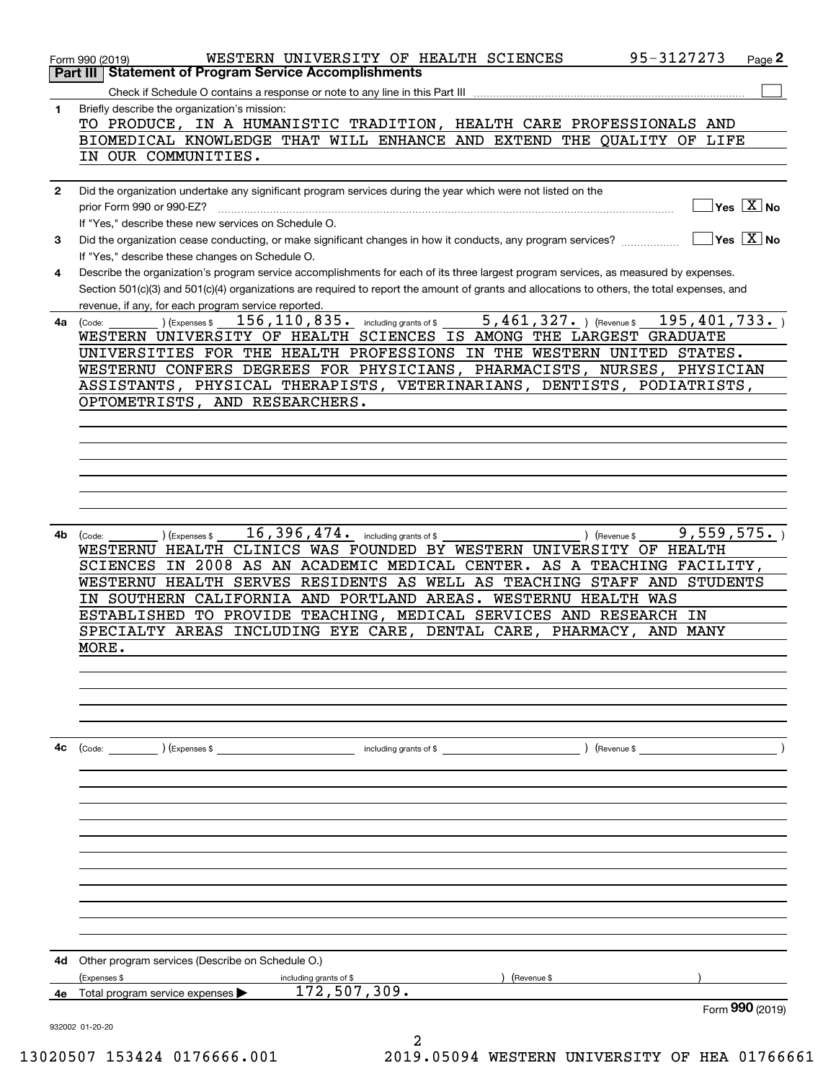|              | 95-3127273<br>WESTERN UNIVERSITY OF HEALTH SCIENCES<br>Page 2<br>Form 990 (2019)                                                             |
|--------------|----------------------------------------------------------------------------------------------------------------------------------------------|
|              | <b>Part III   Statement of Program Service Accomplishments</b>                                                                               |
|              | Check if Schedule O contains a response or note to any line in this Part III                                                                 |
| 1.           | Briefly describe the organization's mission:                                                                                                 |
|              | TO PRODUCE, IN A HUMANISTIC TRADITION, HEALTH CARE PROFESSIONALS AND                                                                         |
|              | BIOMEDICAL KNOWLEDGE THAT WILL ENHANCE AND EXTEND THE QUALITY OF LIFE                                                                        |
|              | IN OUR COMMUNITIES.                                                                                                                          |
|              |                                                                                                                                              |
| $\mathbf{2}$ | Did the organization undertake any significant program services during the year which were not listed on the<br>$Yes \quad X$ No             |
|              | prior Form 990 or 990-EZ?                                                                                                                    |
|              | If "Yes," describe these new services on Schedule O.                                                                                         |
| 3            | $Yes$ $X$ No<br>Did the organization cease conducting, or make significant changes in how it conducts, any program services?                 |
|              | If "Yes," describe these changes on Schedule O.                                                                                              |
| 4            | Describe the organization's program service accomplishments for each of its three largest program services, as measured by expenses.         |
|              | Section 501(c)(3) and 501(c)(4) organizations are required to report the amount of grants and allocations to others, the total expenses, and |
|              | revenue, if any, for each program service reported.                                                                                          |
| 4a           | $5,461,327.$ ) (Revenue \$<br>195, 401, 733.<br>156, 110, 835. including grants of \$<br>) (Expenses \$<br>(Code:                            |
|              | WESTERN UNIVERSITY OF HEALTH SCIENCES IS AMONG THE LARGEST GRADUATE                                                                          |
|              | UNIVERSITIES FOR THE HEALTH PROFESSIONS IN THE WESTERN UNITED STATES.                                                                        |
|              | WESTERNU CONFERS DEGREES FOR PHYSICIANS, PHARMACISTS, NURSES, PHYSICIAN                                                                      |
|              | ASSISTANTS, PHYSICAL THERAPISTS, VETERINARIANS, DENTISTS,<br>PODIATRISTS,                                                                    |
|              | OPTOMETRISTS,<br>AND RESEARCHERS.                                                                                                            |
|              |                                                                                                                                              |
|              |                                                                                                                                              |
|              |                                                                                                                                              |
|              |                                                                                                                                              |
|              |                                                                                                                                              |
|              |                                                                                                                                              |
|              |                                                                                                                                              |
| 4b           | 16,396,474. including grants of \$<br>9,559,575.<br>(Code:<br>(Expenses \$<br>) (Revenue \$                                                  |
|              | WESTERNU HEALTH CLINICS WAS FOUNDED BY WESTERN UNIVERSITY OF HEALTH                                                                          |
|              | IN 2008 AS AN ACADEMIC MEDICAL CENTER. AS A TEACHING FACILITY,<br>SCIENCES                                                                   |
|              | WESTERNU HEALTH SERVES RESIDENTS AS WELL AS TEACHING STAFF AND<br>STUDENTS                                                                   |
|              | IN SOUTHERN CALIFORNIA AND PORTLAND AREAS. WESTERNU HEALTH WAS                                                                               |
|              | ESTABLISHED TO PROVIDE TEACHING,<br>MEDICAL SERVICES AND RESEARCH IN                                                                         |
|              | SPECIALTY AREAS INCLUDING EYE CARE, DENTAL CARE,<br>PHARMACY,<br>AND<br><b>MANY</b>                                                          |
|              | MORE.                                                                                                                                        |
|              |                                                                                                                                              |
|              |                                                                                                                                              |
|              |                                                                                                                                              |
|              |                                                                                                                                              |
|              |                                                                                                                                              |
|              |                                                                                                                                              |
| 4c           | ) (Expenses \$<br>including grants of \$<br>) (Revenue \$<br>(Code:                                                                          |
|              |                                                                                                                                              |
|              |                                                                                                                                              |
|              |                                                                                                                                              |
|              |                                                                                                                                              |
|              |                                                                                                                                              |
|              |                                                                                                                                              |
|              |                                                                                                                                              |
|              |                                                                                                                                              |
|              |                                                                                                                                              |
|              |                                                                                                                                              |
|              |                                                                                                                                              |
|              |                                                                                                                                              |
| 4d           | Other program services (Describe on Schedule O.)                                                                                             |
|              | (Expenses \$<br>including grants of \$<br>(Revenue \$                                                                                        |
| 4e           | 172,507,309.<br>Total program service expenses $\blacktriangleright$                                                                         |
|              | Form 990 (2019)                                                                                                                              |
|              | 932002 01-20-20                                                                                                                              |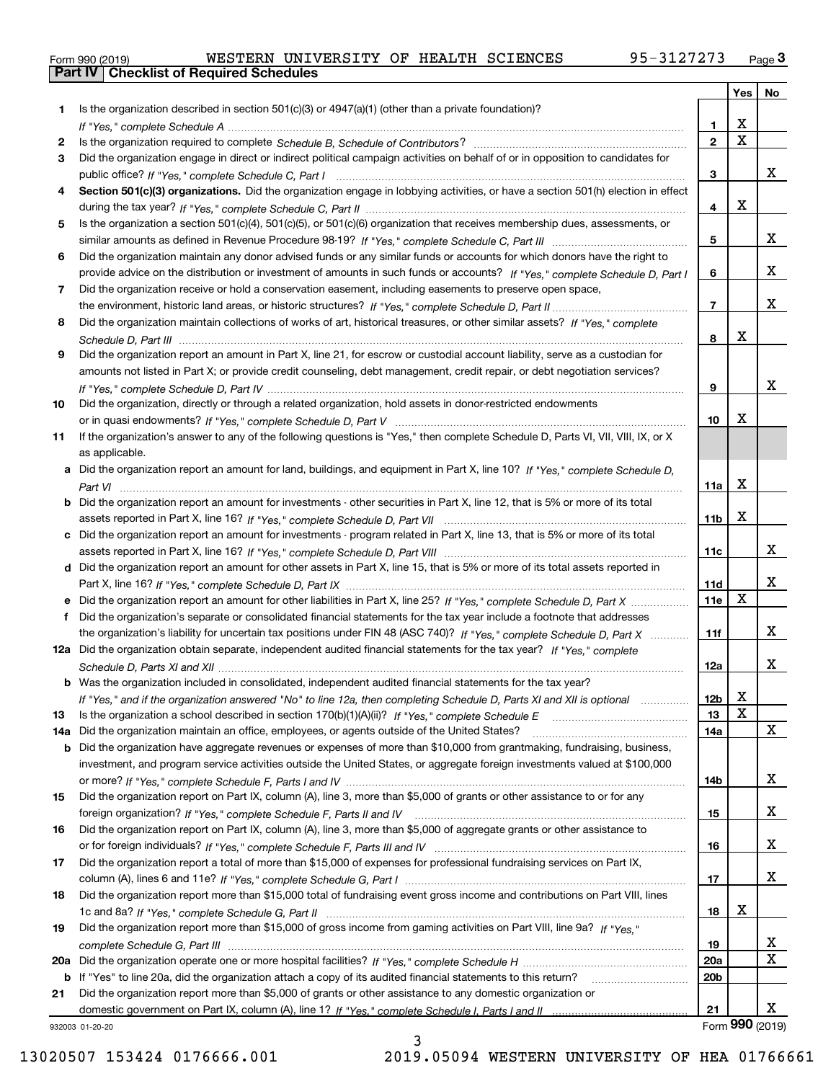|  | Form 990 (2019) |  |
|--|-----------------|--|

|     |                                                                                                                                  |                 |             | Yes   No        |
|-----|----------------------------------------------------------------------------------------------------------------------------------|-----------------|-------------|-----------------|
| 1.  | Is the organization described in section 501(c)(3) or 4947(a)(1) (other than a private foundation)?                              |                 |             |                 |
|     |                                                                                                                                  | 1.              | X           |                 |
| 2   |                                                                                                                                  | $\mathbf{2}$    | $\mathbf X$ |                 |
| 3   | Did the organization engage in direct or indirect political campaign activities on behalf of or in opposition to candidates for  |                 |             |                 |
|     |                                                                                                                                  | 3               |             | x               |
| 4   | Section 501(c)(3) organizations. Did the organization engage in lobbying activities, or have a section 501(h) election in effect |                 |             |                 |
|     |                                                                                                                                  | 4               | x           |                 |
| 5   | Is the organization a section 501(c)(4), 501(c)(5), or 501(c)(6) organization that receives membership dues, assessments, or     |                 |             |                 |
|     |                                                                                                                                  | 5               |             | x               |
| 6   | Did the organization maintain any donor advised funds or any similar funds or accounts for which donors have the right to        |                 |             |                 |
|     | provide advice on the distribution or investment of amounts in such funds or accounts? If "Yes," complete Schedule D, Part I     | 6               |             | x               |
| 7   | Did the organization receive or hold a conservation easement, including easements to preserve open space,                        |                 |             |                 |
|     |                                                                                                                                  | $\overline{7}$  |             | x               |
| 8   | Did the organization maintain collections of works of art, historical treasures, or other similar assets? If "Yes," complete     |                 | х           |                 |
|     |                                                                                                                                  | 8               |             |                 |
| 9   | Did the organization report an amount in Part X, line 21, for escrow or custodial account liability, serve as a custodian for    |                 |             |                 |
|     | amounts not listed in Part X; or provide credit counseling, debt management, credit repair, or debt negotiation services?        |                 |             | x               |
|     |                                                                                                                                  | 9               |             |                 |
| 10  | Did the organization, directly or through a related organization, hold assets in donor-restricted endowments                     | 10              | x           |                 |
| 11  | If the organization's answer to any of the following questions is "Yes," then complete Schedule D, Parts VI, VII, VIII, IX, or X |                 |             |                 |
|     | as applicable.                                                                                                                   |                 |             |                 |
| а   | Did the organization report an amount for land, buildings, and equipment in Part X, line 10? If "Yes," complete Schedule D.      |                 |             |                 |
|     |                                                                                                                                  | 11a             | x           |                 |
|     | Did the organization report an amount for investments - other securities in Part X, line 12, that is 5% or more of its total     |                 |             |                 |
|     |                                                                                                                                  | 11b             | x           |                 |
| c   | Did the organization report an amount for investments - program related in Part X, line 13, that is 5% or more of its total      |                 |             |                 |
|     |                                                                                                                                  | 11c             |             | x               |
| d   | Did the organization report an amount for other assets in Part X, line 15, that is 5% or more of its total assets reported in    |                 |             |                 |
|     |                                                                                                                                  | 11d             |             | x               |
|     |                                                                                                                                  | 11e             | X           |                 |
| f   | Did the organization's separate or consolidated financial statements for the tax year include a footnote that addresses          |                 |             |                 |
|     | the organization's liability for uncertain tax positions under FIN 48 (ASC 740)? If "Yes," complete Schedule D, Part X           | 11f             |             | x               |
|     | 12a Did the organization obtain separate, independent audited financial statements for the tax year? If "Yes," complete          |                 |             |                 |
|     |                                                                                                                                  | 12a             |             | x               |
|     | <b>b</b> Was the organization included in consolidated, independent audited financial statements for the tax year?               |                 |             |                 |
|     | If "Yes," and if the organization answered "No" to line 12a, then completing Schedule D, Parts XI and XII is optional            | 12 <sub>b</sub> | X           |                 |
| 13  | Is the organization a school described in section 170(b)(1)(A)(ii)? If "Yes," complete Schedule E                                | 13              | X           |                 |
| 14a | Did the organization maintain an office, employees, or agents outside of the United States?                                      | 14a             |             | x               |
| b   | Did the organization have aggregate revenues or expenses of more than \$10,000 from grantmaking, fundraising, business,          |                 |             |                 |
|     | investment, and program service activities outside the United States, or aggregate foreign investments valued at \$100,000       |                 |             |                 |
|     |                                                                                                                                  | 14b             |             | x               |
| 15  | Did the organization report on Part IX, column (A), line 3, more than \$5,000 of grants or other assistance to or for any        |                 |             |                 |
|     |                                                                                                                                  | 15              |             | x               |
| 16  | Did the organization report on Part IX, column (A), line 3, more than \$5,000 of aggregate grants or other assistance to         |                 |             |                 |
|     |                                                                                                                                  | 16              |             | x               |
| 17  | Did the organization report a total of more than \$15,000 of expenses for professional fundraising services on Part IX,          |                 |             |                 |
|     |                                                                                                                                  | 17              |             | x               |
| 18  | Did the organization report more than \$15,000 total of fundraising event gross income and contributions on Part VIII, lines     |                 |             |                 |
|     |                                                                                                                                  | 18              | x           |                 |
| 19  | Did the organization report more than \$15,000 of gross income from gaming activities on Part VIII, line 9a? If "Yes."           |                 |             |                 |
|     |                                                                                                                                  | 19              |             | x               |
| 20a |                                                                                                                                  | <b>20a</b>      |             | X               |
|     | b If "Yes" to line 20a, did the organization attach a copy of its audited financial statements to this return?                   | 20 <sub>b</sub> |             |                 |
| 21  | Did the organization report more than \$5,000 of grants or other assistance to any domestic organization or                      |                 |             |                 |
|     |                                                                                                                                  | 21              |             | x               |
|     | 932003 01-20-20                                                                                                                  |                 |             | Form 990 (2019) |

932003 01-20-20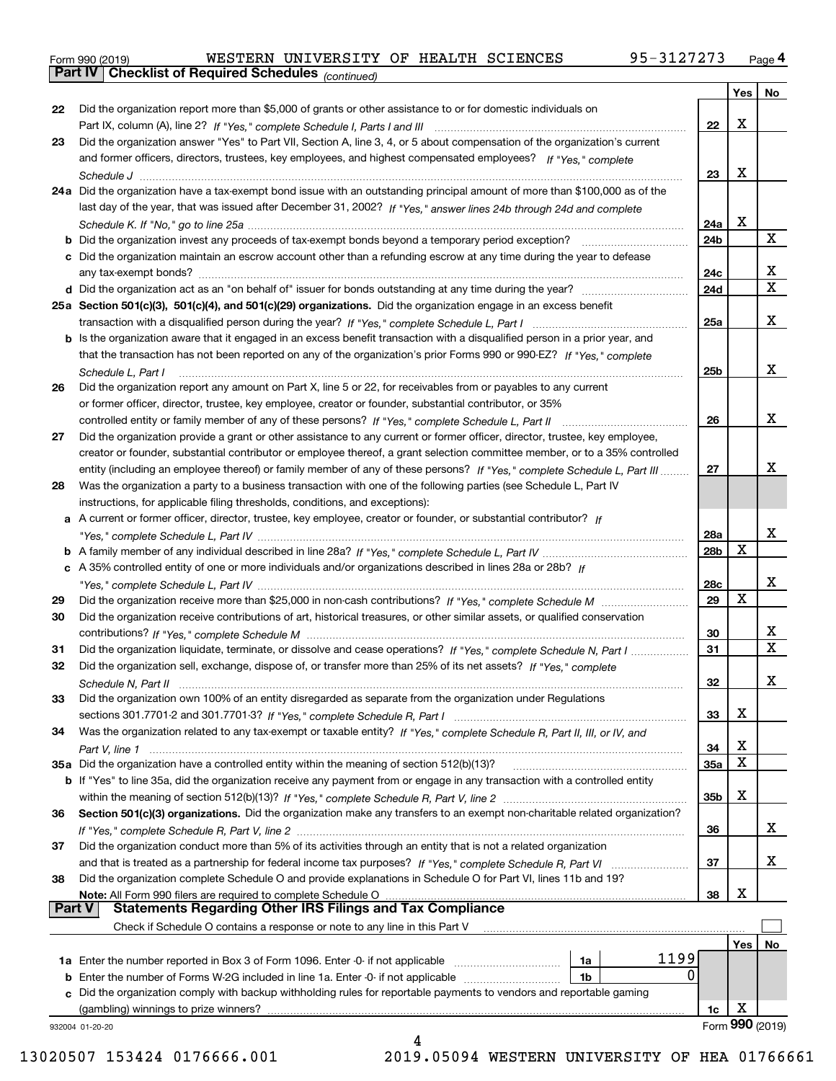|  | Form 990 (2019) |  |
|--|-----------------|--|
|  |                 |  |

*(continued)*

|               |                                                                                                                              |                 |     | Yes   No                |
|---------------|------------------------------------------------------------------------------------------------------------------------------|-----------------|-----|-------------------------|
| 22            | Did the organization report more than \$5,000 of grants or other assistance to or for domestic individuals on                |                 |     |                         |
|               |                                                                                                                              | 22              | X   |                         |
| 23            | Did the organization answer "Yes" to Part VII, Section A, line 3, 4, or 5 about compensation of the organization's current   |                 |     |                         |
|               | and former officers, directors, trustees, key employees, and highest compensated employees? If "Yes," complete               |                 |     |                         |
|               |                                                                                                                              | 23              | X   |                         |
|               | 24a Did the organization have a tax-exempt bond issue with an outstanding principal amount of more than \$100,000 as of the  |                 |     |                         |
|               | last day of the year, that was issued after December 31, 2002? If "Yes," answer lines 24b through 24d and complete           |                 |     |                         |
|               |                                                                                                                              | 24a             | X   |                         |
|               | <b>b</b> Did the organization invest any proceeds of tax-exempt bonds beyond a temporary period exception?                   | 24b             |     | X                       |
|               | c Did the organization maintain an escrow account other than a refunding escrow at any time during the year to defease       |                 |     |                         |
|               | any tax-exempt bonds?                                                                                                        | 24c             |     | x                       |
|               |                                                                                                                              | 24d             |     | $\overline{\mathbf{x}}$ |
|               | 25a Section 501(c)(3), 501(c)(4), and 501(c)(29) organizations. Did the organization engage in an excess benefit             |                 |     |                         |
|               |                                                                                                                              | 25a             |     | X                       |
|               | b Is the organization aware that it engaged in an excess benefit transaction with a disqualified person in a prior year, and |                 |     |                         |
|               | that the transaction has not been reported on any of the organization's prior Forms 990 or 990-EZ? If "Yes." complete        |                 |     |                         |
|               | Schedule L. Part I                                                                                                           | 25b             |     | x                       |
| 26            | Did the organization report any amount on Part X, line 5 or 22, for receivables from or payables to any current              |                 |     |                         |
|               | or former officer, director, trustee, key employee, creator or founder, substantial contributor, or 35%                      |                 |     |                         |
|               |                                                                                                                              | 26              |     | x                       |
| 27            | Did the organization provide a grant or other assistance to any current or former officer, director, trustee, key employee,  |                 |     |                         |
|               | creator or founder, substantial contributor or employee thereof, a grant selection committee member, or to a 35% controlled  |                 |     |                         |
|               | entity (including an employee thereof) or family member of any of these persons? If "Yes," complete Schedule L, Part III     | 27              |     | x                       |
| 28            | Was the organization a party to a business transaction with one of the following parties (see Schedule L, Part IV            |                 |     |                         |
|               | instructions, for applicable filing thresholds, conditions, and exceptions):                                                 |                 |     |                         |
|               | a A current or former officer, director, trustee, key employee, creator or founder, or substantial contributor? If           |                 |     |                         |
|               |                                                                                                                              | 28a             |     | x                       |
|               |                                                                                                                              | 28 <sub>b</sub> | X   |                         |
|               | c A 35% controlled entity of one or more individuals and/or organizations described in lines 28a or 28b? If                  |                 |     |                         |
|               |                                                                                                                              | 28c             |     | X                       |
| 29            |                                                                                                                              | 29              | X   |                         |
| 30            | Did the organization receive contributions of art, historical treasures, or other similar assets, or qualified conservation  |                 |     |                         |
|               |                                                                                                                              | 30              |     | х                       |
| 31            | Did the organization liquidate, terminate, or dissolve and cease operations? If "Yes," complete Schedule N, Part I           | 31              |     | $\overline{\mathbf{x}}$ |
| 32            | Did the organization sell, exchange, dispose of, or transfer more than 25% of its net assets? If "Yes," complete             |                 |     |                         |
|               | Schedule N, Part II                                                                                                          | 32              |     | X                       |
| 33            | Did the organization own 100% of an entity disregarded as separate from the organization under Regulations                   |                 |     |                         |
|               |                                                                                                                              | 33              | Χ   |                         |
| 34            | Was the organization related to any tax-exempt or taxable entity? If "Yes," complete Schedule R, Part II, III, or IV, and    |                 |     |                         |
|               |                                                                                                                              | 34              | Χ   |                         |
|               | 35a Did the organization have a controlled entity within the meaning of section 512(b)(13)?                                  | <b>35a</b>      | X   |                         |
|               | b If "Yes" to line 35a, did the organization receive any payment from or engage in any transaction with a controlled entity  |                 |     |                         |
|               |                                                                                                                              | 35b             | X   |                         |
| 36            | Section 501(c)(3) organizations. Did the organization make any transfers to an exempt non-charitable related organization?   |                 |     |                         |
|               |                                                                                                                              | 36              |     | x                       |
| 37            | Did the organization conduct more than 5% of its activities through an entity that is not a related organization             |                 |     |                         |
|               | and that is treated as a partnership for federal income tax purposes? If "Yes," complete Schedule R, Part VI                 | 37              |     | X                       |
| 38            | Did the organization complete Schedule O and provide explanations in Schedule O for Part VI, lines 11b and 19?               |                 |     |                         |
|               | Note: All Form 990 filers are required to complete Schedule O                                                                | 38              | х   |                         |
| <b>Part V</b> | <b>Statements Regarding Other IRS Filings and Tax Compliance</b>                                                             |                 |     |                         |
|               | Check if Schedule O contains a response or note to any line in this Part V                                                   |                 |     |                         |
|               |                                                                                                                              |                 | Yes | No                      |
|               | 1199<br>1a Enter the number reported in Box 3 of Form 1096. Enter -0- if not applicable<br>1a                                |                 |     |                         |
|               | 0<br><b>b</b> Enter the number of Forms W-2G included in line 1a. Enter -0- if not applicable<br>1b                          |                 |     |                         |
|               | c Did the organization comply with backup withholding rules for reportable payments to vendors and reportable gaming         |                 |     |                         |
|               | (gambling) winnings to prize winners?                                                                                        | 1c              | X   |                         |
|               | 932004 01-20-20                                                                                                              |                 |     | Form 990 (2019)         |
|               | 4                                                                                                                            |                 |     |                         |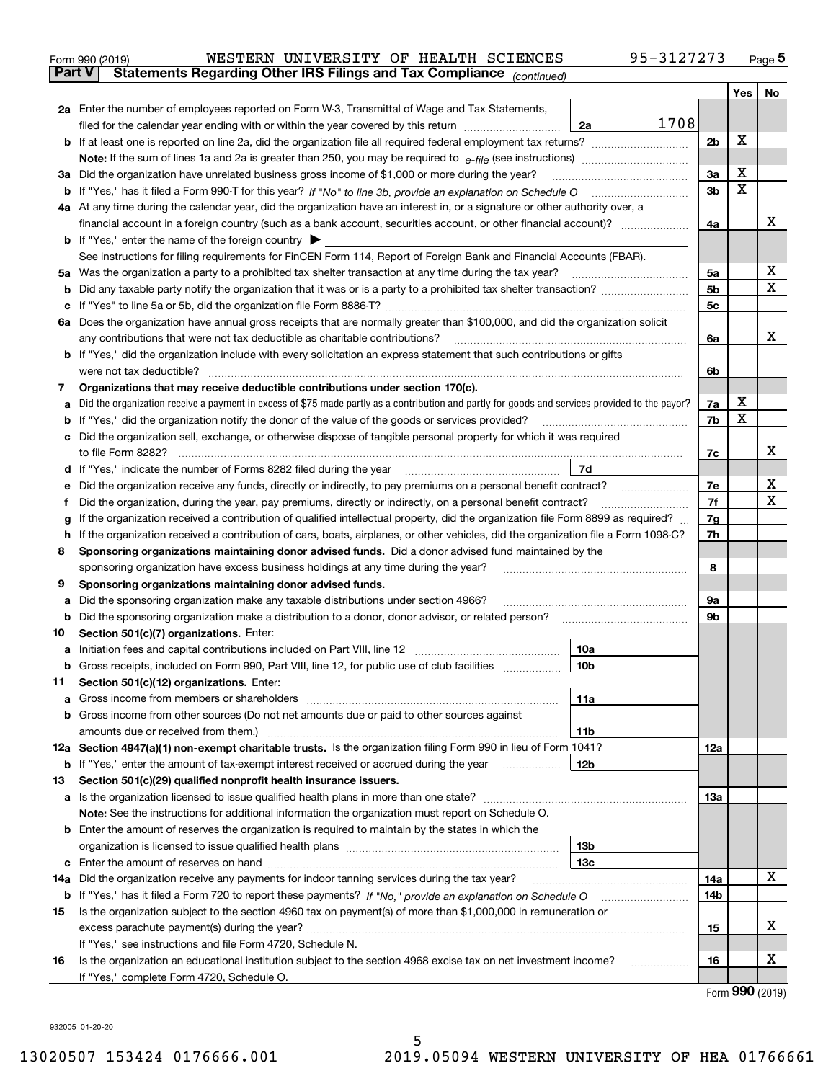| Form 990 (2019) |                                                                                | WESTERN UNIVERSITY OF HEALTH SCIENCES |  | 95-3127273 | Page 5 |
|-----------------|--------------------------------------------------------------------------------|---------------------------------------|--|------------|--------|
|                 | Part V   Statements Regarding Other IRS Filings and Tax Compliance (continued) |                                       |  |            |        |

|        |                                                                                                                                                                                                                                                                        |                 |      |                | Yes | No |  |  |  |
|--------|------------------------------------------------------------------------------------------------------------------------------------------------------------------------------------------------------------------------------------------------------------------------|-----------------|------|----------------|-----|----|--|--|--|
|        | 2a Enter the number of employees reported on Form W-3, Transmittal of Wage and Tax Statements,                                                                                                                                                                         |                 |      |                |     |    |  |  |  |
|        | filed for the calendar year ending with or within the year covered by this return                                                                                                                                                                                      | 2a              | 1708 |                |     |    |  |  |  |
|        |                                                                                                                                                                                                                                                                        |                 |      | 2 <sub>b</sub> | X   |    |  |  |  |
|        | <b>Note:</b> If the sum of lines 1a and 2a is greater than 250, you may be required to $e$ -file (see instructions)                                                                                                                                                    |                 |      |                |     |    |  |  |  |
| За     | Did the organization have unrelated business gross income of \$1,000 or more during the year?                                                                                                                                                                          |                 |      | 3a             | X   |    |  |  |  |
|        |                                                                                                                                                                                                                                                                        |                 |      | 3 <sub>b</sub> | X   |    |  |  |  |
|        | 4a At any time during the calendar year, did the organization have an interest in, or a signature or other authority over, a                                                                                                                                           |                 |      |                |     | x  |  |  |  |
|        |                                                                                                                                                                                                                                                                        |                 |      | 4a             |     |    |  |  |  |
|        | <b>b</b> If "Yes," enter the name of the foreign country<br>See instructions for filing requirements for FinCEN Form 114, Report of Foreign Bank and Financial Accounts (FBAR).                                                                                        |                 |      |                |     |    |  |  |  |
|        | 5a Was the organization a party to a prohibited tax shelter transaction at any time during the tax year?                                                                                                                                                               |                 |      | 5a             |     | х  |  |  |  |
| b      |                                                                                                                                                                                                                                                                        |                 |      | 5 <sub>b</sub> |     | X  |  |  |  |
| с      |                                                                                                                                                                                                                                                                        |                 |      | 5с             |     |    |  |  |  |
|        | 6a Does the organization have annual gross receipts that are normally greater than \$100,000, and did the organization solicit                                                                                                                                         |                 |      |                |     |    |  |  |  |
|        | any contributions that were not tax deductible as charitable contributions?                                                                                                                                                                                            |                 |      |                |     |    |  |  |  |
|        | If "Yes," did the organization include with every solicitation an express statement that such contributions or gifts                                                                                                                                                   |                 |      |                |     |    |  |  |  |
|        | were not tax deductible?                                                                                                                                                                                                                                               |                 |      |                |     |    |  |  |  |
| 7      | Organizations that may receive deductible contributions under section 170(c).                                                                                                                                                                                          |                 |      |                |     |    |  |  |  |
| а      | Did the organization receive a payment in excess of \$75 made partly as a contribution and partly for goods and services provided to the payor?                                                                                                                        |                 |      | 7a             | х   |    |  |  |  |
|        | If "Yes," did the organization notify the donor of the value of the goods or services provided?                                                                                                                                                                        |                 |      | 7b             | х   |    |  |  |  |
| с      | Did the organization sell, exchange, or otherwise dispose of tangible personal property for which it was required                                                                                                                                                      |                 |      |                |     |    |  |  |  |
|        |                                                                                                                                                                                                                                                                        |                 |      | 7c             |     | x  |  |  |  |
| d      | 7d<br>If "Yes," indicate the number of Forms 8282 filed during the year manufactured in the water of the number of Forms 8282 filed during the year manufactured in the number of Forms 8282 filed during the year.                                                    |                 |      |                |     |    |  |  |  |
|        | Did the organization receive any funds, directly or indirectly, to pay premiums on a personal benefit contract?                                                                                                                                                        |                 |      |                |     |    |  |  |  |
| Ť      | Did the organization, during the year, pay premiums, directly or indirectly, on a personal benefit contract?                                                                                                                                                           |                 |      |                |     |    |  |  |  |
| g      | If the organization received a contribution of qualified intellectual property, did the organization file Form 8899 as required?<br>If the organization received a contribution of cars, boats, airplanes, or other vehicles, did the organization file a Form 1098-C? |                 |      |                |     |    |  |  |  |
| h<br>8 | Sponsoring organizations maintaining donor advised funds. Did a donor advised fund maintained by the                                                                                                                                                                   |                 |      |                |     |    |  |  |  |
|        | sponsoring organization have excess business holdings at any time during the year?                                                                                                                                                                                     |                 |      |                |     |    |  |  |  |
| 9      | Sponsoring organizations maintaining donor advised funds.                                                                                                                                                                                                              |                 |      |                |     |    |  |  |  |
| а      | Did the sponsoring organization make any taxable distributions under section 4966?                                                                                                                                                                                     |                 |      | 9а             |     |    |  |  |  |
| b      | Did the sponsoring organization make a distribution to a donor, donor advisor, or related person?                                                                                                                                                                      |                 |      | 9b             |     |    |  |  |  |
| 10     | Section 501(c)(7) organizations. Enter:                                                                                                                                                                                                                                |                 |      |                |     |    |  |  |  |
| а      |                                                                                                                                                                                                                                                                        | 10a             |      |                |     |    |  |  |  |
| b      | Gross receipts, included on Form 990, Part VIII, line 12, for public use of club facilities                                                                                                                                                                            | 10 <sub>b</sub> |      |                |     |    |  |  |  |
| 11     | Section 501(c)(12) organizations. Enter:                                                                                                                                                                                                                               |                 |      |                |     |    |  |  |  |
|        | Gross income from members or shareholders                                                                                                                                                                                                                              | 11a             |      |                |     |    |  |  |  |
|        | b Gross income from other sources (Do not net amounts due or paid to other sources against                                                                                                                                                                             |                 |      |                |     |    |  |  |  |
|        | amounts due or received from them.)                                                                                                                                                                                                                                    | 11 <sub>b</sub> |      |                |     |    |  |  |  |
|        | 12a Section 4947(a)(1) non-exempt charitable trusts. Is the organization filing Form 990 in lieu of Form 1041?                                                                                                                                                         |                 |      | 12a            |     |    |  |  |  |
| 13     | <b>b</b> If "Yes," enter the amount of tax-exempt interest received or accrued during the year<br>Section 501(c)(29) qualified nonprofit health insurance issuers.                                                                                                     | 12b             |      |                |     |    |  |  |  |
|        | a Is the organization licensed to issue qualified health plans in more than one state?                                                                                                                                                                                 |                 |      | 13a            |     |    |  |  |  |
|        | Note: See the instructions for additional information the organization must report on Schedule O.                                                                                                                                                                      |                 |      |                |     |    |  |  |  |
| b      | Enter the amount of reserves the organization is required to maintain by the states in which the                                                                                                                                                                       |                 |      |                |     |    |  |  |  |
|        | 13b                                                                                                                                                                                                                                                                    |                 |      |                |     |    |  |  |  |
| с      | Enter the amount of reserves on hand                                                                                                                                                                                                                                   | 13с             |      |                |     |    |  |  |  |
|        | 14a Did the organization receive any payments for indoor tanning services during the tax year?                                                                                                                                                                         |                 |      | 14a            |     | х  |  |  |  |
|        | <b>b</b> If "Yes," has it filed a Form 720 to report these payments? If "No," provide an explanation on Schedule O                                                                                                                                                     |                 |      | 14b            |     |    |  |  |  |
| 15     | Is the organization subject to the section 4960 tax on payment(s) of more than \$1,000,000 in remuneration or                                                                                                                                                          |                 |      |                |     |    |  |  |  |
|        |                                                                                                                                                                                                                                                                        |                 |      | 15             |     | х  |  |  |  |
|        | If "Yes," see instructions and file Form 4720, Schedule N.                                                                                                                                                                                                             |                 |      |                |     |    |  |  |  |
| 16     | Is the organization an educational institution subject to the section 4968 excise tax on net investment income?                                                                                                                                                        |                 |      | 16             |     | х  |  |  |  |
|        | If "Yes," complete Form 4720, Schedule O.                                                                                                                                                                                                                              |                 |      |                |     |    |  |  |  |

Form (2019) **990**

932005 01-20-20

 $\overline{a}$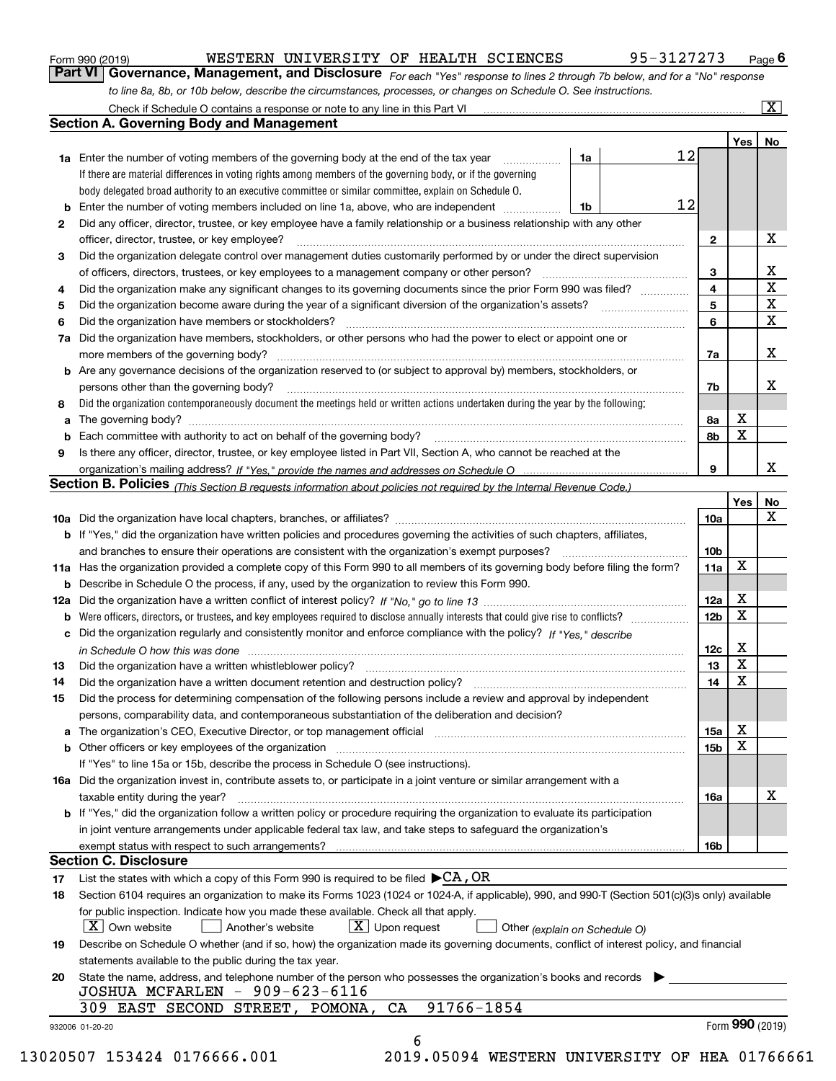| Form 990 (2019) |  |  |
|-----------------|--|--|
|                 |  |  |

#### WESTERN UNIVERSITY OF HEALTH SCIENCES 95-3127273

*For each "Yes" response to lines 2 through 7b below, and for a "No" response to line 8a, 8b, or 10b below, describe the circumstances, processes, or changes on Schedule O. See instructions.* Form 990 (2019) **CONTERY BESTERN WITTERSTTY OF HEALTH SCIENCES** 95 – 3127273 Page 6<br>**Part VI Governance, Management, and Disclosure** For each "Yes" response to lines 2 through 7b below, and for a "No" response

|    |                                                                                                                                                                            |    |    |                 | Yes             | No                      |
|----|----------------------------------------------------------------------------------------------------------------------------------------------------------------------------|----|----|-----------------|-----------------|-------------------------|
|    | <b>1a</b> Enter the number of voting members of the governing body at the end of the tax year                                                                              | 1a |    | 12              |                 |                         |
|    | If there are material differences in voting rights among members of the governing body, or if the governing                                                                |    |    |                 |                 |                         |
|    | body delegated broad authority to an executive committee or similar committee, explain on Schedule O.                                                                      |    |    |                 |                 |                         |
| b  | Enter the number of voting members included on line 1a, above, who are independent <i>manumum</i>                                                                          | 1b | 12 |                 |                 |                         |
| 2  | Did any officer, director, trustee, or key employee have a family relationship or a business relationship with any other                                                   |    |    |                 |                 |                         |
|    | officer, director, trustee, or key employee?                                                                                                                               |    |    | $\mathbf{2}$    |                 | X                       |
| 3  | Did the organization delegate control over management duties customarily performed by or under the direct supervision                                                      |    |    |                 |                 |                         |
|    |                                                                                                                                                                            |    |    | 3               |                 | X                       |
| 4  | Did the organization make any significant changes to its governing documents since the prior Form 990 was filed?                                                           |    |    | 4               |                 | $\overline{\mathbf{x}}$ |
| 5  |                                                                                                                                                                            |    |    | 5               |                 | X                       |
| 6  | Did the organization have members or stockholders?                                                                                                                         |    |    | 6               |                 | X                       |
| 7a | Did the organization have members, stockholders, or other persons who had the power to elect or appoint one or                                                             |    |    |                 |                 |                         |
|    |                                                                                                                                                                            |    |    | 7a              |                 | x                       |
|    | <b>b</b> Are any governance decisions of the organization reserved to (or subject to approval by) members, stockholders, or                                                |    |    |                 |                 |                         |
|    | persons other than the governing body?                                                                                                                                     |    |    | 7b              |                 | х                       |
| 8  | Did the organization contemporaneously document the meetings held or written actions undertaken during the year by the following:                                          |    |    |                 |                 |                         |
| a  |                                                                                                                                                                            |    |    | 8a              | X               |                         |
| b  |                                                                                                                                                                            |    |    | 8b              | X               |                         |
| 9  | Is there any officer, director, trustee, or key employee listed in Part VII, Section A, who cannot be reached at the                                                       |    |    |                 |                 |                         |
|    |                                                                                                                                                                            |    |    | 9               |                 | x                       |
|    | <b>Section B. Policies</b> (This Section B requests information about policies not required by the Internal Revenue Code.)                                                 |    |    |                 |                 |                         |
|    |                                                                                                                                                                            |    |    |                 | Yes             | No                      |
|    |                                                                                                                                                                            |    |    | 10a             |                 | X                       |
|    | <b>b</b> If "Yes," did the organization have written policies and procedures governing the activities of such chapters, affiliates,                                        |    |    |                 |                 |                         |
|    |                                                                                                                                                                            |    |    | 10 <sub>b</sub> |                 |                         |
|    | 11a Has the organization provided a complete copy of this Form 990 to all members of its governing body before filing the form?                                            |    |    | 11a             | X               |                         |
|    | <b>b</b> Describe in Schedule O the process, if any, used by the organization to review this Form 990.                                                                     |    |    |                 |                 |                         |
|    |                                                                                                                                                                            |    |    | 12a             | Х               |                         |
| b  |                                                                                                                                                                            |    |    | 12b             | X               |                         |
|    | c Did the organization regularly and consistently monitor and enforce compliance with the policy? If "Yes." describe                                                       |    |    |                 |                 |                         |
|    | in Schedule O how this was done manufactured and continuum control of the state of the state of the state of t                                                             |    |    | 12c             | Х               |                         |
| 13 |                                                                                                                                                                            |    |    | 13              | X               |                         |
| 14 | Did the organization have a written document retention and destruction policy? manufactured and the organization have a written document retention and destruction policy? |    |    | 14              | X               |                         |
| 15 | Did the process for determining compensation of the following persons include a review and approval by independent                                                         |    |    |                 |                 |                         |
|    | persons, comparability data, and contemporaneous substantiation of the deliberation and decision?                                                                          |    |    |                 |                 |                         |
|    |                                                                                                                                                                            |    |    | <b>15a</b>      | X               |                         |
|    |                                                                                                                                                                            |    |    | 15b             | X               |                         |
|    | If "Yes" to line 15a or 15b, describe the process in Schedule O (see instructions).                                                                                        |    |    |                 |                 |                         |
|    | 16a Did the organization invest in, contribute assets to, or participate in a joint venture or similar arrangement with a                                                  |    |    |                 |                 |                         |
|    | taxable entity during the year?                                                                                                                                            |    |    | 16a             |                 | X                       |
|    | b If "Yes," did the organization follow a written policy or procedure requiring the organization to evaluate its participation                                             |    |    |                 |                 |                         |
|    | in joint venture arrangements under applicable federal tax law, and take steps to safequard the organization's                                                             |    |    |                 |                 |                         |
|    | exempt status with respect to such arrangements?                                                                                                                           |    |    | 16b             |                 |                         |
|    | <b>Section C. Disclosure</b>                                                                                                                                               |    |    |                 |                 |                         |
| 17 | List the states with which a copy of this Form 990 is required to be filed $\blacktriangleright$ CA, OR                                                                    |    |    |                 |                 |                         |
| 18 | Section 6104 requires an organization to make its Forms 1023 (1024 or 1024-A, if applicable), 990, and 990-T (Section 501(c)(3)s only) available                           |    |    |                 |                 |                         |
|    | for public inspection. Indicate how you made these available. Check all that apply.                                                                                        |    |    |                 |                 |                         |
|    | $\boxed{\text{X}}$ Upon request<br>$\mid$ $\rm X \mid$ Own website<br>Another's website                                                                                    |    |    |                 |                 |                         |
|    | Other (explain on Schedule O)<br>Describe on Schedule O whether (and if so, how) the organization made its governing documents, conflict of interest policy, and financial |    |    |                 |                 |                         |
| 19 | statements available to the public during the tax year.                                                                                                                    |    |    |                 |                 |                         |
|    |                                                                                                                                                                            |    |    |                 |                 |                         |
| 20 | State the name, address, and telephone number of the person who possesses the organization's books and records<br>JOSHUA MCFARLEN - 909-623-6116                           |    |    |                 |                 |                         |
|    | 91766-1854<br>309 EAST SECOND STREET, POMONA, CA                                                                                                                           |    |    |                 |                 |                         |
|    |                                                                                                                                                                            |    |    |                 | Form 990 (2019) |                         |
|    | 932006 01-20-20                                                                                                                                                            |    |    |                 |                 |                         |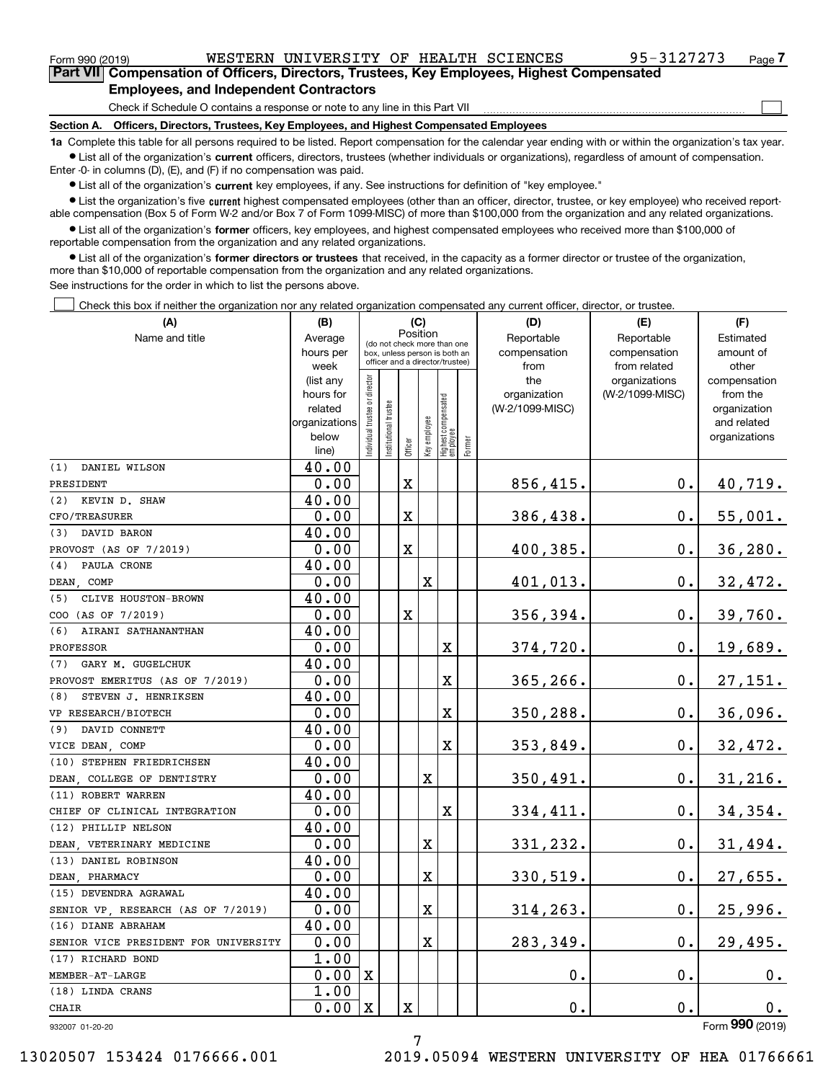$\mathcal{L}^{\text{max}}$ 

| Form 990 (2019) |                                                                                            | WESTERN UNIVERSITY OF HEALTH SCIENCES |  | 95-3127273 | Page $7$ |
|-----------------|--------------------------------------------------------------------------------------------|---------------------------------------|--|------------|----------|
|                 | Part VII Compensation of Officers, Directors, Trustees, Key Employees, Highest Compensated |                                       |  |            |          |
|                 | <b>Employees, and Independent Contractors</b>                                              |                                       |  |            |          |

Check if Schedule O contains a response or note to any line in this Part VII

**Section A. Officers, Directors, Trustees, Key Employees, and Highest Compensated Employees**

**1a**  Complete this table for all persons required to be listed. Report compensation for the calendar year ending with or within the organization's tax year. **•** List all of the organization's current officers, directors, trustees (whether individuals or organizations), regardless of amount of compensation.

Enter -0- in columns (D), (E), and (F) if no compensation was paid.

 $\bullet$  List all of the organization's  $\,$ current key employees, if any. See instructions for definition of "key employee."

**•** List the organization's five current highest compensated employees (other than an officer, director, trustee, or key employee) who received reportable compensation (Box 5 of Form W-2 and/or Box 7 of Form 1099-MISC) of more than \$100,000 from the organization and any related organizations.

**•** List all of the organization's former officers, key employees, and highest compensated employees who received more than \$100,000 of reportable compensation from the organization and any related organizations.

**former directors or trustees**  ¥ List all of the organization's that received, in the capacity as a former director or trustee of the organization, more than \$10,000 of reportable compensation from the organization and any related organizations.

See instructions for the order in which to list the persons above.

Check this box if neither the organization nor any related organization compensated any current officer, director, or trustee.  $\mathcal{L}^{\text{max}}$ 

| (A)                                  | (B)                    |                               |                      | (C)      |                         |                                                                  |        | (D)                             | (E)             | (F)                      |
|--------------------------------------|------------------------|-------------------------------|----------------------|----------|-------------------------|------------------------------------------------------------------|--------|---------------------------------|-----------------|--------------------------|
| Name and title                       | Average                |                               |                      | Position |                         | (do not check more than one                                      |        | Reportable                      | Reportable      | Estimated                |
|                                      | hours per              |                               |                      |          |                         | box, unless person is both an<br>officer and a director/trustee) |        | compensation                    | compensation    | amount of                |
|                                      | week                   |                               |                      |          |                         |                                                                  |        | from                            | from related    | other                    |
|                                      | (list any<br>hours for |                               |                      |          |                         |                                                                  |        | the                             | organizations   | compensation             |
|                                      | related                |                               |                      |          |                         |                                                                  |        | organization<br>(W-2/1099-MISC) | (W-2/1099-MISC) | from the<br>organization |
|                                      | organizations          |                               |                      |          |                         |                                                                  |        |                                 |                 | and related              |
|                                      | below                  | ndividual trustee or director | nstitutional trustee |          | key employee            |                                                                  |        |                                 |                 | organizations            |
|                                      | line)                  |                               |                      | Officer  |                         | Highest compensated<br> employee                                 | Former |                                 |                 |                          |
| (1)<br>DANIEL WILSON                 | 40.00                  |                               |                      |          |                         |                                                                  |        |                                 |                 |                          |
| PRESIDENT                            | 0.00                   |                               |                      | X        |                         |                                                                  |        | 856,415.                        | 0.              | 40,719.                  |
| KEVIN D. SHAW<br>(2)                 | 40.00                  |                               |                      |          |                         |                                                                  |        |                                 |                 |                          |
| CFO/TREASURER                        | 0.00                   |                               |                      | X        |                         |                                                                  |        | 386,438.                        | 0.              | 55,001.                  |
| DAVID BARON<br>(3)                   | 40.00                  |                               |                      |          |                         |                                                                  |        |                                 |                 |                          |
| PROVOST (AS OF 7/2019)               | 0.00                   |                               |                      | X        |                         |                                                                  |        | 400,385.                        | 0.              | 36, 280.                 |
| PAULA CRONE<br>(4)                   | 40.00                  |                               |                      |          |                         |                                                                  |        |                                 |                 |                          |
| DEAN COMP                            | 0.00                   |                               |                      |          | $\overline{\mathbf{X}}$ |                                                                  |        | 401,013.                        | $0$ .           | 32,472.                  |
| CLIVE HOUSTON-BROWN<br>(5)           | 40.00                  |                               |                      |          |                         |                                                                  |        |                                 |                 |                          |
| COO (AS OF 7/2019)                   | 0.00                   |                               |                      | X        |                         |                                                                  |        | 356,394.                        | 0.              | 39,760.                  |
| AIRANI SATHANANTHAN<br>(6)           | 40.00                  |                               |                      |          |                         |                                                                  |        |                                 |                 |                          |
| PROFESSOR                            | 0.00                   |                               |                      |          |                         | X                                                                |        | 374,720.                        | 0.              | 19,689.                  |
| GARY M. GUGELCHUK<br>(7)             | 40.00                  |                               |                      |          |                         |                                                                  |        |                                 |                 |                          |
| PROVOST EMERITUS (AS OF 7/2019)      | 0.00                   |                               |                      |          |                         | X                                                                |        | 365,266.                        | 0.              | 27,151.                  |
| (8)<br>STEVEN J. HENRIKSEN           | 40.00                  |                               |                      |          |                         |                                                                  |        |                                 |                 |                          |
| VP RESEARCH/BIOTECH                  | 0.00                   |                               |                      |          |                         | $\overline{\mathbf{X}}$                                          |        | 350,288.                        | $0$ .           | 36,096.                  |
| DAVID CONNETT<br>(9)                 | 40.00                  |                               |                      |          |                         |                                                                  |        |                                 |                 |                          |
| VICE DEAN, COMP                      | 0.00                   |                               |                      |          |                         | X                                                                |        | 353,849.                        | 0.              | 32,472.                  |
| (10) STEPHEN FRIEDRICHSEN            | 40.00                  |                               |                      |          |                         |                                                                  |        |                                 |                 |                          |
| DEAN COLLEGE OF DENTISTRY            | 0.00                   |                               |                      |          | $\overline{\mathbf{X}}$ |                                                                  |        | 350,491.                        | $0$ .           | 31,216.                  |
| (11) ROBERT WARREN                   | 40.00                  |                               |                      |          |                         |                                                                  |        |                                 |                 |                          |
| CHIEF OF CLINICAL INTEGRATION        | 0.00                   |                               |                      |          |                         | X                                                                |        | 334,411.                        | 0.              | 34,354.                  |
| (12) PHILLIP NELSON                  | 40.00                  |                               |                      |          |                         |                                                                  |        |                                 |                 |                          |
| DEAN VETERINARY MEDICINE             | 0.00                   |                               |                      |          | X                       |                                                                  |        | 331,232.                        | $\mathbf 0$ .   | 31,494.                  |
| (13) DANIEL ROBINSON                 | 40.00                  |                               |                      |          |                         |                                                                  |        |                                 |                 |                          |
| DEAN, PHARMACY                       | 0.00                   |                               |                      |          | X                       |                                                                  |        | 330,519.                        | 0.              | 27,655.                  |
| (15) DEVENDRA AGRAWAL                | 40.00                  |                               |                      |          |                         |                                                                  |        |                                 |                 |                          |
| SENIOR VP, RESEARCH (AS OF 7/2019)   | 0.00                   |                               |                      |          | X                       |                                                                  |        | 314,263.                        | 0.              | 25,996.                  |
| (16) DIANE ABRAHAM                   | 40.00                  |                               |                      |          |                         |                                                                  |        |                                 |                 |                          |
| SENIOR VICE PRESIDENT FOR UNIVERSITY | 0.00                   |                               |                      |          | X                       |                                                                  |        | 283,349.                        | 0.              | 29,495.                  |
| (17) RICHARD BOND                    | 1.00                   |                               |                      |          |                         |                                                                  |        |                                 |                 |                          |
| MEMBER-AT-LARGE                      | 0.00                   | $\mathbf{x}$                  |                      |          |                         |                                                                  |        | 0.                              | 0.              | 0.                       |
| (18) LINDA CRANS                     | 1.00                   |                               |                      |          |                         |                                                                  |        |                                 |                 |                          |
| <b>CHAIR</b>                         | 0.00                   | X                             |                      | X        |                         |                                                                  |        | $\mathbf 0$ .                   | 0.              | 0.                       |

932007 01-20-20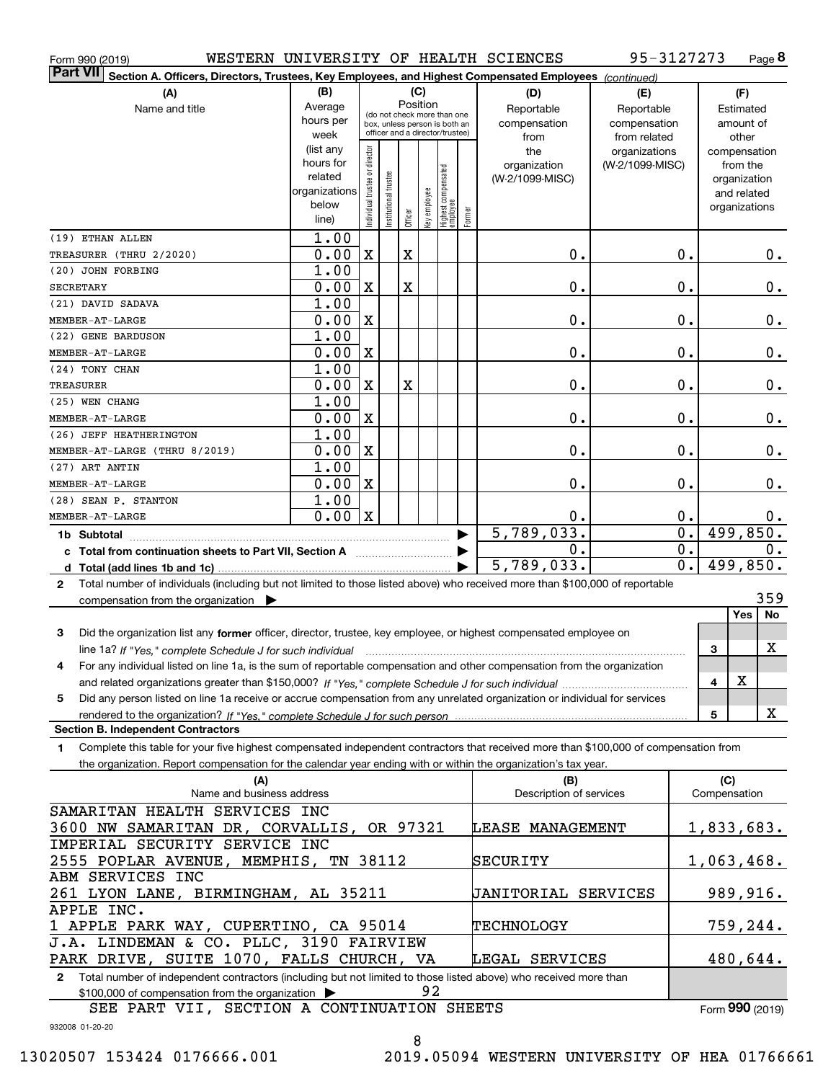| Form 990 (2019)                                                                                                                                     |                        |                                |                        |             |              |                                                                  |        | WESTERN UNIVERSITY OF HEALTH SCIENCES | 95-3127273                       |              |                          | Page 8   |
|-----------------------------------------------------------------------------------------------------------------------------------------------------|------------------------|--------------------------------|------------------------|-------------|--------------|------------------------------------------------------------------|--------|---------------------------------------|----------------------------------|--------------|--------------------------|----------|
| <b>Part VII</b><br>Section A. Officers, Directors, Trustees, Key Employees, and Highest Compensated Employees (continued)                           |                        |                                |                        |             |              |                                                                  |        |                                       |                                  |              |                          |          |
| (A)                                                                                                                                                 | (B)                    |                                |                        | (C)         |              |                                                                  |        | (D)                                   | (E)                              |              | (F)                      |          |
| Name and title                                                                                                                                      | Average                |                                |                        |             | Position     | (do not check more than one                                      |        | Reportable                            | Reportable                       |              | Estimated                |          |
|                                                                                                                                                     | hours per              |                                |                        |             |              | box, unless person is both an<br>officer and a director/trustee) |        | compensation                          | compensation                     |              | amount of                |          |
|                                                                                                                                                     | week                   |                                |                        |             |              |                                                                  |        | from                                  | from related                     |              | other                    |          |
|                                                                                                                                                     | (list any<br>hours for |                                |                        |             |              |                                                                  |        | the<br>organization                   | organizations<br>(W-2/1099-MISC) |              | compensation<br>from the |          |
|                                                                                                                                                     | related                |                                |                        |             |              |                                                                  |        | (W-2/1099-MISC)                       |                                  |              | organization             |          |
|                                                                                                                                                     | organizations          |                                |                        |             |              |                                                                  |        |                                       |                                  |              | and related              |          |
|                                                                                                                                                     | below                  | Individual trustee or director | In stitutional trustee |             | key employee | Highest compensated<br>employee                                  |        |                                       |                                  |              | organizations            |          |
|                                                                                                                                                     | line)                  |                                |                        | Officer     |              |                                                                  | Former |                                       |                                  |              |                          |          |
| (19) ETHAN ALLEN                                                                                                                                    | 1.00                   |                                |                        |             |              |                                                                  |        |                                       |                                  |              |                          |          |
| TREASURER (THRU 2/2020)                                                                                                                             | 0.00                   | X                              |                        | $\mathbf X$ |              |                                                                  |        | 0.                                    | Ο.                               |              |                          | 0.       |
| (20) JOHN FORBING                                                                                                                                   | 1.00                   |                                |                        |             |              |                                                                  |        |                                       |                                  |              |                          |          |
| SECRETARY                                                                                                                                           | 0.00                   | X                              |                        | $\mathbf X$ |              |                                                                  |        | Ο.                                    | Ο.                               |              |                          | 0.       |
| (21) DAVID SADAVA                                                                                                                                   | 1.00                   |                                |                        |             |              |                                                                  |        |                                       |                                  |              |                          |          |
| <b>MEMBER-AT-LARGE</b>                                                                                                                              | 0.00                   | X                              |                        |             |              |                                                                  |        | Ο.                                    | Ο.                               |              |                          | 0.       |
| (22) GENE BARDUSON                                                                                                                                  | 1.00                   |                                |                        |             |              |                                                                  |        |                                       |                                  |              |                          |          |
| <b>MEMBER-AT-LARGE</b>                                                                                                                              | 0.00                   | X                              |                        |             |              |                                                                  |        | Ο.                                    | Ο.                               |              |                          | 0.       |
| (24) TONY CHAN                                                                                                                                      | 1.00                   |                                |                        |             |              |                                                                  |        |                                       |                                  |              |                          |          |
| <b>TREASURER</b>                                                                                                                                    | 0.00                   | X                              |                        | $\mathbf X$ |              |                                                                  |        | Ο.                                    | Ο.                               |              |                          | 0.       |
| (25) WEN CHANG                                                                                                                                      | 1.00                   |                                |                        |             |              |                                                                  |        |                                       |                                  |              |                          |          |
| <b>MEMBER-AT-LARGE</b>                                                                                                                              | 0.00                   | X                              |                        |             |              |                                                                  |        | Ο.                                    | Ο.                               |              |                          | 0.       |
| (26) JEFF HEATHERINGTON                                                                                                                             | 1.00                   |                                |                        |             |              |                                                                  |        |                                       |                                  |              |                          |          |
| MEMBER-AT-LARGE (THRU 8/2019)                                                                                                                       | 0.00                   | X                              |                        |             |              |                                                                  |        | Ο.                                    | Ο.                               |              |                          | 0.       |
| (27) ART ANTIN                                                                                                                                      | 1.00                   |                                |                        |             |              |                                                                  |        |                                       |                                  |              |                          |          |
| <b>MEMBER-AT-LARGE</b>                                                                                                                              | 0.00                   | X                              |                        |             |              |                                                                  |        | Ο.                                    | Ο.                               |              |                          | $0$ .    |
| (28) SEAN P. STANTON                                                                                                                                | 1.00                   |                                |                        |             |              |                                                                  |        |                                       |                                  |              |                          |          |
| <b>MEMBER-AT-LARGE</b>                                                                                                                              | 0.00                   | $\mathbf x$                    |                        |             |              |                                                                  |        | Ο.                                    | Ο.                               |              |                          | 0.       |
| 1b Subtotal                                                                                                                                         |                        |                                |                        |             |              | ▶                                                                |        | 5,789,033.                            | $\mathbf 0$ .                    |              | 499,850.                 |          |
| c Total from continuation sheets to Part VII, Section A                                                                                             |                        |                                |                        |             |              |                                                                  |        | Ο.                                    | 0.                               |              |                          | 0.       |
| d Total (add lines 1b and 1c).                                                                                                                      |                        |                                |                        |             |              |                                                                  |        | 5,789,033.                            | 0.                               |              | 499,850.                 |          |
| Total number of individuals (including but not limited to those listed above) who received more than \$100,000 of reportable<br>2                   |                        |                                |                        |             |              |                                                                  |        |                                       |                                  |              |                          |          |
| compensation from the organization $\blacktriangleright$                                                                                            |                        |                                |                        |             |              |                                                                  |        |                                       |                                  |              |                          | 359      |
|                                                                                                                                                     |                        |                                |                        |             |              |                                                                  |        |                                       |                                  |              | <b>Yes</b>               | No       |
| Did the organization list any former officer, director, trustee, key employee, or highest compensated employee on<br>3                              |                        |                                |                        |             |              |                                                                  |        |                                       |                                  |              |                          |          |
| line 1a? If "Yes," complete Schedule J for such individual manufactured contains and the line 1a? If "Yes," complete Schedule J for such individual |                        |                                |                        |             |              |                                                                  |        |                                       |                                  | З            |                          | X        |
| For any individual listed on line 1a, is the sum of reportable compensation and other compensation from the organization<br>4                       |                        |                                |                        |             |              |                                                                  |        |                                       |                                  |              |                          |          |
|                                                                                                                                                     |                        |                                |                        |             |              |                                                                  |        |                                       |                                  | 4            | х                        |          |
| Did any person listed on line 1a receive or accrue compensation from any unrelated organization or individual for services<br>5                     |                        |                                |                        |             |              |                                                                  |        |                                       |                                  |              |                          |          |
|                                                                                                                                                     |                        |                                |                        |             |              |                                                                  |        |                                       |                                  | 5            |                          | X        |
| <b>Section B. Independent Contractors</b>                                                                                                           |                        |                                |                        |             |              |                                                                  |        |                                       |                                  |              |                          |          |
| Complete this table for your five highest compensated independent contractors that received more than \$100,000 of compensation from<br>1           |                        |                                |                        |             |              |                                                                  |        |                                       |                                  |              |                          |          |
| the organization. Report compensation for the calendar year ending with or within the organization's tax year.                                      |                        |                                |                        |             |              |                                                                  |        |                                       |                                  |              |                          |          |
| (A)                                                                                                                                                 |                        |                                |                        |             |              |                                                                  |        | (B)                                   |                                  |              | (C)                      |          |
| Name and business address                                                                                                                           |                        |                                |                        |             |              |                                                                  |        | Description of services               |                                  | Compensation |                          |          |
| SAMARITAN HEALTH SERVICES INC                                                                                                                       |                        |                                |                        |             |              |                                                                  |        |                                       |                                  |              |                          |          |
| 3600 NW SAMARITAN DR, CORVALLIS, OR 97321                                                                                                           |                        |                                |                        |             |              |                                                                  |        | LEASE MANAGEMENT                      |                                  | 1,833,683.   |                          |          |
| IMPERIAL SECURITY SERVICE INC                                                                                                                       |                        |                                |                        |             |              |                                                                  |        |                                       |                                  |              |                          |          |
| 2555 POPLAR AVENUE, MEMPHIS, TN 38112                                                                                                               |                        |                                |                        |             |              |                                                                  |        | SECURITY                              |                                  | 1,063,468.   |                          |          |
| ABM SERVICES INC                                                                                                                                    |                        |                                |                        |             |              |                                                                  |        |                                       |                                  |              |                          |          |
| 261 LYON LANE, BIRMINGHAM, AL 35211                                                                                                                 |                        |                                |                        |             |              |                                                                  |        | JANITORIAL SERVICES                   |                                  |              |                          | 989,916. |
| APPLE INC.                                                                                                                                          |                        |                                |                        |             |              |                                                                  |        |                                       |                                  |              |                          |          |
| 1 APPLE PARK WAY, CUPERTINO, CA 95014                                                                                                               |                        |                                |                        |             |              |                                                                  |        | <b>TECHNOLOGY</b>                     |                                  |              | 759,244.                 |          |
| J.A. LINDEMAN & CO. PLLC, 3190 FAIRVIEW                                                                                                             |                        |                                |                        |             |              |                                                                  |        |                                       |                                  |              |                          |          |

**2**Total number of independent contractors (including but not limited to those listed above) who received more than \$100,000 of compensation from the organization  $\blacktriangleright$ PARK DRIVE, SUITE 1070, FALLS CHURCH, VA 92 LEGAL SERVICES

SEE PART VII, SECTION A CONTINUATION SHEETS

Form (2019) **990**

480,644.

932008 01-20-20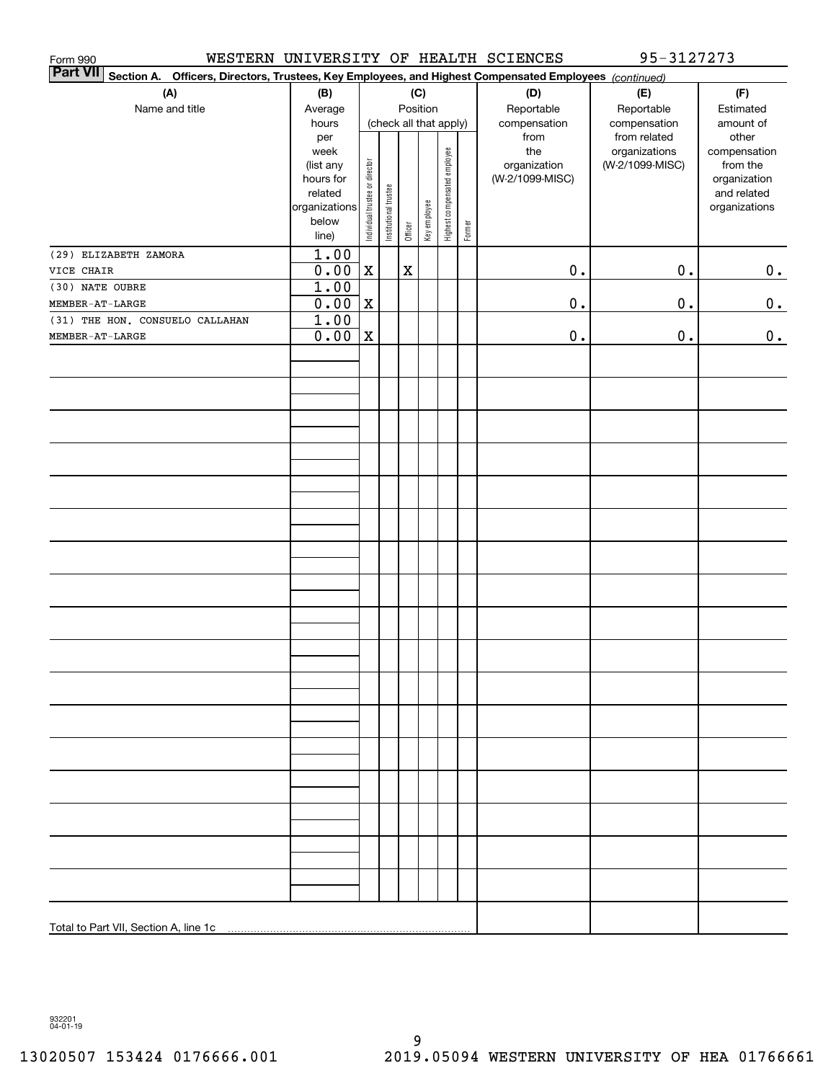| Form 990                              |                      |                                                                                             |                       |             |              |                              |        | WESTERN UNIVERSITY OF HEALTH SCIENCES | 95-3127273      |                             |
|---------------------------------------|----------------------|---------------------------------------------------------------------------------------------|-----------------------|-------------|--------------|------------------------------|--------|---------------------------------------|-----------------|-----------------------------|
| <b>Part VII</b><br>Section A.         |                      | Officers, Directors, Trustees, Key Employees, and Highest Compensated Employees (continued) |                       |             |              |                              |        |                                       |                 |                             |
| (A)                                   | (B)                  | (C)                                                                                         |                       |             |              |                              |        | (D)                                   | (E)             | (F)                         |
| Name and title                        | Average              |                                                                                             |                       |             | Position     |                              |        | Reportable                            | Reportable      | Estimated                   |
|                                       | hours                |                                                                                             |                       |             |              | (check all that apply)       |        | compensation                          | compensation    | amount of                   |
|                                       | per                  |                                                                                             |                       |             |              |                              |        | from                                  | from related    | other                       |
|                                       | week                 |                                                                                             |                       |             |              |                              |        | the                                   | organizations   | compensation                |
|                                       | (list any            |                                                                                             |                       |             |              |                              |        | organization                          | (W-2/1099-MISC) | from the                    |
|                                       | hours for<br>related |                                                                                             |                       |             |              |                              |        | (W-2/1099-MISC)                       |                 | organization<br>and related |
|                                       | organizations        | Individual trustee or director                                                              | Institutional trustee |             |              | Highest compensated employee |        |                                       |                 | organizations               |
|                                       | below                |                                                                                             |                       |             |              |                              |        |                                       |                 |                             |
|                                       | line)                |                                                                                             |                       | Officer     | Key employee |                              | Former |                                       |                 |                             |
| (29) ELIZABETH ZAMORA                 | 1.00                 |                                                                                             |                       |             |              |                              |        |                                       |                 |                             |
| VICE CHAIR                            | 0.00                 | $\mathbf X$                                                                                 |                       | $\mathbf X$ |              |                              |        | $\mathbf 0$ .                         | $0$ .           | 0.                          |
| (30) NATE OUBRE                       | 1.00                 |                                                                                             |                       |             |              |                              |        |                                       |                 |                             |
| $\texttt{MEMBER-AT-LARGE}$            | 0.00                 | $\mathbf X$                                                                                 |                       |             |              |                              |        | $\mathbf 0$ .                         | $0$ .           | 0.                          |
| (31) THE HON. CONSUELO CALLAHAN       | 1.00                 |                                                                                             |                       |             |              |                              |        |                                       |                 |                             |
| MEMBER-AT-LARGE                       | 0.00                 | $\mathbf X$                                                                                 |                       |             |              |                              |        | $\mathbf 0$ .                         | $0$ .           | 0.                          |
|                                       |                      |                                                                                             |                       |             |              |                              |        |                                       |                 |                             |
|                                       |                      |                                                                                             |                       |             |              |                              |        |                                       |                 |                             |
|                                       |                      |                                                                                             |                       |             |              |                              |        |                                       |                 |                             |
|                                       |                      |                                                                                             |                       |             |              |                              |        |                                       |                 |                             |
|                                       |                      |                                                                                             |                       |             |              |                              |        |                                       |                 |                             |
|                                       |                      |                                                                                             |                       |             |              |                              |        |                                       |                 |                             |
|                                       |                      |                                                                                             |                       |             |              |                              |        |                                       |                 |                             |
|                                       |                      |                                                                                             |                       |             |              |                              |        |                                       |                 |                             |
|                                       |                      |                                                                                             |                       |             |              |                              |        |                                       |                 |                             |
|                                       |                      |                                                                                             |                       |             |              |                              |        |                                       |                 |                             |
|                                       |                      |                                                                                             |                       |             |              |                              |        |                                       |                 |                             |
|                                       |                      |                                                                                             |                       |             |              |                              |        |                                       |                 |                             |
|                                       |                      |                                                                                             |                       |             |              |                              |        |                                       |                 |                             |
|                                       |                      |                                                                                             |                       |             |              |                              |        |                                       |                 |                             |
|                                       |                      |                                                                                             |                       |             |              |                              |        |                                       |                 |                             |
|                                       |                      |                                                                                             |                       |             |              |                              |        |                                       |                 |                             |
|                                       |                      |                                                                                             |                       |             |              |                              |        |                                       |                 |                             |
|                                       |                      |                                                                                             |                       |             |              |                              |        |                                       |                 |                             |
|                                       |                      |                                                                                             |                       |             |              |                              |        |                                       |                 |                             |
|                                       |                      |                                                                                             |                       |             |              |                              |        |                                       |                 |                             |
|                                       |                      |                                                                                             |                       |             |              |                              |        |                                       |                 |                             |
|                                       |                      |                                                                                             |                       |             |              |                              |        |                                       |                 |                             |
|                                       |                      |                                                                                             |                       |             |              |                              |        |                                       |                 |                             |
|                                       |                      |                                                                                             |                       |             |              |                              |        |                                       |                 |                             |
|                                       |                      |                                                                                             |                       |             |              |                              |        |                                       |                 |                             |
| Total to Part VII, Section A, line 1c |                      |                                                                                             |                       |             |              |                              |        |                                       |                 |                             |
|                                       |                      |                                                                                             |                       |             |              |                              |        |                                       |                 |                             |

932201 04-01-19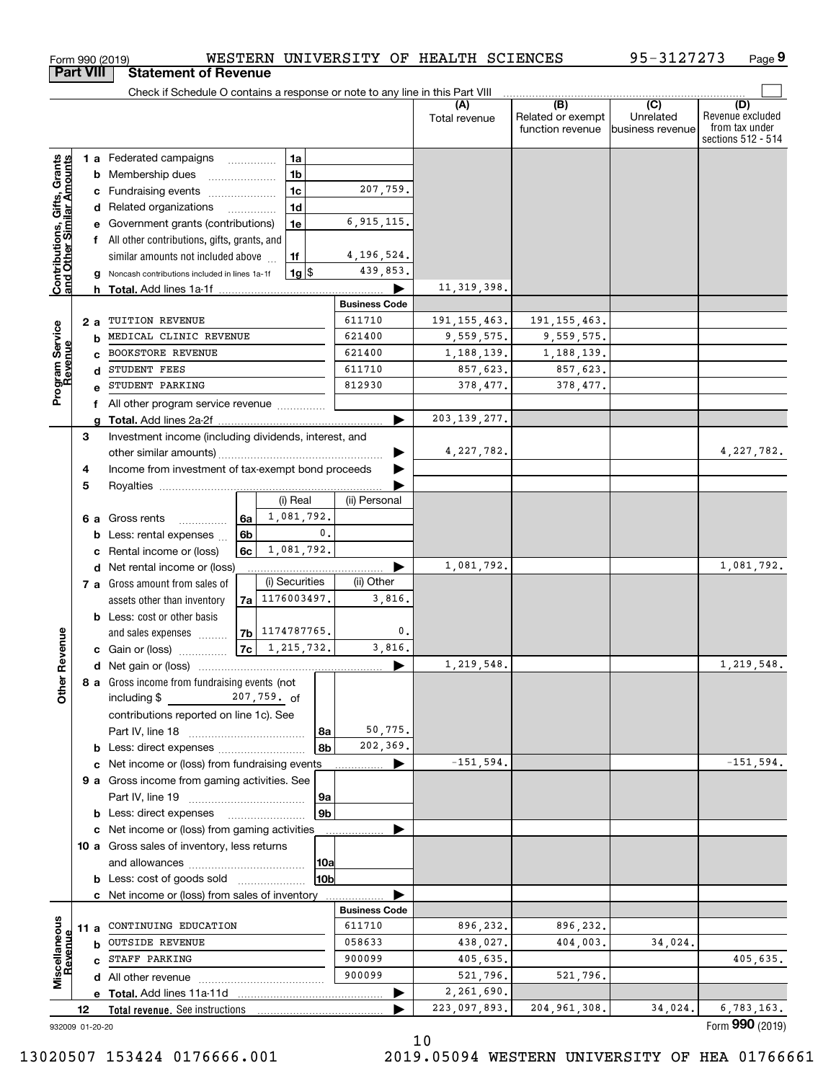|                                                           | <b>Part VIII</b> |   | <b>Statement of Revenue</b>                                                                  |      |                     |                      |                      |                          |                                              |                                      |                                                                 |
|-----------------------------------------------------------|------------------|---|----------------------------------------------------------------------------------------------|------|---------------------|----------------------|----------------------|--------------------------|----------------------------------------------|--------------------------------------|-----------------------------------------------------------------|
|                                                           |                  |   | Check if Schedule O contains a response or note to any line in this Part VIII                |      |                     |                      |                      |                          |                                              |                                      |                                                                 |
|                                                           |                  |   |                                                                                              |      |                     |                      |                      | (A)<br>Total revenue     | (B)<br>Related or exempt<br>function revenue | (C)<br>Unrelated<br>business revenue | (D)<br>Revenue excluded<br>from tax under<br>sections 512 - 514 |
|                                                           |                  |   | 1 a Federated campaigns                                                                      |      | 1a                  |                      |                      |                          |                                              |                                      |                                                                 |
|                                                           |                  | b | Membership dues                                                                              |      | 1 <sub>b</sub>      |                      |                      |                          |                                              |                                      |                                                                 |
|                                                           |                  | с | Fundraising events                                                                           |      | 1 <sub>c</sub>      |                      | 207,759.             |                          |                                              |                                      |                                                                 |
|                                                           |                  |   | d Related organizations                                                                      |      | 1 <sub>d</sub>      |                      |                      |                          |                                              |                                      |                                                                 |
|                                                           |                  |   | e Government grants (contributions)                                                          |      | 1e                  |                      | 6, 915, 115.         |                          |                                              |                                      |                                                                 |
|                                                           |                  |   | f All other contributions, gifts, grants, and                                                |      |                     |                      |                      |                          |                                              |                                      |                                                                 |
|                                                           |                  |   | similar amounts not included above                                                           |      | 1f                  |                      | 4,196,524.           |                          |                                              |                                      |                                                                 |
| Contributions, Gifts, Grants<br>and Other Similar Amounts |                  |   | Noncash contributions included in lines 1a-1f                                                |      |                     | $1g$ $\frac{1}{3}$   | 439,853.             |                          |                                              |                                      |                                                                 |
|                                                           |                  |   | <b>h</b> Total. Add lines 1a-1f                                                              |      |                     |                      |                      | 11, 319, 398.            |                                              |                                      |                                                                 |
|                                                           |                  |   |                                                                                              |      |                     |                      | <b>Business Code</b> |                          |                                              |                                      |                                                                 |
|                                                           | 2a               |   | TUITION REVENUE                                                                              |      |                     |                      | 611710               | 191, 155, 463.           | 191, 155, 463.                               |                                      |                                                                 |
|                                                           |                  | b | MEDICAL CLINIC REVENUE<br><b>BOOKSTORE REVENUE</b>                                           |      |                     |                      | 621400<br>621400     | 9,559,575.               | 9,559,575.                                   |                                      |                                                                 |
|                                                           |                  |   | STUDENT FEES                                                                                 |      |                     |                      | 611710               | 1, 188, 139.<br>857,623. | 1,188,139.<br>857,623.                       |                                      |                                                                 |
| Program Service<br>Revenue                                |                  | d | STUDENT PARKING                                                                              |      |                     |                      | 812930               | 378,477.                 | 378,477.                                     |                                      |                                                                 |
|                                                           |                  |   |                                                                                              |      |                     |                      |                      |                          |                                              |                                      |                                                                 |
|                                                           |                  |   | f All other program service revenue                                                          |      |                     |                      | ▶                    | 203, 139, 277.           |                                              |                                      |                                                                 |
|                                                           | 3                |   | Investment income (including dividends, interest, and                                        |      |                     |                      |                      |                          |                                              |                                      |                                                                 |
|                                                           |                  |   |                                                                                              |      |                     |                      |                      | 4,227,782.               |                                              |                                      | 4,227,782.                                                      |
|                                                           | 4                |   | Income from investment of tax-exempt bond proceeds                                           |      |                     |                      |                      |                          |                                              |                                      |                                                                 |
|                                                           | 5                |   |                                                                                              |      |                     |                      |                      |                          |                                              |                                      |                                                                 |
|                                                           |                  |   |                                                                                              |      | (i) Real            |                      | (ii) Personal        |                          |                                              |                                      |                                                                 |
|                                                           | 6а               |   | Gross rents<br>.                                                                             | 6a   | 1,081,792.          |                      |                      |                          |                                              |                                      |                                                                 |
|                                                           |                  | b | Less: rental expenses                                                                        | 6b   |                     | 0.                   |                      |                          |                                              |                                      |                                                                 |
|                                                           |                  | c | Rental income or (loss)                                                                      | 6c l | 1,081,792.          |                      |                      |                          |                                              |                                      |                                                                 |
|                                                           |                  |   | d Net rental income or (loss)                                                                |      |                     |                      |                      | 1,081,792.               |                                              |                                      | 1,081,792.                                                      |
|                                                           |                  |   | 7 a Gross amount from sales of                                                               |      | (i) Securities      |                      | (ii) Other           |                          |                                              |                                      |                                                                 |
|                                                           |                  |   | assets other than inventory                                                                  |      | 7a 1176003497.      |                      | 3,816.               |                          |                                              |                                      |                                                                 |
|                                                           |                  |   | <b>b</b> Less: cost or other basis                                                           |      |                     |                      |                      |                          |                                              |                                      |                                                                 |
|                                                           |                  |   | and sales expenses                                                                           |      | 7b 1174787765.      |                      | 0.                   |                          |                                              |                                      |                                                                 |
| Revenue                                                   |                  |   | c Gain or (loss)                                                                             |      | $ 7c $ 1, 215, 732. |                      | 3,816.               |                          |                                              |                                      |                                                                 |
|                                                           |                  |   |                                                                                              |      |                     |                      | ▶                    | 1,219,548.               |                                              |                                      | 1,219,548.                                                      |
| <b>Other</b>                                              |                  |   | 8 a Gross income from fundraising events (not                                                |      |                     |                      |                      |                          |                                              |                                      |                                                                 |
|                                                           |                  |   | including $$$                                                                                |      | 207,759. of         |                      |                      |                          |                                              |                                      |                                                                 |
|                                                           |                  |   | contributions reported on line 1c). See                                                      |      |                     |                      |                      |                          |                                              |                                      |                                                                 |
|                                                           |                  |   |                                                                                              |      |                     | 8a                   | 50,775.              |                          |                                              |                                      |                                                                 |
|                                                           |                  |   |                                                                                              |      |                     | 8b                   | 202,369.             |                          |                                              |                                      |                                                                 |
|                                                           |                  |   | c Net income or (loss) from fundraising events                                               |      |                     |                      | ▶                    | $-151, 594.$             |                                              |                                      | $-151, 594.$                                                    |
|                                                           |                  |   | 9 a Gross income from gaming activities. See                                                 |      |                     |                      |                      |                          |                                              |                                      |                                                                 |
|                                                           |                  |   |                                                                                              |      |                     | 9a<br>9 <sub>b</sub> |                      |                          |                                              |                                      |                                                                 |
|                                                           |                  |   | <b>b</b> Less: direct expenses                                                               |      |                     |                      |                      |                          |                                              |                                      |                                                                 |
|                                                           |                  |   | c Net income or (loss) from gaming activities<br>10 a Gross sales of inventory, less returns |      |                     |                      |                      |                          |                                              |                                      |                                                                 |
|                                                           |                  |   |                                                                                              |      |                     |                      |                      |                          |                                              |                                      |                                                                 |
|                                                           |                  |   | <b>b</b> Less: cost of goods sold                                                            |      |                     | 10a<br>10b           |                      |                          |                                              |                                      |                                                                 |
|                                                           |                  |   | c Net income or (loss) from sales of inventory                                               |      |                     |                      |                      |                          |                                              |                                      |                                                                 |
|                                                           |                  |   |                                                                                              |      |                     |                      | <b>Business Code</b> |                          |                                              |                                      |                                                                 |
|                                                           | 11 a             |   | CONTINUING EDUCATION                                                                         |      |                     |                      | 611710               | 896,232.                 | 896,232.                                     |                                      |                                                                 |
|                                                           |                  | b | <b>OUTSIDE REVENUE</b>                                                                       |      |                     |                      | 058633               | 438,027.                 | 404,003.                                     | 34,024.                              |                                                                 |
|                                                           |                  |   | c STAFF PARKING                                                                              |      |                     |                      | 900099               | 405,635.                 |                                              |                                      | 405,635.                                                        |
| Miscellaneous<br>Revenue                                  |                  |   |                                                                                              |      |                     |                      | 900099               | 521,796.                 | 521,796.                                     |                                      |                                                                 |
|                                                           |                  |   |                                                                                              |      |                     |                      |                      | 2,261,690.               |                                              |                                      |                                                                 |
|                                                           | 12               |   | Total revenue. See instructions                                                              |      |                     |                      |                      | 223,097,893.             | 204, 961, 308.                               | 34,024.                              | 6,783,163.                                                      |
| 932009 01-20-20                                           |                  |   |                                                                                              |      |                     |                      |                      |                          |                                              |                                      | Form 990 (2019)                                                 |

Form 990 (2019) WESTERN UNIVERSITY OF HEALTH SCIENCES 95-3127273 Page

WESTERN UNIVERSITY OF HEALTH SCIENCES

**9**

95-3127273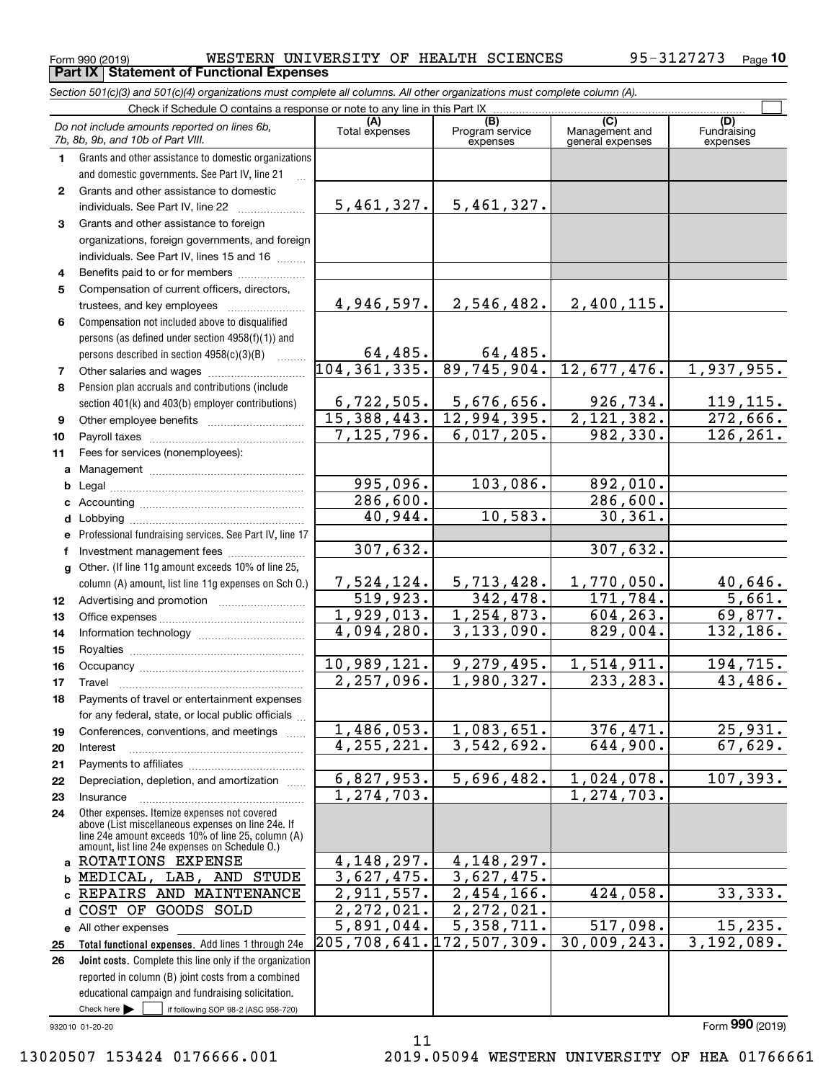$_{\rm Form}$  990 (2019) WESTERN UNIVERSITY OF HEALTH SCIENCES 95-3127273  $_{\rm Page}$ **Part IX Statement of Functional Expenses**

*Section 501(c)(3) and 501(c)(4) organizations must complete all columns. All other organizations must complete column (A).*

|              | Check if Schedule O contains a response or note to any line in this Part IX                        |                          |                                    |                                           |                                |
|--------------|----------------------------------------------------------------------------------------------------|--------------------------|------------------------------------|-------------------------------------------|--------------------------------|
|              | Do not include amounts reported on lines 6b,<br>7b, 8b, 9b, and 10b of Part VIII.                  | (A)<br>Total expenses    | (B)<br>Program service<br>expenses | (C)<br>Management and<br>general expenses | (D)<br>Fundraising<br>expenses |
| 1.           | Grants and other assistance to domestic organizations                                              |                          |                                    |                                           |                                |
|              | and domestic governments. See Part IV, line 21                                                     |                          |                                    |                                           |                                |
| $\mathbf{2}$ | Grants and other assistance to domestic                                                            |                          |                                    |                                           |                                |
|              | individuals. See Part IV, line 22                                                                  | 5,461,327.               | 5,461,327.                         |                                           |                                |
| 3            | Grants and other assistance to foreign                                                             |                          |                                    |                                           |                                |
|              | organizations, foreign governments, and foreign                                                    |                          |                                    |                                           |                                |
|              | individuals. See Part IV, lines 15 and 16                                                          |                          |                                    |                                           |                                |
| 4            | Benefits paid to or for members                                                                    |                          |                                    |                                           |                                |
| 5            | Compensation of current officers, directors,                                                       |                          |                                    |                                           |                                |
|              | trustees, and key employees                                                                        | 4,946,597.               | 2,546,482.                         | 2,400,115.                                |                                |
| 6            | Compensation not included above to disqualified                                                    |                          |                                    |                                           |                                |
|              | persons (as defined under section 4958(f)(1)) and                                                  |                          |                                    |                                           |                                |
|              | persons described in section 4958(c)(3)(B)                                                         | 64,485.                  | $64,485$ .                         |                                           |                                |
| 7            |                                                                                                    | 104, 361, 335.           | 89,745,904.                        | 12,677,476.                               | 1,937,955.                     |
| 8            | Pension plan accruals and contributions (include                                                   |                          |                                    |                                           |                                |
|              | section 401(k) and 403(b) employer contributions)                                                  | 6,722,505.               | 5,676,656.                         | 926,734.                                  | 119, 115.                      |
| 9            |                                                                                                    | 15,388,443.              | 12,994,395.                        | 2,121,382.                                | 272,666.                       |
| 10           |                                                                                                    | 7, 125, 796.             | 6,017,205.                         | 982,330.                                  | 126, 261.                      |
| 11           | Fees for services (nonemployees):                                                                  |                          |                                    |                                           |                                |
| a            |                                                                                                    |                          |                                    |                                           |                                |
| b            |                                                                                                    | 995,096.                 | 103,086.                           | 892,010.                                  |                                |
| c            |                                                                                                    | 286,600.                 |                                    | $\overline{286,600}$ .                    |                                |
| d            |                                                                                                    | 40,944.                  | 10,583.                            | 30, 361.                                  |                                |
| e            | Professional fundraising services. See Part IV, line 17                                            |                          |                                    |                                           |                                |
| f            | Investment management fees                                                                         | 307,632.                 |                                    | 307,632.                                  |                                |
|              | g Other. (If line 11g amount exceeds 10% of line 25,                                               |                          |                                    |                                           |                                |
|              | column (A) amount, list line 11g expenses on Sch O.)                                               | 7,524,124.               | 5,713,428.                         | 1,770,050.                                | 40,646.                        |
| 12           |                                                                                                    | 519,923.                 | 342, 478.                          | 171, 784.                                 | 5,661.                         |
| 13           |                                                                                                    | 1,929,013.               | $\overline{1,254,873}$ .           | 604, 263.                                 | 69,877.                        |
| 14           |                                                                                                    | 4,094,280.               | $\overline{3,133},090.$            | 829,004.                                  | 132,186.                       |
| 15           |                                                                                                    |                          |                                    |                                           |                                |
| 16           |                                                                                                    | 10,989,121.              | 9,279,495.                         | 1,514,911.                                | 194,715.                       |
| 17           | Travel                                                                                             | $\overline{2,257,096}$ . | 1,980,327.                         | 233, 283.                                 | 43,486.                        |
| 18           | Payments of travel or entertainment expenses                                                       |                          |                                    |                                           |                                |
|              | for any federal, state, or local public officials                                                  |                          |                                    |                                           |                                |
| 19           | Conferences, conventions, and meetings                                                             | 1,486,053.               | 1,083,651.                         | 376,471.                                  | 25,931.                        |
| 20           | Interest                                                                                           | 4, 255, 221.             | 3,542,692.                         | 644,900.                                  | 67,629.                        |
| 21           |                                                                                                    | 6,827,953.               |                                    |                                           |                                |
| 22           | Depreciation, depletion, and amortization                                                          | $\overline{1,274,703}$ . | 5,696,482.                         | 1,024,078.<br>1, 274, 703.                | 107, 393.                      |
| 23           | Insurance                                                                                          |                          |                                    |                                           |                                |
| 24           | Other expenses. Itemize expenses not covered<br>above (List miscellaneous expenses on line 24e. If |                          |                                    |                                           |                                |
|              | line 24e amount exceeds 10% of line 25, column (A)                                                 |                          |                                    |                                           |                                |
|              | amount, list line 24e expenses on Schedule 0.)<br>a ROTATIONS EXPENSE                              | 4, 148, 297.             | 4, 148, 297.                       |                                           |                                |
|              | b MEDICAL, LAB, AND STUDE                                                                          | 3,627,475.               | 3,627,475.                         |                                           |                                |
|              | c REPAIRS AND MAINTENANCE                                                                          | 2,911,557.               | $\overline{2,454},166.$            | 424,058.                                  | 33,333.                        |
| d            | COST OF GOODS SOLD                                                                                 | $\overline{2,272,021}$ . | 2,272,021.                         |                                           |                                |
|              | e All other expenses                                                                               | 5,891,044.               | 5,358,711.                         | 517,098.                                  | 15, 235.                       |
| 25           | Total functional expenses. Add lines 1 through 24e                                                 | 205,708,641.172,507,309. |                                    | 30,009,243.                               | 3,192,089.                     |
| 26           | Joint costs. Complete this line only if the organization                                           |                          |                                    |                                           |                                |
|              | reported in column (B) joint costs from a combined                                                 |                          |                                    |                                           |                                |
|              | educational campaign and fundraising solicitation.                                                 |                          |                                    |                                           |                                |
|              | Check here $\blacktriangleright$<br>if following SOP 98-2 (ASC 958-720)                            |                          |                                    |                                           |                                |

932010 01-20-20

#### 13020507 153424 0176666.001 2019.05094 WESTERN UNIVERSITY OF HEA 01766661

11

Form (2019) **990**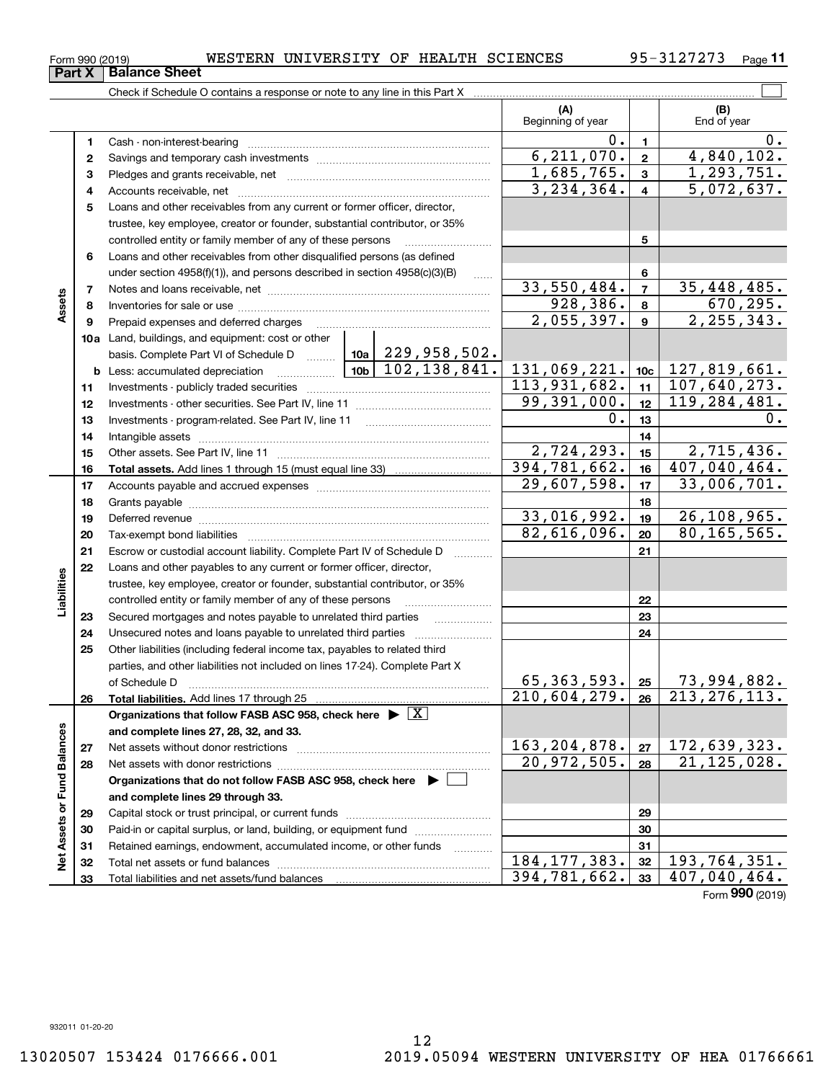| Form 990 (2019) | WESTERN |  |  | UNIVERSITY OF HEALTH SCIENCES | A.<br>$\overline{\phantom{a}}$ | Page |  |
|-----------------|---------|--|--|-------------------------------|--------------------------------|------|--|
|-----------------|---------|--|--|-------------------------------|--------------------------------|------|--|

| (A)<br>(B)<br>Beginning of year<br>End of year<br>0.<br>0.<br>$\blacksquare$<br>1.<br>6, 211, 070.<br>4,840,102.<br>$\mathbf{2}$<br>2<br>1,685,765.<br>1, 293, 751.<br>$\mathbf{3}$<br>з<br>3, 234, 364.<br>$\overline{5,072,637}$ .<br>$\overline{\mathbf{4}}$<br>4<br>Loans and other receivables from any current or former officer, director,<br>5<br>trustee, key employee, creator or founder, substantial contributor, or 35%<br>controlled entity or family member of any of these persons<br>5<br>Loans and other receivables from other disqualified persons (as defined<br>6<br>under section 4958(f)(1)), and persons described in section 4958(c)(3)(B)<br>6<br>$\ldots$<br>33,550,484.<br>35,448,485.<br>$\overline{7}$<br>7<br>Assets<br>670, 295.<br>928,386.<br>8<br>8<br>2,055,397.<br>2, 255, 343.<br>$\overline{9}$<br>Prepaid expenses and deferred charges<br>9<br>10a Land, buildings, and equipment: cost or other<br>basis. Complete Part VI of Schedule D    10a   229, 958, 502.<br>131,069,221.<br>127,819,661.<br>10c<br>113,931,682.<br>107,640,273.<br>11<br>11<br>99,391,000.<br>119,284,481.<br>12<br>12<br>$0$ .<br>13<br>0.<br>13<br>14<br>14<br>2,724,293.<br>2,715,436.<br>15<br>15<br>394, 781, 662.<br>407,040,464.<br>16<br>16<br>29,607,598.<br>33,006,701.<br>17<br>17<br>18<br>18<br>33,016,992.<br>26,108,965.<br>19<br>19<br>Deferred revenue manual contracts and contracts are contracted and contract and contract are contracted and contract are contracted and contract are contracted and contract are contracted and contract are contracted and co<br>82,616,096.<br>80, 165, 565.<br>20<br>20<br>21<br>Escrow or custodial account liability. Complete Part IV of Schedule D<br>21<br>Loans and other payables to any current or former officer, director,<br>22<br>Liabilities<br>trustee, key employee, creator or founder, substantial contributor, or 35%<br>controlled entity or family member of any of these persons<br>22<br>Secured mortgages and notes payable to unrelated third parties<br>23<br>23<br>Unsecured notes and loans payable to unrelated third parties<br>24<br>24<br>Other liabilities (including federal income tax, payables to related third<br>25<br>parties, and other liabilities not included on lines 17-24). Complete Part X<br>65, 363, 593.<br>73,994,882.<br>25<br>of Schedule D<br>213, 276, 113.<br>210,604,279.<br>26<br>26<br>Organizations that follow FASB ASC 958, check here $\triangleright \lfloor X \rfloor$<br>Net Assets or Fund Balances<br>and complete lines 27, 28, 32, and 33.<br>163, 204, 878.<br>172,639,323.<br>27<br>27<br>20,972,505.<br>21, 125, 028.<br>28<br>28<br>Organizations that do not follow FASB ASC 958, check here $\blacktriangleright$<br>and complete lines 29 through 33.<br>29<br>29<br>Paid-in or capital surplus, or land, building, or equipment fund<br>30<br>30<br>Retained earnings, endowment, accumulated income, or other funds<br>31<br>31<br>184, 177, 383.<br>193,764,351.<br>32<br>32 |  | Check if Schedule O contains a response or note to any line in this Part X |              |    |                            |
|-------------------------------------------------------------------------------------------------------------------------------------------------------------------------------------------------------------------------------------------------------------------------------------------------------------------------------------------------------------------------------------------------------------------------------------------------------------------------------------------------------------------------------------------------------------------------------------------------------------------------------------------------------------------------------------------------------------------------------------------------------------------------------------------------------------------------------------------------------------------------------------------------------------------------------------------------------------------------------------------------------------------------------------------------------------------------------------------------------------------------------------------------------------------------------------------------------------------------------------------------------------------------------------------------------------------------------------------------------------------------------------------------------------------------------------------------------------------------------------------------------------------------------------------------------------------------------------------------------------------------------------------------------------------------------------------------------------------------------------------------------------------------------------------------------------------------------------------------------------------------------------------------------------------------------------------------------------------------------------------------------------------------------------------------------------------------------------------------------------------------------------------------------------------------------------------------------------------------------------------------------------------------------------------------------------------------------------------------------------------------------------------------------------------------------------------------------------------------------------------------------------------------------------------------------------------------------------------------------------------------------------------------------------------------------------------------------------------------------------------------------------------------------------------------------------------------------------------------------------------------------------------------------------------------------------------------------------------------------------------------------------------------------------------|--|----------------------------------------------------------------------------|--------------|----|----------------------------|
|                                                                                                                                                                                                                                                                                                                                                                                                                                                                                                                                                                                                                                                                                                                                                                                                                                                                                                                                                                                                                                                                                                                                                                                                                                                                                                                                                                                                                                                                                                                                                                                                                                                                                                                                                                                                                                                                                                                                                                                                                                                                                                                                                                                                                                                                                                                                                                                                                                                                                                                                                                                                                                                                                                                                                                                                                                                                                                                                                                                                                                           |  |                                                                            |              |    |                            |
|                                                                                                                                                                                                                                                                                                                                                                                                                                                                                                                                                                                                                                                                                                                                                                                                                                                                                                                                                                                                                                                                                                                                                                                                                                                                                                                                                                                                                                                                                                                                                                                                                                                                                                                                                                                                                                                                                                                                                                                                                                                                                                                                                                                                                                                                                                                                                                                                                                                                                                                                                                                                                                                                                                                                                                                                                                                                                                                                                                                                                                           |  |                                                                            |              |    |                            |
|                                                                                                                                                                                                                                                                                                                                                                                                                                                                                                                                                                                                                                                                                                                                                                                                                                                                                                                                                                                                                                                                                                                                                                                                                                                                                                                                                                                                                                                                                                                                                                                                                                                                                                                                                                                                                                                                                                                                                                                                                                                                                                                                                                                                                                                                                                                                                                                                                                                                                                                                                                                                                                                                                                                                                                                                                                                                                                                                                                                                                                           |  |                                                                            |              |    |                            |
|                                                                                                                                                                                                                                                                                                                                                                                                                                                                                                                                                                                                                                                                                                                                                                                                                                                                                                                                                                                                                                                                                                                                                                                                                                                                                                                                                                                                                                                                                                                                                                                                                                                                                                                                                                                                                                                                                                                                                                                                                                                                                                                                                                                                                                                                                                                                                                                                                                                                                                                                                                                                                                                                                                                                                                                                                                                                                                                                                                                                                                           |  |                                                                            |              |    |                            |
|                                                                                                                                                                                                                                                                                                                                                                                                                                                                                                                                                                                                                                                                                                                                                                                                                                                                                                                                                                                                                                                                                                                                                                                                                                                                                                                                                                                                                                                                                                                                                                                                                                                                                                                                                                                                                                                                                                                                                                                                                                                                                                                                                                                                                                                                                                                                                                                                                                                                                                                                                                                                                                                                                                                                                                                                                                                                                                                                                                                                                                           |  |                                                                            |              |    |                            |
|                                                                                                                                                                                                                                                                                                                                                                                                                                                                                                                                                                                                                                                                                                                                                                                                                                                                                                                                                                                                                                                                                                                                                                                                                                                                                                                                                                                                                                                                                                                                                                                                                                                                                                                                                                                                                                                                                                                                                                                                                                                                                                                                                                                                                                                                                                                                                                                                                                                                                                                                                                                                                                                                                                                                                                                                                                                                                                                                                                                                                                           |  |                                                                            |              |    |                            |
|                                                                                                                                                                                                                                                                                                                                                                                                                                                                                                                                                                                                                                                                                                                                                                                                                                                                                                                                                                                                                                                                                                                                                                                                                                                                                                                                                                                                                                                                                                                                                                                                                                                                                                                                                                                                                                                                                                                                                                                                                                                                                                                                                                                                                                                                                                                                                                                                                                                                                                                                                                                                                                                                                                                                                                                                                                                                                                                                                                                                                                           |  |                                                                            |              |    |                            |
|                                                                                                                                                                                                                                                                                                                                                                                                                                                                                                                                                                                                                                                                                                                                                                                                                                                                                                                                                                                                                                                                                                                                                                                                                                                                                                                                                                                                                                                                                                                                                                                                                                                                                                                                                                                                                                                                                                                                                                                                                                                                                                                                                                                                                                                                                                                                                                                                                                                                                                                                                                                                                                                                                                                                                                                                                                                                                                                                                                                                                                           |  |                                                                            |              |    |                            |
|                                                                                                                                                                                                                                                                                                                                                                                                                                                                                                                                                                                                                                                                                                                                                                                                                                                                                                                                                                                                                                                                                                                                                                                                                                                                                                                                                                                                                                                                                                                                                                                                                                                                                                                                                                                                                                                                                                                                                                                                                                                                                                                                                                                                                                                                                                                                                                                                                                                                                                                                                                                                                                                                                                                                                                                                                                                                                                                                                                                                                                           |  |                                                                            |              |    |                            |
|                                                                                                                                                                                                                                                                                                                                                                                                                                                                                                                                                                                                                                                                                                                                                                                                                                                                                                                                                                                                                                                                                                                                                                                                                                                                                                                                                                                                                                                                                                                                                                                                                                                                                                                                                                                                                                                                                                                                                                                                                                                                                                                                                                                                                                                                                                                                                                                                                                                                                                                                                                                                                                                                                                                                                                                                                                                                                                                                                                                                                                           |  |                                                                            |              |    |                            |
|                                                                                                                                                                                                                                                                                                                                                                                                                                                                                                                                                                                                                                                                                                                                                                                                                                                                                                                                                                                                                                                                                                                                                                                                                                                                                                                                                                                                                                                                                                                                                                                                                                                                                                                                                                                                                                                                                                                                                                                                                                                                                                                                                                                                                                                                                                                                                                                                                                                                                                                                                                                                                                                                                                                                                                                                                                                                                                                                                                                                                                           |  |                                                                            |              |    |                            |
|                                                                                                                                                                                                                                                                                                                                                                                                                                                                                                                                                                                                                                                                                                                                                                                                                                                                                                                                                                                                                                                                                                                                                                                                                                                                                                                                                                                                                                                                                                                                                                                                                                                                                                                                                                                                                                                                                                                                                                                                                                                                                                                                                                                                                                                                                                                                                                                                                                                                                                                                                                                                                                                                                                                                                                                                                                                                                                                                                                                                                                           |  |                                                                            |              |    |                            |
|                                                                                                                                                                                                                                                                                                                                                                                                                                                                                                                                                                                                                                                                                                                                                                                                                                                                                                                                                                                                                                                                                                                                                                                                                                                                                                                                                                                                                                                                                                                                                                                                                                                                                                                                                                                                                                                                                                                                                                                                                                                                                                                                                                                                                                                                                                                                                                                                                                                                                                                                                                                                                                                                                                                                                                                                                                                                                                                                                                                                                                           |  |                                                                            |              |    |                            |
|                                                                                                                                                                                                                                                                                                                                                                                                                                                                                                                                                                                                                                                                                                                                                                                                                                                                                                                                                                                                                                                                                                                                                                                                                                                                                                                                                                                                                                                                                                                                                                                                                                                                                                                                                                                                                                                                                                                                                                                                                                                                                                                                                                                                                                                                                                                                                                                                                                                                                                                                                                                                                                                                                                                                                                                                                                                                                                                                                                                                                                           |  |                                                                            |              |    |                            |
|                                                                                                                                                                                                                                                                                                                                                                                                                                                                                                                                                                                                                                                                                                                                                                                                                                                                                                                                                                                                                                                                                                                                                                                                                                                                                                                                                                                                                                                                                                                                                                                                                                                                                                                                                                                                                                                                                                                                                                                                                                                                                                                                                                                                                                                                                                                                                                                                                                                                                                                                                                                                                                                                                                                                                                                                                                                                                                                                                                                                                                           |  |                                                                            |              |    |                            |
|                                                                                                                                                                                                                                                                                                                                                                                                                                                                                                                                                                                                                                                                                                                                                                                                                                                                                                                                                                                                                                                                                                                                                                                                                                                                                                                                                                                                                                                                                                                                                                                                                                                                                                                                                                                                                                                                                                                                                                                                                                                                                                                                                                                                                                                                                                                                                                                                                                                                                                                                                                                                                                                                                                                                                                                                                                                                                                                                                                                                                                           |  |                                                                            |              |    |                            |
|                                                                                                                                                                                                                                                                                                                                                                                                                                                                                                                                                                                                                                                                                                                                                                                                                                                                                                                                                                                                                                                                                                                                                                                                                                                                                                                                                                                                                                                                                                                                                                                                                                                                                                                                                                                                                                                                                                                                                                                                                                                                                                                                                                                                                                                                                                                                                                                                                                                                                                                                                                                                                                                                                                                                                                                                                                                                                                                                                                                                                                           |  |                                                                            |              |    |                            |
|                                                                                                                                                                                                                                                                                                                                                                                                                                                                                                                                                                                                                                                                                                                                                                                                                                                                                                                                                                                                                                                                                                                                                                                                                                                                                                                                                                                                                                                                                                                                                                                                                                                                                                                                                                                                                                                                                                                                                                                                                                                                                                                                                                                                                                                                                                                                                                                                                                                                                                                                                                                                                                                                                                                                                                                                                                                                                                                                                                                                                                           |  |                                                                            |              |    |                            |
|                                                                                                                                                                                                                                                                                                                                                                                                                                                                                                                                                                                                                                                                                                                                                                                                                                                                                                                                                                                                                                                                                                                                                                                                                                                                                                                                                                                                                                                                                                                                                                                                                                                                                                                                                                                                                                                                                                                                                                                                                                                                                                                                                                                                                                                                                                                                                                                                                                                                                                                                                                                                                                                                                                                                                                                                                                                                                                                                                                                                                                           |  |                                                                            |              |    |                            |
|                                                                                                                                                                                                                                                                                                                                                                                                                                                                                                                                                                                                                                                                                                                                                                                                                                                                                                                                                                                                                                                                                                                                                                                                                                                                                                                                                                                                                                                                                                                                                                                                                                                                                                                                                                                                                                                                                                                                                                                                                                                                                                                                                                                                                                                                                                                                                                                                                                                                                                                                                                                                                                                                                                                                                                                                                                                                                                                                                                                                                                           |  |                                                                            |              |    |                            |
|                                                                                                                                                                                                                                                                                                                                                                                                                                                                                                                                                                                                                                                                                                                                                                                                                                                                                                                                                                                                                                                                                                                                                                                                                                                                                                                                                                                                                                                                                                                                                                                                                                                                                                                                                                                                                                                                                                                                                                                                                                                                                                                                                                                                                                                                                                                                                                                                                                                                                                                                                                                                                                                                                                                                                                                                                                                                                                                                                                                                                                           |  |                                                                            |              |    |                            |
|                                                                                                                                                                                                                                                                                                                                                                                                                                                                                                                                                                                                                                                                                                                                                                                                                                                                                                                                                                                                                                                                                                                                                                                                                                                                                                                                                                                                                                                                                                                                                                                                                                                                                                                                                                                                                                                                                                                                                                                                                                                                                                                                                                                                                                                                                                                                                                                                                                                                                                                                                                                                                                                                                                                                                                                                                                                                                                                                                                                                                                           |  |                                                                            |              |    |                            |
|                                                                                                                                                                                                                                                                                                                                                                                                                                                                                                                                                                                                                                                                                                                                                                                                                                                                                                                                                                                                                                                                                                                                                                                                                                                                                                                                                                                                                                                                                                                                                                                                                                                                                                                                                                                                                                                                                                                                                                                                                                                                                                                                                                                                                                                                                                                                                                                                                                                                                                                                                                                                                                                                                                                                                                                                                                                                                                                                                                                                                                           |  |                                                                            |              |    |                            |
|                                                                                                                                                                                                                                                                                                                                                                                                                                                                                                                                                                                                                                                                                                                                                                                                                                                                                                                                                                                                                                                                                                                                                                                                                                                                                                                                                                                                                                                                                                                                                                                                                                                                                                                                                                                                                                                                                                                                                                                                                                                                                                                                                                                                                                                                                                                                                                                                                                                                                                                                                                                                                                                                                                                                                                                                                                                                                                                                                                                                                                           |  |                                                                            |              |    |                            |
|                                                                                                                                                                                                                                                                                                                                                                                                                                                                                                                                                                                                                                                                                                                                                                                                                                                                                                                                                                                                                                                                                                                                                                                                                                                                                                                                                                                                                                                                                                                                                                                                                                                                                                                                                                                                                                                                                                                                                                                                                                                                                                                                                                                                                                                                                                                                                                                                                                                                                                                                                                                                                                                                                                                                                                                                                                                                                                                                                                                                                                           |  |                                                                            |              |    |                            |
|                                                                                                                                                                                                                                                                                                                                                                                                                                                                                                                                                                                                                                                                                                                                                                                                                                                                                                                                                                                                                                                                                                                                                                                                                                                                                                                                                                                                                                                                                                                                                                                                                                                                                                                                                                                                                                                                                                                                                                                                                                                                                                                                                                                                                                                                                                                                                                                                                                                                                                                                                                                                                                                                                                                                                                                                                                                                                                                                                                                                                                           |  |                                                                            |              |    |                            |
|                                                                                                                                                                                                                                                                                                                                                                                                                                                                                                                                                                                                                                                                                                                                                                                                                                                                                                                                                                                                                                                                                                                                                                                                                                                                                                                                                                                                                                                                                                                                                                                                                                                                                                                                                                                                                                                                                                                                                                                                                                                                                                                                                                                                                                                                                                                                                                                                                                                                                                                                                                                                                                                                                                                                                                                                                                                                                                                                                                                                                                           |  |                                                                            |              |    |                            |
|                                                                                                                                                                                                                                                                                                                                                                                                                                                                                                                                                                                                                                                                                                                                                                                                                                                                                                                                                                                                                                                                                                                                                                                                                                                                                                                                                                                                                                                                                                                                                                                                                                                                                                                                                                                                                                                                                                                                                                                                                                                                                                                                                                                                                                                                                                                                                                                                                                                                                                                                                                                                                                                                                                                                                                                                                                                                                                                                                                                                                                           |  |                                                                            |              |    |                            |
|                                                                                                                                                                                                                                                                                                                                                                                                                                                                                                                                                                                                                                                                                                                                                                                                                                                                                                                                                                                                                                                                                                                                                                                                                                                                                                                                                                                                                                                                                                                                                                                                                                                                                                                                                                                                                                                                                                                                                                                                                                                                                                                                                                                                                                                                                                                                                                                                                                                                                                                                                                                                                                                                                                                                                                                                                                                                                                                                                                                                                                           |  |                                                                            |              |    |                            |
|                                                                                                                                                                                                                                                                                                                                                                                                                                                                                                                                                                                                                                                                                                                                                                                                                                                                                                                                                                                                                                                                                                                                                                                                                                                                                                                                                                                                                                                                                                                                                                                                                                                                                                                                                                                                                                                                                                                                                                                                                                                                                                                                                                                                                                                                                                                                                                                                                                                                                                                                                                                                                                                                                                                                                                                                                                                                                                                                                                                                                                           |  |                                                                            |              |    |                            |
|                                                                                                                                                                                                                                                                                                                                                                                                                                                                                                                                                                                                                                                                                                                                                                                                                                                                                                                                                                                                                                                                                                                                                                                                                                                                                                                                                                                                                                                                                                                                                                                                                                                                                                                                                                                                                                                                                                                                                                                                                                                                                                                                                                                                                                                                                                                                                                                                                                                                                                                                                                                                                                                                                                                                                                                                                                                                                                                                                                                                                                           |  |                                                                            |              |    |                            |
|                                                                                                                                                                                                                                                                                                                                                                                                                                                                                                                                                                                                                                                                                                                                                                                                                                                                                                                                                                                                                                                                                                                                                                                                                                                                                                                                                                                                                                                                                                                                                                                                                                                                                                                                                                                                                                                                                                                                                                                                                                                                                                                                                                                                                                                                                                                                                                                                                                                                                                                                                                                                                                                                                                                                                                                                                                                                                                                                                                                                                                           |  |                                                                            |              |    |                            |
|                                                                                                                                                                                                                                                                                                                                                                                                                                                                                                                                                                                                                                                                                                                                                                                                                                                                                                                                                                                                                                                                                                                                                                                                                                                                                                                                                                                                                                                                                                                                                                                                                                                                                                                                                                                                                                                                                                                                                                                                                                                                                                                                                                                                                                                                                                                                                                                                                                                                                                                                                                                                                                                                                                                                                                                                                                                                                                                                                                                                                                           |  |                                                                            |              |    |                            |
|                                                                                                                                                                                                                                                                                                                                                                                                                                                                                                                                                                                                                                                                                                                                                                                                                                                                                                                                                                                                                                                                                                                                                                                                                                                                                                                                                                                                                                                                                                                                                                                                                                                                                                                                                                                                                                                                                                                                                                                                                                                                                                                                                                                                                                                                                                                                                                                                                                                                                                                                                                                                                                                                                                                                                                                                                                                                                                                                                                                                                                           |  |                                                                            |              |    |                            |
|                                                                                                                                                                                                                                                                                                                                                                                                                                                                                                                                                                                                                                                                                                                                                                                                                                                                                                                                                                                                                                                                                                                                                                                                                                                                                                                                                                                                                                                                                                                                                                                                                                                                                                                                                                                                                                                                                                                                                                                                                                                                                                                                                                                                                                                                                                                                                                                                                                                                                                                                                                                                                                                                                                                                                                                                                                                                                                                                                                                                                                           |  |                                                                            |              |    |                            |
|                                                                                                                                                                                                                                                                                                                                                                                                                                                                                                                                                                                                                                                                                                                                                                                                                                                                                                                                                                                                                                                                                                                                                                                                                                                                                                                                                                                                                                                                                                                                                                                                                                                                                                                                                                                                                                                                                                                                                                                                                                                                                                                                                                                                                                                                                                                                                                                                                                                                                                                                                                                                                                                                                                                                                                                                                                                                                                                                                                                                                                           |  |                                                                            |              |    |                            |
|                                                                                                                                                                                                                                                                                                                                                                                                                                                                                                                                                                                                                                                                                                                                                                                                                                                                                                                                                                                                                                                                                                                                                                                                                                                                                                                                                                                                                                                                                                                                                                                                                                                                                                                                                                                                                                                                                                                                                                                                                                                                                                                                                                                                                                                                                                                                                                                                                                                                                                                                                                                                                                                                                                                                                                                                                                                                                                                                                                                                                                           |  |                                                                            |              |    |                            |
|                                                                                                                                                                                                                                                                                                                                                                                                                                                                                                                                                                                                                                                                                                                                                                                                                                                                                                                                                                                                                                                                                                                                                                                                                                                                                                                                                                                                                                                                                                                                                                                                                                                                                                                                                                                                                                                                                                                                                                                                                                                                                                                                                                                                                                                                                                                                                                                                                                                                                                                                                                                                                                                                                                                                                                                                                                                                                                                                                                                                                                           |  |                                                                            |              |    |                            |
|                                                                                                                                                                                                                                                                                                                                                                                                                                                                                                                                                                                                                                                                                                                                                                                                                                                                                                                                                                                                                                                                                                                                                                                                                                                                                                                                                                                                                                                                                                                                                                                                                                                                                                                                                                                                                                                                                                                                                                                                                                                                                                                                                                                                                                                                                                                                                                                                                                                                                                                                                                                                                                                                                                                                                                                                                                                                                                                                                                                                                                           |  |                                                                            |              |    |                            |
|                                                                                                                                                                                                                                                                                                                                                                                                                                                                                                                                                                                                                                                                                                                                                                                                                                                                                                                                                                                                                                                                                                                                                                                                                                                                                                                                                                                                                                                                                                                                                                                                                                                                                                                                                                                                                                                                                                                                                                                                                                                                                                                                                                                                                                                                                                                                                                                                                                                                                                                                                                                                                                                                                                                                                                                                                                                                                                                                                                                                                                           |  |                                                                            |              |    |                            |
|                                                                                                                                                                                                                                                                                                                                                                                                                                                                                                                                                                                                                                                                                                                                                                                                                                                                                                                                                                                                                                                                                                                                                                                                                                                                                                                                                                                                                                                                                                                                                                                                                                                                                                                                                                                                                                                                                                                                                                                                                                                                                                                                                                                                                                                                                                                                                                                                                                                                                                                                                                                                                                                                                                                                                                                                                                                                                                                                                                                                                                           |  |                                                                            |              |    |                            |
|                                                                                                                                                                                                                                                                                                                                                                                                                                                                                                                                                                                                                                                                                                                                                                                                                                                                                                                                                                                                                                                                                                                                                                                                                                                                                                                                                                                                                                                                                                                                                                                                                                                                                                                                                                                                                                                                                                                                                                                                                                                                                                                                                                                                                                                                                                                                                                                                                                                                                                                                                                                                                                                                                                                                                                                                                                                                                                                                                                                                                                           |  |                                                                            |              |    |                            |
|                                                                                                                                                                                                                                                                                                                                                                                                                                                                                                                                                                                                                                                                                                                                                                                                                                                                                                                                                                                                                                                                                                                                                                                                                                                                                                                                                                                                                                                                                                                                                                                                                                                                                                                                                                                                                                                                                                                                                                                                                                                                                                                                                                                                                                                                                                                                                                                                                                                                                                                                                                                                                                                                                                                                                                                                                                                                                                                                                                                                                                           |  |                                                                            |              |    |                            |
|                                                                                                                                                                                                                                                                                                                                                                                                                                                                                                                                                                                                                                                                                                                                                                                                                                                                                                                                                                                                                                                                                                                                                                                                                                                                                                                                                                                                                                                                                                                                                                                                                                                                                                                                                                                                                                                                                                                                                                                                                                                                                                                                                                                                                                                                                                                                                                                                                                                                                                                                                                                                                                                                                                                                                                                                                                                                                                                                                                                                                                           |  |                                                                            |              |    |                            |
|                                                                                                                                                                                                                                                                                                                                                                                                                                                                                                                                                                                                                                                                                                                                                                                                                                                                                                                                                                                                                                                                                                                                                                                                                                                                                                                                                                                                                                                                                                                                                                                                                                                                                                                                                                                                                                                                                                                                                                                                                                                                                                                                                                                                                                                                                                                                                                                                                                                                                                                                                                                                                                                                                                                                                                                                                                                                                                                                                                                                                                           |  |                                                                            | 394,781,662. | 33 | $\overline{407,040,464}$ . |
| 33<br>Total liabilities and net assets/fund balances<br>Form 990 (2019)                                                                                                                                                                                                                                                                                                                                                                                                                                                                                                                                                                                                                                                                                                                                                                                                                                                                                                                                                                                                                                                                                                                                                                                                                                                                                                                                                                                                                                                                                                                                                                                                                                                                                                                                                                                                                                                                                                                                                                                                                                                                                                                                                                                                                                                                                                                                                                                                                                                                                                                                                                                                                                                                                                                                                                                                                                                                                                                                                                   |  |                                                                            |              |    |                            |

**Part X Balance Sheet**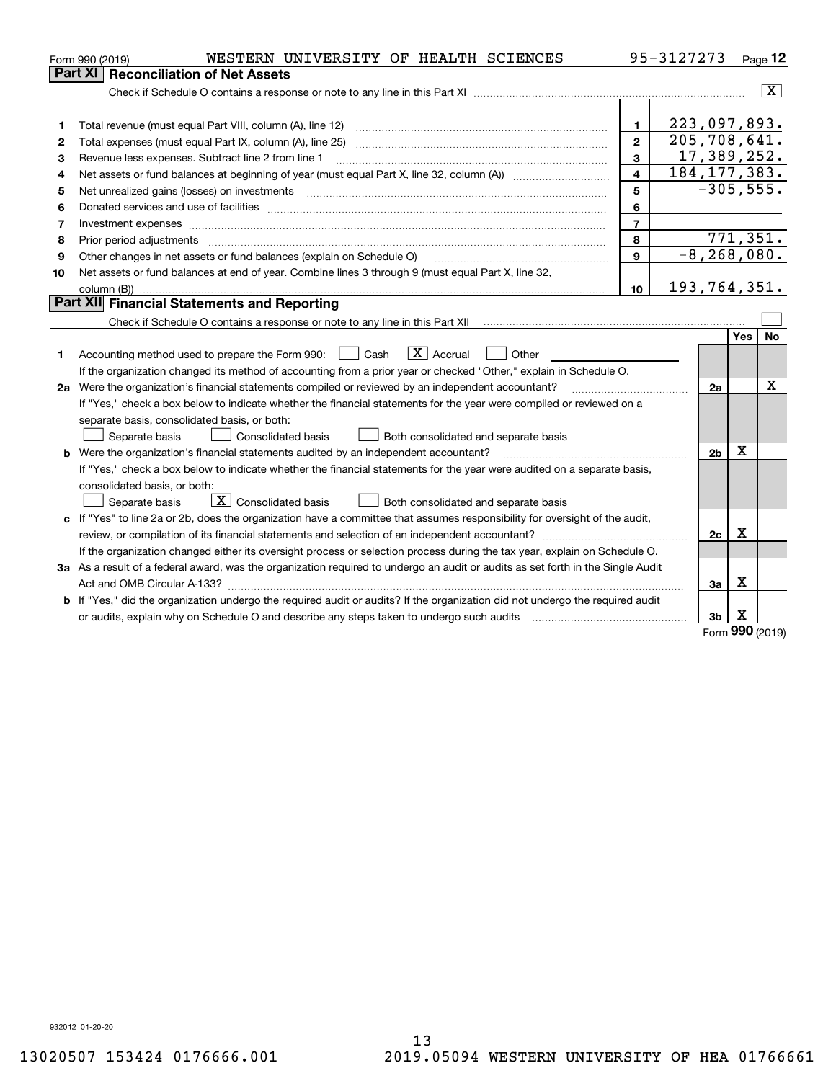|    | WESTERN UNIVERSITY OF HEALTH SCIENCES<br>Form 990 (2019)                                                                             |                 | 95-3127273     |                 |            | Page 12        |
|----|--------------------------------------------------------------------------------------------------------------------------------------|-----------------|----------------|-----------------|------------|----------------|
|    | <b>Reconciliation of Net Assets</b><br>Part XI                                                                                       |                 |                |                 |            |                |
|    |                                                                                                                                      |                 |                |                 |            | $ \mathbf{X} $ |
|    |                                                                                                                                      |                 |                |                 |            |                |
| 1  |                                                                                                                                      | $\mathbf{1}$    | 223,097,893.   |                 |            |                |
| 2  |                                                                                                                                      | $\mathbf{2}$    | 205, 708, 641. |                 |            |                |
| 3  | Revenue less expenses. Subtract line 2 from line 1                                                                                   | 3               |                | 17,389,252.     |            |                |
| 4  |                                                                                                                                      | $\overline{4}$  | 184, 177, 383. |                 |            |                |
| 5  |                                                                                                                                      | 5               |                | $-305, 555.$    |            |                |
| 6  |                                                                                                                                      | 6               |                |                 |            |                |
| 7  | Investment expenses www.communication.communication.com/internation.com/internation.com/internation.com/intern                       | $\overline{7}$  |                |                 |            |                |
| 8  | Prior period adjustments www.communication.communication.com/news/communication.com/news/communication.com/new                       | 8               |                |                 |            | 771,351.       |
| 9  | Other changes in net assets or fund balances (explain on Schedule O)                                                                 | 9               |                | $-8, 268, 080.$ |            |                |
| 10 | Net assets or fund balances at end of year. Combine lines 3 through 9 (must equal Part X, line 32,                                   |                 |                |                 |            |                |
|    | column (B))                                                                                                                          | 10 <sup>1</sup> | 193,764,351.   |                 |            |                |
|    | Part XII Financial Statements and Reporting                                                                                          |                 |                |                 |            |                |
|    | Check if Schedule O contains a response or note to any line in this Part XII [11] [11] [11] [11] [11] [11] [11                       |                 |                |                 |            |                |
|    |                                                                                                                                      |                 |                |                 | <b>Yes</b> | <b>No</b>      |
| 1. | $\boxed{\text{X}}$ Accrual<br>Accounting method used to prepare the Form 990: <u>[</u> Cash<br>Other                                 |                 |                |                 |            |                |
|    | If the organization changed its method of accounting from a prior year or checked "Other," explain in Schedule O.                    |                 |                |                 |            |                |
|    | 2a Were the organization's financial statements compiled or reviewed by an independent accountant?                                   |                 |                | 2a              |            | x              |
|    | If "Yes," check a box below to indicate whether the financial statements for the year were compiled or reviewed on a                 |                 |                |                 |            |                |
|    | separate basis, consolidated basis, or both:                                                                                         |                 |                |                 |            |                |
|    | Separate basis<br>Consolidated basis<br>Both consolidated and separate basis                                                         |                 |                |                 |            |                |
|    | <b>b</b> Were the organization's financial statements audited by an independent accountant?                                          |                 |                | 2 <sub>b</sub>  | х          |                |
|    | If "Yes," check a box below to indicate whether the financial statements for the year were audited on a separate basis,              |                 |                |                 |            |                |
|    | consolidated basis, or both:                                                                                                         |                 |                |                 |            |                |
|    | $\overline{X}$ Consolidated basis<br>Separate basis<br>Both consolidated and separate basis                                          |                 |                |                 |            |                |
|    | c If "Yes" to line 2a or 2b, does the organization have a committee that assumes responsibility for oversight of the audit,          |                 |                |                 |            |                |
|    |                                                                                                                                      |                 |                | 2c              | х          |                |
|    | If the organization changed either its oversight process or selection process during the tax year, explain on Schedule O.            |                 |                |                 |            |                |
|    | 3a As a result of a federal award, was the organization required to undergo an audit or audits as set forth in the Single Audit      |                 |                |                 |            |                |
|    |                                                                                                                                      |                 |                | 3a              | X          |                |
|    | <b>b</b> If "Yes," did the organization undergo the required audit or audits? If the organization did not undergo the required audit |                 |                |                 |            |                |
|    |                                                                                                                                      |                 |                | 3 <sub>b</sub>  | х          |                |

Form (2019) **990**

932012 01-20-20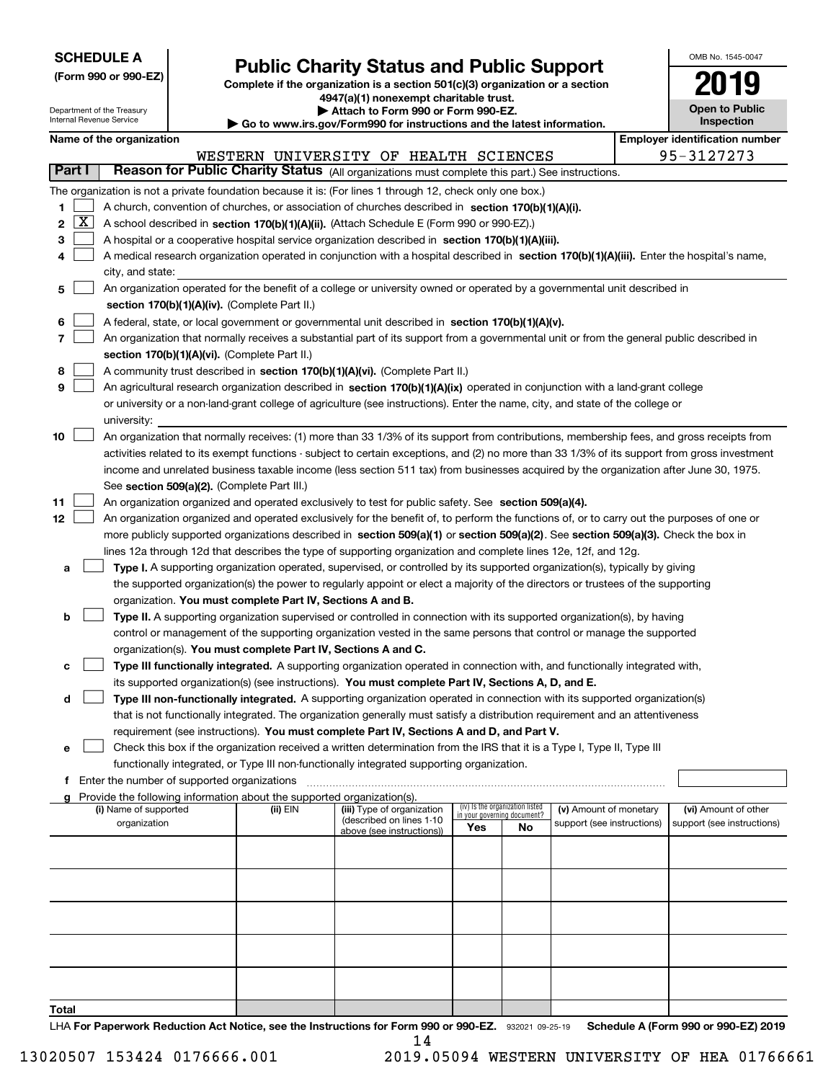| <b>SCHEDULE A</b> |
|-------------------|
|-------------------|

**(Form 990 or 990-EZ)**

# **Public Charity Status and Public Support**

**Complete if the organization is a section 501(c)(3) organization or a section 4947(a)(1) nonexempt charitable trust. | Attach to Form 990 or Form 990-EZ.** 

| OMB No. 1545-0047 |
|-------------------|
| 2019              |
|                   |
| Open to Public    |
| Inenaction        |

|               |              | Department of the Treasury<br>Internal Revenue Service |                                                                                    | ▶ Attach to Form 990 or Form 990-EZ.<br>Go to www.irs.gov/Form990 for instructions and the latest information.                                |                                    |                                 |                            | <b>Open to Public</b><br><b>Inspection</b> |
|---------------|--------------|--------------------------------------------------------|------------------------------------------------------------------------------------|-----------------------------------------------------------------------------------------------------------------------------------------------|------------------------------------|---------------------------------|----------------------------|--------------------------------------------|
|               |              | Name of the organization                               |                                                                                    |                                                                                                                                               |                                    |                                 |                            | <b>Employer identification number</b>      |
|               |              |                                                        |                                                                                    | WESTERN UNIVERSITY OF HEALTH SCIENCES                                                                                                         |                                    |                                 |                            | 95-3127273                                 |
| <b>Part I</b> |              |                                                        |                                                                                    | Reason for Public Charity Status (All organizations must complete this part.) See instructions.                                               |                                    |                                 |                            |                                            |
|               |              |                                                        |                                                                                    | The organization is not a private foundation because it is: (For lines 1 through 12, check only one box.)                                     |                                    |                                 |                            |                                            |
| 1             |              |                                                        |                                                                                    | A church, convention of churches, or association of churches described in section 170(b)(1)(A)(i).                                            |                                    |                                 |                            |                                            |
| 2             | $\mathbf{X}$ |                                                        |                                                                                    | A school described in section 170(b)(1)(A)(ii). (Attach Schedule E (Form 990 or 990-EZ).)                                                     |                                    |                                 |                            |                                            |
| 3             |              |                                                        |                                                                                    | A hospital or a cooperative hospital service organization described in section 170(b)(1)(A)(iii).                                             |                                    |                                 |                            |                                            |
| 4             |              |                                                        |                                                                                    | A medical research organization operated in conjunction with a hospital described in section 170(b)(1)(A)(iii). Enter the hospital's name,    |                                    |                                 |                            |                                            |
|               |              | city, and state:                                       |                                                                                    |                                                                                                                                               |                                    |                                 |                            |                                            |
| 5             |              |                                                        |                                                                                    | An organization operated for the benefit of a college or university owned or operated by a governmental unit described in                     |                                    |                                 |                            |                                            |
|               |              |                                                        | section 170(b)(1)(A)(iv). (Complete Part II.)                                      |                                                                                                                                               |                                    |                                 |                            |                                            |
| 6             |              |                                                        |                                                                                    | A federal, state, or local government or governmental unit described in section 170(b)(1)(A)(v).                                              |                                    |                                 |                            |                                            |
| 7             |              |                                                        |                                                                                    | An organization that normally receives a substantial part of its support from a governmental unit or from the general public described in     |                                    |                                 |                            |                                            |
|               |              |                                                        | section 170(b)(1)(A)(vi). (Complete Part II.)                                      |                                                                                                                                               |                                    |                                 |                            |                                            |
| 8             |              |                                                        |                                                                                    | A community trust described in section 170(b)(1)(A)(vi). (Complete Part II.)                                                                  |                                    |                                 |                            |                                            |
| 9             |              |                                                        |                                                                                    | An agricultural research organization described in section 170(b)(1)(A)(ix) operated in conjunction with a land-grant college                 |                                    |                                 |                            |                                            |
|               |              |                                                        |                                                                                    | or university or a non-land-grant college of agriculture (see instructions). Enter the name, city, and state of the college or                |                                    |                                 |                            |                                            |
|               |              | university:                                            |                                                                                    |                                                                                                                                               |                                    |                                 |                            |                                            |
| 10            |              |                                                        |                                                                                    | An organization that normally receives: (1) more than 33 1/3% of its support from contributions, membership fees, and gross receipts from     |                                    |                                 |                            |                                            |
|               |              |                                                        |                                                                                    | activities related to its exempt functions - subject to certain exceptions, and (2) no more than 33 1/3% of its support from gross investment |                                    |                                 |                            |                                            |
|               |              |                                                        |                                                                                    | income and unrelated business taxable income (less section 511 tax) from businesses acquired by the organization after June 30, 1975.         |                                    |                                 |                            |                                            |
|               |              |                                                        | See section 509(a)(2). (Complete Part III.)                                        |                                                                                                                                               |                                    |                                 |                            |                                            |
| 11            |              |                                                        |                                                                                    | An organization organized and operated exclusively to test for public safety. See section 509(a)(4).                                          |                                    |                                 |                            |                                            |
| 12            |              |                                                        |                                                                                    | An organization organized and operated exclusively for the benefit of, to perform the functions of, or to carry out the purposes of one or    |                                    |                                 |                            |                                            |
|               |              |                                                        |                                                                                    | more publicly supported organizations described in section 509(a)(1) or section 509(a)(2). See section 509(a)(3). Check the box in            |                                    |                                 |                            |                                            |
|               |              |                                                        |                                                                                    | lines 12a through 12d that describes the type of supporting organization and complete lines 12e, 12f, and 12g.                                |                                    |                                 |                            |                                            |
| а             |              |                                                        |                                                                                    | Type I. A supporting organization operated, supervised, or controlled by its supported organization(s), typically by giving                   |                                    |                                 |                            |                                            |
|               |              |                                                        | organization. You must complete Part IV, Sections A and B.                         | the supported organization(s) the power to regularly appoint or elect a majority of the directors or trustees of the supporting               |                                    |                                 |                            |                                            |
| b             |              |                                                        |                                                                                    | Type II. A supporting organization supervised or controlled in connection with its supported organization(s), by having                       |                                    |                                 |                            |                                            |
|               |              |                                                        |                                                                                    | control or management of the supporting organization vested in the same persons that control or manage the supported                          |                                    |                                 |                            |                                            |
|               |              |                                                        | organization(s). You must complete Part IV, Sections A and C.                      |                                                                                                                                               |                                    |                                 |                            |                                            |
| c             |              |                                                        |                                                                                    | Type III functionally integrated. A supporting organization operated in connection with, and functionally integrated with,                    |                                    |                                 |                            |                                            |
|               |              |                                                        |                                                                                    | its supported organization(s) (see instructions). You must complete Part IV, Sections A, D, and E.                                            |                                    |                                 |                            |                                            |
| d             |              |                                                        |                                                                                    | Type III non-functionally integrated. A supporting organization operated in connection with its supported organization(s)                     |                                    |                                 |                            |                                            |
|               |              |                                                        |                                                                                    | that is not functionally integrated. The organization generally must satisfy a distribution requirement and an attentiveness                  |                                    |                                 |                            |                                            |
|               |              |                                                        |                                                                                    | requirement (see instructions). You must complete Part IV, Sections A and D, and Part V.                                                      |                                    |                                 |                            |                                            |
| е             |              |                                                        |                                                                                    | Check this box if the organization received a written determination from the IRS that it is a Type I, Type II, Type III                       |                                    |                                 |                            |                                            |
|               |              |                                                        |                                                                                    | functionally integrated, or Type III non-functionally integrated supporting organization.                                                     |                                    |                                 |                            |                                            |
| f             |              | Enter the number of supported organizations            |                                                                                    |                                                                                                                                               |                                    |                                 |                            |                                            |
|               |              | (i) Name of supported                                  | Provide the following information about the supported organization(s).<br>(ii) EIN | (iii) Type of organization                                                                                                                    |                                    | (iv) Is the organization listed | (v) Amount of monetary     | (vi) Amount of other                       |
|               |              | organization                                           |                                                                                    | (described on lines 1-10                                                                                                                      | in your governing document?<br>Yes | No                              | support (see instructions) | support (see instructions)                 |
|               |              |                                                        |                                                                                    | above (see instructions))                                                                                                                     |                                    |                                 |                            |                                            |
|               |              |                                                        |                                                                                    |                                                                                                                                               |                                    |                                 |                            |                                            |
|               |              |                                                        |                                                                                    |                                                                                                                                               |                                    |                                 |                            |                                            |
|               |              |                                                        |                                                                                    |                                                                                                                                               |                                    |                                 |                            |                                            |
|               |              |                                                        |                                                                                    |                                                                                                                                               |                                    |                                 |                            |                                            |
|               |              |                                                        |                                                                                    |                                                                                                                                               |                                    |                                 |                            |                                            |
|               |              |                                                        |                                                                                    |                                                                                                                                               |                                    |                                 |                            |                                            |
|               |              |                                                        |                                                                                    |                                                                                                                                               |                                    |                                 |                            |                                            |
|               |              |                                                        |                                                                                    |                                                                                                                                               |                                    |                                 |                            |                                            |
|               |              |                                                        |                                                                                    |                                                                                                                                               |                                    |                                 |                            |                                            |
| Total         |              |                                                        |                                                                                    |                                                                                                                                               |                                    |                                 |                            |                                            |

LHA For Paperwork Reduction Act Notice, see the Instructions for Form 990 or 990-EZ. 932021 09-25-19 Schedule A (Form 990 or 990-EZ) 2019 14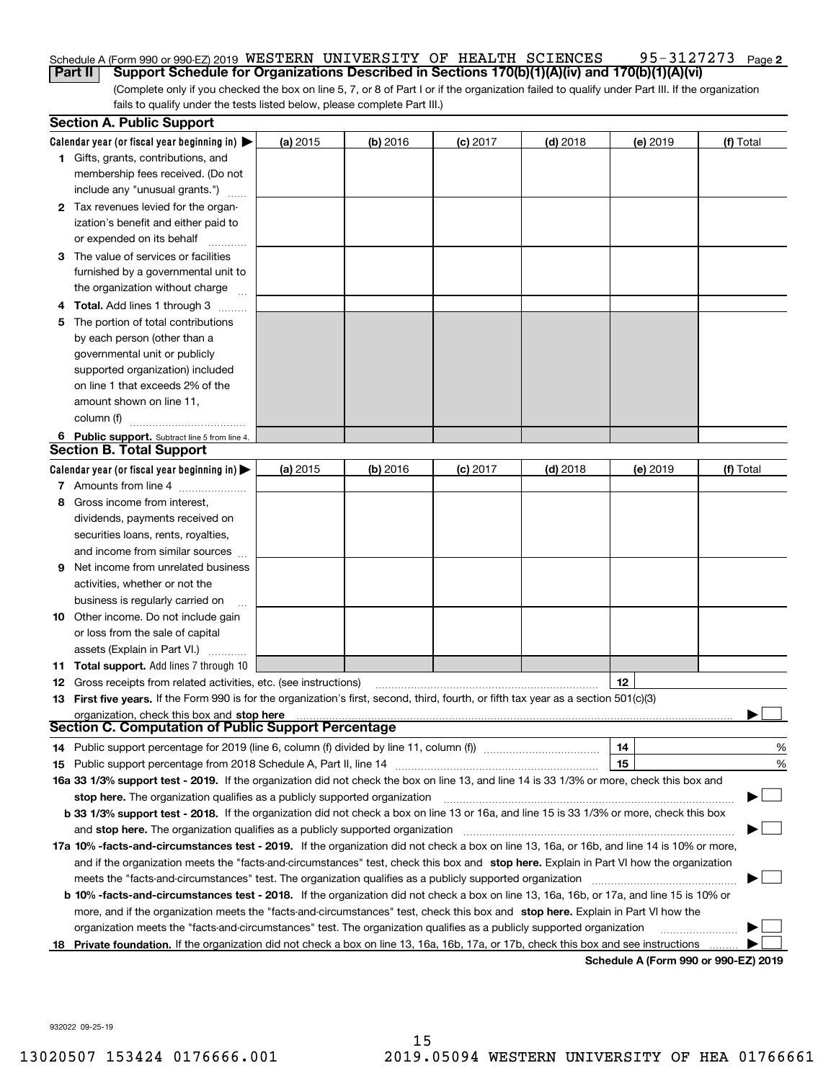#### 95-3127273 Page 2 Schedule A (Form 990 or 990-EZ) 2019 <code>WESTERN UNIVERSITY OF HEALTH SCIENCES</code> 95-3127273 <code>Page</code> **Part II Support Schedule for Organizations Described in Sections 170(b)(1)(A)(iv) and 170(b)(1)(A)(vi)**

(Complete only if you checked the box on line 5, 7, or 8 of Part I or if the organization failed to qualify under Part III. If the organization fails to qualify under the tests listed below, please complete Part III.)

|    | <b>Section A. Public Support</b>                                                                                                               |          |            |            |            |          |           |
|----|------------------------------------------------------------------------------------------------------------------------------------------------|----------|------------|------------|------------|----------|-----------|
|    | Calendar year (or fiscal year beginning in) $\blacktriangleright$                                                                              | (a) 2015 | $(b)$ 2016 | $(c)$ 2017 | $(d)$ 2018 | (e) 2019 | (f) Total |
|    | <b>1</b> Gifts, grants, contributions, and                                                                                                     |          |            |            |            |          |           |
|    | membership fees received. (Do not                                                                                                              |          |            |            |            |          |           |
|    | include any "unusual grants.")                                                                                                                 |          |            |            |            |          |           |
|    | <b>2</b> Tax revenues levied for the organ-                                                                                                    |          |            |            |            |          |           |
|    | ization's benefit and either paid to                                                                                                           |          |            |            |            |          |           |
|    | or expended on its behalf                                                                                                                      |          |            |            |            |          |           |
|    | 3 The value of services or facilities                                                                                                          |          |            |            |            |          |           |
|    | furnished by a governmental unit to                                                                                                            |          |            |            |            |          |           |
|    | the organization without charge                                                                                                                |          |            |            |            |          |           |
|    | 4 Total. Add lines 1 through 3                                                                                                                 |          |            |            |            |          |           |
| 5. | The portion of total contributions                                                                                                             |          |            |            |            |          |           |
|    | by each person (other than a                                                                                                                   |          |            |            |            |          |           |
|    | governmental unit or publicly                                                                                                                  |          |            |            |            |          |           |
|    | supported organization) included                                                                                                               |          |            |            |            |          |           |
|    | on line 1 that exceeds 2% of the                                                                                                               |          |            |            |            |          |           |
|    | amount shown on line 11,                                                                                                                       |          |            |            |            |          |           |
|    | column (f)                                                                                                                                     |          |            |            |            |          |           |
|    | 6 Public support. Subtract line 5 from line 4.                                                                                                 |          |            |            |            |          |           |
|    | <b>Section B. Total Support</b>                                                                                                                |          |            |            |            |          |           |
|    | Calendar year (or fiscal year beginning in)                                                                                                    | (a) 2015 | $(b)$ 2016 | $(c)$ 2017 | $(d)$ 2018 | (e) 2019 | (f) Total |
|    | 7 Amounts from line 4                                                                                                                          |          |            |            |            |          |           |
|    | 8 Gross income from interest,                                                                                                                  |          |            |            |            |          |           |
|    | dividends, payments received on                                                                                                                |          |            |            |            |          |           |
|    | securities loans, rents, royalties,                                                                                                            |          |            |            |            |          |           |
|    | and income from similar sources                                                                                                                |          |            |            |            |          |           |
| 9. | Net income from unrelated business                                                                                                             |          |            |            |            |          |           |
|    | activities, whether or not the                                                                                                                 |          |            |            |            |          |           |
|    | business is regularly carried on                                                                                                               |          |            |            |            |          |           |
|    | <b>10</b> Other income. Do not include gain                                                                                                    |          |            |            |            |          |           |
|    | or loss from the sale of capital                                                                                                               |          |            |            |            |          |           |
|    | assets (Explain in Part VI.)                                                                                                                   |          |            |            |            |          |           |
|    | <b>11 Total support.</b> Add lines 7 through 10                                                                                                |          |            |            |            |          |           |
|    | <b>12</b> Gross receipts from related activities, etc. (see instructions)                                                                      |          |            |            |            | 12       |           |
|    | 13 First five years. If the Form 990 is for the organization's first, second, third, fourth, or fifth tax year as a section 501(c)(3)          |          |            |            |            |          |           |
|    | organization, check this box and stop here                                                                                                     |          |            |            |            |          |           |
|    | <b>Section C. Computation of Public Support Percentage</b>                                                                                     |          |            |            |            |          |           |
|    | 14 Public support percentage for 2019 (line 6, column (f) divided by line 11, column (f) <i>manumanomeron</i>                                  |          |            |            |            | 14       | %         |
|    |                                                                                                                                                |          |            |            |            | 15       | %         |
|    | 16a 33 1/3% support test - 2019. If the organization did not check the box on line 13, and line 14 is 33 1/3% or more, check this box and      |          |            |            |            |          |           |
|    | stop here. The organization qualifies as a publicly supported organization                                                                     |          |            |            |            |          |           |
|    | b 33 1/3% support test - 2018. If the organization did not check a box on line 13 or 16a, and line 15 is 33 1/3% or more, check this box       |          |            |            |            |          |           |
|    | and stop here. The organization qualifies as a publicly supported organization                                                                 |          |            |            |            |          |           |
|    | 17a 10% -facts-and-circumstances test - 2019. If the organization did not check a box on line 13, 16a, or 16b, and line 14 is 10% or more,     |          |            |            |            |          |           |
|    | and if the organization meets the "facts-and-circumstances" test, check this box and stop here. Explain in Part VI how the organization        |          |            |            |            |          |           |
|    | meets the "facts-and-circumstances" test. The organization qualifies as a publicly supported organization                                      |          |            |            |            |          |           |
|    | <b>b 10% -facts-and-circumstances test - 2018.</b> If the organization did not check a box on line 13, 16a, 16b, or 17a, and line 15 is 10% or |          |            |            |            |          |           |
|    | more, and if the organization meets the "facts-and-circumstances" test, check this box and stop here. Explain in Part VI how the               |          |            |            |            |          |           |
|    | organization meets the "facts-and-circumstances" test. The organization qualifies as a publicly supported organization                         |          |            |            |            |          |           |
|    | 18 Private foundation. If the organization did not check a box on line 13, 16a, 16b, 17a, or 17b, check this box and see instructions          |          |            |            |            |          |           |

**Schedule A (Form 990 or 990-EZ) 2019**

932022 09-25-19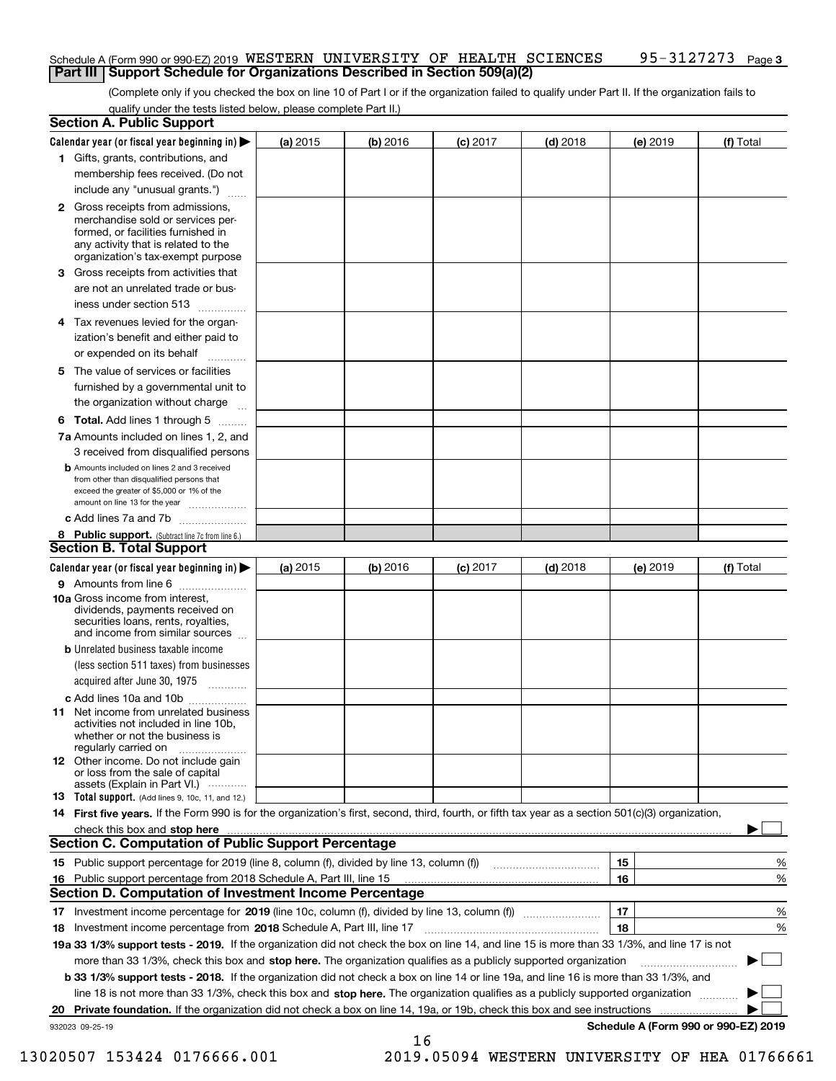#### Schedule A (Form 990 or 990-EZ) 2019 <code>WESTERN UNIVERSITY OF HEALTH SCIENCES</code> 95-3127273 <code>Page</code> **Part III Support Schedule for Organizations Described in Section 509(a)(2)**

(Complete only if you checked the box on line 10 of Part I or if the organization failed to qualify under Part II. If the organization fails to qualify under the tests listed below, please complete Part II.)

|    | <b>Section A. Public Support</b>                                                                                                                                                                                               |          |          |                 |            |          |                                      |
|----|--------------------------------------------------------------------------------------------------------------------------------------------------------------------------------------------------------------------------------|----------|----------|-----------------|------------|----------|--------------------------------------|
|    | Calendar year (or fiscal year beginning in) $\blacktriangleright$                                                                                                                                                              | (a) 2015 | (b) 2016 | <b>(c)</b> 2017 | $(d)$ 2018 | (e) 2019 | (f) Total                            |
|    | 1 Gifts, grants, contributions, and                                                                                                                                                                                            |          |          |                 |            |          |                                      |
|    | membership fees received. (Do not                                                                                                                                                                                              |          |          |                 |            |          |                                      |
|    | include any "unusual grants.")                                                                                                                                                                                                 |          |          |                 |            |          |                                      |
|    | <b>2</b> Gross receipts from admissions,<br>merchandise sold or services per-<br>formed, or facilities furnished in<br>any activity that is related to the<br>organization's tax-exempt purpose                                |          |          |                 |            |          |                                      |
|    | 3 Gross receipts from activities that<br>are not an unrelated trade or bus-                                                                                                                                                    |          |          |                 |            |          |                                      |
|    | iness under section 513                                                                                                                                                                                                        |          |          |                 |            |          |                                      |
|    | 4 Tax revenues levied for the organ-<br>ization's benefit and either paid to                                                                                                                                                   |          |          |                 |            |          |                                      |
|    | or expended on its behalf                                                                                                                                                                                                      |          |          |                 |            |          |                                      |
|    | 5 The value of services or facilities<br>furnished by a governmental unit to                                                                                                                                                   |          |          |                 |            |          |                                      |
|    | the organization without charge                                                                                                                                                                                                |          |          |                 |            |          |                                      |
|    | <b>6 Total.</b> Add lines 1 through 5                                                                                                                                                                                          |          |          |                 |            |          |                                      |
|    | 7a Amounts included on lines 1, 2, and<br>3 received from disqualified persons                                                                                                                                                 |          |          |                 |            |          |                                      |
|    | <b>b</b> Amounts included on lines 2 and 3 received<br>from other than disqualified persons that<br>exceed the greater of \$5,000 or 1% of the<br>amount on line 13 for the year                                               |          |          |                 |            |          |                                      |
|    | c Add lines 7a and 7b                                                                                                                                                                                                          |          |          |                 |            |          |                                      |
|    | 8 Public support. (Subtract line 7c from line 6.)<br><b>Section B. Total Support</b>                                                                                                                                           |          |          |                 |            |          |                                      |
|    | Calendar year (or fiscal year beginning in)                                                                                                                                                                                    | (a) 2015 | (b) 2016 | $(c)$ 2017      | $(d)$ 2018 | (e) 2019 | (f) Total                            |
|    | 9 Amounts from line 6                                                                                                                                                                                                          |          |          |                 |            |          |                                      |
|    | <b>10a</b> Gross income from interest,<br>dividends, payments received on<br>securities loans, rents, royalties,<br>and income from similar sources                                                                            |          |          |                 |            |          |                                      |
|    | <b>b</b> Unrelated business taxable income<br>(less section 511 taxes) from businesses                                                                                                                                         |          |          |                 |            |          |                                      |
|    | acquired after June 30, 1975                                                                                                                                                                                                   |          |          |                 |            |          |                                      |
|    | c Add lines 10a and 10b<br>11 Net income from unrelated business<br>activities not included in line 10b,<br>whether or not the business is                                                                                     |          |          |                 |            |          |                                      |
|    | regularly carried on<br><b>12</b> Other income. Do not include gain<br>or loss from the sale of capital<br>assets (Explain in Part VI.)                                                                                        |          |          |                 |            |          |                                      |
|    | 13 Total support. (Add lines 9, 10c, 11, and 12.)                                                                                                                                                                              |          |          |                 |            |          |                                      |
|    | 14 First five years. If the Form 990 is for the organization's first, second, third, fourth, or fifth tax year as a section 501(c)(3) organization,                                                                            |          |          |                 |            |          |                                      |
|    | check this box and stop here measurements and contact the contract of the contract of the contract of the contract of the contract of the contract of the contract of the contract of the contract of the contract of the cont |          |          |                 |            |          |                                      |
|    | <b>Section C. Computation of Public Support Percentage</b>                                                                                                                                                                     |          |          |                 |            |          |                                      |
|    |                                                                                                                                                                                                                                |          |          |                 |            | 15       | %                                    |
| 16 | Public support percentage from 2018 Schedule A, Part III, line 15                                                                                                                                                              |          |          |                 |            | 16       | %                                    |
|    | <b>Section D. Computation of Investment Income Percentage</b>                                                                                                                                                                  |          |          |                 |            |          |                                      |
|    | 17 Investment income percentage for 2019 (line 10c, column (f), divided by line 13, column (f))                                                                                                                                |          |          |                 |            | 17       | %                                    |
|    | 18 Investment income percentage from 2018 Schedule A, Part III, line 17                                                                                                                                                        |          |          |                 |            | 18       | %                                    |
|    | 19a 33 1/3% support tests - 2019. If the organization did not check the box on line 14, and line 15 is more than 33 1/3%, and line 17 is not                                                                                   |          |          |                 |            |          |                                      |
|    | more than 33 1/3%, check this box and stop here. The organization qualifies as a publicly supported organization                                                                                                               |          |          |                 |            |          |                                      |
|    | b 33 1/3% support tests - 2018. If the organization did not check a box on line 14 or line 19a, and line 16 is more than 33 1/3%, and                                                                                          |          |          |                 |            |          |                                      |
|    | line 18 is not more than 33 1/3%, check this box and stop here. The organization qualifies as a publicly supported organization                                                                                                |          |          |                 |            |          |                                      |
| 20 | <b>Private foundation.</b> If the organization did not check a box on line 14, 19a, or 19b, check this box and see instructions                                                                                                |          |          |                 |            |          | .                                    |
|    | 932023 09-25-19                                                                                                                                                                                                                |          | 16       |                 |            |          | Schedule A (Form 990 or 990-EZ) 2019 |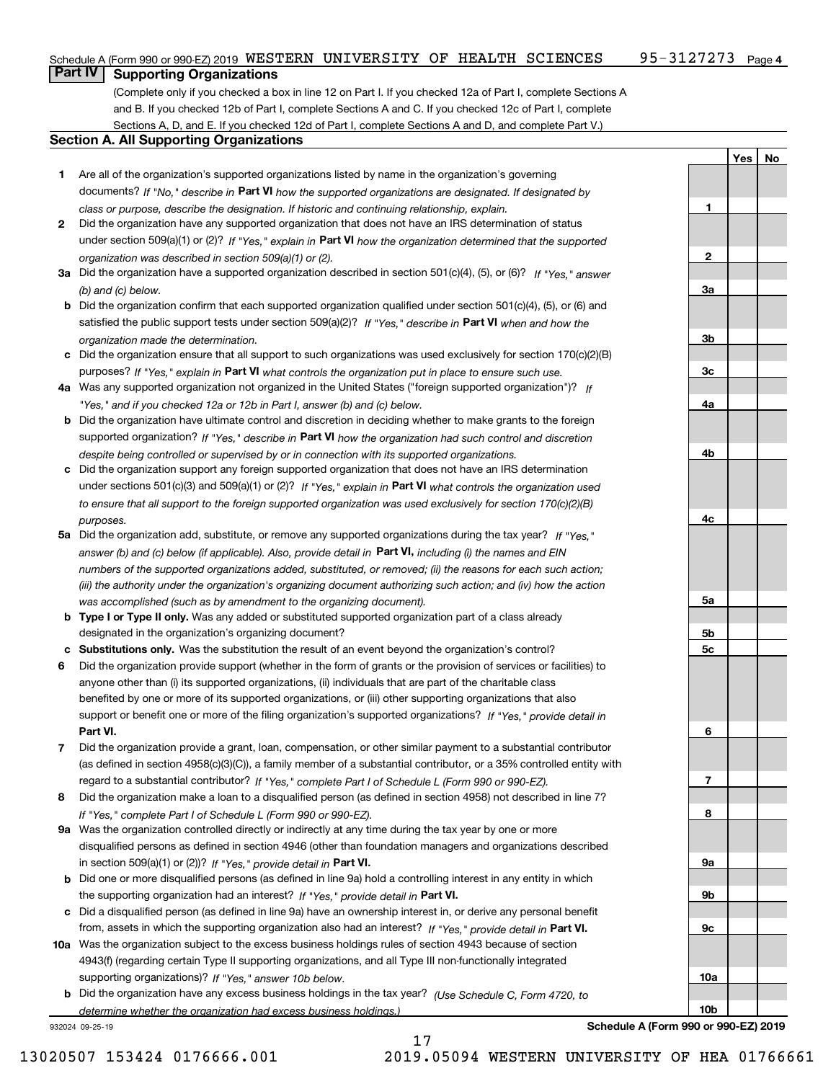## **Part IV Supporting Organizations**

(Complete only if you checked a box in line 12 on Part I. If you checked 12a of Part I, complete Sections A and B. If you checked 12b of Part I, complete Sections A and C. If you checked 12c of Part I, complete Sections A, D, and E. If you checked 12d of Part I, complete Sections A and D, and complete Part V.)

#### **Section A. All Supporting Organizations**

- **1** Are all of the organization's supported organizations listed by name in the organization's governing documents? If "No," describe in **Part VI** how the supported organizations are designated. If designated by *class or purpose, describe the designation. If historic and continuing relationship, explain.*
- **2** Did the organization have any supported organization that does not have an IRS determination of status under section 509(a)(1) or (2)? If "Yes," explain in Part VI how the organization determined that the supported *organization was described in section 509(a)(1) or (2).*
- **3a** Did the organization have a supported organization described in section 501(c)(4), (5), or (6)? If "Yes," answer *(b) and (c) below.*
- **b** Did the organization confirm that each supported organization qualified under section 501(c)(4), (5), or (6) and satisfied the public support tests under section 509(a)(2)? If "Yes," describe in **Part VI** when and how the *organization made the determination.*
- **c**Did the organization ensure that all support to such organizations was used exclusively for section 170(c)(2)(B) purposes? If "Yes," explain in **Part VI** what controls the organization put in place to ensure such use.
- **4a***If* Was any supported organization not organized in the United States ("foreign supported organization")? *"Yes," and if you checked 12a or 12b in Part I, answer (b) and (c) below.*
- **b** Did the organization have ultimate control and discretion in deciding whether to make grants to the foreign supported organization? If "Yes," describe in **Part VI** how the organization had such control and discretion *despite being controlled or supervised by or in connection with its supported organizations.*
- **c** Did the organization support any foreign supported organization that does not have an IRS determination under sections 501(c)(3) and 509(a)(1) or (2)? If "Yes," explain in **Part VI** what controls the organization used *to ensure that all support to the foreign supported organization was used exclusively for section 170(c)(2)(B) purposes.*
- **5a** Did the organization add, substitute, or remove any supported organizations during the tax year? If "Yes," answer (b) and (c) below (if applicable). Also, provide detail in **Part VI,** including (i) the names and EIN *numbers of the supported organizations added, substituted, or removed; (ii) the reasons for each such action; (iii) the authority under the organization's organizing document authorizing such action; and (iv) how the action was accomplished (such as by amendment to the organizing document).*
- **b** Type I or Type II only. Was any added or substituted supported organization part of a class already designated in the organization's organizing document?
- **cSubstitutions only.**  Was the substitution the result of an event beyond the organization's control?
- **6** Did the organization provide support (whether in the form of grants or the provision of services or facilities) to **Part VI.** *If "Yes," provide detail in* support or benefit one or more of the filing organization's supported organizations? anyone other than (i) its supported organizations, (ii) individuals that are part of the charitable class benefited by one or more of its supported organizations, or (iii) other supporting organizations that also
- **7**Did the organization provide a grant, loan, compensation, or other similar payment to a substantial contributor *If "Yes," complete Part I of Schedule L (Form 990 or 990-EZ).* regard to a substantial contributor? (as defined in section 4958(c)(3)(C)), a family member of a substantial contributor, or a 35% controlled entity with
- **8** Did the organization make a loan to a disqualified person (as defined in section 4958) not described in line 7? *If "Yes," complete Part I of Schedule L (Form 990 or 990-EZ).*
- **9a** Was the organization controlled directly or indirectly at any time during the tax year by one or more in section 509(a)(1) or (2))? If "Yes," *provide detail in* <code>Part VI.</code> disqualified persons as defined in section 4946 (other than foundation managers and organizations described
- **b** Did one or more disqualified persons (as defined in line 9a) hold a controlling interest in any entity in which the supporting organization had an interest? If "Yes," provide detail in P**art VI**.
- **c**Did a disqualified person (as defined in line 9a) have an ownership interest in, or derive any personal benefit from, assets in which the supporting organization also had an interest? If "Yes," provide detail in P**art VI.**
- **10a** Was the organization subject to the excess business holdings rules of section 4943 because of section supporting organizations)? If "Yes," answer 10b below. 4943(f) (regarding certain Type II supporting organizations, and all Type III non-functionally integrated
- **b** Did the organization have any excess business holdings in the tax year? (Use Schedule C, Form 4720, to *determine whether the organization had excess business holdings.)*

17

932024 09-25-19

**Schedule A (Form 990 or 990-EZ) 2019**

**YesNo**

**1**

**2**

**3a**

**3b**

**3c**

**4a**

**4b**

**4c**

**5a**

**5b5c**

**6**

**7**

**8**

**9a**

**9b**

**9c**

**10a**

**10b**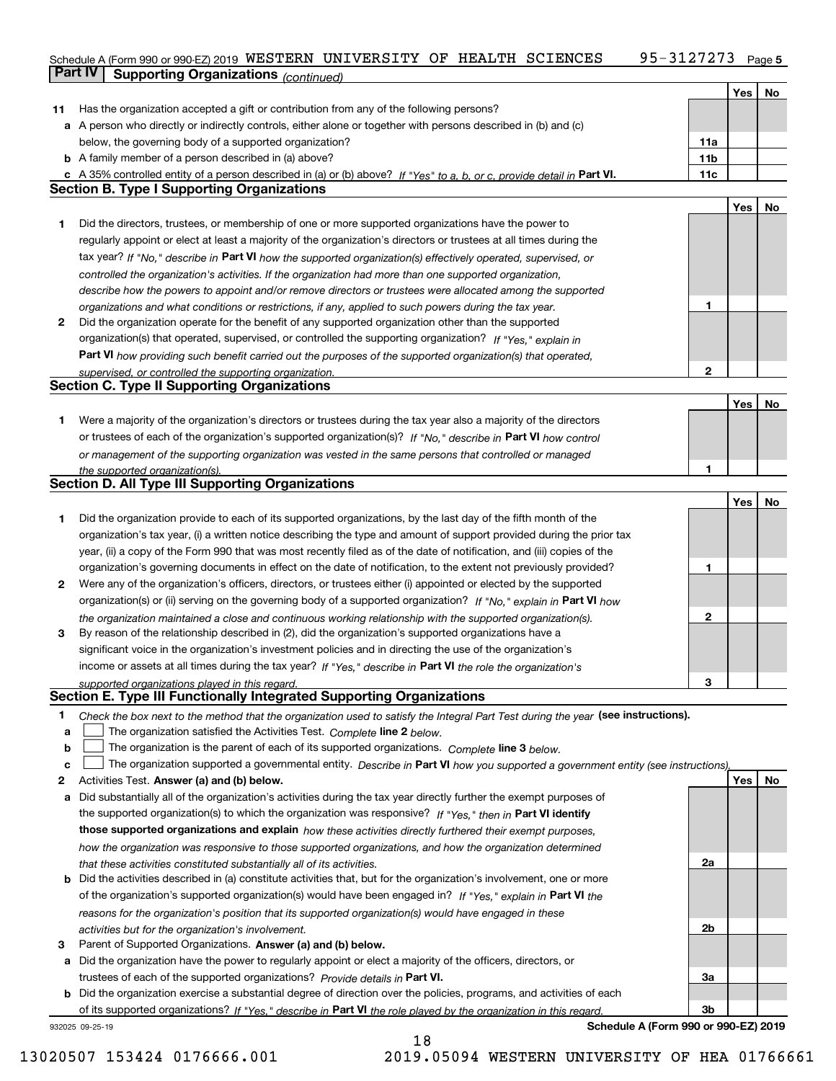#### Schedule A (Form 990 or 990-EZ) 2019 WESTERN UNIVERSITY OF HEALTH SCIENCES 95-3127273 Page 5 WESTERN UNIVERSITY OF HEALTH SCIENCES 95-3127273

|    | <b>Part IV</b><br>Supporting Organizations (continued)                                                                            |                 |     |    |
|----|-----------------------------------------------------------------------------------------------------------------------------------|-----------------|-----|----|
|    |                                                                                                                                   |                 | Yes | No |
| 11 | Has the organization accepted a gift or contribution from any of the following persons?                                           |                 |     |    |
|    | a A person who directly or indirectly controls, either alone or together with persons described in (b) and (c)                    |                 |     |    |
|    | below, the governing body of a supported organization?                                                                            | 11a             |     |    |
|    | <b>b</b> A family member of a person described in (a) above?                                                                      | 11 <sub>b</sub> |     |    |
|    | c A 35% controlled entity of a person described in (a) or (b) above? If "Yes" to a, b, or c, provide detail in Part VI.           | 11c             |     |    |
|    | <b>Section B. Type I Supporting Organizations</b>                                                                                 |                 |     |    |
|    |                                                                                                                                   |                 | Yes | No |
| 1  | Did the directors, trustees, or membership of one or more supported organizations have the power to                               |                 |     |    |
|    | regularly appoint or elect at least a majority of the organization's directors or trustees at all times during the                |                 |     |    |
|    | tax year? If "No," describe in Part VI how the supported organization(s) effectively operated, supervised, or                     |                 |     |    |
|    | controlled the organization's activities. If the organization had more than one supported organization,                           |                 |     |    |
|    | describe how the powers to appoint and/or remove directors or trustees were allocated among the supported                         |                 |     |    |
|    | organizations and what conditions or restrictions, if any, applied to such powers during the tax year.                            | 1               |     |    |
| 2  | Did the organization operate for the benefit of any supported organization other than the supported                               |                 |     |    |
|    | organization(s) that operated, supervised, or controlled the supporting organization? If "Yes," explain in                        |                 |     |    |
|    | Part VI how providing such benefit carried out the purposes of the supported organization(s) that operated,                       |                 |     |    |
|    | supervised, or controlled the supporting organization.                                                                            | 2               |     |    |
|    | <b>Section C. Type II Supporting Organizations</b>                                                                                |                 |     |    |
|    |                                                                                                                                   |                 | Yes | No |
| 1  | Were a majority of the organization's directors or trustees during the tax year also a majority of the directors                  |                 |     |    |
|    | or trustees of each of the organization's supported organization(s)? If "No." describe in Part VI how control                     |                 |     |    |
|    | or management of the supporting organization was vested in the same persons that controlled or managed                            |                 |     |    |
|    | the supported organization(s).                                                                                                    | 1               |     |    |
|    | <b>Section D. All Type III Supporting Organizations</b>                                                                           |                 |     |    |
|    |                                                                                                                                   |                 | Yes | No |
| 1  | Did the organization provide to each of its supported organizations, by the last day of the fifth month of the                    |                 |     |    |
|    | organization's tax year, (i) a written notice describing the type and amount of support provided during the prior tax             |                 |     |    |
|    | year, (ii) a copy of the Form 990 that was most recently filed as of the date of notification, and (iii) copies of the            |                 |     |    |
|    | organization's governing documents in effect on the date of notification, to the extent not previously provided?                  | 1               |     |    |
| 2  | Were any of the organization's officers, directors, or trustees either (i) appointed or elected by the supported                  |                 |     |    |
|    | organization(s) or (ii) serving on the governing body of a supported organization? If "No," explain in Part VI how                |                 |     |    |
|    | the organization maintained a close and continuous working relationship with the supported organization(s).                       | $\mathbf{2}$    |     |    |
| 3  | By reason of the relationship described in (2), did the organization's supported organizations have a                             |                 |     |    |
|    | significant voice in the organization's investment policies and in directing the use of the organization's                        |                 |     |    |
|    | income or assets at all times during the tax year? If "Yes," describe in Part VI the role the organization's                      |                 |     |    |
|    | supported organizations played in this regard.                                                                                    | 3               |     |    |
|    | Section E. Type III Functionally Integrated Supporting Organizations                                                              |                 |     |    |
| 1  | Check the box next to the method that the organization used to satisfy the Integral Part Test during the year (see instructions). |                 |     |    |
| a  | The organization satisfied the Activities Test. Complete line 2 below.                                                            |                 |     |    |
| b  | The organization is the parent of each of its supported organizations. Complete line 3 below.                                     |                 |     |    |
| c  | The organization supported a governmental entity. Describe in Part VI how you supported a government entity (see instructions).   |                 |     |    |
| 2  | Activities Test. Answer (a) and (b) below.                                                                                        |                 | Yes | No |
| а  | Did substantially all of the organization's activities during the tax year directly further the exempt purposes of                |                 |     |    |
|    | the supported organization(s) to which the organization was responsive? If "Yes," then in Part VI identify                        |                 |     |    |
|    | those supported organizations and explain how these activities directly furthered their exempt purposes,                          |                 |     |    |
|    | how the organization was responsive to those supported organizations, and how the organization determined                         |                 |     |    |
|    | that these activities constituted substantially all of its activities.                                                            | 2a              |     |    |
| b  | Did the activities described in (a) constitute activities that, but for the organization's involvement, one or more               |                 |     |    |
|    | of the organization's supported organization(s) would have been engaged in? If "Yes," explain in Part VI the                      |                 |     |    |
|    | reasons for the organization's position that its supported organization(s) would have engaged in these                            |                 |     |    |
|    | activities but for the organization's involvement.                                                                                | 2b              |     |    |
| з  | Parent of Supported Organizations. Answer (a) and (b) below.                                                                      |                 |     |    |
| а  | Did the organization have the power to regularly appoint or elect a majority of the officers, directors, or                       |                 |     |    |
|    | trustees of each of the supported organizations? Provide details in Part VI.                                                      | За              |     |    |
|    | <b>b</b> Did the organization exercise a substantial degree of direction over the policies, programs, and activities of each      |                 |     |    |
|    | of its supported organizations? If "Yes," describe in Part VI the role played by the organization in this regard                  | 3b              |     |    |
|    | Schedule A (Form 990 or 990-EZ) 2019<br>932025 09-25-19                                                                           |                 |     |    |

18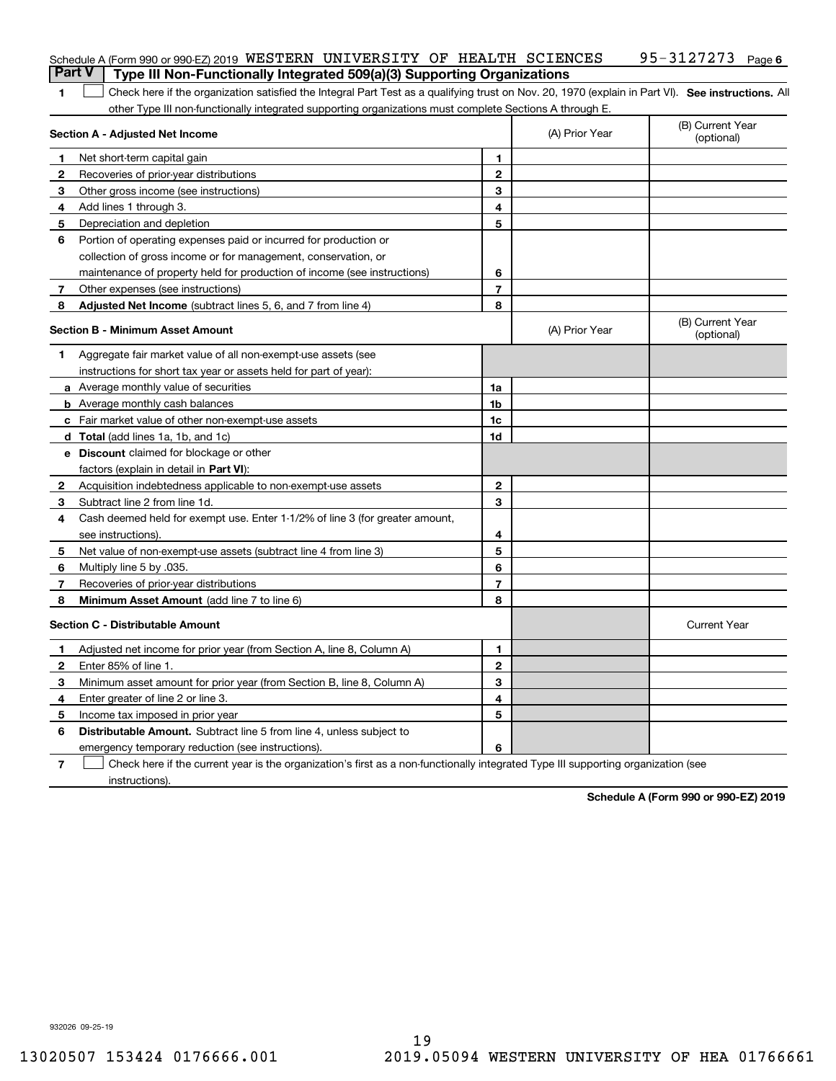| <b>Part V</b>                           | Schedule A (Form 990 or 990-EZ) 2019 WESTERN UNIVERSITY OF HEALTH SCIENCES<br>Type III Non-Functionally Integrated 509(a)(3) Supporting Organizations |                |                | 95-3127273<br>Page 6           |
|-----------------------------------------|-------------------------------------------------------------------------------------------------------------------------------------------------------|----------------|----------------|--------------------------------|
|                                         |                                                                                                                                                       |                |                |                                |
| 1                                       | Check here if the organization satisfied the Integral Part Test as a qualifying trust on Nov. 20, 1970 (explain in Part VI). See instructions. All    |                |                |                                |
|                                         | other Type III non-functionally integrated supporting organizations must complete Sections A through E.<br>Section A - Adjusted Net Income            |                | (A) Prior Year | (B) Current Year<br>(optional) |
| 1                                       | Net short-term capital gain                                                                                                                           | 1              |                |                                |
| 2                                       | Recoveries of prior-year distributions                                                                                                                | $\mathbf{2}$   |                |                                |
| З                                       | Other gross income (see instructions)                                                                                                                 | 3              |                |                                |
| 4                                       | Add lines 1 through 3.                                                                                                                                | 4              |                |                                |
| 5                                       | Depreciation and depletion                                                                                                                            | 5              |                |                                |
| 6                                       | Portion of operating expenses paid or incurred for production or                                                                                      |                |                |                                |
|                                         | collection of gross income or for management, conservation, or                                                                                        |                |                |                                |
|                                         | maintenance of property held for production of income (see instructions)                                                                              | 6              |                |                                |
| 7                                       | Other expenses (see instructions)                                                                                                                     | $\overline{7}$ |                |                                |
| 8                                       | Adjusted Net Income (subtract lines 5, 6, and 7 from line 4)                                                                                          | 8              |                |                                |
| <b>Section B - Minimum Asset Amount</b> |                                                                                                                                                       |                | (A) Prior Year | (B) Current Year<br>(optional) |
| 1.                                      | Aggregate fair market value of all non-exempt-use assets (see                                                                                         |                |                |                                |
|                                         | instructions for short tax year or assets held for part of year):                                                                                     |                |                |                                |
|                                         | a Average monthly value of securities                                                                                                                 | 1a             |                |                                |
|                                         | <b>b</b> Average monthly cash balances                                                                                                                | 1b             |                |                                |
|                                         | c Fair market value of other non-exempt-use assets                                                                                                    | 1c             |                |                                |
|                                         | d Total (add lines 1a, 1b, and 1c)                                                                                                                    | 1d             |                |                                |
|                                         | <b>e</b> Discount claimed for blockage or other                                                                                                       |                |                |                                |
|                                         | factors (explain in detail in Part VI):                                                                                                               |                |                |                                |
| 2                                       | Acquisition indebtedness applicable to non-exempt-use assets                                                                                          | $\mathbf{2}$   |                |                                |
| 3                                       | Subtract line 2 from line 1d.                                                                                                                         | 3              |                |                                |
| 4                                       | Cash deemed held for exempt use. Enter 1-1/2% of line 3 (for greater amount,                                                                          |                |                |                                |
|                                         | see instructions).                                                                                                                                    | 4              |                |                                |
| 5                                       | Net value of non-exempt-use assets (subtract line 4 from line 3)                                                                                      | 5              |                |                                |
| 6                                       | Multiply line 5 by .035.                                                                                                                              | 6              |                |                                |
| 7                                       | Recoveries of prior-year distributions                                                                                                                | $\overline{7}$ |                |                                |
| 8                                       | Minimum Asset Amount (add line 7 to line 6)                                                                                                           | 8              |                |                                |
|                                         | <b>Section C - Distributable Amount</b>                                                                                                               |                |                | <b>Current Year</b>            |
|                                         | Adjusted net income for prior year (from Section A, line 8, Column A)                                                                                 | 1              |                |                                |
| 2                                       | Enter 85% of line 1.                                                                                                                                  | 2              |                |                                |
| 3                                       | Minimum asset amount for prior year (from Section B, line 8, Column A)                                                                                | 3              |                |                                |
| 4                                       | Enter greater of line 2 or line 3.                                                                                                                    | 4              |                |                                |
| 5                                       | Income tax imposed in prior year                                                                                                                      | 5              |                |                                |
| 6                                       | <b>Distributable Amount.</b> Subtract line 5 from line 4, unless subject to                                                                           |                |                |                                |
|                                         | emergency temporary reduction (see instructions).                                                                                                     | 6              |                |                                |
| 7                                       | Check here if the current year is the organization's first as a non-functionally integrated Type III supporting organization (see                     |                |                |                                |

instructions).

**Schedule A (Form 990 or 990-EZ) 2019**

932026 09-25-19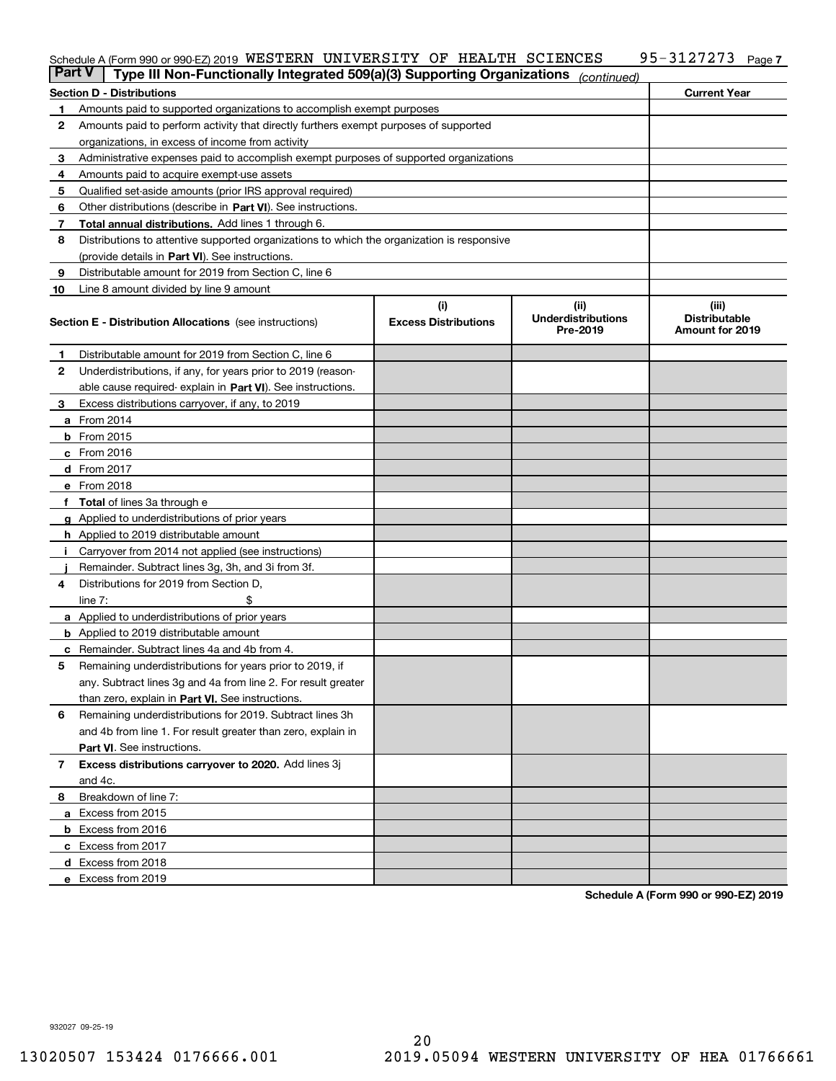### Schedule A (Form 990 or 990-EZ) 2019 <code>WESTERN UNIVERSITY OF HEALTH SCIENCES</code> 95-3127273 <code>Page</code>

| <b>Part V</b>                                                                                   | Type III Non-Functionally Integrated 509(a)(3) Supporting Organizations               |                                    | (continued)                                   |                                                         |  |
|-------------------------------------------------------------------------------------------------|---------------------------------------------------------------------------------------|------------------------------------|-----------------------------------------------|---------------------------------------------------------|--|
|                                                                                                 | Section D - Distributions                                                             |                                    |                                               | <b>Current Year</b>                                     |  |
| 1                                                                                               | Amounts paid to supported organizations to accomplish exempt purposes                 |                                    |                                               |                                                         |  |
| 2                                                                                               | Amounts paid to perform activity that directly furthers exempt purposes of supported  |                                    |                                               |                                                         |  |
|                                                                                                 | organizations, in excess of income from activity                                      |                                    |                                               |                                                         |  |
| з                                                                                               | Administrative expenses paid to accomplish exempt purposes of supported organizations |                                    |                                               |                                                         |  |
| 4                                                                                               | Amounts paid to acquire exempt-use assets                                             |                                    |                                               |                                                         |  |
| 5                                                                                               | Qualified set-aside amounts (prior IRS approval required)                             |                                    |                                               |                                                         |  |
| 6                                                                                               | Other distributions (describe in Part VI). See instructions.                          |                                    |                                               |                                                         |  |
| 7                                                                                               | Total annual distributions. Add lines 1 through 6.                                    |                                    |                                               |                                                         |  |
| Distributions to attentive supported organizations to which the organization is responsive<br>8 |                                                                                       |                                    |                                               |                                                         |  |
|                                                                                                 | (provide details in Part VI). See instructions.                                       |                                    |                                               |                                                         |  |
| 9                                                                                               | Distributable amount for 2019 from Section C, line 6                                  |                                    |                                               |                                                         |  |
| 10                                                                                              | Line 8 amount divided by line 9 amount                                                |                                    |                                               |                                                         |  |
|                                                                                                 | Section E - Distribution Allocations (see instructions)                               | (i)<br><b>Excess Distributions</b> | (ii)<br><b>Underdistributions</b><br>Pre-2019 | (iii)<br><b>Distributable</b><br><b>Amount for 2019</b> |  |
|                                                                                                 |                                                                                       |                                    |                                               |                                                         |  |
| 1                                                                                               | Distributable amount for 2019 from Section C, line 6                                  |                                    |                                               |                                                         |  |
| 2                                                                                               | Underdistributions, if any, for years prior to 2019 (reason-                          |                                    |                                               |                                                         |  |
|                                                                                                 | able cause required- explain in Part VI). See instructions.                           |                                    |                                               |                                                         |  |
| З                                                                                               | Excess distributions carryover, if any, to 2019                                       |                                    |                                               |                                                         |  |
|                                                                                                 | <b>a</b> From 2014                                                                    |                                    |                                               |                                                         |  |
|                                                                                                 | <b>b</b> From 2015                                                                    |                                    |                                               |                                                         |  |
|                                                                                                 | $c$ From 2016                                                                         |                                    |                                               |                                                         |  |
|                                                                                                 | d From 2017                                                                           |                                    |                                               |                                                         |  |
|                                                                                                 | e From 2018                                                                           |                                    |                                               |                                                         |  |
|                                                                                                 | f Total of lines 3a through e                                                         |                                    |                                               |                                                         |  |
|                                                                                                 | <b>g</b> Applied to underdistributions of prior years                                 |                                    |                                               |                                                         |  |
|                                                                                                 | <b>h</b> Applied to 2019 distributable amount                                         |                                    |                                               |                                                         |  |
|                                                                                                 | Carryover from 2014 not applied (see instructions)                                    |                                    |                                               |                                                         |  |
|                                                                                                 | Remainder. Subtract lines 3g, 3h, and 3i from 3f.                                     |                                    |                                               |                                                         |  |
| 4                                                                                               | Distributions for 2019 from Section D,                                                |                                    |                                               |                                                         |  |
|                                                                                                 | line $7:$                                                                             |                                    |                                               |                                                         |  |
|                                                                                                 | <b>a</b> Applied to underdistributions of prior years                                 |                                    |                                               |                                                         |  |
|                                                                                                 | <b>b</b> Applied to 2019 distributable amount                                         |                                    |                                               |                                                         |  |
| c                                                                                               | Remainder. Subtract lines 4a and 4b from 4.                                           |                                    |                                               |                                                         |  |
| 5                                                                                               | Remaining underdistributions for years prior to 2019, if                              |                                    |                                               |                                                         |  |
|                                                                                                 | any. Subtract lines 3g and 4a from line 2. For result greater                         |                                    |                                               |                                                         |  |
|                                                                                                 | than zero, explain in Part VI. See instructions.                                      |                                    |                                               |                                                         |  |
| 6                                                                                               | Remaining underdistributions for 2019. Subtract lines 3h                              |                                    |                                               |                                                         |  |
|                                                                                                 | and 4b from line 1. For result greater than zero, explain in                          |                                    |                                               |                                                         |  |
|                                                                                                 | Part VI. See instructions.                                                            |                                    |                                               |                                                         |  |
| 7                                                                                               | Excess distributions carryover to 2020. Add lines 3j                                  |                                    |                                               |                                                         |  |
|                                                                                                 | and 4c.                                                                               |                                    |                                               |                                                         |  |
| 8                                                                                               | Breakdown of line 7:                                                                  |                                    |                                               |                                                         |  |
|                                                                                                 | a Excess from 2015                                                                    |                                    |                                               |                                                         |  |
|                                                                                                 | <b>b</b> Excess from 2016                                                             |                                    |                                               |                                                         |  |
|                                                                                                 | c Excess from 2017                                                                    |                                    |                                               |                                                         |  |
|                                                                                                 | d Excess from 2018                                                                    |                                    |                                               |                                                         |  |
|                                                                                                 | e Excess from 2019                                                                    |                                    |                                               |                                                         |  |
|                                                                                                 |                                                                                       |                                    |                                               |                                                         |  |

**Schedule A (Form 990 or 990-EZ) 2019**

**7**

932027 09-25-19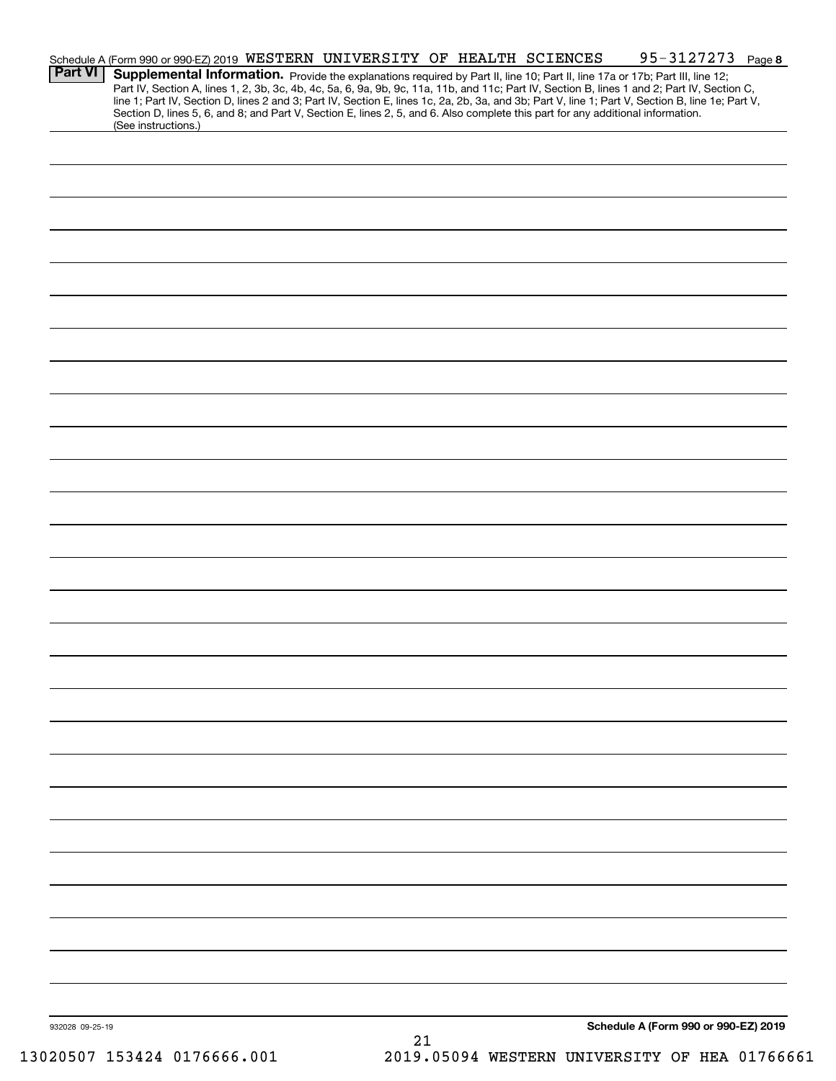| <b>Part VI</b>  | Schedule A (Form 990 or 990-EZ) 2019 WESTERN UNIVERSITY OF HEALTH SCIENCES<br>Supplemental Information. Provide the explanations required by Part II, line 10; Part II, line 17a or 17b; Part III, line 12; |  |    | 95-3127273 Page 8<br>Part IV, Section A, lines 1, 2, 3b, 3c, 4b, 4c, 5a, 6, 9a, 9b, 9c, 11a, 11b, and 11c; Part IV, Section B, lines 1 and 2; Part IV, Section C, |
|-----------------|-------------------------------------------------------------------------------------------------------------------------------------------------------------------------------------------------------------|--|----|-------------------------------------------------------------------------------------------------------------------------------------------------------------------|
|                 | Section D, lines 5, 6, and 8; and Part V, Section E, lines 2, 5, and 6. Also complete this part for any additional information.<br>(See instructions.)                                                      |  |    | line 1; Part IV, Section D, lines 2 and 3; Part IV, Section E, lines 1c, 2a, 2b, 3a, and 3b; Part V, line 1; Part V, Section B, line 1e; Part V,                  |
|                 |                                                                                                                                                                                                             |  |    |                                                                                                                                                                   |
|                 |                                                                                                                                                                                                             |  |    |                                                                                                                                                                   |
|                 |                                                                                                                                                                                                             |  |    |                                                                                                                                                                   |
|                 |                                                                                                                                                                                                             |  |    |                                                                                                                                                                   |
|                 |                                                                                                                                                                                                             |  |    |                                                                                                                                                                   |
|                 |                                                                                                                                                                                                             |  |    |                                                                                                                                                                   |
|                 |                                                                                                                                                                                                             |  |    |                                                                                                                                                                   |
|                 |                                                                                                                                                                                                             |  |    |                                                                                                                                                                   |
|                 |                                                                                                                                                                                                             |  |    |                                                                                                                                                                   |
|                 |                                                                                                                                                                                                             |  |    |                                                                                                                                                                   |
|                 |                                                                                                                                                                                                             |  |    |                                                                                                                                                                   |
|                 |                                                                                                                                                                                                             |  |    |                                                                                                                                                                   |
|                 |                                                                                                                                                                                                             |  |    |                                                                                                                                                                   |
|                 |                                                                                                                                                                                                             |  |    |                                                                                                                                                                   |
|                 |                                                                                                                                                                                                             |  |    |                                                                                                                                                                   |
|                 |                                                                                                                                                                                                             |  |    |                                                                                                                                                                   |
|                 |                                                                                                                                                                                                             |  |    |                                                                                                                                                                   |
|                 |                                                                                                                                                                                                             |  |    |                                                                                                                                                                   |
|                 |                                                                                                                                                                                                             |  |    |                                                                                                                                                                   |
|                 |                                                                                                                                                                                                             |  |    |                                                                                                                                                                   |
|                 |                                                                                                                                                                                                             |  |    |                                                                                                                                                                   |
|                 |                                                                                                                                                                                                             |  |    |                                                                                                                                                                   |
|                 |                                                                                                                                                                                                             |  |    |                                                                                                                                                                   |
|                 |                                                                                                                                                                                                             |  |    |                                                                                                                                                                   |
| 932028 09-25-19 |                                                                                                                                                                                                             |  | 21 | Schedule A (Form 990 or 990-EZ) 2019                                                                                                                              |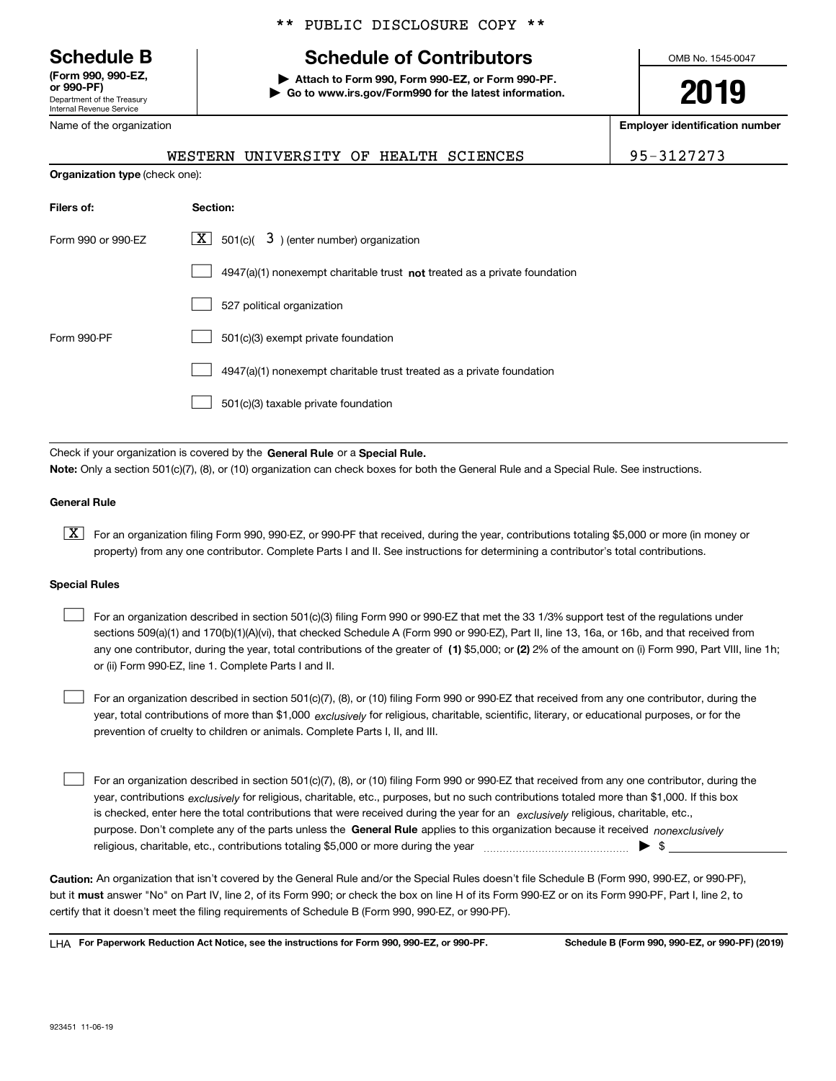Department of the Treasury Internal Revenue Service **(Form 990, 990-EZ, or 990-PF)**

Name of the organization

#### \*\* PUBLIC DISCLOSURE COPY \*\*

# **Schedule B Schedule of Contributors**

**| Attach to Form 990, Form 990-EZ, or Form 990-PF. | Go to www.irs.gov/Form990 for the latest information.** OMB No. 1545-0047

# **2019**

**Employer identification number**

WESTERN UNIVERSITY OF HEALTH SCIENCES 95-3127273

| <b>Organization type (check one):</b> |                                                                                    |  |  |
|---------------------------------------|------------------------------------------------------------------------------------|--|--|
| Filers of:                            | Section:                                                                           |  |  |
| Form 990 or 990-EZ                    | $\underline{X}$ 501(c)( 3) (enter number) organization                             |  |  |
|                                       | $4947(a)(1)$ nonexempt charitable trust <b>not</b> treated as a private foundation |  |  |
|                                       | 527 political organization                                                         |  |  |
| Form 990-PF                           | 501(c)(3) exempt private foundation                                                |  |  |
|                                       | 4947(a)(1) nonexempt charitable trust treated as a private foundation              |  |  |
|                                       | 501(c)(3) taxable private foundation                                               |  |  |

Check if your organization is covered by the **General Rule** or a **Special Rule. Note:**  Only a section 501(c)(7), (8), or (10) organization can check boxes for both the General Rule and a Special Rule. See instructions.

#### **General Rule**

 $\boxed{\textbf{X}}$  For an organization filing Form 990, 990-EZ, or 990-PF that received, during the year, contributions totaling \$5,000 or more (in money or property) from any one contributor. Complete Parts I and II. See instructions for determining a contributor's total contributions.

#### **Special Rules**

any one contributor, during the year, total contributions of the greater of  $\,$  (1) \$5,000; or **(2)** 2% of the amount on (i) Form 990, Part VIII, line 1h; For an organization described in section 501(c)(3) filing Form 990 or 990-EZ that met the 33 1/3% support test of the regulations under sections 509(a)(1) and 170(b)(1)(A)(vi), that checked Schedule A (Form 990 or 990-EZ), Part II, line 13, 16a, or 16b, and that received from or (ii) Form 990-EZ, line 1. Complete Parts I and II.  $\mathcal{L}^{\text{max}}$ 

year, total contributions of more than \$1,000 *exclusively* for religious, charitable, scientific, literary, or educational purposes, or for the For an organization described in section 501(c)(7), (8), or (10) filing Form 990 or 990-EZ that received from any one contributor, during the prevention of cruelty to children or animals. Complete Parts I, II, and III.  $\mathcal{L}^{\text{max}}$ 

purpose. Don't complete any of the parts unless the **General Rule** applies to this organization because it received *nonexclusively* year, contributions <sub>exclusively</sub> for religious, charitable, etc., purposes, but no such contributions totaled more than \$1,000. If this box is checked, enter here the total contributions that were received during the year for an  $\;$ exclusively religious, charitable, etc., For an organization described in section 501(c)(7), (8), or (10) filing Form 990 or 990-EZ that received from any one contributor, during the religious, charitable, etc., contributions totaling \$5,000 or more during the year  $\Box$ — $\Box$   $\Box$  $\mathcal{L}^{\text{max}}$ 

**Caution:**  An organization that isn't covered by the General Rule and/or the Special Rules doesn't file Schedule B (Form 990, 990-EZ, or 990-PF),  **must** but it answer "No" on Part IV, line 2, of its Form 990; or check the box on line H of its Form 990-EZ or on its Form 990-PF, Part I, line 2, to certify that it doesn't meet the filing requirements of Schedule B (Form 990, 990-EZ, or 990-PF).

**For Paperwork Reduction Act Notice, see the instructions for Form 990, 990-EZ, or 990-PF. Schedule B (Form 990, 990-EZ, or 990-PF) (2019)** LHA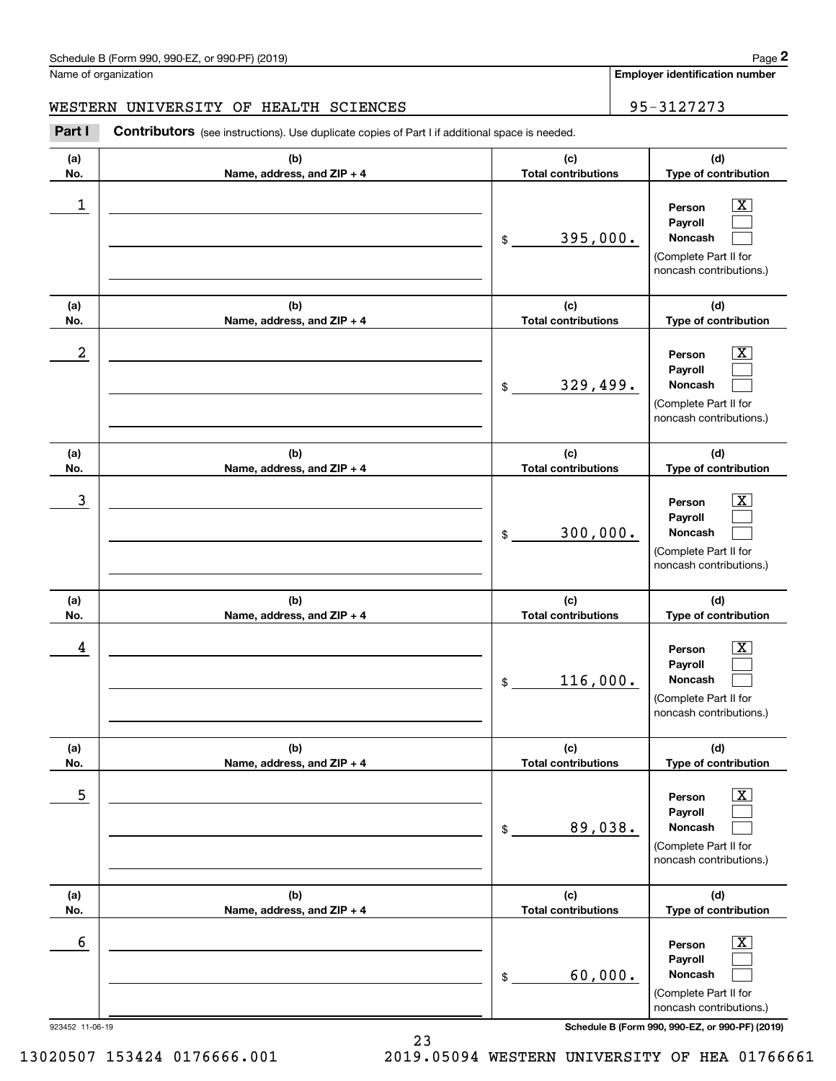#### WESTERN UNIVERSITY OF HEALTH SCIENCES **FOR SEAL ASSESSED ASSESSED** 95-3127273

**(a)No.(b)Name, address, and ZIP + 4 (c)Total contributions (d)Type of contribution PersonPayrollNoncash (a)No.(b)Name, address, and ZIP + 4 (c)Total contributions (d)Type of contribution PersonPayrollNoncash (a)No.(b)Name, address, and ZIP + 4 (c)Total contributions (d)Type of contribution PersonPayrollNoncash (a) No.(b) Name, address, and ZIP + 4 (c) Total contributions (d) Type of contribution PersonPayrollNoncash (a) No.(b) Name, address, and ZIP + 4 (c) Total contributions (d) Type of contribution PersonPayrollNoncash(a) No.(b)Name, address, and ZIP + 4 (c) Total contributions (d)Type of contribution PersonPayrollNoncash Contributors** (see instructions). Use duplicate copies of Part I if additional space is needed. \$(Complete Part II for noncash contributions.) \$(Complete Part II for noncash contributions.) \$(Complete Part II for noncash contributions.) \$(Complete Part II for noncash contributions.) \$(Complete Part II for noncash contributions.) \$(Complete Part II for noncash contributions.) Chedule B (Form 990, 990-EZ, or 990-PF) (2019)<br>Iame of organization<br>**2Part I 2Part I Contributors** (see instructions). Use duplicate copies of Part I if additional space is needed.<br>2Part I **Contributors** (see instructi  $|X|$  $\mathcal{L}^{\text{max}}$  $\mathcal{L}^{\text{max}}$  $\boxed{\text{X}}$  $\mathcal{L}^{\text{max}}$  $\mathcal{L}^{\text{max}}$  $|X|$  $\mathcal{L}^{\text{max}}$  $\mathcal{L}^{\text{max}}$  $\boxed{\text{X}}$  $\mathcal{L}^{\text{max}}$  $\mathcal{L}^{\text{max}}$  $\boxed{\text{X}}$  $\mathcal{L}^{\text{max}}$  $\mathcal{L}^{\text{max}}$  $\boxed{\text{X}}$  $\mathcal{L}^{\text{max}}$  $\mathcal{L}^{\text{max}}$  $\begin{array}{c|c|c|c|c|c} 1 & \hspace{1.5cm} & \hspace{1.5cm} & \hspace{1.5cm} & \hspace{1.5cm} & \hspace{1.5cm} & \hspace{1.5cm} & \hspace{1.5cm} & \hspace{1.5cm} & \hspace{1.5cm} & \hspace{1.5cm} & \hspace{1.5cm} & \hspace{1.5cm} & \hspace{1.5cm} & \hspace{1.5cm} & \hspace{1.5cm} & \hspace{1.5cm} & \hspace{1.5cm} & \hspace{1.5cm} & \hspace{1.5cm} & \hspace{1.5cm} &$ 395,000.  $2$  | Person  $\overline{\text{X}}$ 329,499.  $\overline{3}$  | Person  $\overline{X}$ 300,000.  $4$  | Person  $\overline{\text{X}}$ 116,000.  $\sim$  5 | Person X 89,038.  $\sim$  6 | Person X 60,000.

923452 11-06-19 **Schedule B (Form 990, 990-EZ, or 990-PF) (2019)**

13020507 153424 0176666.001 2019.05094 WESTERN UNIVERSITY OF HEA 01766661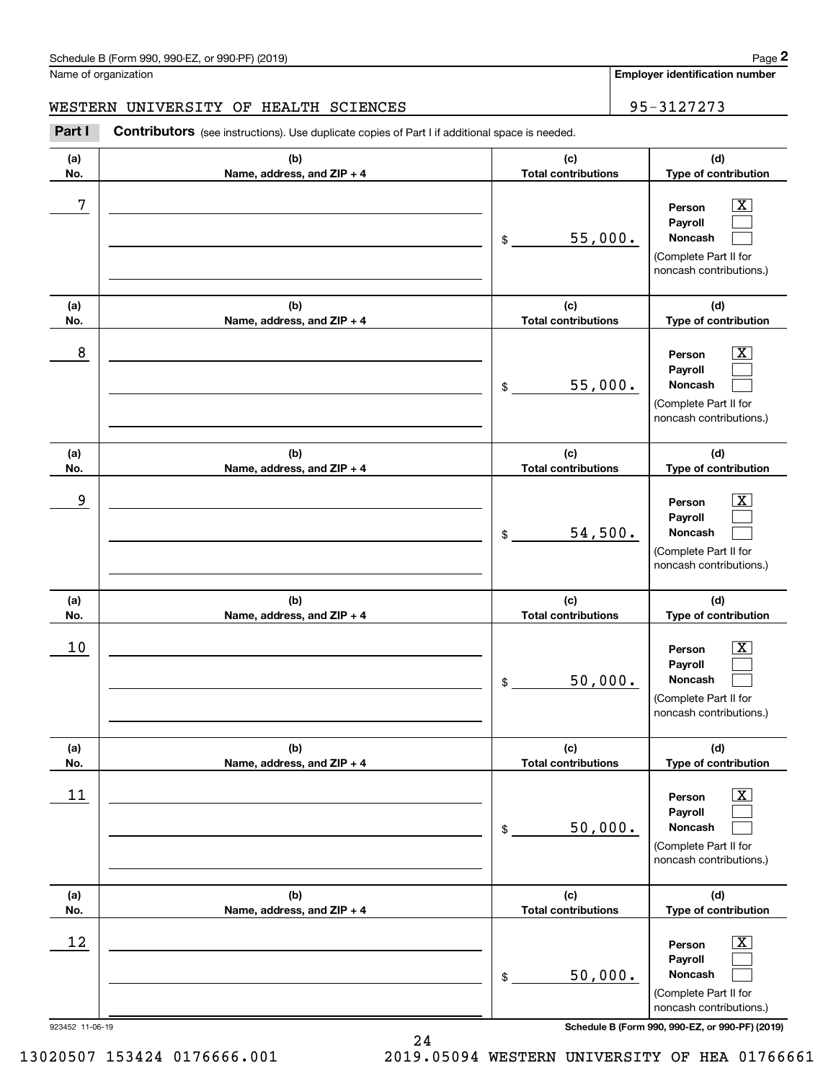#### WESTERN UNIVERSITY OF HEALTH SCIENCES **FOR SEAL ASSESSED ASSESSED** 95-3127273

**(a)No.(b)Name, address, and ZIP + 4 (c)Total contributions (d)Type of contribution PersonPayrollNoncash (a)No.(b)Name, address, and ZIP + 4 (c)Total contributions (d)Type of contribution PersonPayrollNoncash (a)No.(b)Name, address, and ZIP + 4 (c)Total contributions (d)Type of contribution PersonPayrollNoncash (a) No.(b) Name, address, and ZIP + 4 (c) Total contributions (d) Type of contribution PersonPayrollNoncash (a) No.(b) Name, address, and ZIP + 4 (c) Total contributions (d) Type of contribution PersonPayrollNoncash (a) No.(b)Name, address, and ZIP + 4 (c) Total contributions (d)Type of contribution PersonPayrollNoncash Contributors** (see instructions). Use duplicate copies of Part I if additional space is needed. \$(Complete Part II for noncash contributions.) \$(Complete Part II for noncash contributions.) \$(Complete Part II for noncash contributions.) \$(Complete Part II for noncash contributions.) \$(Complete Part II for noncash contributions.) \$(Complete Part II for noncash contributions.) Chedule B (Form 990, 990-EZ, or 990-PF) (2019)<br>Iame of organization<br>**2Part I 2Part I Contributors** (see instructions). Use duplicate copies of Part I if additional space is needed.<br>2Part I **Contributors** (see instructi  $|X|$  $\mathcal{L}^{\text{max}}$  $\mathcal{L}^{\text{max}}$  $\boxed{\text{X}}$  $\mathcal{L}^{\text{max}}$  $\mathcal{L}^{\text{max}}$  $|X|$  $\mathcal{L}^{\text{max}}$  $\mathcal{L}^{\text{max}}$  $\boxed{\text{X}}$  $\mathcal{L}^{\text{max}}$  $\mathcal{L}^{\text{max}}$  $\boxed{\text{X}}$  $\mathcal{L}^{\text{max}}$  $\mathcal{L}^{\text{max}}$  $\boxed{\text{X}}$  $\mathcal{L}^{\text{max}}$  $\mathcal{L}^{\text{max}}$ 7 X 55,000. 8 X 55,000. example and the set of the set of the set of the set of the set of the set of the set of the set of the set of 54,500.  $10$  Person  $\overline{\text{X}}$ 50,000.  $11$  Person X 50,000.  $12$  Person X 50,000.

923452 11-06-19 **Schedule B (Form 990, 990-EZ, or 990-PF) (2019)**

13020507 153424 0176666.001 2019.05094 WESTERN UNIVERSITY OF HEA 01766661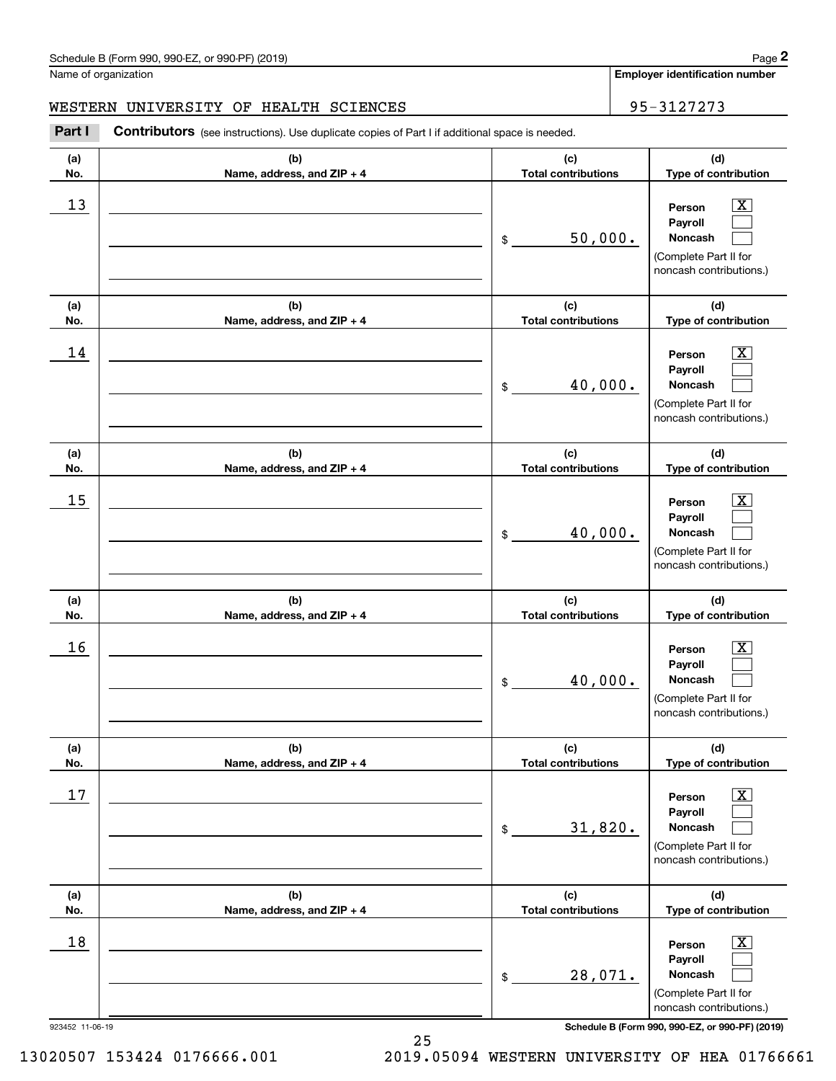#### WESTERN UNIVERSITY OF HEALTH SCIENCES **FOR SEAL ASSESSED ASSESSED** 95-3127273

**(a)No.(b)Name, address, and ZIP + 4 (c)Total contributions (d)Type of contribution PersonPayrollNoncash (a)No.(b)Name, address, and ZIP + 4 (c)Total contributions (d)Type of contribution PersonPayrollNoncash (a)No.(b)Name, address, and ZIP + 4 (c)Total contributions (d)Type of contribution PersonPayrollNoncash (a) No.(b) Name, address, and ZIP + 4 (c) Total contributions (d) Type of contribution PersonPayrollNoncash (a) No.(b) Name, address, and ZIP + 4 (c) Total contributions (d) Type of contribution PersonPayrollNoncash(a) No.(b)Name, address, and ZIP + 4 (c) Total contributions (d)Type of contribution PersonPayrollNoncash Contributors** (see instructions). Use duplicate copies of Part I if additional space is needed. \$(Complete Part II for noncash contributions.) \$(Complete Part II for noncash contributions.) \$(Complete Part II for noncash contributions.) \$(Complete Part II for noncash contributions.) \$(Complete Part II for noncash contributions.) \$(Complete Part II for noncash contributions.) Chedule B (Form 990, 990-EZ, or 990-PF) (2019)<br>Iame of organization<br>**2Part I 2Part I Contributors** (see instructions). Use duplicate copies of Part I if additional space is needed.<br>2Part I **Contributors** (see instructi  $|X|$  $\mathcal{L}^{\text{max}}$  $\mathcal{L}^{\text{max}}$  $\boxed{\text{X}}$  $\mathcal{L}^{\text{max}}$  $\mathcal{L}^{\text{max}}$  $|X|$  $\mathcal{L}^{\text{max}}$  $\mathcal{L}^{\text{max}}$  $\boxed{\text{X}}$  $\mathcal{L}^{\text{max}}$  $\mathcal{L}^{\text{max}}$  $\boxed{\text{X}}$  $\mathcal{L}^{\text{max}}$  $\mathcal{L}^{\text{max}}$  $\boxed{\text{X}}$  $\mathcal{L}^{\text{max}}$  $\mathcal{L}^{\text{max}}$  $13$  Person X 50,000.  $14$  Person X 40,000.  $15$  Person X 40,000.  $16$  Person X 40,000.  $17$  | Person  $\overline{\text{X}}$ 31,820.  $18$  Person  $\overline{\text{X}}$ 28,071.

923452 11-06-19 **Schedule B (Form 990, 990-EZ, or 990-PF) (2019)**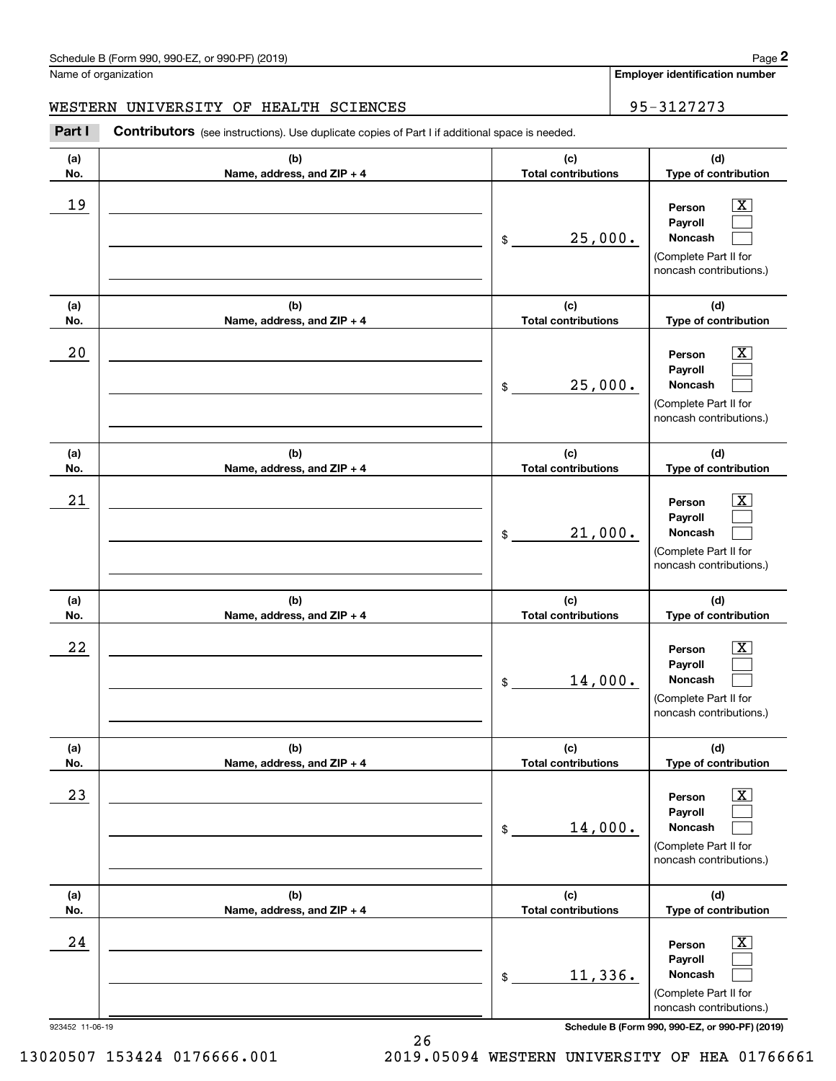#### WESTERN UNIVERSITY OF HEALTH SCIENCES **FOR SEAL ASSESSED ASSESSED** 95-3127273

**(a)No.(b)Name, address, and ZIP + 4 (c)Total contributions (d)Type of contribution PersonPayrollNoncash (a)No.(b)Name, address, and ZIP + 4 (c)Total contributions (d)Type of contribution PersonPayrollNoncash (a)No.(b)Name, address, and ZIP + 4 (c)Total contributions (d)Type of contribution PersonPayrollNoncash (a) No.(b) Name, address, and ZIP + 4 (c) Total contributions (d) Type of contribution PersonPayrollNoncash (a) No.(b) Name, address, and ZIP + 4 (c) Total contributions (d) Type of contribution PersonPayrollNoncash (a) No.(b)Name, address, and ZIP + 4 (c) Total contributions (d)Type of contribution PersonPayrollNoncash Contributors** (see instructions). Use duplicate copies of Part I if additional space is needed. \$(Complete Part II for noncash contributions.) \$(Complete Part II for noncash contributions.) \$(Complete Part II for noncash contributions.) \$(Complete Part II for noncash contributions.) \$(Complete Part II for noncash contributions.) \$(Complete Part II for noncash contributions.) Chedule B (Form 990, 990-EZ, or 990-PF) (2019)<br>Iame of organization<br>**2Part I 2Part I Contributors** (see instructions). Use duplicate copies of Part I if additional space is needed.<br>2Part I **Contributors** (see instructi  $|X|$  $\mathcal{L}^{\text{max}}$  $\mathcal{L}^{\text{max}}$  $\boxed{\text{X}}$  $\mathcal{L}^{\text{max}}$  $\mathcal{L}^{\text{max}}$  $|X|$  $\mathcal{L}^{\text{max}}$  $\mathcal{L}^{\text{max}}$  $\boxed{\text{X}}$  $\mathcal{L}^{\text{max}}$  $\mathcal{L}^{\text{max}}$  $\boxed{\text{X}}$  $\mathcal{L}^{\text{max}}$  $\mathcal{L}^{\text{max}}$  $\boxed{\text{X}}$  $\mathcal{L}^{\text{max}}$  $\mathcal{L}^{\text{max}}$ 19 X 25,000.  $20$  | Person  $\overline{\text{X}}$ 25,000.  $21$  Person X 21,000.  $22$  | Person  $\overline{\text{X}}$ 14,000.  $23$  | Person  $\overline{\text{X}}$ 14,000.  $24$  | Person  $\overline{\text{X}}$ 11,336.

923452 11-06-19 **Schedule B (Form 990, 990-EZ, or 990-PF) (2019)**

13020507 153424 0176666.001 2019.05094 WESTERN UNIVERSITY OF HEA 01766661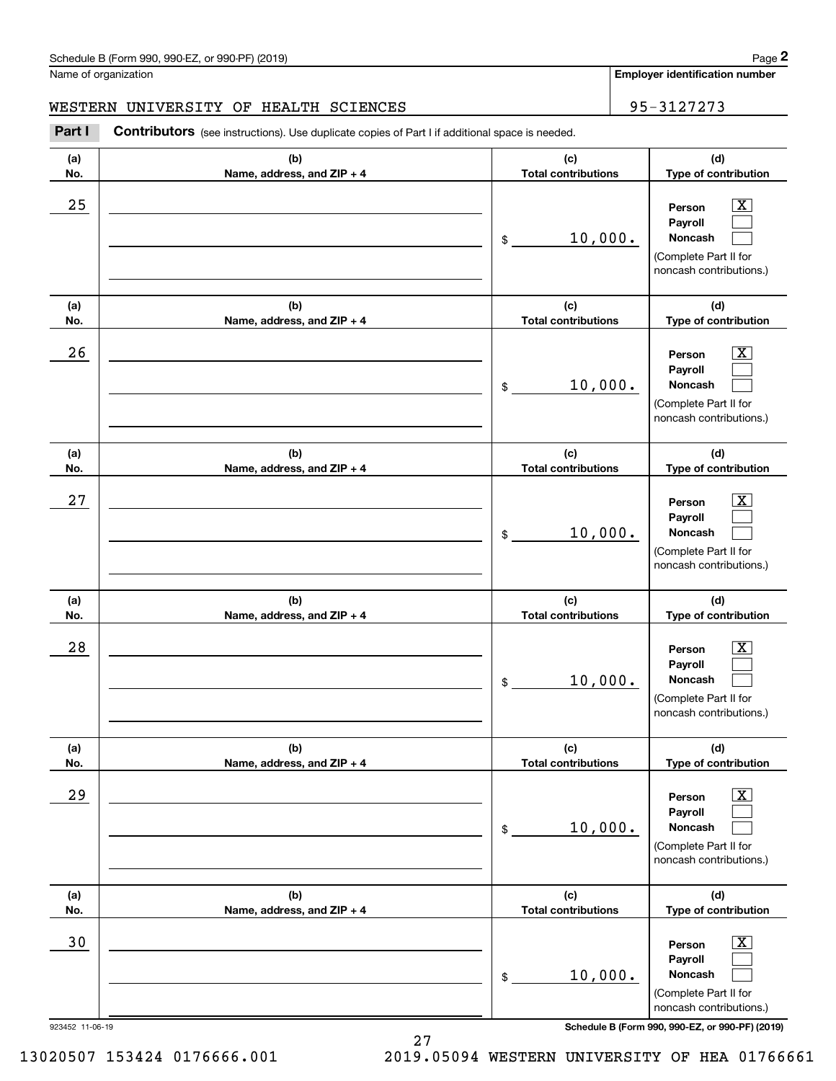#### WESTERN UNIVERSITY OF HEALTH SCIENCES **FOR SEAL ASSESSED ASSESSED** 95-3127273

**(a)No.(b)Name, address, and ZIP + 4 (c)Total contributions (d)Type of contribution PersonPayrollNoncash (a)No.(b)Name, address, and ZIP + 4 (c)Total contributions (d)Type of contribution PersonPayrollNoncash (a)No.(b)Name, address, and ZIP + 4 (c)Total contributions (d)Type of contribution PersonPayrollNoncash (a) No.(b) Name, address, and ZIP + 4 (c) Total contributions (d) Type of contribution PersonPayrollNoncash (a) No.(b) Name, address, and ZIP + 4 (c) Total contributions (d) Type of contribution PersonPayrollNoncash(a) No.(b)Name, address, and ZIP + 4 (c) Total contributions (d)Type of contribution PersonPayrollNoncash Contributors** (see instructions). Use duplicate copies of Part I if additional space is needed. \$(Complete Part II for noncash contributions.) \$(Complete Part II for noncash contributions.) \$(Complete Part II for noncash contributions.) \$(Complete Part II for noncash contributions.) \$(Complete Part II for noncash contributions.) \$(Complete Part II for noncash contributions.) Chedule B (Form 990, 990-EZ, or 990-PF) (2019)<br>Iame of organization<br>**2Part I 2Part I Contributors** (see instructions). Use duplicate copies of Part I if additional space is needed.<br>2Part I **Contributors** (see instructi  $|X|$  $\mathcal{L}^{\text{max}}$  $\mathcal{L}^{\text{max}}$  $\boxed{\text{X}}$  $\mathcal{L}^{\text{max}}$  $\mathcal{L}^{\text{max}}$  $|X|$  $\mathcal{L}^{\text{max}}$  $\mathcal{L}^{\text{max}}$  $\boxed{\text{X}}$  $\mathcal{L}^{\text{max}}$  $\mathcal{L}^{\text{max}}$  $\boxed{\text{X}}$  $\mathcal{L}^{\text{max}}$  $\mathcal{L}^{\text{max}}$  $\boxed{\text{X}}$  $\mathcal{L}^{\text{max}}$  $\mathcal{L}^{\text{max}}$  $25$  | Person  $\overline{\text{X}}$ 10,000.  $26$  | Person  $\overline{\text{X}}$ 10,000.  $27$  | Person  $\overline{\text{X}}$ 10,000.  $28$  | Person  $\overline{\text{X}}$ 10,000.  $29$  | Person  $\overline{\text{X}}$ 10,000. 30 Person X 10,000.

923452 11-06-19 **Schedule B (Form 990, 990-EZ, or 990-PF) (2019)**

13020507 153424 0176666.001 2019.05094 WESTERN UNIVERSITY OF HEA 01766661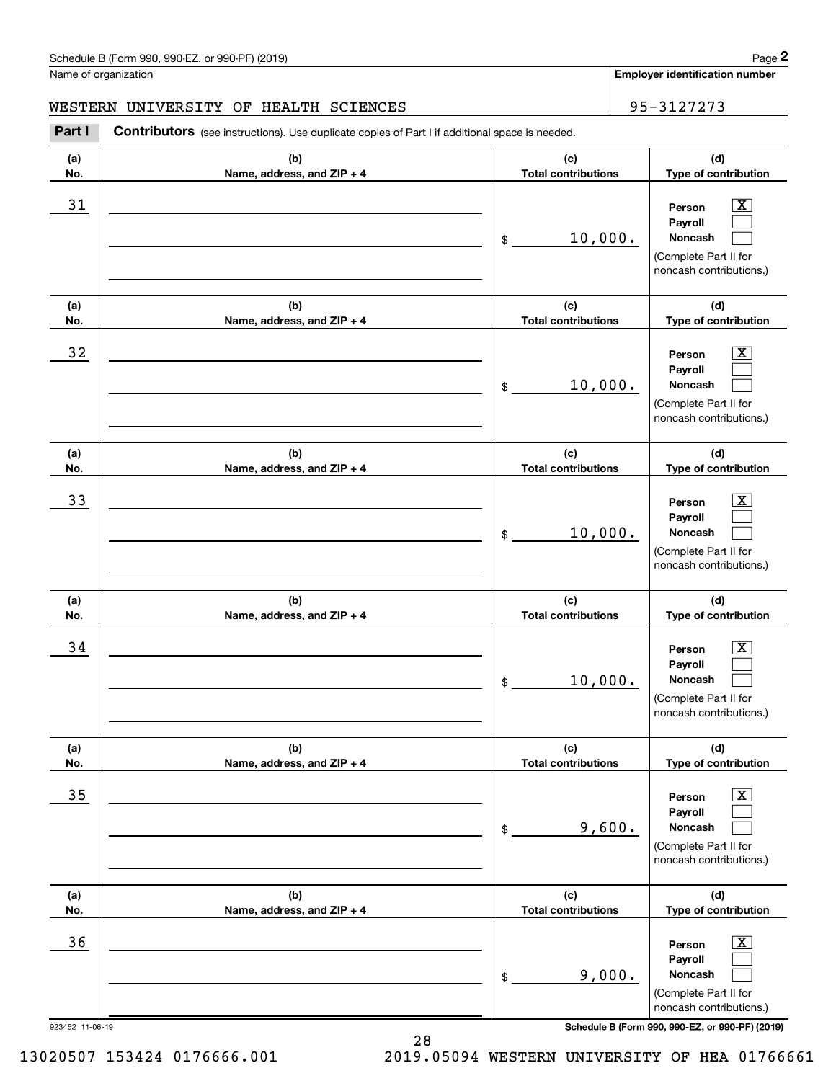#### WESTERN UNIVERSITY OF HEALTH SCIENCES **FOR SEAL ASSESSED ASSESSED** 95-3127273

**(a)No.(b)Name, address, and ZIP + 4 (c)Total contributions (d)Type of contribution PersonPayrollNoncash (a)No.(b)Name, address, and ZIP + 4 (c)Total contributions (d)Type of contribution PersonPayrollNoncash (a)No.(b)Name, address, and ZIP + 4 (c)Total contributions (d)Type of contribution PersonPayrollNoncash (a) No.(b) Name, address, and ZIP + 4 (c) Total contributions (d) Type of contribution PersonPayrollNoncash (a) No.(b) Name, address, and ZIP + 4 (c) Total contributions (d) Type of contribution PersonPayrollNoncash (a) No.(b)Name, address, and ZIP + 4 (c) Total contributions (d)Type of contribution PersonPayrollNoncash Contributors** (see instructions). Use duplicate copies of Part I if additional space is needed. \$(Complete Part II for noncash contributions.) \$(Complete Part II for noncash contributions.) \$(Complete Part II for noncash contributions.) \$(Complete Part II for noncash contributions.) \$(Complete Part II for noncash contributions.) \$(Complete Part II for noncash contributions.) Chedule B (Form 990, 990-EZ, or 990-PF) (2019)<br>Iame of organization<br>**2Part I 2Part I Contributors** (see instructions). Use duplicate copies of Part I if additional space is needed.<br>2Part I **Contributors** (see instructi  $|X|$  $\mathcal{L}^{\text{max}}$  $\mathcal{L}^{\text{max}}$  $\boxed{\text{X}}$  $\mathcal{L}^{\text{max}}$  $\mathcal{L}^{\text{max}}$  $|X|$  $\mathcal{L}^{\text{max}}$  $\mathcal{L}^{\text{max}}$  $\boxed{\text{X}}$  $\mathcal{L}^{\text{max}}$  $\mathcal{L}^{\text{max}}$  $\boxed{\text{X}}$  $\mathcal{L}^{\text{max}}$  $\mathcal{L}^{\text{max}}$  $\boxed{\text{X}}$  $\mathcal{L}^{\text{max}}$  $\mathcal{L}^{\text{max}}$ 31 Person X 10,000.  $32$  | Person  $\overline{\text{X}}$ 10,000. 33 Person X 10,000.  $34$  | Person  $\overline{\text{X}}$ 10,000.  $35$  | Person  $\overline{\text{X}}$ 9,600.  $36$  Person X 9,000.

923452 11-06-19 **Schedule B (Form 990, 990-EZ, or 990-PF) (2019)**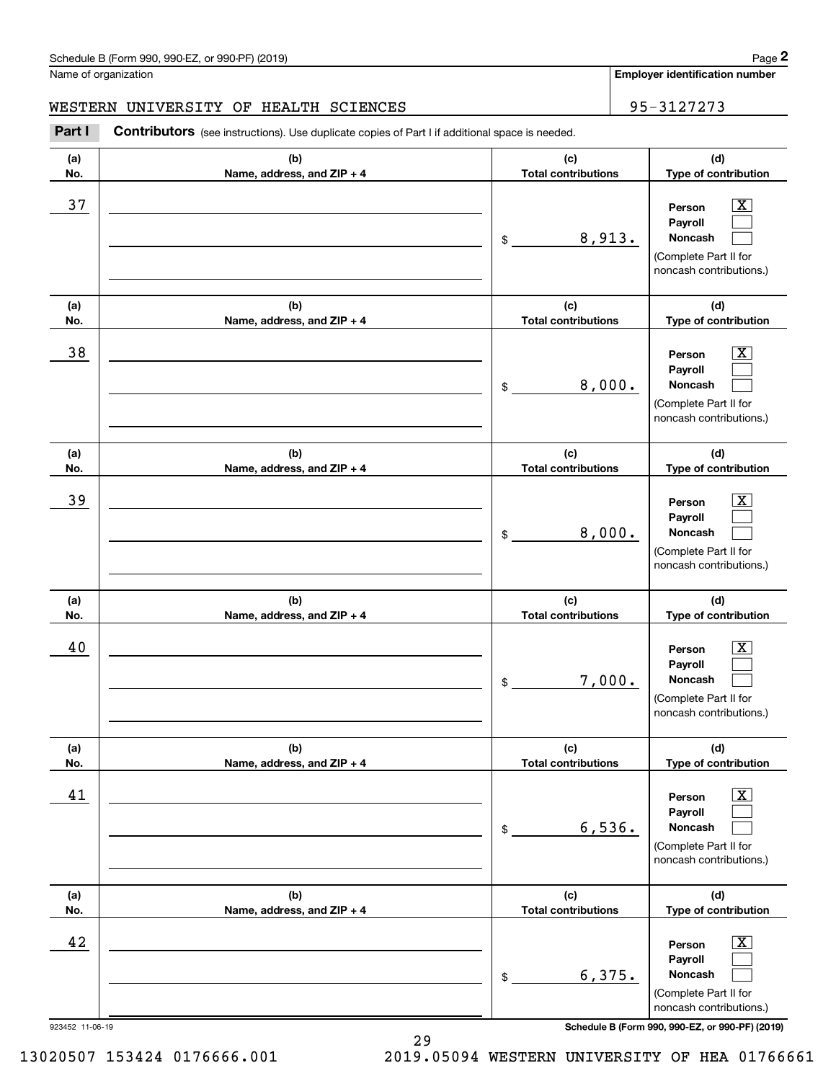#### WESTERN UNIVERSITY OF HEALTH SCIENCES **FOR SEAL ASSESSED ASSESSED** 95-3127273

**(a)No.(b)Name, address, and ZIP + 4 (c)Total contributions (d)Type of contribution PersonPayrollNoncash (a)No.(b)Name, address, and ZIP + 4 (c)Total contributions (d)Type of contribution PersonPayrollNoncash (a)No.(b)Name, address, and ZIP + 4 (c)Total contributions (d)Type of contribution PersonPayrollNoncash (a) No.(b)Name, address, and ZIP + 4 (c) Total contributions (d) Type of contribution PersonPayrollNoncash(a) No.(b)Name, address, and ZIP + 4 (c) Total contributions (d) Type of contribution PersonPayrollNoncash (a) No.(b)Name, address, and ZIP + 4 (c) Total contributions (d)Type of contribution PersonPayrollNoncash Contributors** (see instructions). Use duplicate copies of Part I if additional space is needed. \$(Complete Part II for noncash contributions.) \$(Complete Part II for noncash contributions.) \$(Complete Part II for noncash contributions.) \$(Complete Part II for noncash contributions.) \$(Complete Part II for noncash contributions.) \$(Complete Part II for noncash contributions.) Chedule B (Form 990, 990-EZ, or 990-PF) (2019)<br>Iame of organization<br>**2Part I 2Part I Contributors** (see instructions). Use duplicate copies of Part I if additional space is needed.<br>2Part I **Contributors** (see instructi  $|X|$  $\mathcal{L}^{\text{max}}$  $\mathcal{L}^{\text{max}}$  $\boxed{\text{X}}$  $\mathcal{L}^{\text{max}}$  $\mathcal{L}^{\text{max}}$  $|X|$  $\mathcal{L}^{\text{max}}$  $\mathcal{L}^{\text{max}}$  $\boxed{\text{X}}$  $\mathcal{L}^{\text{max}}$  $\mathcal{L}^{\text{max}}$  $\boxed{\text{X}}$  $\mathcal{L}^{\text{max}}$  $\mathcal{L}^{\text{max}}$  $\boxed{\text{X}}$  $\mathcal{L}^{\text{max}}$  $\mathcal{L}^{\text{max}}$ 37 X 8,913. 38 X 8,000. 39 X 8,000. 40 Person X 7,000. 41 | Person X 6,536. 42 Person X 6,375.

923452 11-06-19 **Schedule B (Form 990, 990-EZ, or 990-PF) (2019)**

13020507 153424 0176666.001 2019.05094 WESTERN UNIVERSITY OF HEA 01766661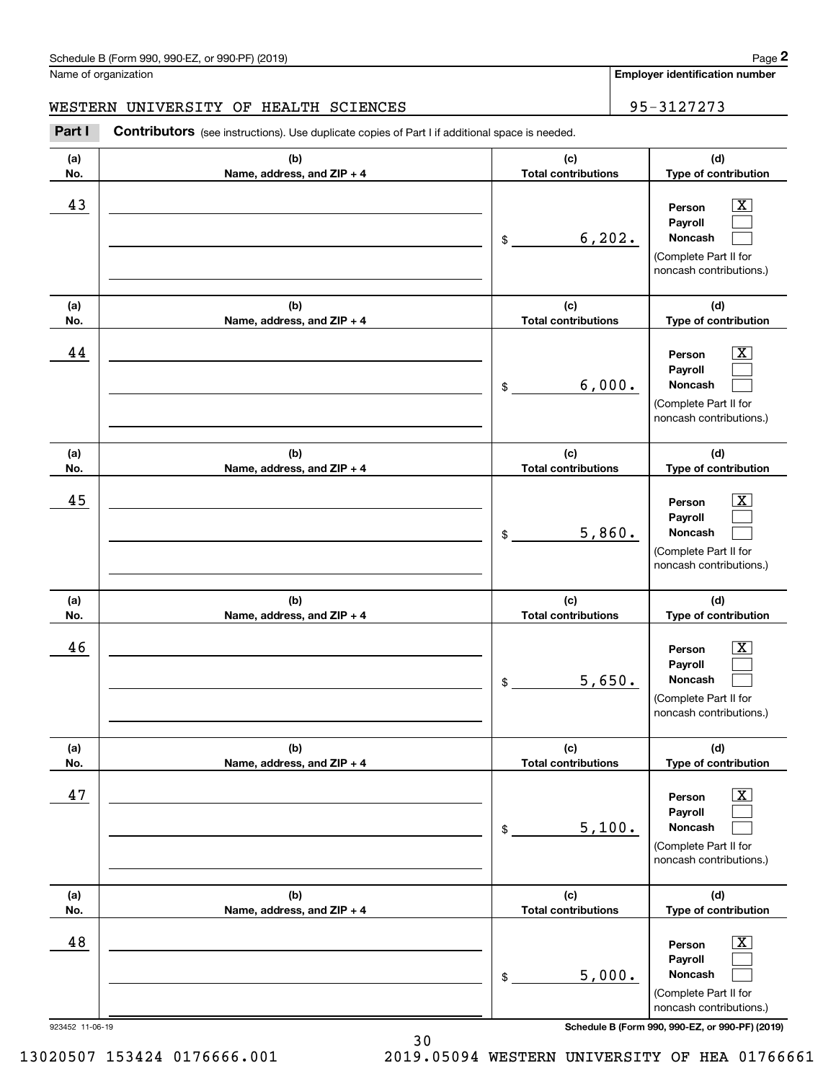#### WESTERN UNIVERSITY OF HEALTH SCIENCES **FOR SEAL ASSESSED ASSESSED** 95-3127273

**(a)No.(b)Name, address, and ZIP + 4 (c)Total contributions (d)Type of contribution PersonPayrollNoncash (a)No.(b)Name, address, and ZIP + 4 (c)Total contributions (d)Type of contribution PersonPayrollNoncash (a)No.(b)Name, address, and ZIP + 4 (c)Total contributions (d)Type of contribution PersonPayrollNoncash (a) No.(b)Name, address, and ZIP + 4 (c) Total contributions (d) Type of contribution PersonPayrollNoncash(a) No.(b)Name, address, and ZIP + 4 (c) Total contributions (d) Type of contribution PersonPayrollNoncash (a) No.(b)Name, address, and ZIP + 4 (c) Total contributions (d)Type of contribution PersonPayrollNoncash Contributors** (see instructions). Use duplicate copies of Part I if additional space is needed. \$(Complete Part II for noncash contributions.) \$(Complete Part II for noncash contributions.) \$(Complete Part II for noncash contributions.) \$(Complete Part II for noncash contributions.) \$(Complete Part II for noncash contributions.) \$(Complete Part II for noncash contributions.) Chedule B (Form 990, 990-EZ, or 990-PF) (2019)<br>Iame of organization<br>**2Part I 2Part I Contributors** (see instructions). Use duplicate copies of Part I if additional space is needed.<br>2Part I **Contributors** (see instructi  $|X|$  $\mathcal{L}^{\text{max}}$  $\mathcal{L}^{\text{max}}$  $\boxed{\text{X}}$  $\mathcal{L}^{\text{max}}$  $\mathcal{L}^{\text{max}}$  $|X|$  $\mathcal{L}^{\text{max}}$  $\mathcal{L}^{\text{max}}$  $\boxed{\text{X}}$  $\mathcal{L}^{\text{max}}$  $\mathcal{L}^{\text{max}}$  $\boxed{\text{X}}$  $\mathcal{L}^{\text{max}}$  $\mathcal{L}^{\text{max}}$  $\boxed{\text{X}}$  $\mathcal{L}^{\text{max}}$  $\mathcal{L}^{\text{max}}$ 43 Person X 6,202. 44 X 6,000. 45 X 5,860. 46 X 5,650. 47 X 5,100. 48 X 5,000.

923452 11-06-19 **Schedule B (Form 990, 990-EZ, or 990-PF) (2019)**

13020507 153424 0176666.001 2019.05094 WESTERN UNIVERSITY OF HEA 01766661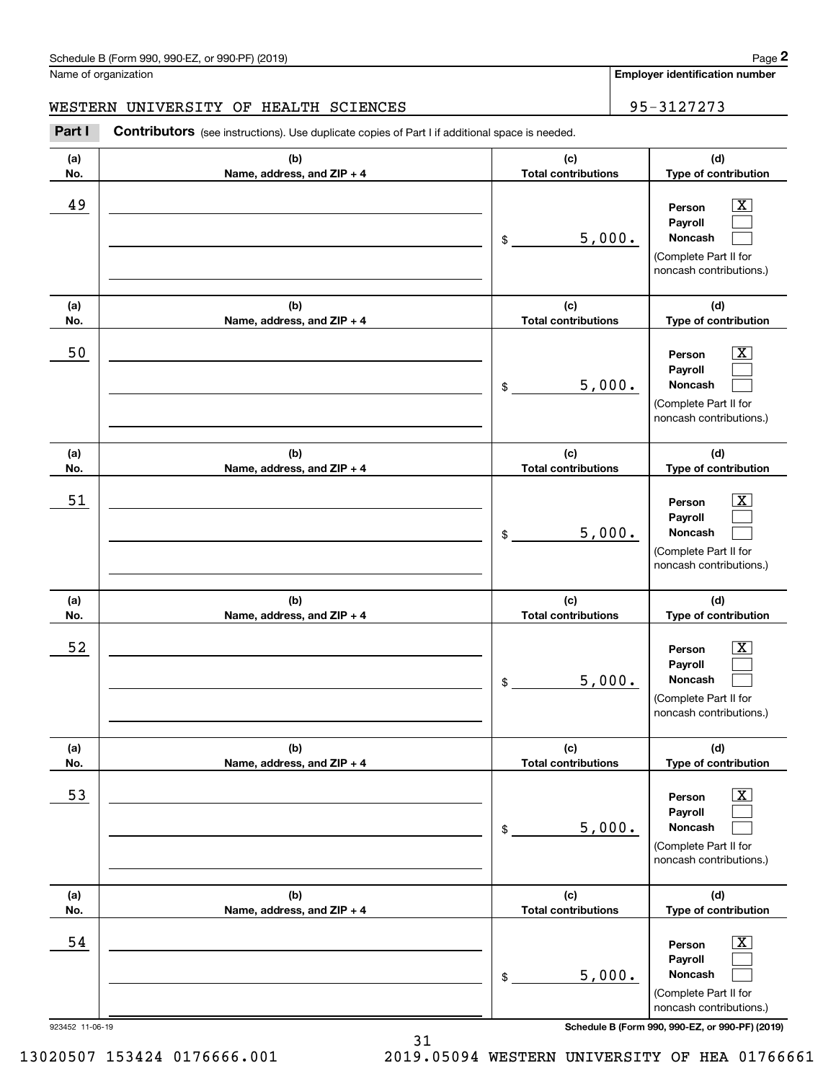#### WESTERN UNIVERSITY OF HEALTH SCIENCES **FOR SEAL ASSESSED ASSESSED** 95-3127273

**(a)No.(b)Name, address, and ZIP + 4 (c)Total contributions (d)Type of contribution PersonPayrollNoncash (a)No.(b)Name, address, and ZIP + 4 (c)Total contributions (d)Type of contribution PersonPayrollNoncash (a)No.(b)Name, address, and ZIP + 4 (c)Total contributions (d)Type of contribution PersonPayrollNoncash (a) No.(b)Name, address, and ZIP + 4 (c) Total contributions (d) Type of contribution PersonPayrollNoncash(a) No.(b)Name, address, and ZIP + 4 (c) Total contributions (d) Type of contribution PersonPayrollNoncash (a) No.(b)Name, address, and ZIP + 4 (c) Total contributions (d)Type of contribution PersonPayrollNoncash Contributors** (see instructions). Use duplicate copies of Part I if additional space is needed. \$(Complete Part II for noncash contributions.) \$(Complete Part II for noncash contributions.) \$(Complete Part II for noncash contributions.) \$(Complete Part II for noncash contributions.) \$(Complete Part II for noncash contributions.) \$(Complete Part II for noncash contributions.) Chedule B (Form 990, 990-EZ, or 990-PF) (2019)<br>Iame of organization<br>**2Part I 2Part I Contributors** (see instructions). Use duplicate copies of Part I if additional space is needed.<br>2Part I **Contributors** (see instructi  $|X|$  $\mathcal{L}^{\text{max}}$  $\mathcal{L}^{\text{max}}$  $\boxed{\text{X}}$  $\mathcal{L}^{\text{max}}$  $\mathcal{L}^{\text{max}}$  $|X|$  $\mathcal{L}^{\text{max}}$  $\mathcal{L}^{\text{max}}$  $\boxed{\text{X}}$  $\mathcal{L}^{\text{max}}$  $\mathcal{L}^{\text{max}}$  $\boxed{\text{X}}$  $\mathcal{L}^{\text{max}}$  $\mathcal{L}^{\text{max}}$  $\boxed{\text{X}}$  $\mathcal{L}^{\text{max}}$  $\mathcal{L}^{\text{max}}$ 49 X 5,000. 50 Person X 5,000. 51 X 5,000. 52 | Person X 5,000. 53 | Person X 5,000. 54 X 5,000.

923452 11-06-19 **Schedule B (Form 990, 990-EZ, or 990-PF) (2019)**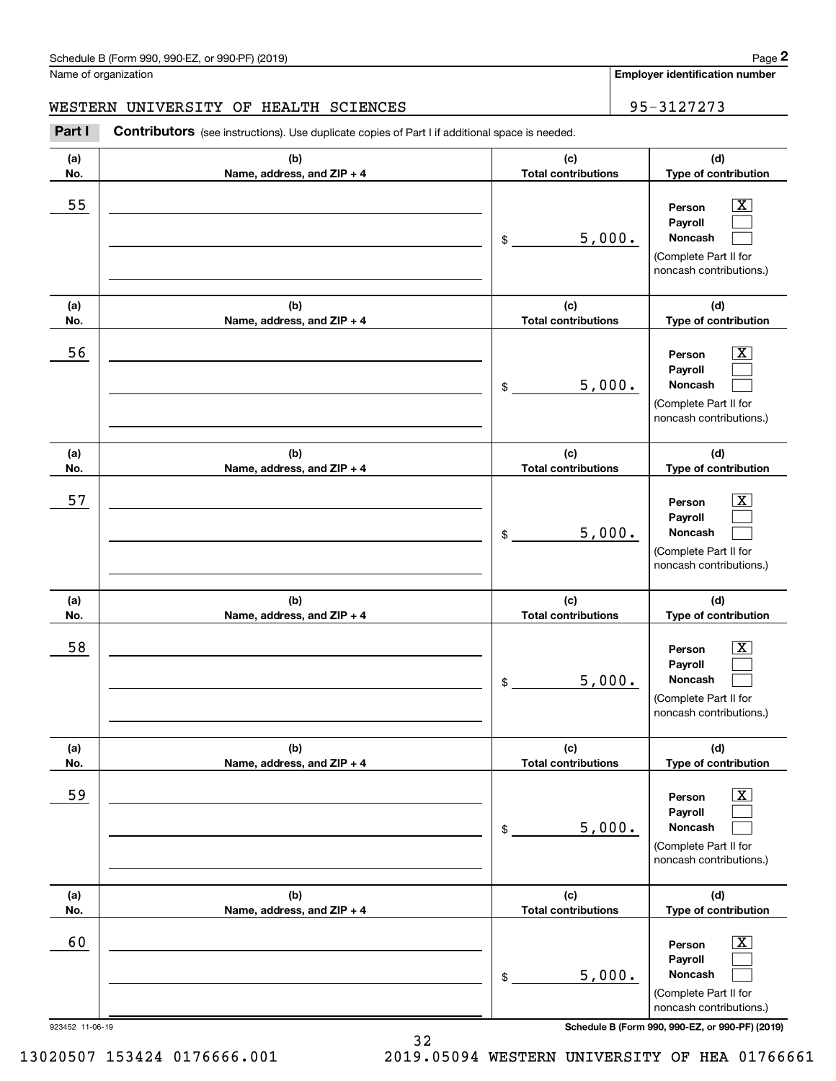#### WESTERN UNIVERSITY OF HEALTH SCIENCES **FOR SEAL ASSESSED ASSESSED** 95-3127273

**(a)No.(b)Name, address, and ZIP + 4 (c)Total contributions (d)Type of contribution PersonPayrollNoncash (a)No.(b)Name, address, and ZIP + 4 (c)Total contributions (d)Type of contribution PersonPayrollNoncash (a)No.(b)Name, address, and ZIP + 4 (c)Total contributions (d)Type of contribution PersonPayrollNoncash (a) No.(b)Name, address, and ZIP + 4 (c) Total contributions (d) Type of contribution PersonPayrollNoncash(a) No.(b)Name, address, and ZIP + 4 (c) Total contributions (d) Type of contribution PersonPayrollNoncash (a) No.(b)Name, address, and ZIP + 4 (c) Total contributions (d)Type of contribution PersonPayrollNoncash Contributors** (see instructions). Use duplicate copies of Part I if additional space is needed. \$(Complete Part II for noncash contributions.) \$(Complete Part II for noncash contributions.) \$(Complete Part II for noncash contributions.) \$(Complete Part II for noncash contributions.) \$(Complete Part II for noncash contributions.) \$(Complete Part II for noncash contributions.) Chedule B (Form 990, 990-EZ, or 990-PF) (2019)<br>Iame of organization<br>**2Part I 2Part I Contributors** (see instructions). Use duplicate copies of Part I if additional space is needed.<br>2Part I **Contributors** (see instructi  $|X|$  $\mathcal{L}^{\text{max}}$  $\mathcal{L}^{\text{max}}$  $\boxed{\text{X}}$  $\mathcal{L}^{\text{max}}$  $\mathcal{L}^{\text{max}}$  $|X|$  $\mathcal{L}^{\text{max}}$  $\mathcal{L}^{\text{max}}$  $\boxed{\text{X}}$  $\mathcal{L}^{\text{max}}$  $\mathcal{L}^{\text{max}}$  $\boxed{\text{X}}$  $\mathcal{L}^{\text{max}}$  $\mathcal{L}^{\text{max}}$  $\boxed{\text{X}}$  $\mathcal{L}^{\text{max}}$  $\mathcal{L}^{\text{max}}$ 55 | Person X 5,000. 56 | Person X 5,000. 57 X 5,000. 58 X 5,000. 59 X 5,000. 60 Person X 5,000.

923452 11-06-19 **Schedule B (Form 990, 990-EZ, or 990-PF) (2019)**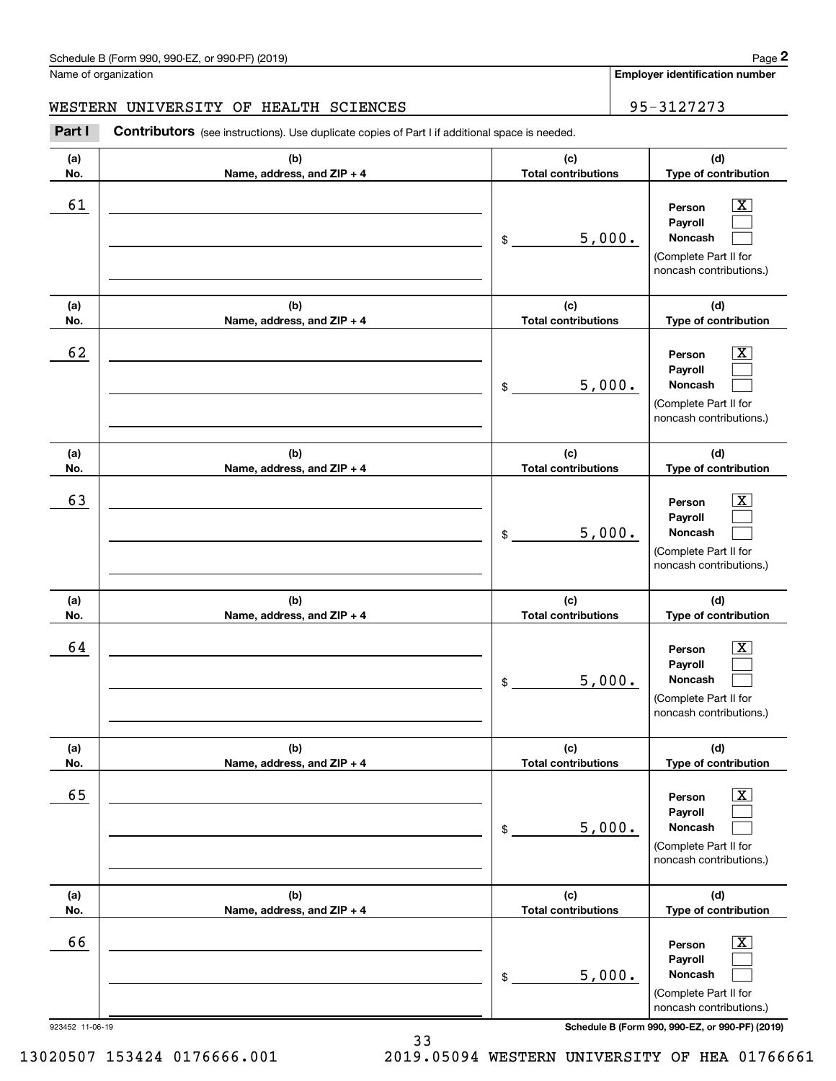#### WESTERN UNIVERSITY OF HEALTH SCIENCES **FOR SEAL ASSESSED ASSESSED** 95-3127273

**(a)No.(b)Name, address, and ZIP + 4 (c)Total contributions (d)Type of contribution PersonPayrollNoncash (a)No.(b)Name, address, and ZIP + 4 (c)Total contributions (d)Type of contribution PersonPayrollNoncash (a)No.(b)Name, address, and ZIP + 4 (c)Total contributions (d)Type of contribution PersonPayrollNoncash (a) No.(b)Name, address, and ZIP + 4 (c) Total contributions (d) Type of contribution PersonPayrollNoncash (a) No.(b)Name, address, and ZIP + 4 (c) Total contributions (d) Type of contribution PersonPayrollNoncash (a) No.(b)Name, address, and ZIP + 4 (c) Total contributions (d)Type of contribution PersonPayrollNoncash Contributors** (see instructions). Use duplicate copies of Part I if additional space is needed. \$(Complete Part II for noncash contributions.) \$(Complete Part II for noncash contributions.) \$(Complete Part II for noncash contributions.) \$(Complete Part II for noncash contributions.) \$(Complete Part II for noncash contributions.) \$(Complete Part II for noncash contributions.) Chedule B (Form 990, 990-EZ, or 990-PF) (2019)<br>Iame of organization<br>**2Part I 2Part I Contributors** (see instructions). Use duplicate copies of Part I if additional space is needed.<br>2Part I **Contributors** (see instructi  $|X|$  $\mathcal{L}^{\text{max}}$  $\mathcal{L}^{\text{max}}$  $\boxed{\text{X}}$  $\mathcal{L}^{\text{max}}$  $\mathcal{L}^{\text{max}}$  $|X|$  $\mathcal{L}^{\text{max}}$  $\mathcal{L}^{\text{max}}$  $\boxed{\text{X}}$  $\mathcal{L}^{\text{max}}$  $\mathcal{L}^{\text{max}}$  $\boxed{\text{X}}$  $\mathcal{L}^{\text{max}}$  $\mathcal{L}^{\text{max}}$  $\boxed{\text{X}}$  $\mathcal{L}^{\text{max}}$  $\mathcal{L}^{\text{max}}$ 61 X 5,000. 62 X 5,000. 63 | Person X 5,000. 64 X 5,000. 65 X 5,000. 66 X 5,000.

33

923452 11-06-19 **Schedule B (Form 990, 990-EZ, or 990-PF) (2019)**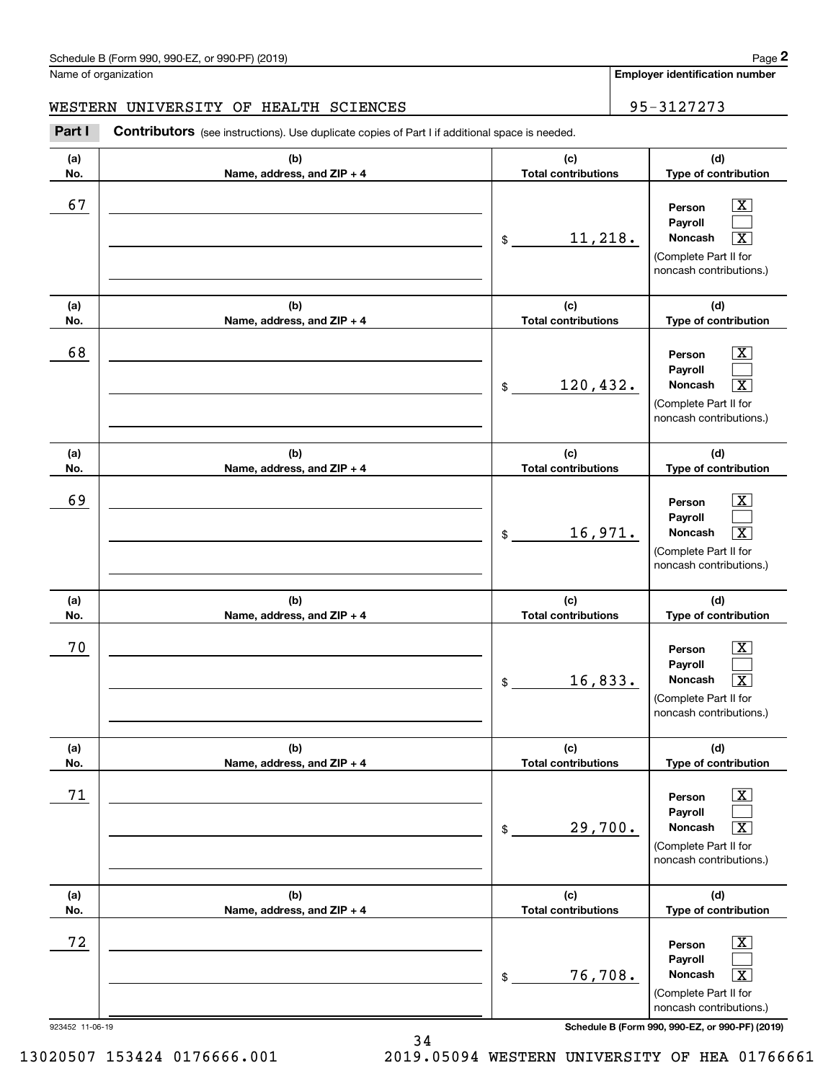#### WESTERN UNIVERSITY OF HEALTH SCIENCES **FOR SEAL ASSESSED ASSESSED** 95-3127273

**(a)No.(b)Name, address, and ZIP + 4 (c)Total contributions (d)Type of contribution PersonPayrollNoncash (a)No.(b)Name, address, and ZIP + 4 (c)Total contributions (d)Type of contribution PersonPayrollNoncash (a)No.(b)Name, address, and ZIP + 4 (c)Total contributions (d)Type of contribution PersonPayrollNoncash (a) No.(b) Name, address, and ZIP + 4 (c) Total contributions (d) Type of contribution PersonPayrollNoncash (a) No.(b) Name, address, and ZIP + 4 (c) Total contributions (d) Type of contribution PersonPayrollNoncash (a) No.(b)Name, address, and ZIP + 4 (c) Total contributions (d)Type of contribution PersonPayrollNoncash Contributors** (see instructions). Use duplicate copies of Part I if additional space is needed. \$(Complete Part II for noncash contributions.) \$(Complete Part II for noncash contributions.) \$(Complete Part II for noncash contributions.) \$(Complete Part II for noncash contributions.) \$(Complete Part II for noncash contributions.) \$(Complete Part II for noncash contributions.) Chedule B (Form 990, 990-EZ, or 990-PF) (2019)<br>Iame of organization<br>**2Part I 2Part I Contributors** (see instructions). Use duplicate copies of Part I if additional space is needed.<br>2Part I **Contributors** (see instructi  $|X|$  $\mathcal{L}^{\text{max}}$  $\boxed{\text{X}}$  $\boxed{\text{X}}$  $\mathcal{L}^{\text{max}}$  $\overline{\mathbf{X}}$  $|X|$  $\mathcal{L}^{\text{max}}$  $\boxed{\text{X}}$  $\boxed{\text{X}}$  $\mathcal{L}^{\text{max}}$  $\lceil \text{X} \rceil$  $\boxed{\text{X}}$  $\mathcal{L}^{\text{max}}$  $\sqrt{X}$  $\lfloor x \rfloor$  $\mathcal{L}^{\text{max}}$  $\boxed{\text{X}}$ 67 X  $11,218.$ 68 X 120,432. X 69 X 16,971. X 70 X  $16,833.$ 71 X  $29,700.$ 72 X 76,708. X

923452 11-06-19 **Schedule B (Form 990, 990-EZ, or 990-PF) (2019)**

13020507 153424 0176666.001 2019.05094 WESTERN UNIVERSITY OF HEA 01766661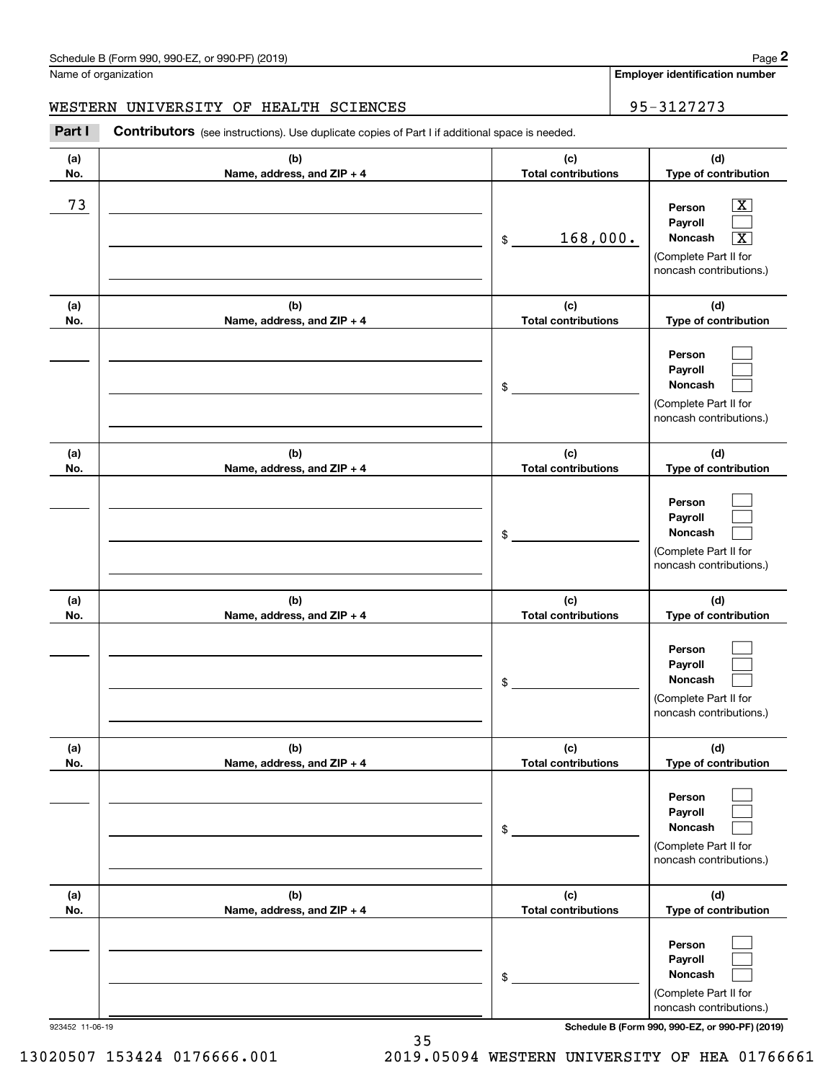#### WESTERN UNIVERSITY OF HEALTH SCIENCES **FOR SEAL ASSESSED ASSESSED** 95-3127273

**(a)No.(b)Name, address, and ZIP + 4 (c)Total contributions (d)Type of contribution PersonPayrollNoncash (a)No.(b)Name, address, and ZIP + 4 (c)Total contributions (d)Type of contribution PersonPayrollNoncash (a)No.(b)Name, address, and ZIP + 4 (c)Total contributions (d)Type of contribution PersonPayrollNoncash (a) No.(b) Name, address, and ZIP + 4 (c) Total contributions (d) Type of contribution PersonPayrollNoncash(a) No.(b) Name, address, and ZIP + 4 (c) Total contributions (d) Type of contribution PersonPayrollNoncash(a) No.(b)Name, address, and ZIP + 4 (c) Total contributions (d)Type of contribution PersonPayrollNoncash** Contributors (see instructions). Use duplicate copies of Part I if additional space is needed. \$(Complete Part II for noncash contributions.) \$(Complete Part II for noncash contributions.) \$(Complete Part II for noncash contributions.) \$(Complete Part II for noncash contributions.) \$(Complete Part II for noncash contributions.) \$(Complete Part II for noncash contributions.) Chedule B (Form 990, 990-EZ, or 990-PF) (2019)<br>Iame of organization<br>**2Part I 2Part I Contributors** (see instructions). Use duplicate copies of Part I if additional space is needed.<br>2Part I **Contributors** (see instructi  $|X|$  $\mathcal{L}^{\text{max}}$  $\boxed{\text{X}}$  $\mathcal{L}^{\text{max}}$  $\mathcal{L}^{\text{max}}$  $\mathcal{L}^{\text{max}}$  $\mathcal{L}^{\text{max}}$  $\mathcal{L}^{\text{max}}$  $\mathcal{L}^{\text{max}}$  $\mathcal{L}^{\text{max}}$  $\mathcal{L}^{\text{max}}$  $\mathcal{L}^{\text{max}}$  $\mathcal{L}^{\text{max}}$  $\mathcal{L}^{\text{max}}$  $\mathcal{L}^{\text{max}}$  $\mathcal{L}^{\text{max}}$  $\mathcal{L}^{\text{max}}$  $\mathcal{L}^{\text{max}}$ 73 X  $168,000.$ 

923452 11-06-19 **Schedule B (Form 990, 990-EZ, or 990-PF) (2019)**

13020507 153424 0176666.001 2019.05094 WESTERN UNIVERSITY OF HEA 01766661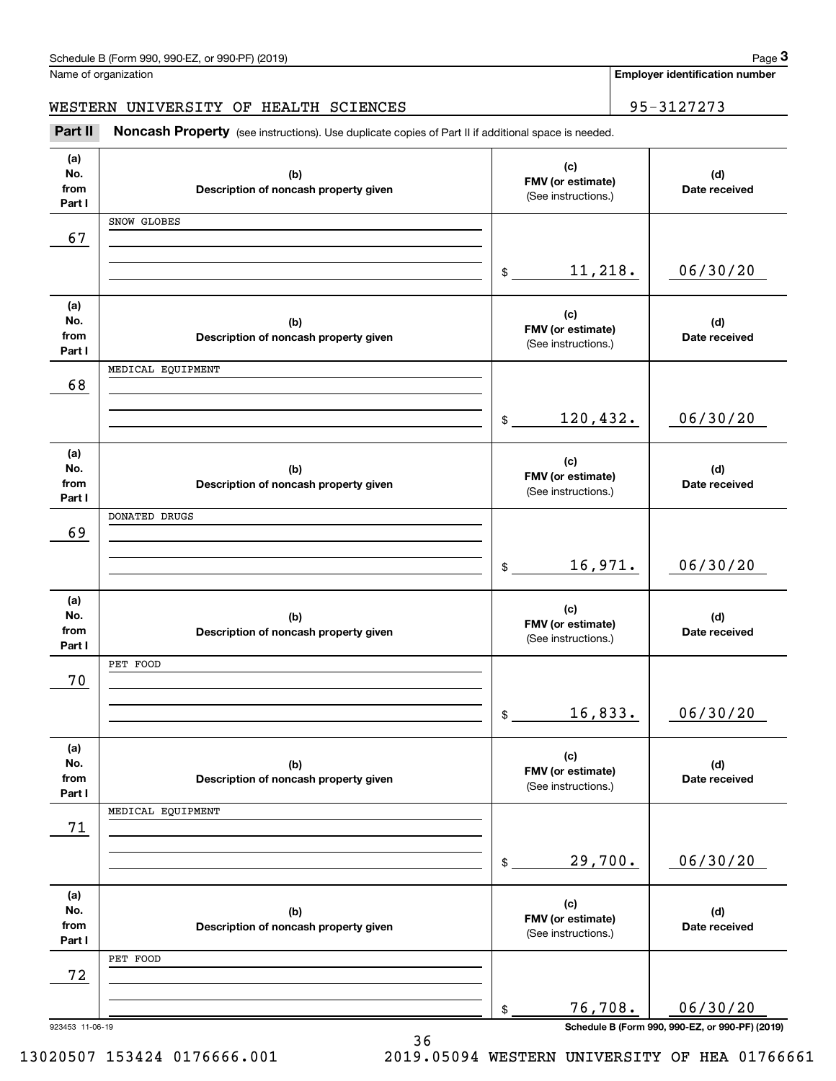WESTERN UNIVERSITY OF HEALTH SCIENCES **195-3127273** 

**(a)No.fromPart I (c)FMV (or estimate) (b)Description of noncash property given (d)Date received (a)No.fromPart I (c) FMV (or estimate) (b) Description of noncash property given (d) Date received (a)No.fromPart I (c)FMV (or estimate) (b) Description of noncash property given (d) Date received (a) No.fromPart I (c)FMV (or estimate) (b)Description of noncash property given (d)Date received (a) No.fromPart I (c)FMV (or estimate) (b)Description of noncash property given (d)Date received (a) No.fromPart I (c)FMV (or estimate) (b)Description of noncash property given (d)Date received** Noncash Property (see instructions). Use duplicate copies of Part II if additional space is needed. (See instructions.) \$(See instructions.) \$(See instructions.) \$(See instructions.)  $$$ (See instructions.) \$(See instructions.) \$Chedule B (Form 990, 990-EZ, or 990-PF) (2019)<br>Iame of organization<br>**IBSTERN UNIVERSITY OF HEALTH SCIENCES**<br>**Part II** Noncash Property (see instructions). Use duplicate copies of Part II if additional space is needed. 67 06/30/20 68 06/30/20 11,218. SNOW GLOBES 120,432. MEDICAL EQUIPMENT 69 16,971. 06/30/20 DONATED DRUGS 70 16,833. 06/30/20 PET FOOD 71 29,700. 06/30/20 MEDICAL EQUIPMENT 72 76,708. 06/30/20 PET FOOD

36

923453 11-06-19 **Schedule B (Form 990, 990-EZ, or 990-PF) (2019)**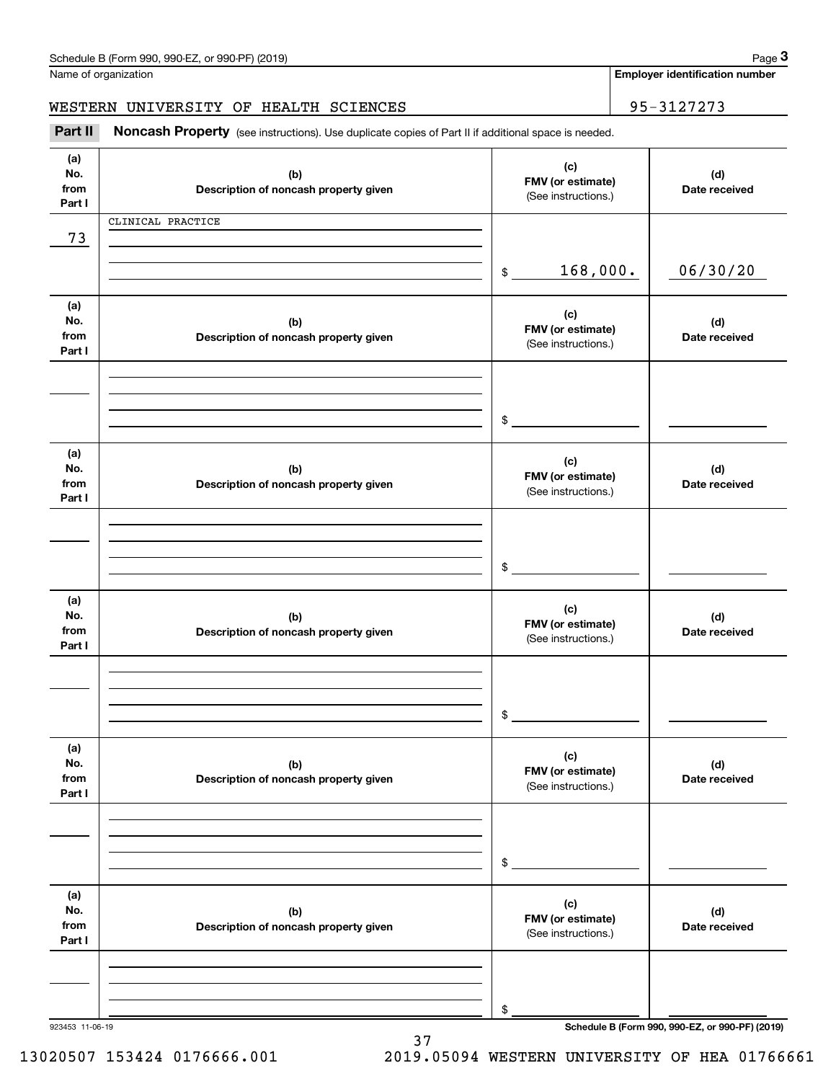**Employer identification number**

WESTERN UNIVERSITY OF HEALTH SCIENCES | 95-3127273

# (see instructions). Use duplicate copies of Part II if additional space is needed.<br> **1990-1990 Interpoper instructions** of Part II if additional space is needed.<br> **1998-2127273**<br> **1998-2127273**<br> **1998-2127273**<br> **1998-21272**

| (a)<br>No.<br>from<br>Part I | (b)<br>Description of noncash property given | (c)<br>FMV (or estimate)<br>(See instructions.) | (d)<br>Date received                            |
|------------------------------|----------------------------------------------|-------------------------------------------------|-------------------------------------------------|
| 73                           | CLINICAL PRACTICE                            |                                                 |                                                 |
|                              |                                              | 168,000.<br>$\frac{1}{2}$                       | 06/30/20                                        |
| (a)<br>No.<br>from<br>Part I | (b)<br>Description of noncash property given | (c)<br>FMV (or estimate)<br>(See instructions.) | (d)<br>Date received                            |
|                              |                                              | $$\overbrace{\hspace{2.5cm}}$                   |                                                 |
| (a)<br>No.<br>from<br>Part I | (b)<br>Description of noncash property given | (c)<br>FMV (or estimate)<br>(See instructions.) | (d)<br>Date received                            |
|                              |                                              | $$\overbrace{\hspace{2.5cm}}$                   |                                                 |
| (a)<br>No.<br>from<br>Part I | (b)<br>Description of noncash property given | (c)<br>FMV (or estimate)<br>(See instructions.) | (d)<br>Date received                            |
|                              |                                              | $\frac{1}{2}$                                   |                                                 |
| (a)<br>No.<br>from<br>Part I | (b)<br>Description of noncash property given | (c)<br>FMV (or estimate)<br>(See instructions.) | (d)<br>Date received                            |
|                              |                                              | \$                                              |                                                 |
| (a)<br>No.<br>from<br>Part I | (b)<br>Description of noncash property given | (c)<br>FMV (or estimate)<br>(See instructions.) | (d)<br>Date received                            |
| 923453 11-06-19              |                                              | \$                                              | Schedule B (Form 990, 990-EZ, or 990-PF) (2019) |

37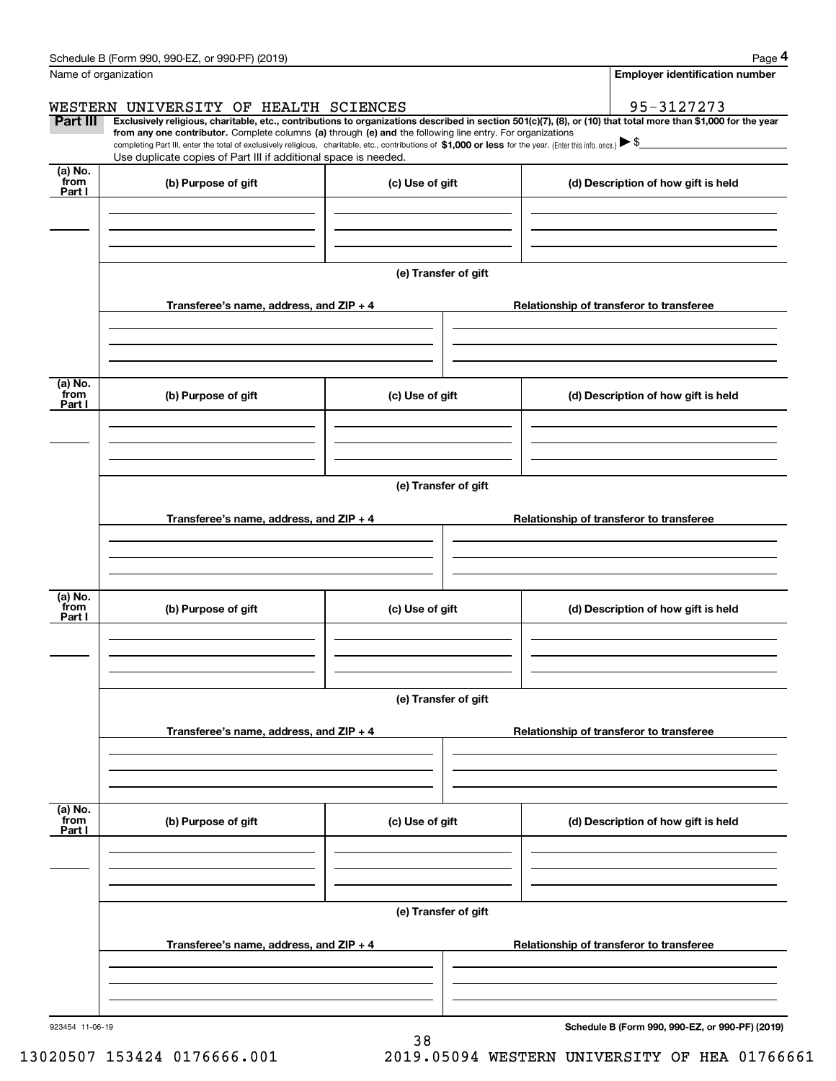|                           | Schedule B (Form 990, 990-EZ, or 990-PF) (2019)                                                                                                                                                                                                                              |                      |                                          | Page 4                                          |  |  |  |  |
|---------------------------|------------------------------------------------------------------------------------------------------------------------------------------------------------------------------------------------------------------------------------------------------------------------------|----------------------|------------------------------------------|-------------------------------------------------|--|--|--|--|
| Name of organization      |                                                                                                                                                                                                                                                                              |                      | <b>Employer identification number</b>    |                                                 |  |  |  |  |
|                           | WESTERN UNIVERSITY OF HEALTH SCIENCES                                                                                                                                                                                                                                        |                      |                                          | 95-3127273                                      |  |  |  |  |
| <b>Part III</b>           | Exclusively religious, charitable, etc., contributions to organizations described in section 501(c)(7), (8), or (10) that total more than \$1,000 for the year<br>from any one contributor. Complete columns (a) through (e) and the following line entry. For organizations |                      |                                          |                                                 |  |  |  |  |
|                           | completing Part III, enter the total of exclusively religious, charitable, etc., contributions of \$1,000 or less for the year. (Enter this info. once.) $\blacktriangleright$ \$<br>Use duplicate copies of Part III if additional space is needed.                         |                      |                                          |                                                 |  |  |  |  |
| (a) No.                   |                                                                                                                                                                                                                                                                              |                      |                                          |                                                 |  |  |  |  |
| from<br>Part I            | (b) Purpose of gift                                                                                                                                                                                                                                                          | (c) Use of gift      |                                          | (d) Description of how gift is held             |  |  |  |  |
|                           |                                                                                                                                                                                                                                                                              |                      |                                          |                                                 |  |  |  |  |
|                           |                                                                                                                                                                                                                                                                              |                      |                                          |                                                 |  |  |  |  |
|                           |                                                                                                                                                                                                                                                                              |                      |                                          |                                                 |  |  |  |  |
|                           |                                                                                                                                                                                                                                                                              | (e) Transfer of gift |                                          |                                                 |  |  |  |  |
|                           | Transferee's name, address, and ZIP + 4                                                                                                                                                                                                                                      |                      |                                          | Relationship of transferor to transferee        |  |  |  |  |
|                           |                                                                                                                                                                                                                                                                              |                      |                                          |                                                 |  |  |  |  |
|                           |                                                                                                                                                                                                                                                                              |                      |                                          |                                                 |  |  |  |  |
| (a) No.                   |                                                                                                                                                                                                                                                                              |                      |                                          |                                                 |  |  |  |  |
| from<br>Part I            | (b) Purpose of gift                                                                                                                                                                                                                                                          | (c) Use of gift      |                                          | (d) Description of how gift is held             |  |  |  |  |
|                           |                                                                                                                                                                                                                                                                              |                      |                                          |                                                 |  |  |  |  |
|                           |                                                                                                                                                                                                                                                                              |                      |                                          |                                                 |  |  |  |  |
|                           |                                                                                                                                                                                                                                                                              |                      |                                          |                                                 |  |  |  |  |
|                           | (e) Transfer of gift                                                                                                                                                                                                                                                         |                      |                                          |                                                 |  |  |  |  |
|                           | Transferee's name, address, and ZIP + 4                                                                                                                                                                                                                                      |                      | Relationship of transferor to transferee |                                                 |  |  |  |  |
|                           |                                                                                                                                                                                                                                                                              |                      |                                          |                                                 |  |  |  |  |
|                           |                                                                                                                                                                                                                                                                              |                      |                                          |                                                 |  |  |  |  |
| (a) No.                   |                                                                                                                                                                                                                                                                              |                      |                                          |                                                 |  |  |  |  |
| from<br>Part I            | (b) Purpose of gift                                                                                                                                                                                                                                                          | (c) Use of gift      |                                          | (d) Description of how gift is held             |  |  |  |  |
|                           |                                                                                                                                                                                                                                                                              |                      |                                          |                                                 |  |  |  |  |
|                           |                                                                                                                                                                                                                                                                              |                      |                                          |                                                 |  |  |  |  |
|                           |                                                                                                                                                                                                                                                                              |                      |                                          |                                                 |  |  |  |  |
|                           | (e) Transfer of gift                                                                                                                                                                                                                                                         |                      |                                          |                                                 |  |  |  |  |
|                           | Transferee's name, address, and $ZIP + 4$                                                                                                                                                                                                                                    |                      | Relationship of transferor to transferee |                                                 |  |  |  |  |
|                           |                                                                                                                                                                                                                                                                              |                      |                                          |                                                 |  |  |  |  |
|                           |                                                                                                                                                                                                                                                                              |                      |                                          |                                                 |  |  |  |  |
|                           |                                                                                                                                                                                                                                                                              |                      |                                          |                                                 |  |  |  |  |
| (a) No.<br>from<br>Part I | (b) Purpose of gift                                                                                                                                                                                                                                                          | (c) Use of gift      |                                          | (d) Description of how gift is held             |  |  |  |  |
|                           |                                                                                                                                                                                                                                                                              |                      |                                          |                                                 |  |  |  |  |
|                           |                                                                                                                                                                                                                                                                              |                      |                                          |                                                 |  |  |  |  |
|                           |                                                                                                                                                                                                                                                                              |                      |                                          |                                                 |  |  |  |  |
|                           |                                                                                                                                                                                                                                                                              | (e) Transfer of gift |                                          |                                                 |  |  |  |  |
|                           | Transferee's name, address, and $ZIP + 4$                                                                                                                                                                                                                                    |                      |                                          | Relationship of transferor to transferee        |  |  |  |  |
|                           |                                                                                                                                                                                                                                                                              |                      |                                          |                                                 |  |  |  |  |
|                           |                                                                                                                                                                                                                                                                              |                      |                                          |                                                 |  |  |  |  |
|                           |                                                                                                                                                                                                                                                                              |                      |                                          |                                                 |  |  |  |  |
| 923454 11-06-19           |                                                                                                                                                                                                                                                                              | 38                   |                                          | Schedule B (Form 990, 990-EZ, or 990-PF) (2019) |  |  |  |  |

13020507 153424 0176666.001 2019.05094 WESTERN UNIVERSITY OF HEA 01766661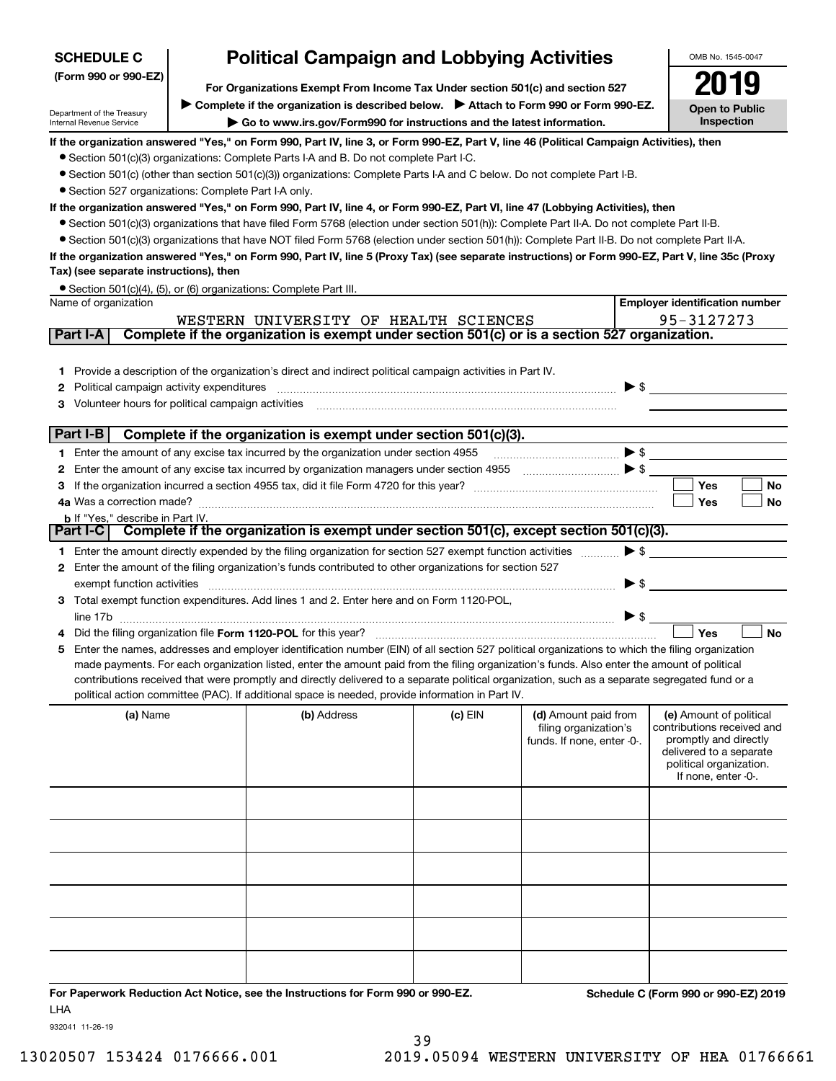| <b>Political Campaign and Lobbying Activities</b><br><b>SCHEDULE C</b>                                                                                                                                                         |  |                                                                                                                                                                                                                                |           |                            | OMB No. 1545-0047        |                                                  |  |
|--------------------------------------------------------------------------------------------------------------------------------------------------------------------------------------------------------------------------------|--|--------------------------------------------------------------------------------------------------------------------------------------------------------------------------------------------------------------------------------|-----------|----------------------------|--------------------------|--------------------------------------------------|--|
| (Form 990 or 990-EZ)<br>For Organizations Exempt From Income Tax Under section 501(c) and section 527                                                                                                                          |  |                                                                                                                                                                                                                                |           |                            |                          |                                                  |  |
|                                                                                                                                                                                                                                |  | ► Complete if the organization is described below. ► Attach to Form 990 or Form 990-EZ.                                                                                                                                        |           |                            |                          |                                                  |  |
| Department of the Treasury<br>Internal Revenue Service                                                                                                                                                                         |  | Go to www.irs.gov/Form990 for instructions and the latest information.                                                                                                                                                         |           |                            |                          | <b>Open to Public</b><br>Inspection              |  |
|                                                                                                                                                                                                                                |  | If the organization answered "Yes," on Form 990, Part IV, line 3, or Form 990-EZ, Part V, line 46 (Political Campaign Activities), then                                                                                        |           |                            |                          |                                                  |  |
|                                                                                                                                                                                                                                |  | • Section 501(c)(3) organizations: Complete Parts I-A and B. Do not complete Part I-C.                                                                                                                                         |           |                            |                          |                                                  |  |
|                                                                                                                                                                                                                                |  | ● Section 501(c) (other than section 501(c)(3)) organizations: Complete Parts I-A and C below. Do not complete Part I-B.                                                                                                       |           |                            |                          |                                                  |  |
| • Section 527 organizations: Complete Part I-A only.                                                                                                                                                                           |  |                                                                                                                                                                                                                                |           |                            |                          |                                                  |  |
|                                                                                                                                                                                                                                |  | If the organization answered "Yes," on Form 990, Part IV, line 4, or Form 990-EZ, Part VI, line 47 (Lobbying Activities), then                                                                                                 |           |                            |                          |                                                  |  |
|                                                                                                                                                                                                                                |  | • Section 501(c)(3) organizations that have filed Form 5768 (election under section 501(h)): Complete Part II-A. Do not complete Part II-B.                                                                                    |           |                            |                          |                                                  |  |
|                                                                                                                                                                                                                                |  | • Section 501(c)(3) organizations that have NOT filed Form 5768 (election under section 501(h)): Complete Part II-B. Do not complete Part II-A.                                                                                |           |                            |                          |                                                  |  |
| Tax) (see separate instructions), then                                                                                                                                                                                         |  | If the organization answered "Yes," on Form 990, Part IV, line 5 (Proxy Tax) (see separate instructions) or Form 990-EZ, Part V, line 35c (Proxy                                                                               |           |                            |                          |                                                  |  |
|                                                                                                                                                                                                                                |  | • Section 501(c)(4), (5), or (6) organizations: Complete Part III.                                                                                                                                                             |           |                            |                          |                                                  |  |
| Name of organization                                                                                                                                                                                                           |  |                                                                                                                                                                                                                                |           |                            |                          | <b>Employer identification number</b>            |  |
|                                                                                                                                                                                                                                |  | WESTERN UNIVERSITY OF HEALTH SCIENCES                                                                                                                                                                                          |           |                            |                          | 95-3127273                                       |  |
| Part I-A                                                                                                                                                                                                                       |  | Complete if the organization is exempt under section 501(c) or is a section 527 organization.                                                                                                                                  |           |                            |                          |                                                  |  |
|                                                                                                                                                                                                                                |  | 1 Provide a description of the organization's direct and indirect political campaign activities in Part IV.                                                                                                                    |           |                            |                          |                                                  |  |
|                                                                                                                                                                                                                                |  | 2 Political campaign activity expenditures [11] [12] Political campaign activity expenditures [11] The manufacture of the manufacture of the manufacture of the manufacture of the manufacture of the manufacture of the manuf |           |                            | $\blacktriangleright$ \$ |                                                  |  |
| 3 Volunteer hours for political campaign activities [11] [12] Content and the content of the content of the content of the content of the content of the content of the content of the content of the content of the content o |  |                                                                                                                                                                                                                                |           |                            |                          |                                                  |  |
| Part I-B                                                                                                                                                                                                                       |  | Complete if the organization is exempt under section 501(c)(3).                                                                                                                                                                |           |                            |                          |                                                  |  |
|                                                                                                                                                                                                                                |  | 1 Enter the amount of any excise tax incurred by the organization under section 4955                                                                                                                                           |           | $\bullet$ $\bullet$        |                          |                                                  |  |
|                                                                                                                                                                                                                                |  | 2 Enter the amount of any excise tax incurred by organization managers under section 4955 [11, 11, 12] The S                                                                                                                   |           |                            |                          |                                                  |  |
|                                                                                                                                                                                                                                |  |                                                                                                                                                                                                                                |           |                            |                          | Yes<br>No                                        |  |
| 4a Was a correction made?                                                                                                                                                                                                      |  |                                                                                                                                                                                                                                |           |                            |                          | Yes<br>No                                        |  |
| <b>b</b> If "Yes," describe in Part IV.                                                                                                                                                                                        |  |                                                                                                                                                                                                                                |           |                            |                          |                                                  |  |
|                                                                                                                                                                                                                                |  | Part I-C Complete if the organization is exempt under section 501(c), except section 501(c)(3).                                                                                                                                |           |                            |                          |                                                  |  |
|                                                                                                                                                                                                                                |  | 1 Enter the amount directly expended by the filing organization for section 527 exempt function activities                                                                                                                     |           |                            | $\blacktriangleright$ \$ |                                                  |  |
|                                                                                                                                                                                                                                |  | 2 Enter the amount of the filing organization's funds contributed to other organizations for section 527                                                                                                                       |           |                            |                          |                                                  |  |
| exempt function activities                                                                                                                                                                                                     |  |                                                                                                                                                                                                                                |           |                            | $\blacktriangleright$ \$ |                                                  |  |
|                                                                                                                                                                                                                                |  | 3 Total exempt function expenditures. Add lines 1 and 2. Enter here and on Form 1120-POL,                                                                                                                                      |           |                            |                          |                                                  |  |
|                                                                                                                                                                                                                                |  |                                                                                                                                                                                                                                |           |                            | $\triangleright$ \$      | <b>No</b><br>Yes                                 |  |
|                                                                                                                                                                                                                                |  | 5 Enter the names, addresses and employer identification number (EIN) of all section 527 political organizations to which the filing organization                                                                              |           |                            |                          |                                                  |  |
|                                                                                                                                                                                                                                |  | made payments. For each organization listed, enter the amount paid from the filing organization's funds. Also enter the amount of political                                                                                    |           |                            |                          |                                                  |  |
|                                                                                                                                                                                                                                |  | contributions received that were promptly and directly delivered to a separate political organization, such as a separate segregated fund or a                                                                                 |           |                            |                          |                                                  |  |
|                                                                                                                                                                                                                                |  | political action committee (PAC). If additional space is needed, provide information in Part IV.                                                                                                                               |           |                            |                          |                                                  |  |
| (a) Name                                                                                                                                                                                                                       |  | (b) Address                                                                                                                                                                                                                    | $(c)$ EIN | (d) Amount paid from       |                          | (e) Amount of political                          |  |
|                                                                                                                                                                                                                                |  |                                                                                                                                                                                                                                |           | filing organization's      |                          | contributions received and                       |  |
|                                                                                                                                                                                                                                |  |                                                                                                                                                                                                                                |           | funds. If none, enter -0-. |                          | promptly and directly<br>delivered to a separate |  |
|                                                                                                                                                                                                                                |  |                                                                                                                                                                                                                                |           |                            |                          | political organization.                          |  |
|                                                                                                                                                                                                                                |  |                                                                                                                                                                                                                                |           |                            |                          | If none, enter -0-.                              |  |
|                                                                                                                                                                                                                                |  |                                                                                                                                                                                                                                |           |                            |                          |                                                  |  |
|                                                                                                                                                                                                                                |  |                                                                                                                                                                                                                                |           |                            |                          |                                                  |  |
|                                                                                                                                                                                                                                |  |                                                                                                                                                                                                                                |           |                            |                          |                                                  |  |
|                                                                                                                                                                                                                                |  |                                                                                                                                                                                                                                |           |                            |                          |                                                  |  |
|                                                                                                                                                                                                                                |  |                                                                                                                                                                                                                                |           |                            |                          |                                                  |  |
|                                                                                                                                                                                                                                |  |                                                                                                                                                                                                                                |           |                            |                          |                                                  |  |

**For Paperwork Reduction Act Notice, see the Instructions for Form 990 or 990-EZ. Schedule C (Form 990 or 990-EZ) 2019** LHA

932041 11-26-19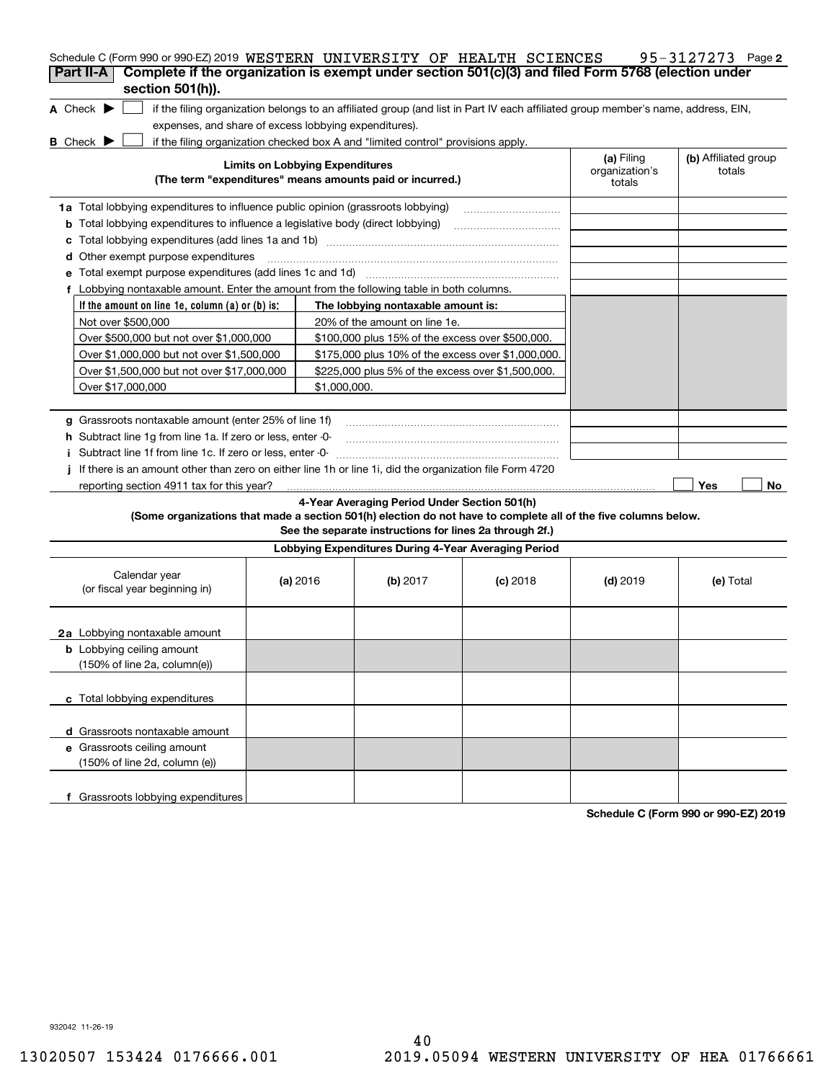| Schedule C (Form 990 or 990-EZ) 2019 WESTERN UNIVERSITY OF HEALTH SCIENCES                                                          |                                        |                                                                                                                                   |            |                                        | 95-3127273 Page 2              |
|-------------------------------------------------------------------------------------------------------------------------------------|----------------------------------------|-----------------------------------------------------------------------------------------------------------------------------------|------------|----------------------------------------|--------------------------------|
| Complete if the organization is exempt under section 501(c)(3) and filed Form 5768 (election under<br>Part II-A<br>section 501(h)). |                                        |                                                                                                                                   |            |                                        |                                |
| A Check $\blacktriangleright$<br>expenses, and share of excess lobbying expenditures).                                              |                                        | if the filing organization belongs to an affiliated group (and list in Part IV each affiliated group member's name, address, EIN, |            |                                        |                                |
| <b>B</b> Check <b>D</b>                                                                                                             |                                        | if the filing organization checked box A and "limited control" provisions apply.                                                  |            |                                        |                                |
|                                                                                                                                     | <b>Limits on Lobbying Expenditures</b> | (The term "expenditures" means amounts paid or incurred.)                                                                         |            | (a) Filing<br>organization's<br>totals | (b) Affiliated group<br>totals |
| 1a Total lobbying expenditures to influence public opinion (grassroots lobbying)                                                    |                                        |                                                                                                                                   |            |                                        |                                |
| Total lobbying expenditures to influence a legislative body (direct lobbying)<br>b                                                  |                                        |                                                                                                                                   |            |                                        |                                |
| c                                                                                                                                   |                                        |                                                                                                                                   |            |                                        |                                |
| Other exempt purpose expenditures<br>d                                                                                              |                                        |                                                                                                                                   |            |                                        |                                |
|                                                                                                                                     |                                        |                                                                                                                                   |            |                                        |                                |
| f Lobbying nontaxable amount. Enter the amount from the following table in both columns.                                            |                                        |                                                                                                                                   |            |                                        |                                |
| If the amount on line 1e, column $(a)$ or $(b)$ is:                                                                                 |                                        | The lobbying nontaxable amount is:                                                                                                |            |                                        |                                |
| Not over \$500,000                                                                                                                  |                                        | 20% of the amount on line 1e.                                                                                                     |            |                                        |                                |
| Over \$500,000 but not over \$1,000,000                                                                                             |                                        | \$100,000 plus 15% of the excess over \$500,000.                                                                                  |            |                                        |                                |
| Over \$1,000,000 but not over \$1,500,000                                                                                           |                                        | \$175,000 plus 10% of the excess over \$1,000,000.                                                                                |            |                                        |                                |
| Over \$1,500,000 but not over \$17,000,000                                                                                          |                                        | \$225,000 plus 5% of the excess over \$1,500,000.                                                                                 |            |                                        |                                |
| Over \$17,000,000                                                                                                                   |                                        | \$1,000,000.                                                                                                                      |            |                                        |                                |
|                                                                                                                                     |                                        |                                                                                                                                   |            |                                        |                                |
| g Grassroots nontaxable amount (enter 25% of line 1f)                                                                               |                                        |                                                                                                                                   |            |                                        |                                |
| <b>h</b> Subtract line 1g from line 1a. If zero or less, enter -0-                                                                  |                                        |                                                                                                                                   |            |                                        |                                |
| i Subtract line 1f from line 1c. If zero or less, enter -0                                                                          |                                        |                                                                                                                                   |            |                                        |                                |
| If there is an amount other than zero on either line 1h or line 1i, did the organization file Form 4720                             |                                        |                                                                                                                                   |            |                                        |                                |
| reporting section 4911 tax for this year?                                                                                           |                                        |                                                                                                                                   |            |                                        | Yes<br>No                      |
|                                                                                                                                     |                                        | 4-Year Averaging Period Under Section 501(h)                                                                                      |            |                                        |                                |
| (Some organizations that made a section 501(h) election do not have to complete all of the five columns below.                      |                                        | See the separate instructions for lines 2a through 2f.)                                                                           |            |                                        |                                |
|                                                                                                                                     |                                        |                                                                                                                                   |            |                                        |                                |
|                                                                                                                                     |                                        | Lobbying Expenditures During 4-Year Averaging Period                                                                              |            |                                        |                                |
| Calendar year<br>(or fiscal year beginning in)                                                                                      | (a) $2016$                             | (b) 2017                                                                                                                          | $(c)$ 2018 | $(d)$ 2019                             | (e) Total                      |
| <b>2a</b> Lobbying nontaxable amount                                                                                                |                                        |                                                                                                                                   |            |                                        |                                |
| <b>b</b> Lobbying ceiling amount<br>(150% of line 2a, column(e))                                                                    |                                        |                                                                                                                                   |            |                                        |                                |
| c Total lobbying expenditures                                                                                                       |                                        |                                                                                                                                   |            |                                        |                                |
| d Grassroots nontaxable amount                                                                                                      |                                        |                                                                                                                                   |            |                                        |                                |
| e Grassroots ceiling amount<br>(150% of line 2d, column (e))                                                                        |                                        |                                                                                                                                   |            |                                        |                                |
| f Grassroots lobbying expenditures                                                                                                  |                                        |                                                                                                                                   |            |                                        |                                |

**Schedule C (Form 990 or 990-EZ) 2019**

932042 11-26-19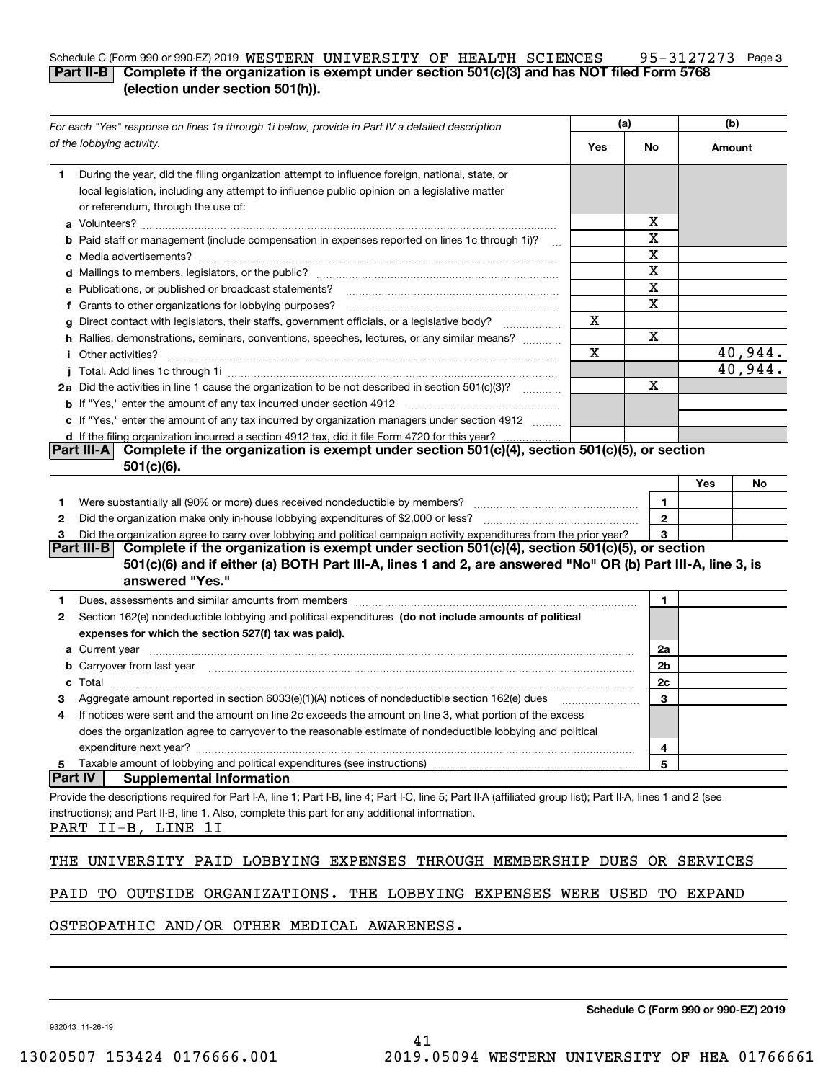### **3** Schedule C (Form 990 or 990-EZ) 2019 <code>WESTERN UNIVERSITY OF HEALTH SCIENCES</code> 95-3127273 Page **Part II-B Complete if the organization is exempt under section 501(c)(3) and has NOT filed Form 5768 (election under section 501(h)).**

| For each "Yes" response on lines 1a through 1i below, provide in Part IV a detailed description                                                                                                                                     |     | (a)               |        | (b)     |  |
|-------------------------------------------------------------------------------------------------------------------------------------------------------------------------------------------------------------------------------------|-----|-------------------|--------|---------|--|
| of the lobbying activity.                                                                                                                                                                                                           | Yes | No.               | Amount |         |  |
| During the year, did the filing organization attempt to influence foreign, national, state, or<br>1                                                                                                                                 |     |                   |        |         |  |
| local legislation, including any attempt to influence public opinion on a legislative matter                                                                                                                                        |     |                   |        |         |  |
| or referendum, through the use of:                                                                                                                                                                                                  |     |                   |        |         |  |
|                                                                                                                                                                                                                                     |     | x                 |        |         |  |
| <b>b</b> Paid staff or management (include compensation in expenses reported on lines 1c through 1i)?                                                                                                                               |     | X                 |        |         |  |
|                                                                                                                                                                                                                                     |     | X                 |        |         |  |
|                                                                                                                                                                                                                                     |     | X                 |        |         |  |
| e Publications, or published or broadcast statements?                                                                                                                                                                               |     | X                 |        |         |  |
| f Grants to other organizations for lobbying purposes?                                                                                                                                                                              |     | X                 |        |         |  |
| g Direct contact with legislators, their staffs, government officials, or a legislative body?                                                                                                                                       | х   |                   |        |         |  |
| h Rallies, demonstrations, seminars, conventions, speeches, lectures, or any similar means?                                                                                                                                         |     | Χ                 |        |         |  |
| <i>i</i> Other activities?                                                                                                                                                                                                          | X   |                   |        | 40,944. |  |
|                                                                                                                                                                                                                                     |     |                   |        | 40,944. |  |
| 2a Did the activities in line 1 cause the organization to be not described in section 501(c)(3)?                                                                                                                                    |     | X                 |        |         |  |
|                                                                                                                                                                                                                                     |     |                   |        |         |  |
| c If "Yes," enter the amount of any tax incurred by organization managers under section 4912                                                                                                                                        |     |                   |        |         |  |
| d If the filing organization incurred a section 4912 tax, did it file Form 4720 for this year?<br>Complete if the organization is exempt under section $501(c)(4)$ , section $501(c)(5)$ , or section<br><b>Part III-A</b>          |     |                   |        |         |  |
| $501(c)(6)$ .                                                                                                                                                                                                                       |     |                   |        |         |  |
|                                                                                                                                                                                                                                     |     |                   | Yes    | No      |  |
|                                                                                                                                                                                                                                     |     |                   |        |         |  |
| 1                                                                                                                                                                                                                                   |     | 1<br>$\mathbf{2}$ |        |         |  |
| 2<br>Did the organization agree to carry over lobbying and political campaign activity expenditures from the prior year?                                                                                                            |     | 3                 |        |         |  |
| 3<br>Complete if the organization is exempt under section 501(c)(4), section 501(c)(5), or section<br><b>Part III-B</b>                                                                                                             |     |                   |        |         |  |
| 501(c)(6) and if either (a) BOTH Part III-A, lines 1 and 2, are answered "No" OR (b) Part III-A, line 3, is                                                                                                                         |     |                   |        |         |  |
| answered "Yes."                                                                                                                                                                                                                     |     |                   |        |         |  |
| Dues, assessments and similar amounts from members [11] matter continuum matter and similar and similar amounts from members [11] matter continuum matter and similar amounts from members [11] matter and similar and similar<br>1 |     | 1                 |        |         |  |
| Section 162(e) nondeductible lobbying and political expenditures (do not include amounts of political<br>2                                                                                                                          |     |                   |        |         |  |
| expenses for which the section 527(f) tax was paid).                                                                                                                                                                                |     |                   |        |         |  |
|                                                                                                                                                                                                                                     |     | 2a                |        |         |  |
| b Carryover from last year manufactured and contain a series of the contract of the contract of the contract of the contract of the contract of the contract of the contract of the contract of the contract of the contract o      |     | 2b                |        |         |  |
|                                                                                                                                                                                                                                     |     | 2c                |        |         |  |
| Aggregate amount reported in section 6033(e)(1)(A) notices of nondeductible section 162(e) dues                                                                                                                                     |     | 3                 |        |         |  |
| If notices were sent and the amount on line 2c exceeds the amount on line 3, what portion of the excess<br>4                                                                                                                        |     |                   |        |         |  |
| does the organization agree to carryover to the reasonable estimate of nondeductible lobbying and political                                                                                                                         |     |                   |        |         |  |
| expenditure next year?                                                                                                                                                                                                              |     | 4                 |        |         |  |
| Taxable amount of lobbying and political expenditures (see instructions)<br>5                                                                                                                                                       |     | 5                 |        |         |  |
| <b>Part IV</b><br><b>Supplemental Information</b>                                                                                                                                                                                   |     |                   |        |         |  |
| Provide the descriptions required for Part I-A, line 1; Part I-B, line 4; Part I-C, line 5; Part II-A (affiliated group list); Part II-A, lines 1 and 2 (see                                                                        |     |                   |        |         |  |
| instructions); and Part II-B, line 1. Also, complete this part for any additional information.                                                                                                                                      |     |                   |        |         |  |
| PART II-B, LINE 1I                                                                                                                                                                                                                  |     |                   |        |         |  |
| UNIVERSITY PAID LOBBYING EXPENSES THROUGH MEMBERSHIP DUES OR SERVICES<br>THE                                                                                                                                                        |     |                   |        |         |  |
|                                                                                                                                                                                                                                     |     |                   |        |         |  |
| TO OUTSIDE ORGANIZATIONS. THE LOBBYING EXPENSES WERE USED TO EXPAND<br>PAID                                                                                                                                                         |     |                   |        |         |  |
| OCDR                                                                                                                                                                                                                                |     |                   |        |         |  |

OSTEOPATHIC AND/OR OTHER MEDICAL AWARENESS.

932043 11-26-19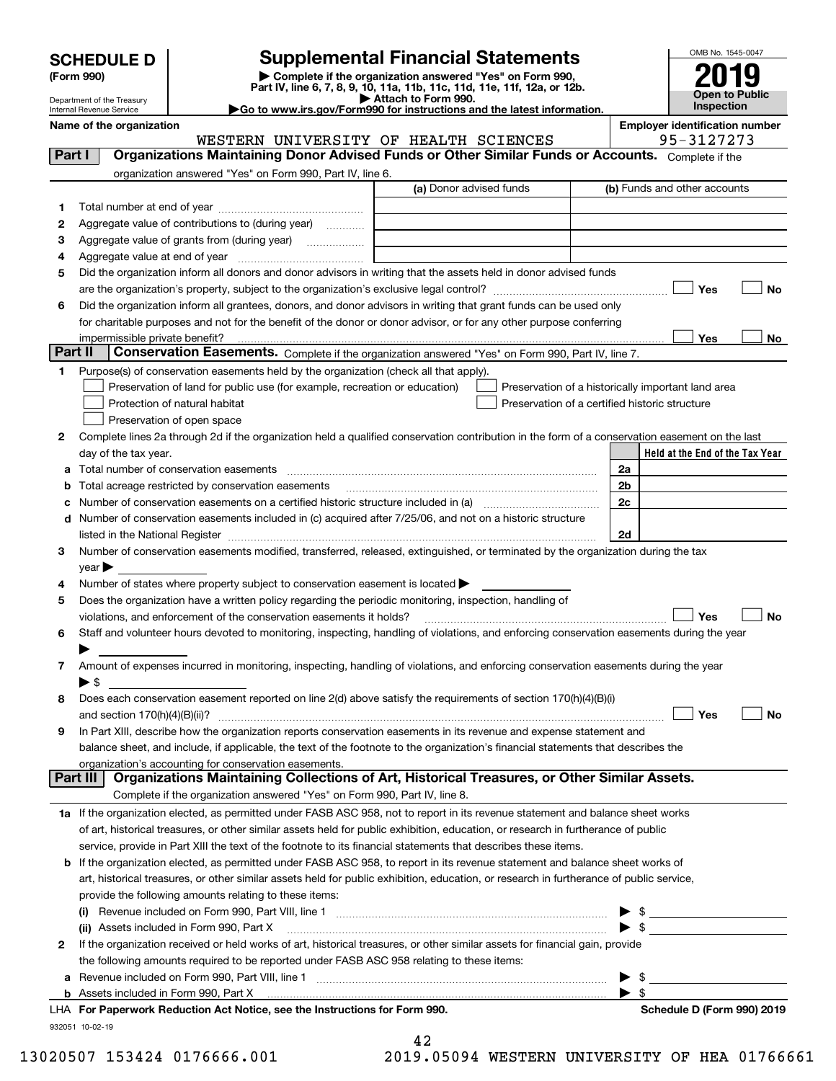| <b>SCHEDULE D</b> |  |
|-------------------|--|
|-------------------|--|

| (Form 990) |  |
|------------|--|
|------------|--|

# **Supplemental Financial Statements**

(Form 990)<br>
Pepartment of the Treasury<br>
Department of the Treasury<br>
Department of the Treasury<br>
Department of the Treasury<br> **Co to www.irs.gov/Form990 for instructions and the latest information.**<br> **Co to www.irs.gov/Form9** 



Department of the Treasury Internal Revenue Service

**Name of the organization**<br>MESTERN IINTVERSTTY OF HEALTER SCIENCES

| Organizations Maintaining Donor Advised Funds or Other Similar Funds or Accounts. Complete if the<br>Part I<br>organization answered "Yes" on Form 990, Part IV, line 6.<br>(a) Donor advised funds<br>(b) Funds and other accounts<br>1<br>Aggregate value of contributions to (during year)<br>2<br>З<br>Aggregate value of grants from (during year) <i>mimimimimia</i><br>4<br>Did the organization inform all donors and donor advisors in writing that the assets held in donor advised funds<br>5<br>Yes<br>No<br>Did the organization inform all grantees, donors, and donor advisors in writing that grant funds can be used only<br>6<br>for charitable purposes and not for the benefit of the donor or donor advisor, or for any other purpose conferring<br>impermissible private benefit?<br>Yes<br>No<br>Part II<br>Conservation Easements. Complete if the organization answered "Yes" on Form 990, Part IV, line 7.<br>Purpose(s) of conservation easements held by the organization (check all that apply).<br>1.<br>Preservation of land for public use (for example, recreation or education)<br>Preservation of a historically important land area<br>Preservation of a certified historic structure<br>Protection of natural habitat<br>Preservation of open space<br>Complete lines 2a through 2d if the organization held a qualified conservation contribution in the form of a conservation easement on the last<br>2<br>Held at the End of the Tax Year<br>day of the tax year.<br>Total number of conservation easements<br>2a<br>2 <sub>b</sub><br>Total acreage restricted by conservation easements<br>2c<br>Number of conservation easements on a certified historic structure included in (a) manufacture included in (a)<br>d Number of conservation easements included in (c) acquired after 7/25/06, and not on a historic structure<br>listed in the National Register [11, 1200] [12] The National Register [11, 1200] [12] The National Register [11, 1200] [12] The National Register [11, 1200] [12] The National Register [11, 1200] [12] The National Register<br>2d<br>Number of conservation easements modified, transferred, released, extinguished, or terminated by the organization during the tax<br>з<br>$\vee$ ear<br>Number of states where property subject to conservation easement is located ><br>4<br>Does the organization have a written policy regarding the periodic monitoring, inspection, handling of<br>5<br>violations, and enforcement of the conservation easements it holds?<br>Yes<br>No<br>Staff and volunteer hours devoted to monitoring, inspecting, handling of violations, and enforcing conservation easements during the year<br>6<br>Amount of expenses incurred in monitoring, inspecting, handling of violations, and enforcing conservation easements during the year<br>7<br>► \$<br>Does each conservation easement reported on line 2(d) above satisfy the requirements of section 170(h)(4)(B)(i)<br>8<br>Yes<br>and section $170(h)(4)(B)(ii)?$<br>No<br>In Part XIII, describe how the organization reports conservation easements in its revenue and expense statement and<br>9<br>balance sheet, and include, if applicable, the text of the footnote to the organization's financial statements that describes the<br>organization's accounting for conservation easements.<br>Organizations Maintaining Collections of Art, Historical Treasures, or Other Similar Assets.<br>Part III<br>Complete if the organization answered "Yes" on Form 990, Part IV, line 8.<br>1a If the organization elected, as permitted under FASB ASC 958, not to report in its revenue statement and balance sheet works<br>of art, historical treasures, or other similar assets held for public exhibition, education, or research in furtherance of public<br>service, provide in Part XIII the text of the footnote to its financial statements that describes these items.<br><b>b</b> If the organization elected, as permitted under FASB ASC 958, to report in its revenue statement and balance sheet works of<br>art, historical treasures, or other similar assets held for public exhibition, education, or research in furtherance of public service,<br>provide the following amounts relating to these items:<br>\$<br>$\blacktriangleright$ s<br>(ii) Assets included in Form 990, Part X<br>If the organization received or held works of art, historical treasures, or other similar assets for financial gain, provide<br>$\mathbf{2}$<br>the following amounts required to be reported under FASB ASC 958 relating to these items:<br>\$<br>а<br>$\blacktriangleright$ \$<br>LHA For Paperwork Reduction Act Notice, see the Instructions for Form 990.<br>Schedule D (Form 990) 2019<br>932051 10-02-19 |  | WESTERN UNIVERSITY OF HEALTH SCIENCES | 95-3127273 |
|---------------------------------------------------------------------------------------------------------------------------------------------------------------------------------------------------------------------------------------------------------------------------------------------------------------------------------------------------------------------------------------------------------------------------------------------------------------------------------------------------------------------------------------------------------------------------------------------------------------------------------------------------------------------------------------------------------------------------------------------------------------------------------------------------------------------------------------------------------------------------------------------------------------------------------------------------------------------------------------------------------------------------------------------------------------------------------------------------------------------------------------------------------------------------------------------------------------------------------------------------------------------------------------------------------------------------------------------------------------------------------------------------------------------------------------------------------------------------------------------------------------------------------------------------------------------------------------------------------------------------------------------------------------------------------------------------------------------------------------------------------------------------------------------------------------------------------------------------------------------------------------------------------------------------------------------------------------------------------------------------------------------------------------------------------------------------------------------------------------------------------------------------------------------------------------------------------------------------------------------------------------------------------------------------------------------------------------------------------------------------------------------------------------------------------------------------------------------------------------------------------------------------------------------------------------------------------------------------------------------------------------------------------------------------------------------------------------------------------------------------------------------------------------------------------------------------------------------------------------------------------------------------------------------------------------------------------------------------------------------------------------------------------------------------------------------------------------------------------------------------------------------------------------------------------------------------------------------------------------------------------------------------------------------------------------------------------------------------------------------------------------------------------------------------------------------------------------------------------------------------------------------------------------------------------------------------------------------------------------------------------------------------------------------------------------------------------------------------------------------------------------------------------------------------------------------------------------------------------------------------------------------------------------------------------------------------------------------------------------------------------------------------------------------------------------------------------------------------------------------------------------------------------------------------------------------------------------------------------------------------------------------------------------------------------------------------------------------------------------------------------------------------------------------------------------------------------------------------------------------------------------------------------------------------------------------------------------------------------------------------------------------------------------------------------------------------------------------------------------------------------------------------------------------------------|--|---------------------------------------|------------|
|                                                                                                                                                                                                                                                                                                                                                                                                                                                                                                                                                                                                                                                                                                                                                                                                                                                                                                                                                                                                                                                                                                                                                                                                                                                                                                                                                                                                                                                                                                                                                                                                                                                                                                                                                                                                                                                                                                                                                                                                                                                                                                                                                                                                                                                                                                                                                                                                                                                                                                                                                                                                                                                                                                                                                                                                                                                                                                                                                                                                                                                                                                                                                                                                                                                                                                                                                                                                                                                                                                                                                                                                                                                                                                                                                                                                                                                                                                                                                                                                                                                                                                                                                                                                                                                                                                                                                                                                                                                                                                                                                                                                                                                                                                                                                                                                         |  |                                       |            |
|                                                                                                                                                                                                                                                                                                                                                                                                                                                                                                                                                                                                                                                                                                                                                                                                                                                                                                                                                                                                                                                                                                                                                                                                                                                                                                                                                                                                                                                                                                                                                                                                                                                                                                                                                                                                                                                                                                                                                                                                                                                                                                                                                                                                                                                                                                                                                                                                                                                                                                                                                                                                                                                                                                                                                                                                                                                                                                                                                                                                                                                                                                                                                                                                                                                                                                                                                                                                                                                                                                                                                                                                                                                                                                                                                                                                                                                                                                                                                                                                                                                                                                                                                                                                                                                                                                                                                                                                                                                                                                                                                                                                                                                                                                                                                                                                         |  |                                       |            |
|                                                                                                                                                                                                                                                                                                                                                                                                                                                                                                                                                                                                                                                                                                                                                                                                                                                                                                                                                                                                                                                                                                                                                                                                                                                                                                                                                                                                                                                                                                                                                                                                                                                                                                                                                                                                                                                                                                                                                                                                                                                                                                                                                                                                                                                                                                                                                                                                                                                                                                                                                                                                                                                                                                                                                                                                                                                                                                                                                                                                                                                                                                                                                                                                                                                                                                                                                                                                                                                                                                                                                                                                                                                                                                                                                                                                                                                                                                                                                                                                                                                                                                                                                                                                                                                                                                                                                                                                                                                                                                                                                                                                                                                                                                                                                                                                         |  |                                       |            |
|                                                                                                                                                                                                                                                                                                                                                                                                                                                                                                                                                                                                                                                                                                                                                                                                                                                                                                                                                                                                                                                                                                                                                                                                                                                                                                                                                                                                                                                                                                                                                                                                                                                                                                                                                                                                                                                                                                                                                                                                                                                                                                                                                                                                                                                                                                                                                                                                                                                                                                                                                                                                                                                                                                                                                                                                                                                                                                                                                                                                                                                                                                                                                                                                                                                                                                                                                                                                                                                                                                                                                                                                                                                                                                                                                                                                                                                                                                                                                                                                                                                                                                                                                                                                                                                                                                                                                                                                                                                                                                                                                                                                                                                                                                                                                                                                         |  |                                       |            |
|                                                                                                                                                                                                                                                                                                                                                                                                                                                                                                                                                                                                                                                                                                                                                                                                                                                                                                                                                                                                                                                                                                                                                                                                                                                                                                                                                                                                                                                                                                                                                                                                                                                                                                                                                                                                                                                                                                                                                                                                                                                                                                                                                                                                                                                                                                                                                                                                                                                                                                                                                                                                                                                                                                                                                                                                                                                                                                                                                                                                                                                                                                                                                                                                                                                                                                                                                                                                                                                                                                                                                                                                                                                                                                                                                                                                                                                                                                                                                                                                                                                                                                                                                                                                                                                                                                                                                                                                                                                                                                                                                                                                                                                                                                                                                                                                         |  |                                       |            |
|                                                                                                                                                                                                                                                                                                                                                                                                                                                                                                                                                                                                                                                                                                                                                                                                                                                                                                                                                                                                                                                                                                                                                                                                                                                                                                                                                                                                                                                                                                                                                                                                                                                                                                                                                                                                                                                                                                                                                                                                                                                                                                                                                                                                                                                                                                                                                                                                                                                                                                                                                                                                                                                                                                                                                                                                                                                                                                                                                                                                                                                                                                                                                                                                                                                                                                                                                                                                                                                                                                                                                                                                                                                                                                                                                                                                                                                                                                                                                                                                                                                                                                                                                                                                                                                                                                                                                                                                                                                                                                                                                                                                                                                                                                                                                                                                         |  |                                       |            |
|                                                                                                                                                                                                                                                                                                                                                                                                                                                                                                                                                                                                                                                                                                                                                                                                                                                                                                                                                                                                                                                                                                                                                                                                                                                                                                                                                                                                                                                                                                                                                                                                                                                                                                                                                                                                                                                                                                                                                                                                                                                                                                                                                                                                                                                                                                                                                                                                                                                                                                                                                                                                                                                                                                                                                                                                                                                                                                                                                                                                                                                                                                                                                                                                                                                                                                                                                                                                                                                                                                                                                                                                                                                                                                                                                                                                                                                                                                                                                                                                                                                                                                                                                                                                                                                                                                                                                                                                                                                                                                                                                                                                                                                                                                                                                                                                         |  |                                       |            |
|                                                                                                                                                                                                                                                                                                                                                                                                                                                                                                                                                                                                                                                                                                                                                                                                                                                                                                                                                                                                                                                                                                                                                                                                                                                                                                                                                                                                                                                                                                                                                                                                                                                                                                                                                                                                                                                                                                                                                                                                                                                                                                                                                                                                                                                                                                                                                                                                                                                                                                                                                                                                                                                                                                                                                                                                                                                                                                                                                                                                                                                                                                                                                                                                                                                                                                                                                                                                                                                                                                                                                                                                                                                                                                                                                                                                                                                                                                                                                                                                                                                                                                                                                                                                                                                                                                                                                                                                                                                                                                                                                                                                                                                                                                                                                                                                         |  |                                       |            |
|                                                                                                                                                                                                                                                                                                                                                                                                                                                                                                                                                                                                                                                                                                                                                                                                                                                                                                                                                                                                                                                                                                                                                                                                                                                                                                                                                                                                                                                                                                                                                                                                                                                                                                                                                                                                                                                                                                                                                                                                                                                                                                                                                                                                                                                                                                                                                                                                                                                                                                                                                                                                                                                                                                                                                                                                                                                                                                                                                                                                                                                                                                                                                                                                                                                                                                                                                                                                                                                                                                                                                                                                                                                                                                                                                                                                                                                                                                                                                                                                                                                                                                                                                                                                                                                                                                                                                                                                                                                                                                                                                                                                                                                                                                                                                                                                         |  |                                       |            |
|                                                                                                                                                                                                                                                                                                                                                                                                                                                                                                                                                                                                                                                                                                                                                                                                                                                                                                                                                                                                                                                                                                                                                                                                                                                                                                                                                                                                                                                                                                                                                                                                                                                                                                                                                                                                                                                                                                                                                                                                                                                                                                                                                                                                                                                                                                                                                                                                                                                                                                                                                                                                                                                                                                                                                                                                                                                                                                                                                                                                                                                                                                                                                                                                                                                                                                                                                                                                                                                                                                                                                                                                                                                                                                                                                                                                                                                                                                                                                                                                                                                                                                                                                                                                                                                                                                                                                                                                                                                                                                                                                                                                                                                                                                                                                                                                         |  |                                       |            |
|                                                                                                                                                                                                                                                                                                                                                                                                                                                                                                                                                                                                                                                                                                                                                                                                                                                                                                                                                                                                                                                                                                                                                                                                                                                                                                                                                                                                                                                                                                                                                                                                                                                                                                                                                                                                                                                                                                                                                                                                                                                                                                                                                                                                                                                                                                                                                                                                                                                                                                                                                                                                                                                                                                                                                                                                                                                                                                                                                                                                                                                                                                                                                                                                                                                                                                                                                                                                                                                                                                                                                                                                                                                                                                                                                                                                                                                                                                                                                                                                                                                                                                                                                                                                                                                                                                                                                                                                                                                                                                                                                                                                                                                                                                                                                                                                         |  |                                       |            |
|                                                                                                                                                                                                                                                                                                                                                                                                                                                                                                                                                                                                                                                                                                                                                                                                                                                                                                                                                                                                                                                                                                                                                                                                                                                                                                                                                                                                                                                                                                                                                                                                                                                                                                                                                                                                                                                                                                                                                                                                                                                                                                                                                                                                                                                                                                                                                                                                                                                                                                                                                                                                                                                                                                                                                                                                                                                                                                                                                                                                                                                                                                                                                                                                                                                                                                                                                                                                                                                                                                                                                                                                                                                                                                                                                                                                                                                                                                                                                                                                                                                                                                                                                                                                                                                                                                                                                                                                                                                                                                                                                                                                                                                                                                                                                                                                         |  |                                       |            |
|                                                                                                                                                                                                                                                                                                                                                                                                                                                                                                                                                                                                                                                                                                                                                                                                                                                                                                                                                                                                                                                                                                                                                                                                                                                                                                                                                                                                                                                                                                                                                                                                                                                                                                                                                                                                                                                                                                                                                                                                                                                                                                                                                                                                                                                                                                                                                                                                                                                                                                                                                                                                                                                                                                                                                                                                                                                                                                                                                                                                                                                                                                                                                                                                                                                                                                                                                                                                                                                                                                                                                                                                                                                                                                                                                                                                                                                                                                                                                                                                                                                                                                                                                                                                                                                                                                                                                                                                                                                                                                                                                                                                                                                                                                                                                                                                         |  |                                       |            |
|                                                                                                                                                                                                                                                                                                                                                                                                                                                                                                                                                                                                                                                                                                                                                                                                                                                                                                                                                                                                                                                                                                                                                                                                                                                                                                                                                                                                                                                                                                                                                                                                                                                                                                                                                                                                                                                                                                                                                                                                                                                                                                                                                                                                                                                                                                                                                                                                                                                                                                                                                                                                                                                                                                                                                                                                                                                                                                                                                                                                                                                                                                                                                                                                                                                                                                                                                                                                                                                                                                                                                                                                                                                                                                                                                                                                                                                                                                                                                                                                                                                                                                                                                                                                                                                                                                                                                                                                                                                                                                                                                                                                                                                                                                                                                                                                         |  |                                       |            |
|                                                                                                                                                                                                                                                                                                                                                                                                                                                                                                                                                                                                                                                                                                                                                                                                                                                                                                                                                                                                                                                                                                                                                                                                                                                                                                                                                                                                                                                                                                                                                                                                                                                                                                                                                                                                                                                                                                                                                                                                                                                                                                                                                                                                                                                                                                                                                                                                                                                                                                                                                                                                                                                                                                                                                                                                                                                                                                                                                                                                                                                                                                                                                                                                                                                                                                                                                                                                                                                                                                                                                                                                                                                                                                                                                                                                                                                                                                                                                                                                                                                                                                                                                                                                                                                                                                                                                                                                                                                                                                                                                                                                                                                                                                                                                                                                         |  |                                       |            |
|                                                                                                                                                                                                                                                                                                                                                                                                                                                                                                                                                                                                                                                                                                                                                                                                                                                                                                                                                                                                                                                                                                                                                                                                                                                                                                                                                                                                                                                                                                                                                                                                                                                                                                                                                                                                                                                                                                                                                                                                                                                                                                                                                                                                                                                                                                                                                                                                                                                                                                                                                                                                                                                                                                                                                                                                                                                                                                                                                                                                                                                                                                                                                                                                                                                                                                                                                                                                                                                                                                                                                                                                                                                                                                                                                                                                                                                                                                                                                                                                                                                                                                                                                                                                                                                                                                                                                                                                                                                                                                                                                                                                                                                                                                                                                                                                         |  |                                       |            |
|                                                                                                                                                                                                                                                                                                                                                                                                                                                                                                                                                                                                                                                                                                                                                                                                                                                                                                                                                                                                                                                                                                                                                                                                                                                                                                                                                                                                                                                                                                                                                                                                                                                                                                                                                                                                                                                                                                                                                                                                                                                                                                                                                                                                                                                                                                                                                                                                                                                                                                                                                                                                                                                                                                                                                                                                                                                                                                                                                                                                                                                                                                                                                                                                                                                                                                                                                                                                                                                                                                                                                                                                                                                                                                                                                                                                                                                                                                                                                                                                                                                                                                                                                                                                                                                                                                                                                                                                                                                                                                                                                                                                                                                                                                                                                                                                         |  |                                       |            |
|                                                                                                                                                                                                                                                                                                                                                                                                                                                                                                                                                                                                                                                                                                                                                                                                                                                                                                                                                                                                                                                                                                                                                                                                                                                                                                                                                                                                                                                                                                                                                                                                                                                                                                                                                                                                                                                                                                                                                                                                                                                                                                                                                                                                                                                                                                                                                                                                                                                                                                                                                                                                                                                                                                                                                                                                                                                                                                                                                                                                                                                                                                                                                                                                                                                                                                                                                                                                                                                                                                                                                                                                                                                                                                                                                                                                                                                                                                                                                                                                                                                                                                                                                                                                                                                                                                                                                                                                                                                                                                                                                                                                                                                                                                                                                                                                         |  |                                       |            |
|                                                                                                                                                                                                                                                                                                                                                                                                                                                                                                                                                                                                                                                                                                                                                                                                                                                                                                                                                                                                                                                                                                                                                                                                                                                                                                                                                                                                                                                                                                                                                                                                                                                                                                                                                                                                                                                                                                                                                                                                                                                                                                                                                                                                                                                                                                                                                                                                                                                                                                                                                                                                                                                                                                                                                                                                                                                                                                                                                                                                                                                                                                                                                                                                                                                                                                                                                                                                                                                                                                                                                                                                                                                                                                                                                                                                                                                                                                                                                                                                                                                                                                                                                                                                                                                                                                                                                                                                                                                                                                                                                                                                                                                                                                                                                                                                         |  |                                       |            |
|                                                                                                                                                                                                                                                                                                                                                                                                                                                                                                                                                                                                                                                                                                                                                                                                                                                                                                                                                                                                                                                                                                                                                                                                                                                                                                                                                                                                                                                                                                                                                                                                                                                                                                                                                                                                                                                                                                                                                                                                                                                                                                                                                                                                                                                                                                                                                                                                                                                                                                                                                                                                                                                                                                                                                                                                                                                                                                                                                                                                                                                                                                                                                                                                                                                                                                                                                                                                                                                                                                                                                                                                                                                                                                                                                                                                                                                                                                                                                                                                                                                                                                                                                                                                                                                                                                                                                                                                                                                                                                                                                                                                                                                                                                                                                                                                         |  |                                       |            |
|                                                                                                                                                                                                                                                                                                                                                                                                                                                                                                                                                                                                                                                                                                                                                                                                                                                                                                                                                                                                                                                                                                                                                                                                                                                                                                                                                                                                                                                                                                                                                                                                                                                                                                                                                                                                                                                                                                                                                                                                                                                                                                                                                                                                                                                                                                                                                                                                                                                                                                                                                                                                                                                                                                                                                                                                                                                                                                                                                                                                                                                                                                                                                                                                                                                                                                                                                                                                                                                                                                                                                                                                                                                                                                                                                                                                                                                                                                                                                                                                                                                                                                                                                                                                                                                                                                                                                                                                                                                                                                                                                                                                                                                                                                                                                                                                         |  |                                       |            |
|                                                                                                                                                                                                                                                                                                                                                                                                                                                                                                                                                                                                                                                                                                                                                                                                                                                                                                                                                                                                                                                                                                                                                                                                                                                                                                                                                                                                                                                                                                                                                                                                                                                                                                                                                                                                                                                                                                                                                                                                                                                                                                                                                                                                                                                                                                                                                                                                                                                                                                                                                                                                                                                                                                                                                                                                                                                                                                                                                                                                                                                                                                                                                                                                                                                                                                                                                                                                                                                                                                                                                                                                                                                                                                                                                                                                                                                                                                                                                                                                                                                                                                                                                                                                                                                                                                                                                                                                                                                                                                                                                                                                                                                                                                                                                                                                         |  |                                       |            |
|                                                                                                                                                                                                                                                                                                                                                                                                                                                                                                                                                                                                                                                                                                                                                                                                                                                                                                                                                                                                                                                                                                                                                                                                                                                                                                                                                                                                                                                                                                                                                                                                                                                                                                                                                                                                                                                                                                                                                                                                                                                                                                                                                                                                                                                                                                                                                                                                                                                                                                                                                                                                                                                                                                                                                                                                                                                                                                                                                                                                                                                                                                                                                                                                                                                                                                                                                                                                                                                                                                                                                                                                                                                                                                                                                                                                                                                                                                                                                                                                                                                                                                                                                                                                                                                                                                                                                                                                                                                                                                                                                                                                                                                                                                                                                                                                         |  |                                       |            |
|                                                                                                                                                                                                                                                                                                                                                                                                                                                                                                                                                                                                                                                                                                                                                                                                                                                                                                                                                                                                                                                                                                                                                                                                                                                                                                                                                                                                                                                                                                                                                                                                                                                                                                                                                                                                                                                                                                                                                                                                                                                                                                                                                                                                                                                                                                                                                                                                                                                                                                                                                                                                                                                                                                                                                                                                                                                                                                                                                                                                                                                                                                                                                                                                                                                                                                                                                                                                                                                                                                                                                                                                                                                                                                                                                                                                                                                                                                                                                                                                                                                                                                                                                                                                                                                                                                                                                                                                                                                                                                                                                                                                                                                                                                                                                                                                         |  |                                       |            |
|                                                                                                                                                                                                                                                                                                                                                                                                                                                                                                                                                                                                                                                                                                                                                                                                                                                                                                                                                                                                                                                                                                                                                                                                                                                                                                                                                                                                                                                                                                                                                                                                                                                                                                                                                                                                                                                                                                                                                                                                                                                                                                                                                                                                                                                                                                                                                                                                                                                                                                                                                                                                                                                                                                                                                                                                                                                                                                                                                                                                                                                                                                                                                                                                                                                                                                                                                                                                                                                                                                                                                                                                                                                                                                                                                                                                                                                                                                                                                                                                                                                                                                                                                                                                                                                                                                                                                                                                                                                                                                                                                                                                                                                                                                                                                                                                         |  |                                       |            |
|                                                                                                                                                                                                                                                                                                                                                                                                                                                                                                                                                                                                                                                                                                                                                                                                                                                                                                                                                                                                                                                                                                                                                                                                                                                                                                                                                                                                                                                                                                                                                                                                                                                                                                                                                                                                                                                                                                                                                                                                                                                                                                                                                                                                                                                                                                                                                                                                                                                                                                                                                                                                                                                                                                                                                                                                                                                                                                                                                                                                                                                                                                                                                                                                                                                                                                                                                                                                                                                                                                                                                                                                                                                                                                                                                                                                                                                                                                                                                                                                                                                                                                                                                                                                                                                                                                                                                                                                                                                                                                                                                                                                                                                                                                                                                                                                         |  |                                       |            |
|                                                                                                                                                                                                                                                                                                                                                                                                                                                                                                                                                                                                                                                                                                                                                                                                                                                                                                                                                                                                                                                                                                                                                                                                                                                                                                                                                                                                                                                                                                                                                                                                                                                                                                                                                                                                                                                                                                                                                                                                                                                                                                                                                                                                                                                                                                                                                                                                                                                                                                                                                                                                                                                                                                                                                                                                                                                                                                                                                                                                                                                                                                                                                                                                                                                                                                                                                                                                                                                                                                                                                                                                                                                                                                                                                                                                                                                                                                                                                                                                                                                                                                                                                                                                                                                                                                                                                                                                                                                                                                                                                                                                                                                                                                                                                                                                         |  |                                       |            |
|                                                                                                                                                                                                                                                                                                                                                                                                                                                                                                                                                                                                                                                                                                                                                                                                                                                                                                                                                                                                                                                                                                                                                                                                                                                                                                                                                                                                                                                                                                                                                                                                                                                                                                                                                                                                                                                                                                                                                                                                                                                                                                                                                                                                                                                                                                                                                                                                                                                                                                                                                                                                                                                                                                                                                                                                                                                                                                                                                                                                                                                                                                                                                                                                                                                                                                                                                                                                                                                                                                                                                                                                                                                                                                                                                                                                                                                                                                                                                                                                                                                                                                                                                                                                                                                                                                                                                                                                                                                                                                                                                                                                                                                                                                                                                                                                         |  |                                       |            |
|                                                                                                                                                                                                                                                                                                                                                                                                                                                                                                                                                                                                                                                                                                                                                                                                                                                                                                                                                                                                                                                                                                                                                                                                                                                                                                                                                                                                                                                                                                                                                                                                                                                                                                                                                                                                                                                                                                                                                                                                                                                                                                                                                                                                                                                                                                                                                                                                                                                                                                                                                                                                                                                                                                                                                                                                                                                                                                                                                                                                                                                                                                                                                                                                                                                                                                                                                                                                                                                                                                                                                                                                                                                                                                                                                                                                                                                                                                                                                                                                                                                                                                                                                                                                                                                                                                                                                                                                                                                                                                                                                                                                                                                                                                                                                                                                         |  |                                       |            |
|                                                                                                                                                                                                                                                                                                                                                                                                                                                                                                                                                                                                                                                                                                                                                                                                                                                                                                                                                                                                                                                                                                                                                                                                                                                                                                                                                                                                                                                                                                                                                                                                                                                                                                                                                                                                                                                                                                                                                                                                                                                                                                                                                                                                                                                                                                                                                                                                                                                                                                                                                                                                                                                                                                                                                                                                                                                                                                                                                                                                                                                                                                                                                                                                                                                                                                                                                                                                                                                                                                                                                                                                                                                                                                                                                                                                                                                                                                                                                                                                                                                                                                                                                                                                                                                                                                                                                                                                                                                                                                                                                                                                                                                                                                                                                                                                         |  |                                       |            |
|                                                                                                                                                                                                                                                                                                                                                                                                                                                                                                                                                                                                                                                                                                                                                                                                                                                                                                                                                                                                                                                                                                                                                                                                                                                                                                                                                                                                                                                                                                                                                                                                                                                                                                                                                                                                                                                                                                                                                                                                                                                                                                                                                                                                                                                                                                                                                                                                                                                                                                                                                                                                                                                                                                                                                                                                                                                                                                                                                                                                                                                                                                                                                                                                                                                                                                                                                                                                                                                                                                                                                                                                                                                                                                                                                                                                                                                                                                                                                                                                                                                                                                                                                                                                                                                                                                                                                                                                                                                                                                                                                                                                                                                                                                                                                                                                         |  |                                       |            |
|                                                                                                                                                                                                                                                                                                                                                                                                                                                                                                                                                                                                                                                                                                                                                                                                                                                                                                                                                                                                                                                                                                                                                                                                                                                                                                                                                                                                                                                                                                                                                                                                                                                                                                                                                                                                                                                                                                                                                                                                                                                                                                                                                                                                                                                                                                                                                                                                                                                                                                                                                                                                                                                                                                                                                                                                                                                                                                                                                                                                                                                                                                                                                                                                                                                                                                                                                                                                                                                                                                                                                                                                                                                                                                                                                                                                                                                                                                                                                                                                                                                                                                                                                                                                                                                                                                                                                                                                                                                                                                                                                                                                                                                                                                                                                                                                         |  |                                       |            |
|                                                                                                                                                                                                                                                                                                                                                                                                                                                                                                                                                                                                                                                                                                                                                                                                                                                                                                                                                                                                                                                                                                                                                                                                                                                                                                                                                                                                                                                                                                                                                                                                                                                                                                                                                                                                                                                                                                                                                                                                                                                                                                                                                                                                                                                                                                                                                                                                                                                                                                                                                                                                                                                                                                                                                                                                                                                                                                                                                                                                                                                                                                                                                                                                                                                                                                                                                                                                                                                                                                                                                                                                                                                                                                                                                                                                                                                                                                                                                                                                                                                                                                                                                                                                                                                                                                                                                                                                                                                                                                                                                                                                                                                                                                                                                                                                         |  |                                       |            |
|                                                                                                                                                                                                                                                                                                                                                                                                                                                                                                                                                                                                                                                                                                                                                                                                                                                                                                                                                                                                                                                                                                                                                                                                                                                                                                                                                                                                                                                                                                                                                                                                                                                                                                                                                                                                                                                                                                                                                                                                                                                                                                                                                                                                                                                                                                                                                                                                                                                                                                                                                                                                                                                                                                                                                                                                                                                                                                                                                                                                                                                                                                                                                                                                                                                                                                                                                                                                                                                                                                                                                                                                                                                                                                                                                                                                                                                                                                                                                                                                                                                                                                                                                                                                                                                                                                                                                                                                                                                                                                                                                                                                                                                                                                                                                                                                         |  |                                       |            |
|                                                                                                                                                                                                                                                                                                                                                                                                                                                                                                                                                                                                                                                                                                                                                                                                                                                                                                                                                                                                                                                                                                                                                                                                                                                                                                                                                                                                                                                                                                                                                                                                                                                                                                                                                                                                                                                                                                                                                                                                                                                                                                                                                                                                                                                                                                                                                                                                                                                                                                                                                                                                                                                                                                                                                                                                                                                                                                                                                                                                                                                                                                                                                                                                                                                                                                                                                                                                                                                                                                                                                                                                                                                                                                                                                                                                                                                                                                                                                                                                                                                                                                                                                                                                                                                                                                                                                                                                                                                                                                                                                                                                                                                                                                                                                                                                         |  |                                       |            |
|                                                                                                                                                                                                                                                                                                                                                                                                                                                                                                                                                                                                                                                                                                                                                                                                                                                                                                                                                                                                                                                                                                                                                                                                                                                                                                                                                                                                                                                                                                                                                                                                                                                                                                                                                                                                                                                                                                                                                                                                                                                                                                                                                                                                                                                                                                                                                                                                                                                                                                                                                                                                                                                                                                                                                                                                                                                                                                                                                                                                                                                                                                                                                                                                                                                                                                                                                                                                                                                                                                                                                                                                                                                                                                                                                                                                                                                                                                                                                                                                                                                                                                                                                                                                                                                                                                                                                                                                                                                                                                                                                                                                                                                                                                                                                                                                         |  |                                       |            |
|                                                                                                                                                                                                                                                                                                                                                                                                                                                                                                                                                                                                                                                                                                                                                                                                                                                                                                                                                                                                                                                                                                                                                                                                                                                                                                                                                                                                                                                                                                                                                                                                                                                                                                                                                                                                                                                                                                                                                                                                                                                                                                                                                                                                                                                                                                                                                                                                                                                                                                                                                                                                                                                                                                                                                                                                                                                                                                                                                                                                                                                                                                                                                                                                                                                                                                                                                                                                                                                                                                                                                                                                                                                                                                                                                                                                                                                                                                                                                                                                                                                                                                                                                                                                                                                                                                                                                                                                                                                                                                                                                                                                                                                                                                                                                                                                         |  |                                       |            |
|                                                                                                                                                                                                                                                                                                                                                                                                                                                                                                                                                                                                                                                                                                                                                                                                                                                                                                                                                                                                                                                                                                                                                                                                                                                                                                                                                                                                                                                                                                                                                                                                                                                                                                                                                                                                                                                                                                                                                                                                                                                                                                                                                                                                                                                                                                                                                                                                                                                                                                                                                                                                                                                                                                                                                                                                                                                                                                                                                                                                                                                                                                                                                                                                                                                                                                                                                                                                                                                                                                                                                                                                                                                                                                                                                                                                                                                                                                                                                                                                                                                                                                                                                                                                                                                                                                                                                                                                                                                                                                                                                                                                                                                                                                                                                                                                         |  |                                       |            |
|                                                                                                                                                                                                                                                                                                                                                                                                                                                                                                                                                                                                                                                                                                                                                                                                                                                                                                                                                                                                                                                                                                                                                                                                                                                                                                                                                                                                                                                                                                                                                                                                                                                                                                                                                                                                                                                                                                                                                                                                                                                                                                                                                                                                                                                                                                                                                                                                                                                                                                                                                                                                                                                                                                                                                                                                                                                                                                                                                                                                                                                                                                                                                                                                                                                                                                                                                                                                                                                                                                                                                                                                                                                                                                                                                                                                                                                                                                                                                                                                                                                                                                                                                                                                                                                                                                                                                                                                                                                                                                                                                                                                                                                                                                                                                                                                         |  |                                       |            |
|                                                                                                                                                                                                                                                                                                                                                                                                                                                                                                                                                                                                                                                                                                                                                                                                                                                                                                                                                                                                                                                                                                                                                                                                                                                                                                                                                                                                                                                                                                                                                                                                                                                                                                                                                                                                                                                                                                                                                                                                                                                                                                                                                                                                                                                                                                                                                                                                                                                                                                                                                                                                                                                                                                                                                                                                                                                                                                                                                                                                                                                                                                                                                                                                                                                                                                                                                                                                                                                                                                                                                                                                                                                                                                                                                                                                                                                                                                                                                                                                                                                                                                                                                                                                                                                                                                                                                                                                                                                                                                                                                                                                                                                                                                                                                                                                         |  |                                       |            |
|                                                                                                                                                                                                                                                                                                                                                                                                                                                                                                                                                                                                                                                                                                                                                                                                                                                                                                                                                                                                                                                                                                                                                                                                                                                                                                                                                                                                                                                                                                                                                                                                                                                                                                                                                                                                                                                                                                                                                                                                                                                                                                                                                                                                                                                                                                                                                                                                                                                                                                                                                                                                                                                                                                                                                                                                                                                                                                                                                                                                                                                                                                                                                                                                                                                                                                                                                                                                                                                                                                                                                                                                                                                                                                                                                                                                                                                                                                                                                                                                                                                                                                                                                                                                                                                                                                                                                                                                                                                                                                                                                                                                                                                                                                                                                                                                         |  |                                       |            |
|                                                                                                                                                                                                                                                                                                                                                                                                                                                                                                                                                                                                                                                                                                                                                                                                                                                                                                                                                                                                                                                                                                                                                                                                                                                                                                                                                                                                                                                                                                                                                                                                                                                                                                                                                                                                                                                                                                                                                                                                                                                                                                                                                                                                                                                                                                                                                                                                                                                                                                                                                                                                                                                                                                                                                                                                                                                                                                                                                                                                                                                                                                                                                                                                                                                                                                                                                                                                                                                                                                                                                                                                                                                                                                                                                                                                                                                                                                                                                                                                                                                                                                                                                                                                                                                                                                                                                                                                                                                                                                                                                                                                                                                                                                                                                                                                         |  |                                       |            |
|                                                                                                                                                                                                                                                                                                                                                                                                                                                                                                                                                                                                                                                                                                                                                                                                                                                                                                                                                                                                                                                                                                                                                                                                                                                                                                                                                                                                                                                                                                                                                                                                                                                                                                                                                                                                                                                                                                                                                                                                                                                                                                                                                                                                                                                                                                                                                                                                                                                                                                                                                                                                                                                                                                                                                                                                                                                                                                                                                                                                                                                                                                                                                                                                                                                                                                                                                                                                                                                                                                                                                                                                                                                                                                                                                                                                                                                                                                                                                                                                                                                                                                                                                                                                                                                                                                                                                                                                                                                                                                                                                                                                                                                                                                                                                                                                         |  |                                       |            |
|                                                                                                                                                                                                                                                                                                                                                                                                                                                                                                                                                                                                                                                                                                                                                                                                                                                                                                                                                                                                                                                                                                                                                                                                                                                                                                                                                                                                                                                                                                                                                                                                                                                                                                                                                                                                                                                                                                                                                                                                                                                                                                                                                                                                                                                                                                                                                                                                                                                                                                                                                                                                                                                                                                                                                                                                                                                                                                                                                                                                                                                                                                                                                                                                                                                                                                                                                                                                                                                                                                                                                                                                                                                                                                                                                                                                                                                                                                                                                                                                                                                                                                                                                                                                                                                                                                                                                                                                                                                                                                                                                                                                                                                                                                                                                                                                         |  |                                       |            |
|                                                                                                                                                                                                                                                                                                                                                                                                                                                                                                                                                                                                                                                                                                                                                                                                                                                                                                                                                                                                                                                                                                                                                                                                                                                                                                                                                                                                                                                                                                                                                                                                                                                                                                                                                                                                                                                                                                                                                                                                                                                                                                                                                                                                                                                                                                                                                                                                                                                                                                                                                                                                                                                                                                                                                                                                                                                                                                                                                                                                                                                                                                                                                                                                                                                                                                                                                                                                                                                                                                                                                                                                                                                                                                                                                                                                                                                                                                                                                                                                                                                                                                                                                                                                                                                                                                                                                                                                                                                                                                                                                                                                                                                                                                                                                                                                         |  |                                       |            |
|                                                                                                                                                                                                                                                                                                                                                                                                                                                                                                                                                                                                                                                                                                                                                                                                                                                                                                                                                                                                                                                                                                                                                                                                                                                                                                                                                                                                                                                                                                                                                                                                                                                                                                                                                                                                                                                                                                                                                                                                                                                                                                                                                                                                                                                                                                                                                                                                                                                                                                                                                                                                                                                                                                                                                                                                                                                                                                                                                                                                                                                                                                                                                                                                                                                                                                                                                                                                                                                                                                                                                                                                                                                                                                                                                                                                                                                                                                                                                                                                                                                                                                                                                                                                                                                                                                                                                                                                                                                                                                                                                                                                                                                                                                                                                                                                         |  |                                       |            |
|                                                                                                                                                                                                                                                                                                                                                                                                                                                                                                                                                                                                                                                                                                                                                                                                                                                                                                                                                                                                                                                                                                                                                                                                                                                                                                                                                                                                                                                                                                                                                                                                                                                                                                                                                                                                                                                                                                                                                                                                                                                                                                                                                                                                                                                                                                                                                                                                                                                                                                                                                                                                                                                                                                                                                                                                                                                                                                                                                                                                                                                                                                                                                                                                                                                                                                                                                                                                                                                                                                                                                                                                                                                                                                                                                                                                                                                                                                                                                                                                                                                                                                                                                                                                                                                                                                                                                                                                                                                                                                                                                                                                                                                                                                                                                                                                         |  |                                       |            |
|                                                                                                                                                                                                                                                                                                                                                                                                                                                                                                                                                                                                                                                                                                                                                                                                                                                                                                                                                                                                                                                                                                                                                                                                                                                                                                                                                                                                                                                                                                                                                                                                                                                                                                                                                                                                                                                                                                                                                                                                                                                                                                                                                                                                                                                                                                                                                                                                                                                                                                                                                                                                                                                                                                                                                                                                                                                                                                                                                                                                                                                                                                                                                                                                                                                                                                                                                                                                                                                                                                                                                                                                                                                                                                                                                                                                                                                                                                                                                                                                                                                                                                                                                                                                                                                                                                                                                                                                                                                                                                                                                                                                                                                                                                                                                                                                         |  |                                       |            |
|                                                                                                                                                                                                                                                                                                                                                                                                                                                                                                                                                                                                                                                                                                                                                                                                                                                                                                                                                                                                                                                                                                                                                                                                                                                                                                                                                                                                                                                                                                                                                                                                                                                                                                                                                                                                                                                                                                                                                                                                                                                                                                                                                                                                                                                                                                                                                                                                                                                                                                                                                                                                                                                                                                                                                                                                                                                                                                                                                                                                                                                                                                                                                                                                                                                                                                                                                                                                                                                                                                                                                                                                                                                                                                                                                                                                                                                                                                                                                                                                                                                                                                                                                                                                                                                                                                                                                                                                                                                                                                                                                                                                                                                                                                                                                                                                         |  |                                       |            |
|                                                                                                                                                                                                                                                                                                                                                                                                                                                                                                                                                                                                                                                                                                                                                                                                                                                                                                                                                                                                                                                                                                                                                                                                                                                                                                                                                                                                                                                                                                                                                                                                                                                                                                                                                                                                                                                                                                                                                                                                                                                                                                                                                                                                                                                                                                                                                                                                                                                                                                                                                                                                                                                                                                                                                                                                                                                                                                                                                                                                                                                                                                                                                                                                                                                                                                                                                                                                                                                                                                                                                                                                                                                                                                                                                                                                                                                                                                                                                                                                                                                                                                                                                                                                                                                                                                                                                                                                                                                                                                                                                                                                                                                                                                                                                                                                         |  |                                       |            |
|                                                                                                                                                                                                                                                                                                                                                                                                                                                                                                                                                                                                                                                                                                                                                                                                                                                                                                                                                                                                                                                                                                                                                                                                                                                                                                                                                                                                                                                                                                                                                                                                                                                                                                                                                                                                                                                                                                                                                                                                                                                                                                                                                                                                                                                                                                                                                                                                                                                                                                                                                                                                                                                                                                                                                                                                                                                                                                                                                                                                                                                                                                                                                                                                                                                                                                                                                                                                                                                                                                                                                                                                                                                                                                                                                                                                                                                                                                                                                                                                                                                                                                                                                                                                                                                                                                                                                                                                                                                                                                                                                                                                                                                                                                                                                                                                         |  |                                       |            |
|                                                                                                                                                                                                                                                                                                                                                                                                                                                                                                                                                                                                                                                                                                                                                                                                                                                                                                                                                                                                                                                                                                                                                                                                                                                                                                                                                                                                                                                                                                                                                                                                                                                                                                                                                                                                                                                                                                                                                                                                                                                                                                                                                                                                                                                                                                                                                                                                                                                                                                                                                                                                                                                                                                                                                                                                                                                                                                                                                                                                                                                                                                                                                                                                                                                                                                                                                                                                                                                                                                                                                                                                                                                                                                                                                                                                                                                                                                                                                                                                                                                                                                                                                                                                                                                                                                                                                                                                                                                                                                                                                                                                                                                                                                                                                                                                         |  |                                       |            |
|                                                                                                                                                                                                                                                                                                                                                                                                                                                                                                                                                                                                                                                                                                                                                                                                                                                                                                                                                                                                                                                                                                                                                                                                                                                                                                                                                                                                                                                                                                                                                                                                                                                                                                                                                                                                                                                                                                                                                                                                                                                                                                                                                                                                                                                                                                                                                                                                                                                                                                                                                                                                                                                                                                                                                                                                                                                                                                                                                                                                                                                                                                                                                                                                                                                                                                                                                                                                                                                                                                                                                                                                                                                                                                                                                                                                                                                                                                                                                                                                                                                                                                                                                                                                                                                                                                                                                                                                                                                                                                                                                                                                                                                                                                                                                                                                         |  |                                       |            |
|                                                                                                                                                                                                                                                                                                                                                                                                                                                                                                                                                                                                                                                                                                                                                                                                                                                                                                                                                                                                                                                                                                                                                                                                                                                                                                                                                                                                                                                                                                                                                                                                                                                                                                                                                                                                                                                                                                                                                                                                                                                                                                                                                                                                                                                                                                                                                                                                                                                                                                                                                                                                                                                                                                                                                                                                                                                                                                                                                                                                                                                                                                                                                                                                                                                                                                                                                                                                                                                                                                                                                                                                                                                                                                                                                                                                                                                                                                                                                                                                                                                                                                                                                                                                                                                                                                                                                                                                                                                                                                                                                                                                                                                                                                                                                                                                         |  |                                       |            |
|                                                                                                                                                                                                                                                                                                                                                                                                                                                                                                                                                                                                                                                                                                                                                                                                                                                                                                                                                                                                                                                                                                                                                                                                                                                                                                                                                                                                                                                                                                                                                                                                                                                                                                                                                                                                                                                                                                                                                                                                                                                                                                                                                                                                                                                                                                                                                                                                                                                                                                                                                                                                                                                                                                                                                                                                                                                                                                                                                                                                                                                                                                                                                                                                                                                                                                                                                                                                                                                                                                                                                                                                                                                                                                                                                                                                                                                                                                                                                                                                                                                                                                                                                                                                                                                                                                                                                                                                                                                                                                                                                                                                                                                                                                                                                                                                         |  |                                       |            |

| 42 |              |  |
|----|--------------|--|
|    | 10 0 0 0 0 1 |  |

13020507 153424 0176666.001 2019.05094 WESTERN UNIVERSITY OF HEA 01766661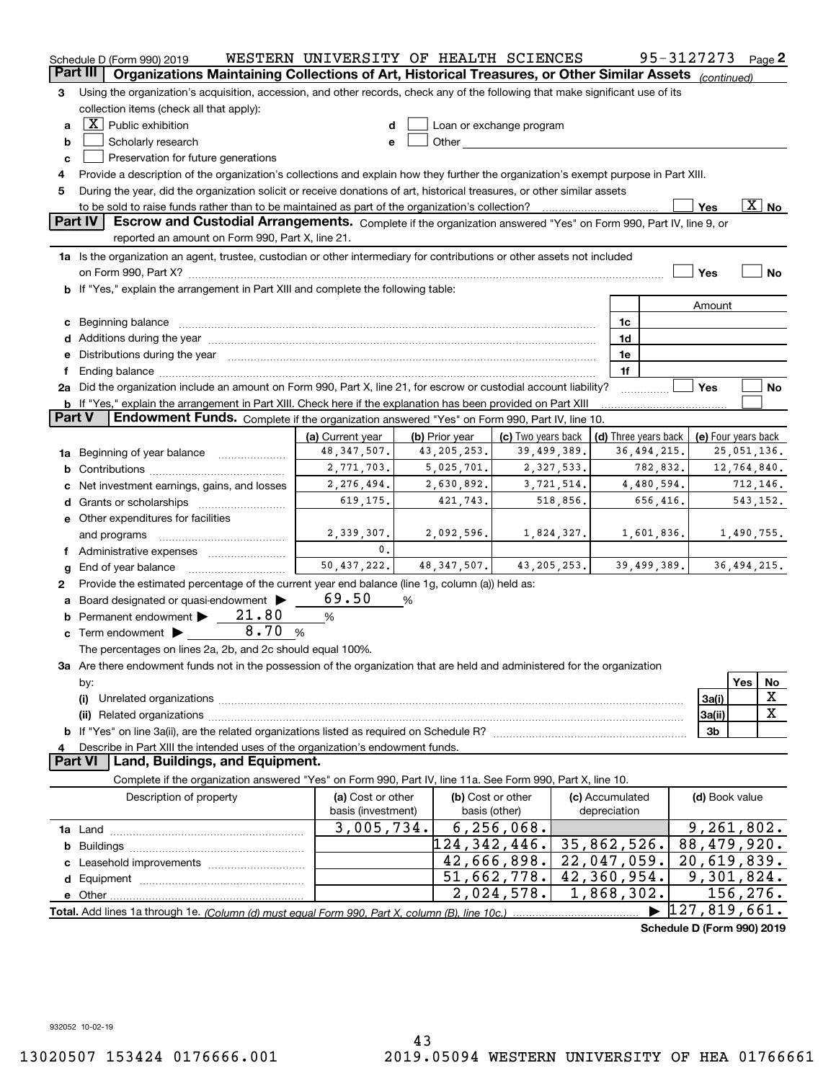|          | Schedule D (Form 990) 2019                                                                                                                                                                                                                                                                                                                                                                                                                                       | WESTERN UNIVERSITY OF HEALTH SCIENCES |                |                                                                                                                                                                                                                               |            |                      | 95-3127273                 | Page 2              |
|----------|------------------------------------------------------------------------------------------------------------------------------------------------------------------------------------------------------------------------------------------------------------------------------------------------------------------------------------------------------------------------------------------------------------------------------------------------------------------|---------------------------------------|----------------|-------------------------------------------------------------------------------------------------------------------------------------------------------------------------------------------------------------------------------|------------|----------------------|----------------------------|---------------------|
| Part III | Organizations Maintaining Collections of Art, Historical Treasures, or Other Similar Assets (continued)                                                                                                                                                                                                                                                                                                                                                          |                                       |                |                                                                                                                                                                                                                               |            |                      |                            |                     |
| З        | Using the organization's acquisition, accession, and other records, check any of the following that make significant use of its                                                                                                                                                                                                                                                                                                                                  |                                       |                |                                                                                                                                                                                                                               |            |                      |                            |                     |
|          | collection items (check all that apply):                                                                                                                                                                                                                                                                                                                                                                                                                         |                                       |                |                                                                                                                                                                                                                               |            |                      |                            |                     |
| a        | $\boxed{\text{X}}$ Public exhibition                                                                                                                                                                                                                                                                                                                                                                                                                             | d                                     |                | Loan or exchange program                                                                                                                                                                                                      |            |                      |                            |                     |
| b        | Scholarly research                                                                                                                                                                                                                                                                                                                                                                                                                                               | е                                     |                | Other and the contract of the contract of the contract of the contract of the contract of the contract of the contract of the contract of the contract of the contract of the contract of the contract of the contract of the |            |                      |                            |                     |
| c        | Preservation for future generations                                                                                                                                                                                                                                                                                                                                                                                                                              |                                       |                |                                                                                                                                                                                                                               |            |                      |                            |                     |
| 4        | Provide a description of the organization's collections and explain how they further the organization's exempt purpose in Part XIII.                                                                                                                                                                                                                                                                                                                             |                                       |                |                                                                                                                                                                                                                               |            |                      |                            |                     |
| 5        | During the year, did the organization solicit or receive donations of art, historical treasures, or other similar assets                                                                                                                                                                                                                                                                                                                                         |                                       |                |                                                                                                                                                                                                                               |            |                      |                            |                     |
|          | $\overline{\text{X}}$ No<br>to be sold to raise funds rather than to be maintained as part of the organization's collection?<br>Yes                                                                                                                                                                                                                                                                                                                              |                                       |                |                                                                                                                                                                                                                               |            |                      |                            |                     |
|          | Part IV<br>Escrow and Custodial Arrangements. Complete if the organization answered "Yes" on Form 990, Part IV, line 9, or                                                                                                                                                                                                                                                                                                                                       |                                       |                |                                                                                                                                                                                                                               |            |                      |                            |                     |
|          | reported an amount on Form 990, Part X, line 21.                                                                                                                                                                                                                                                                                                                                                                                                                 |                                       |                |                                                                                                                                                                                                                               |            |                      |                            |                     |
|          | 1a Is the organization an agent, trustee, custodian or other intermediary for contributions or other assets not included                                                                                                                                                                                                                                                                                                                                         |                                       |                |                                                                                                                                                                                                                               |            |                      |                            |                     |
|          | on Form 990, Part X? [11] matter and the contract of the contract of the contract of the contract of the contract of the contract of the contract of the contract of the contract of the contract of the contract of the contr                                                                                                                                                                                                                                   |                                       |                |                                                                                                                                                                                                                               |            |                      | Yes                        | No                  |
|          | If "Yes," explain the arrangement in Part XIII and complete the following table:                                                                                                                                                                                                                                                                                                                                                                                 |                                       |                |                                                                                                                                                                                                                               |            |                      |                            |                     |
|          |                                                                                                                                                                                                                                                                                                                                                                                                                                                                  |                                       |                |                                                                                                                                                                                                                               |            |                      | Amount                     |                     |
| c        |                                                                                                                                                                                                                                                                                                                                                                                                                                                                  |                                       |                |                                                                                                                                                                                                                               |            | 1c                   |                            |                     |
| d        | Beginning balance <b>contract to the contract of the contract of the contract of the contract of the contract of the contract of the contract of the contract of the contract of the contract of the contract of the contract of</b>                                                                                                                                                                                                                             |                                       |                |                                                                                                                                                                                                                               |            | 1d                   |                            |                     |
| е        | Additions during the year manufactured and an account of the state of the state of the state of the state of the state of the state of the state of the state of the state of the state of the state of the state of the state<br>Distributions during the year manufactured and an account of the state of the state of the state of the state of the state of the state of the state of the state of the state of the state of the state of the state of the s |                                       |                |                                                                                                                                                                                                                               |            | 1e                   |                            |                     |
|          |                                                                                                                                                                                                                                                                                                                                                                                                                                                                  |                                       |                |                                                                                                                                                                                                                               |            | 1f                   |                            |                     |
|          | 2a Did the organization include an amount on Form 990, Part X, line 21, for escrow or custodial account liability?                                                                                                                                                                                                                                                                                                                                               |                                       |                |                                                                                                                                                                                                                               |            |                      | Yes                        | No                  |
|          | <b>b</b> If "Yes," explain the arrangement in Part XIII. Check here if the explanation has been provided on Part XIII                                                                                                                                                                                                                                                                                                                                            |                                       |                |                                                                                                                                                                                                                               |            |                      |                            |                     |
| Part V   | Endowment Funds. Complete if the organization answered "Yes" on Form 990, Part IV, line 10.                                                                                                                                                                                                                                                                                                                                                                      |                                       |                |                                                                                                                                                                                                                               |            |                      |                            |                     |
|          |                                                                                                                                                                                                                                                                                                                                                                                                                                                                  | (a) Current year                      | (b) Prior year | (c) Two years back                                                                                                                                                                                                            |            | (d) Three years back |                            | (e) Four years back |
| 1a       | Beginning of year balance                                                                                                                                                                                                                                                                                                                                                                                                                                        | 48, 347, 507.                         | 43, 205, 253.  | 39,499,389.                                                                                                                                                                                                                   |            | 36, 494, 215.        |                            | 25,051,136.         |
|          |                                                                                                                                                                                                                                                                                                                                                                                                                                                                  | 2,771,703.                            | 5,025,701.     |                                                                                                                                                                                                                               | 2,327,533. | 782,832.             |                            | 12,764,840.         |
| b        |                                                                                                                                                                                                                                                                                                                                                                                                                                                                  | 2,276,494.                            | 2,630,892.     |                                                                                                                                                                                                                               | 3,721,514. | 4,480,594.           |                            | 712,146.            |
|          | Net investment earnings, gains, and losses                                                                                                                                                                                                                                                                                                                                                                                                                       | 619,175.                              | 421,743.       |                                                                                                                                                                                                                               | 518,856.   | 656,416.             |                            | 543,152.            |
| d        |                                                                                                                                                                                                                                                                                                                                                                                                                                                                  |                                       |                |                                                                                                                                                                                                                               |            |                      |                            |                     |
|          | e Other expenditures for facilities                                                                                                                                                                                                                                                                                                                                                                                                                              |                                       |                |                                                                                                                                                                                                                               |            |                      |                            |                     |
|          | and programs                                                                                                                                                                                                                                                                                                                                                                                                                                                     | 2,339,307.<br>$\mathbf{0}$ .          | 2,092,596.     |                                                                                                                                                                                                                               | 1,824,327. | 1,601,836.           |                            | 1,490,755.          |
|          |                                                                                                                                                                                                                                                                                                                                                                                                                                                                  | 50,437,222.                           |                | 43, 205, 253.                                                                                                                                                                                                                 |            |                      |                            |                     |
| g        | End of year balance                                                                                                                                                                                                                                                                                                                                                                                                                                              |                                       | 48, 347, 507.  |                                                                                                                                                                                                                               |            | 39,499,389.          |                            | 36,494,215.         |
| 2        | Provide the estimated percentage of the current year end balance (line 1g, column (a)) held as:                                                                                                                                                                                                                                                                                                                                                                  |                                       |                |                                                                                                                                                                                                                               |            |                      |                            |                     |
| а        | Board designated or quasi-endowment                                                                                                                                                                                                                                                                                                                                                                                                                              | 69.50                                 | %              |                                                                                                                                                                                                                               |            |                      |                            |                     |
|          | Permanent endowment > 21.80                                                                                                                                                                                                                                                                                                                                                                                                                                      | %                                     |                |                                                                                                                                                                                                                               |            |                      |                            |                     |
| c        | 8.70<br>Term endowment $\blacktriangleright$                                                                                                                                                                                                                                                                                                                                                                                                                     | %                                     |                |                                                                                                                                                                                                                               |            |                      |                            |                     |
|          | The percentages on lines 2a, 2b, and 2c should equal 100%.                                                                                                                                                                                                                                                                                                                                                                                                       |                                       |                |                                                                                                                                                                                                                               |            |                      |                            |                     |
|          | 3a Are there endowment funds not in the possession of the organization that are held and administered for the organization                                                                                                                                                                                                                                                                                                                                       |                                       |                |                                                                                                                                                                                                                               |            |                      |                            |                     |
|          | by:                                                                                                                                                                                                                                                                                                                                                                                                                                                              |                                       |                |                                                                                                                                                                                                                               |            |                      |                            | Yes<br>No           |
|          | (i)                                                                                                                                                                                                                                                                                                                                                                                                                                                              |                                       |                |                                                                                                                                                                                                                               |            |                      | 3a(i)                      | х                   |
|          |                                                                                                                                                                                                                                                                                                                                                                                                                                                                  |                                       |                |                                                                                                                                                                                                                               |            |                      | 3a(ii)                     | X                   |
| b        |                                                                                                                                                                                                                                                                                                                                                                                                                                                                  |                                       |                |                                                                                                                                                                                                                               |            |                      | 3 <sub>b</sub>             |                     |
|          | Describe in Part XIII the intended uses of the organization's endowment funds.                                                                                                                                                                                                                                                                                                                                                                                   |                                       |                |                                                                                                                                                                                                                               |            |                      |                            |                     |
|          | Land, Buildings, and Equipment.<br>Part VI                                                                                                                                                                                                                                                                                                                                                                                                                       |                                       |                |                                                                                                                                                                                                                               |            |                      |                            |                     |
|          | Complete if the organization answered "Yes" on Form 990, Part IV, line 11a. See Form 990, Part X, line 10.                                                                                                                                                                                                                                                                                                                                                       |                                       |                |                                                                                                                                                                                                                               |            |                      |                            |                     |
|          | Description of property                                                                                                                                                                                                                                                                                                                                                                                                                                          | (a) Cost or other                     |                | (b) Cost or other                                                                                                                                                                                                             |            | (c) Accumulated      | (d) Book value             |                     |
|          |                                                                                                                                                                                                                                                                                                                                                                                                                                                                  | basis (investment)                    |                | basis (other)                                                                                                                                                                                                                 |            | depreciation         |                            |                     |
|          |                                                                                                                                                                                                                                                                                                                                                                                                                                                                  | 3,005,734.                            |                | 6, 256, 068.                                                                                                                                                                                                                  |            |                      |                            | 9, 261, 802.        |
| b        |                                                                                                                                                                                                                                                                                                                                                                                                                                                                  |                                       | 124,342,446.   |                                                                                                                                                                                                                               |            | 35,862,526.          | 88,479,920.                |                     |
|          |                                                                                                                                                                                                                                                                                                                                                                                                                                                                  |                                       |                | 42,666,898.                                                                                                                                                                                                                   |            | 22,047,059.          | 20,619,839.                |                     |
|          |                                                                                                                                                                                                                                                                                                                                                                                                                                                                  |                                       |                | 51,662,778.                                                                                                                                                                                                                   |            | 42,360,954.          |                            | 9,301,824.          |
|          | e Other                                                                                                                                                                                                                                                                                                                                                                                                                                                          |                                       |                | 2,024,578.                                                                                                                                                                                                                    |            | 1,868,302.           |                            | 156,276.            |
|          | Total. Add lines 1a through 1e. (Column (d) must equal Form 990. Part X, column (B), line 10c.)                                                                                                                                                                                                                                                                                                                                                                  |                                       |                |                                                                                                                                                                                                                               |            |                      | 127,819,661.               |                     |
|          |                                                                                                                                                                                                                                                                                                                                                                                                                                                                  |                                       |                |                                                                                                                                                                                                                               |            |                      | Schedule D (Form 990) 2019 |                     |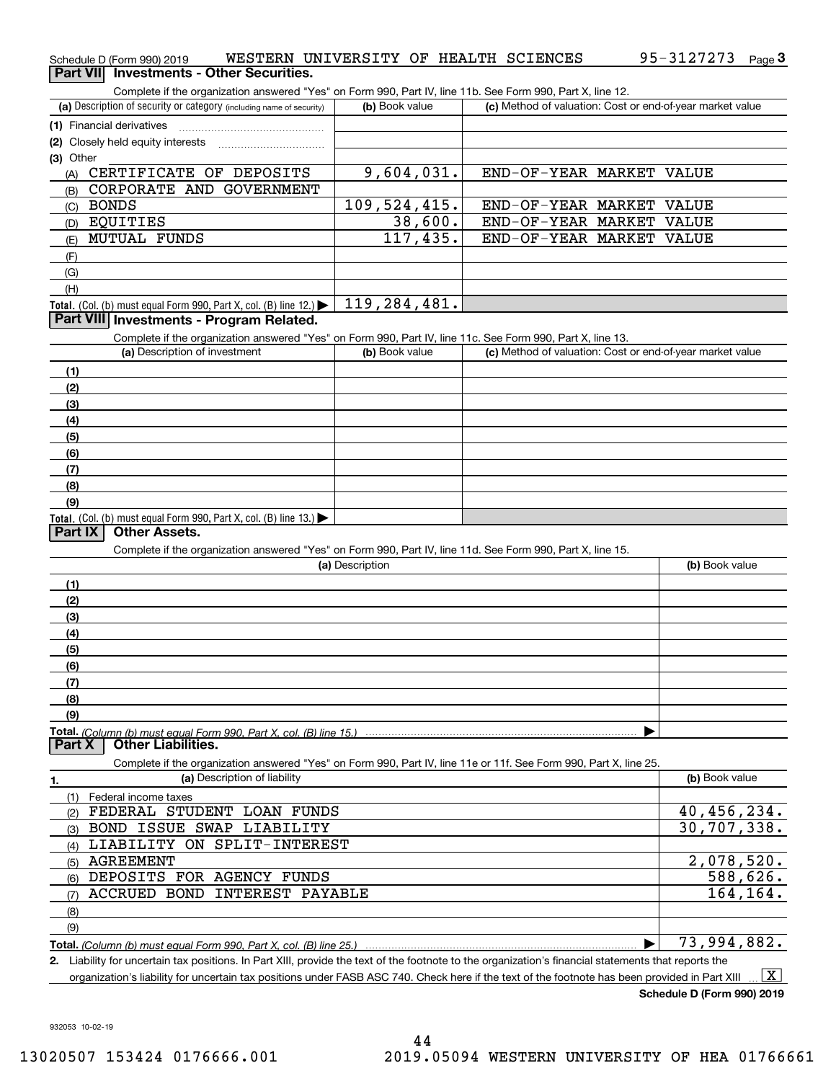| Schedule D (Form 990) 2019                                                                                                                           | WESTERN UNIVERSITY OF HEALTH SCIENCES |                                                           | 95-3127273<br>Page $3$      |
|------------------------------------------------------------------------------------------------------------------------------------------------------|---------------------------------------|-----------------------------------------------------------|-----------------------------|
| Part VII Investments - Other Securities.                                                                                                             |                                       |                                                           |                             |
| Complete if the organization answered "Yes" on Form 990, Part IV, line 11b. See Form 990, Part X, line 12.                                           |                                       |                                                           |                             |
| (a) Description of security or category (including name of security)                                                                                 | (b) Book value                        | (c) Method of valuation: Cost or end-of-year market value |                             |
| (1) Financial derivatives                                                                                                                            |                                       |                                                           |                             |
| (2) Closely held equity interests                                                                                                                    |                                       |                                                           |                             |
| (3) Other                                                                                                                                            |                                       |                                                           |                             |
| CERTIFICATE OF DEPOSITS<br>(A)                                                                                                                       | 9,604,031.                            | END-OF-YEAR MARKET VALUE                                  |                             |
| CORPORATE AND GOVERNMENT<br>(B)                                                                                                                      |                                       |                                                           |                             |
| <b>BONDS</b><br>(C)                                                                                                                                  | 109,524,415.                          | END-OF-YEAR MARKET VALUE                                  |                             |
| EQUITIES<br>(D)                                                                                                                                      | 38,600.                               | END-OF-YEAR MARKET VALUE<br>END-OF-YEAR MARKET VALUE      |                             |
| <b>MUTUAL FUNDS</b><br>(E)                                                                                                                           | 117,435.                              |                                                           |                             |
| (F)                                                                                                                                                  |                                       |                                                           |                             |
| (G)                                                                                                                                                  |                                       |                                                           |                             |
| (H)                                                                                                                                                  | 119,284,481.                          |                                                           |                             |
| Total. (Col. (b) must equal Form 990, Part X, col. (B) line 12.) $\blacktriangleright$<br>Part VIII Investments - Program Related.                   |                                       |                                                           |                             |
|                                                                                                                                                      |                                       |                                                           |                             |
| Complete if the organization answered "Yes" on Form 990, Part IV, line 11c. See Form 990, Part X, line 13.<br>(a) Description of investment          | (b) Book value                        | (c) Method of valuation: Cost or end-of-year market value |                             |
|                                                                                                                                                      |                                       |                                                           |                             |
| (1)<br>(2)                                                                                                                                           |                                       |                                                           |                             |
| (3)                                                                                                                                                  |                                       |                                                           |                             |
| (4)                                                                                                                                                  |                                       |                                                           |                             |
| (5)                                                                                                                                                  |                                       |                                                           |                             |
| (6)                                                                                                                                                  |                                       |                                                           |                             |
| (7)                                                                                                                                                  |                                       |                                                           |                             |
| (8)                                                                                                                                                  |                                       |                                                           |                             |
| (9)                                                                                                                                                  |                                       |                                                           |                             |
| Total. (Col. (b) must equal Form 990, Part X, col. (B) line 13.)                                                                                     |                                       |                                                           |                             |
| <b>Other Assets.</b><br>Part IX                                                                                                                      |                                       |                                                           |                             |
| Complete if the organization answered "Yes" on Form 990, Part IV, line 11d. See Form 990, Part X, line 15.                                           |                                       |                                                           |                             |
|                                                                                                                                                      | (a) Description                       |                                                           | (b) Book value              |
| (1)                                                                                                                                                  |                                       |                                                           |                             |
| (2)                                                                                                                                                  |                                       |                                                           |                             |
| (3)                                                                                                                                                  |                                       |                                                           |                             |
| (4)                                                                                                                                                  |                                       |                                                           |                             |
| (5)                                                                                                                                                  |                                       |                                                           |                             |
| (6)                                                                                                                                                  |                                       |                                                           |                             |
| (7)                                                                                                                                                  |                                       |                                                           |                             |
| (8)                                                                                                                                                  |                                       |                                                           |                             |
| (9)                                                                                                                                                  |                                       |                                                           |                             |
| <b>Other Liabilities.</b><br>Part X                                                                                                                  |                                       |                                                           |                             |
|                                                                                                                                                      |                                       |                                                           |                             |
| Complete if the organization answered "Yes" on Form 990, Part IV, line 11e or 11f. See Form 990, Part X, line 25.<br>(a) Description of liability    |                                       |                                                           | (b) Book value              |
| 1.                                                                                                                                                   |                                       |                                                           |                             |
| (1)<br>Federal income taxes<br>FEDERAL STUDENT LOAN FUNDS                                                                                            |                                       |                                                           | 40,456,234.                 |
| (2)<br>BOND ISSUE SWAP LIABILITY                                                                                                                     |                                       |                                                           | 30,707,338.                 |
| (3)<br>LIABILITY ON SPLIT-INTEREST<br>(4)                                                                                                            |                                       |                                                           |                             |
| <b>AGREEMENT</b><br>(5)                                                                                                                              |                                       |                                                           | 2,078,520.                  |
| DEPOSITS FOR AGENCY FUNDS<br>(6)                                                                                                                     |                                       |                                                           | 588,626.                    |
| ACCRUED BOND INTEREST PAYABLE<br>(7)                                                                                                                 |                                       |                                                           | 164,164.                    |
| (8)                                                                                                                                                  |                                       |                                                           |                             |
| (9)                                                                                                                                                  |                                       |                                                           |                             |
|                                                                                                                                                      |                                       |                                                           | $\overline{73}$ , 994, 882. |
| 2. Liability for uncertain tax positions. In Part XIII, provide the text of the footnote to the organization's financial statements that reports the |                                       |                                                           |                             |
|                                                                                                                                                      |                                       |                                                           |                             |

organization's liability for uncertain tax positions under FASB ASC 740. Check here if the text of the footnote has been provided in Part XIII  $\,$  ...  $\overline{\rm X}$ 

**Schedule D (Form 990) 2019**

95-3127273 Page 3

932053 10-02-19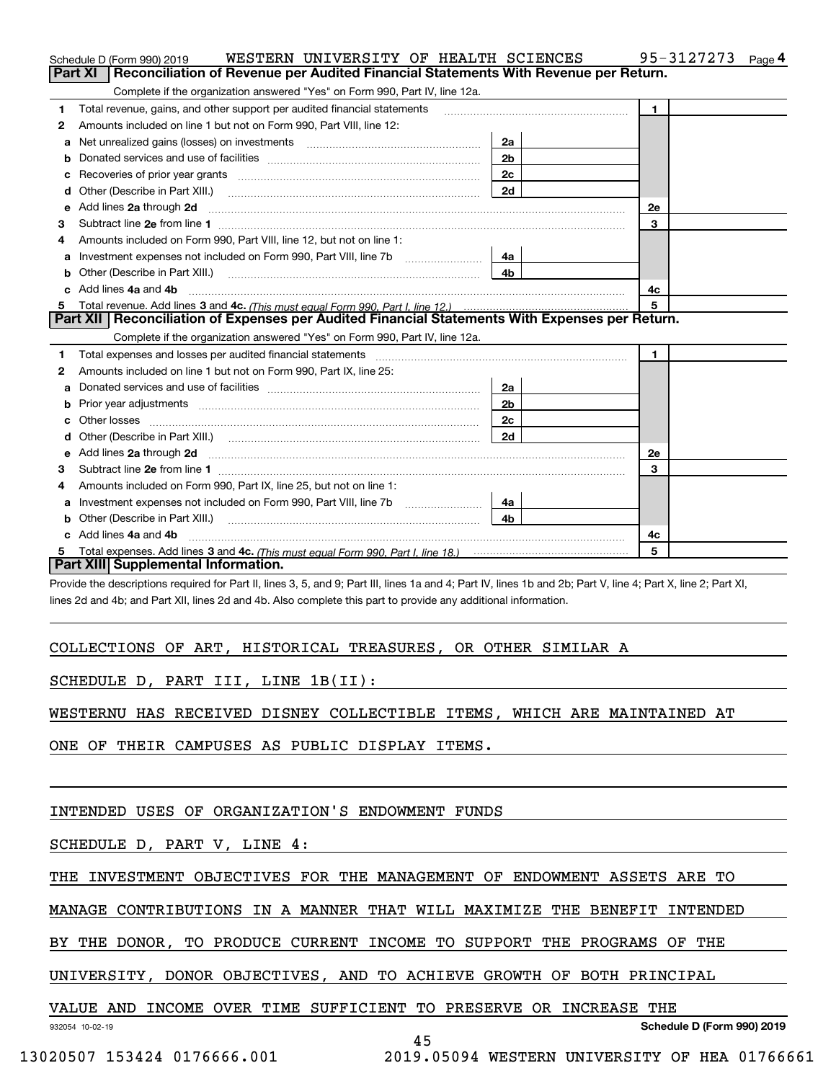|    | WESTERN UNIVERSITY OF HEALTH SCIENCES<br>Schedule D (Form 990) 2019                                                                                                                                                                 |                | 95-3127273<br>Page 4 |  |  |
|----|-------------------------------------------------------------------------------------------------------------------------------------------------------------------------------------------------------------------------------------|----------------|----------------------|--|--|
|    | Reconciliation of Revenue per Audited Financial Statements With Revenue per Return.<br>Part XI                                                                                                                                      |                |                      |  |  |
|    | Complete if the organization answered "Yes" on Form 990, Part IV, line 12a.                                                                                                                                                         |                |                      |  |  |
| 1  | Total revenue, gains, and other support per audited financial statements                                                                                                                                                            |                | $\blacksquare$       |  |  |
| 2  | Amounts included on line 1 but not on Form 990, Part VIII, line 12:                                                                                                                                                                 |                |                      |  |  |
| a  | Net unrealized gains (losses) on investments [11] matter contracts and the unrealized gains (losses) on investments                                                                                                                 | 2a             |                      |  |  |
|    |                                                                                                                                                                                                                                     | 2 <sub>b</sub> |                      |  |  |
| с  |                                                                                                                                                                                                                                     | 2c             |                      |  |  |
| d  |                                                                                                                                                                                                                                     | 2d             |                      |  |  |
| е  | Add lines 2a through 2d                                                                                                                                                                                                             |                | 2e                   |  |  |
| 3  |                                                                                                                                                                                                                                     |                | 3                    |  |  |
| 4  | Amounts included on Form 990. Part VIII, line 12, but not on line 1:                                                                                                                                                                |                |                      |  |  |
| а  |                                                                                                                                                                                                                                     | 4a             |                      |  |  |
| b  |                                                                                                                                                                                                                                     | 4 <sub>b</sub> |                      |  |  |
| c. | Add lines 4a and 4b                                                                                                                                                                                                                 |                | 4с                   |  |  |
| 5  |                                                                                                                                                                                                                                     |                | 5                    |  |  |
|    | Part XII   Reconciliation of Expenses per Audited Financial Statements With Expenses per Return.                                                                                                                                    |                |                      |  |  |
|    | Complete if the organization answered "Yes" on Form 990, Part IV, line 12a.                                                                                                                                                         |                |                      |  |  |
| 1  |                                                                                                                                                                                                                                     |                | $\mathbf{1}$         |  |  |
| 2  | Amounts included on line 1 but not on Form 990, Part IX, line 25:                                                                                                                                                                   |                |                      |  |  |
| a  |                                                                                                                                                                                                                                     | 2a             |                      |  |  |
|    |                                                                                                                                                                                                                                     | 2 <sub>b</sub> |                      |  |  |
| с  |                                                                                                                                                                                                                                     | 2 <sub>c</sub> |                      |  |  |
|    |                                                                                                                                                                                                                                     | 2d             |                      |  |  |
| е  | Add lines 2a through 2d <b>contained a contained a contained a contained a</b> contained a contained a contained a contained a contained a contained a contained a contained a contained a contained a contained a contained a cont |                | <b>2e</b>            |  |  |
| 3  | Subtract line 2e from line 1                                                                                                                                                                                                        |                | 3                    |  |  |
| 4  | Amounts included on Form 990, Part IX, line 25, but not on line 1:                                                                                                                                                                  |                |                      |  |  |
| а  |                                                                                                                                                                                                                                     | 4a             |                      |  |  |
| b  |                                                                                                                                                                                                                                     | 4h             |                      |  |  |
|    | Add lines 4a and 4b                                                                                                                                                                                                                 |                | 4c                   |  |  |
| 5  |                                                                                                                                                                                                                                     |                | 5                    |  |  |
|    | Part XIII Supplemental Information.                                                                                                                                                                                                 |                |                      |  |  |

Provide the descriptions required for Part II, lines 3, 5, and 9; Part III, lines 1a and 4; Part IV, lines 1b and 2b; Part V, line 4; Part X, line 2; Part XI, lines 2d and 4b; and Part XII, lines 2d and 4b. Also complete this part to provide any additional information.

## COLLECTIONS OF ART, HISTORICAL TREASURES, OR OTHER SIMILAR A

## SCHEDULE D, PART III, LINE 1B(II):

WESTERNU HAS RECEIVED DISNEY COLLECTIBLE ITEMS, WHICH ARE MAINTAINED AT

ONE OF THEIR CAMPUSES AS PUBLIC DISPLAY ITEMS.

## INTENDED USES OF ORGANIZATION'S ENDOWMENT FUNDS

SCHEDULE D, PART V, LINE 4:

THE INVESTMENT OBJECTIVES FOR THE MANAGEMENT OF ENDOWMENT ASSETS ARE TO

MANAGE CONTRIBUTIONS IN A MANNER THAT WILL MAXIMIZE THE BENEFIT INTENDED

BY THE DONOR, TO PRODUCE CURRENT INCOME TO SUPPORT THE PROGRAMS OF THE

UNIVERSITY, DONOR OBJECTIVES, AND TO ACHIEVE GROWTH OF BOTH PRINCIPAL

VALUE AND INCOME OVER TIME SUFFICIENT TO PRESERVE OR INCREASE THE

932054 10-02-19

**Schedule D (Form 990) 2019**

45

13020507 153424 0176666.001 2019.05094 WESTERN UNIVERSITY OF HEA 01766661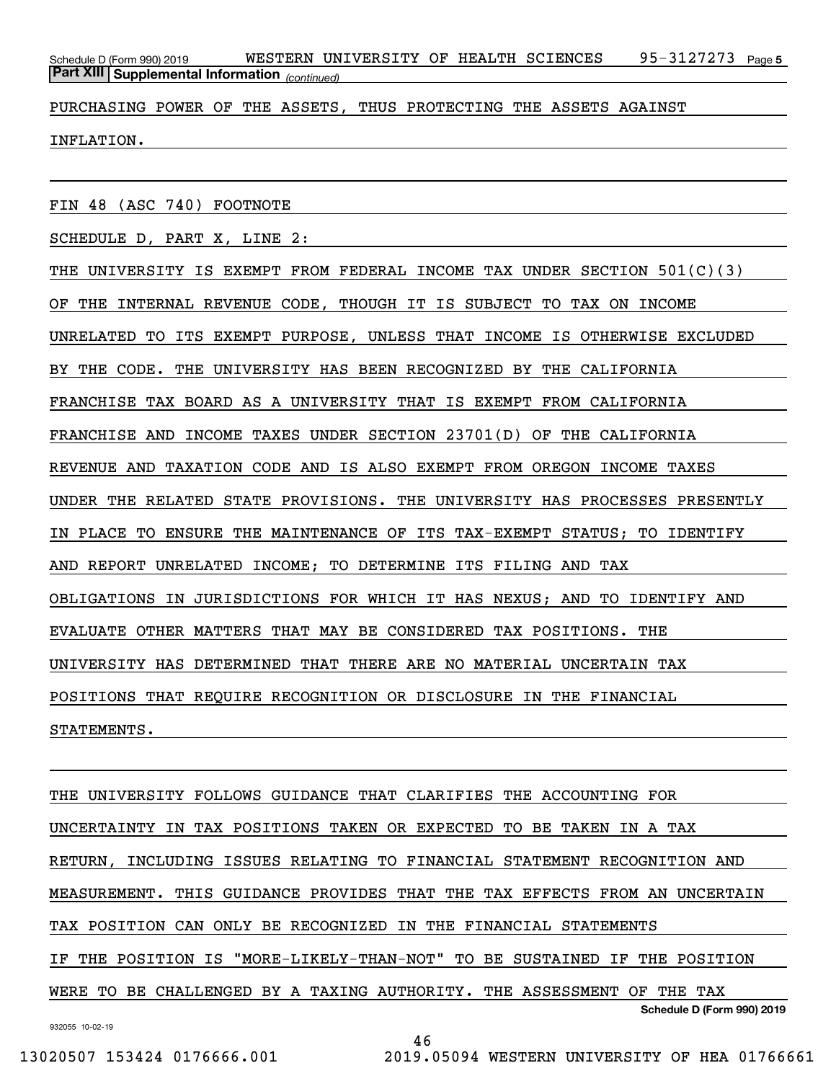95-3127273 Page 5 *(continued)* **Part XIII Supplemental Information**  Schedule D (Form 990) 2019 WESTERN UNIVERSITY OF HEALTH SCIENCES 95-3127273 Page

PURCHASING POWER OF THE ASSETS, THUS PROTECTING THE ASSETS AGAINST

INFLATION.

FIN 48 (ASC 740) FOOTNOTE

SCHEDULE D, PART X, LINE 2:

THE UNIVERSITY IS EXEMPT FROM FEDERAL INCOME TAX UNDER SECTION 501(C)(3) OF THE INTERNAL REVENUE CODE, THOUGH IT IS SUBJECT TO TAX ON INCOME UNRELATED TO ITS EXEMPT PURPOSE, UNLESS THAT INCOME IS OTHERWISE EXCLUDED BY THE CODE. THE UNIVERSITY HAS BEEN RECOGNIZED BY THE CALIFORNIA FRANCHISE TAX BOARD AS A UNIVERSITY THAT IS EXEMPT FROM CALIFORNIA FRANCHISE AND INCOME TAXES UNDER SECTION 23701(D) OF THE CALIFORNIA REVENUE AND TAXATION CODE AND IS ALSO EXEMPT FROM OREGON INCOME TAXES UNDER THE RELATED STATE PROVISIONS. THE UNIVERSITY HAS PROCESSES PRESENTLY IN PLACE TO ENSURE THE MAINTENANCE OF ITS TAX-EXEMPT STATUS; TO IDENTIFY AND REPORT UNRELATED INCOME; TO DETERMINE ITS FILING AND TAX OBLIGATIONS IN JURISDICTIONS FOR WHICH IT HAS NEXUS; AND TO IDENTIFY AND EVALUATE OTHER MATTERS THAT MAY BE CONSIDERED TAX POSITIONS. THE UNIVERSITY HAS DETERMINED THAT THERE ARE NO MATERIAL UNCERTAIN TAX POSITIONS THAT REQUIRE RECOGNITION OR DISCLOSURE IN THE FINANCIAL STATEMENTS.

**Schedule D (Form 990) 2019** THE UNIVERSITY FOLLOWS GUIDANCE THAT CLARIFIES THE ACCOUNTING FOR UNCERTAINTY IN TAX POSITIONS TAKEN OR EXPECTED TO BE TAKEN IN A TAX RETURN, INCLUDING ISSUES RELATING TO FINANCIAL STATEMENT RECOGNITION AND MEASUREMENT. THIS GUIDANCE PROVIDES THAT THE TAX EFFECTS FROM AN UNCERTAIN TAX POSITION CAN ONLY BE RECOGNIZED IN THE FINANCIAL STATEMENTS IF THE POSITION IS "MORE-LIKELY-THAN-NOT" TO BE SUSTAINED IF THE POSITION WERE TO BE CHALLENGED BY A TAXING AUTHORITY. THE ASSESSMENT OF THE TAX

932055 10-02-19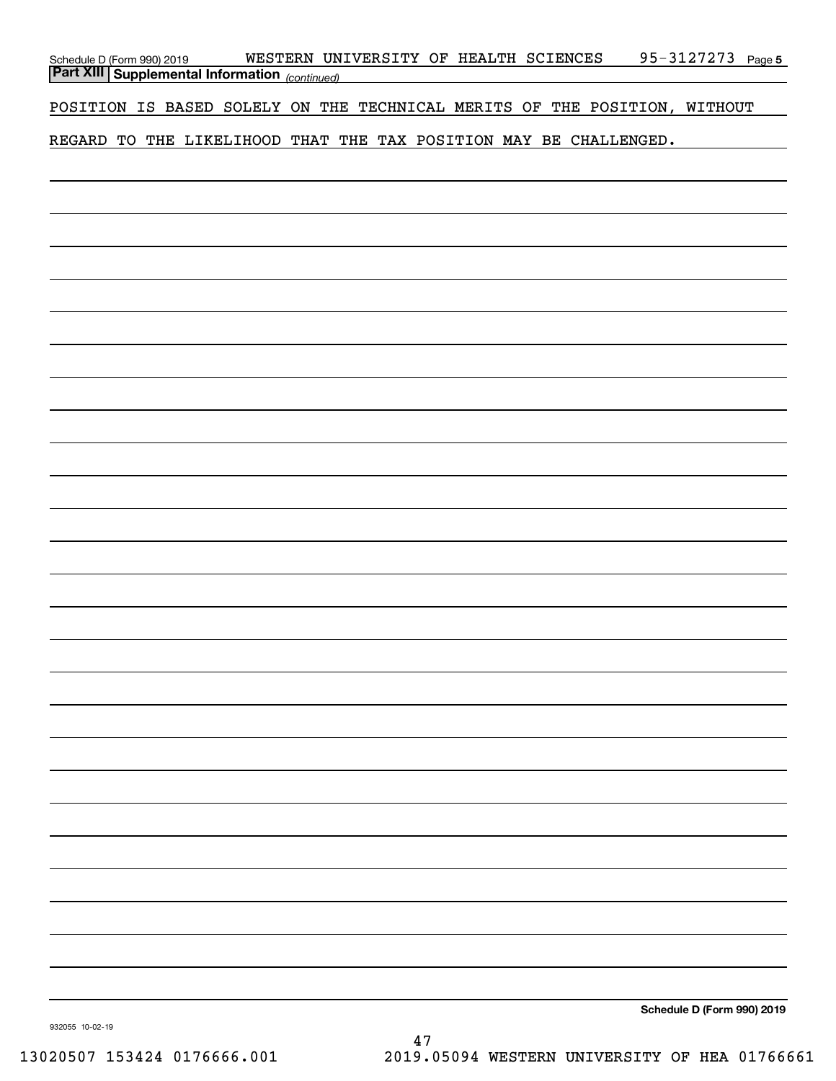| Schedule D (Form 990) 2019<br><b>Part XIII Supplemental Information</b> (continued) | WESTERN UNIVERSITY OF HEALTH SCIENCES                                     | 95-3127273 Page 5          |
|-------------------------------------------------------------------------------------|---------------------------------------------------------------------------|----------------------------|
|                                                                                     | POSITION IS BASED SOLELY ON THE TECHNICAL MERITS OF THE POSITION, WITHOUT |                            |
|                                                                                     | REGARD TO THE LIKELIHOOD THAT THE TAX POSITION MAY BE CHALLENGED.         |                            |
|                                                                                     |                                                                           |                            |
|                                                                                     |                                                                           |                            |
|                                                                                     |                                                                           |                            |
|                                                                                     |                                                                           |                            |
|                                                                                     |                                                                           |                            |
|                                                                                     |                                                                           |                            |
|                                                                                     |                                                                           |                            |
|                                                                                     |                                                                           |                            |
|                                                                                     |                                                                           |                            |
|                                                                                     |                                                                           |                            |
|                                                                                     |                                                                           |                            |
|                                                                                     |                                                                           |                            |
|                                                                                     |                                                                           |                            |
|                                                                                     |                                                                           |                            |
|                                                                                     |                                                                           |                            |
|                                                                                     |                                                                           |                            |
|                                                                                     |                                                                           |                            |
|                                                                                     |                                                                           |                            |
|                                                                                     |                                                                           |                            |
|                                                                                     |                                                                           |                            |
|                                                                                     |                                                                           |                            |
|                                                                                     |                                                                           |                            |
|                                                                                     |                                                                           |                            |
|                                                                                     |                                                                           | Schedule D (Form 990) 2019 |

Schedule **D** (Form 990)

932055 10-02-19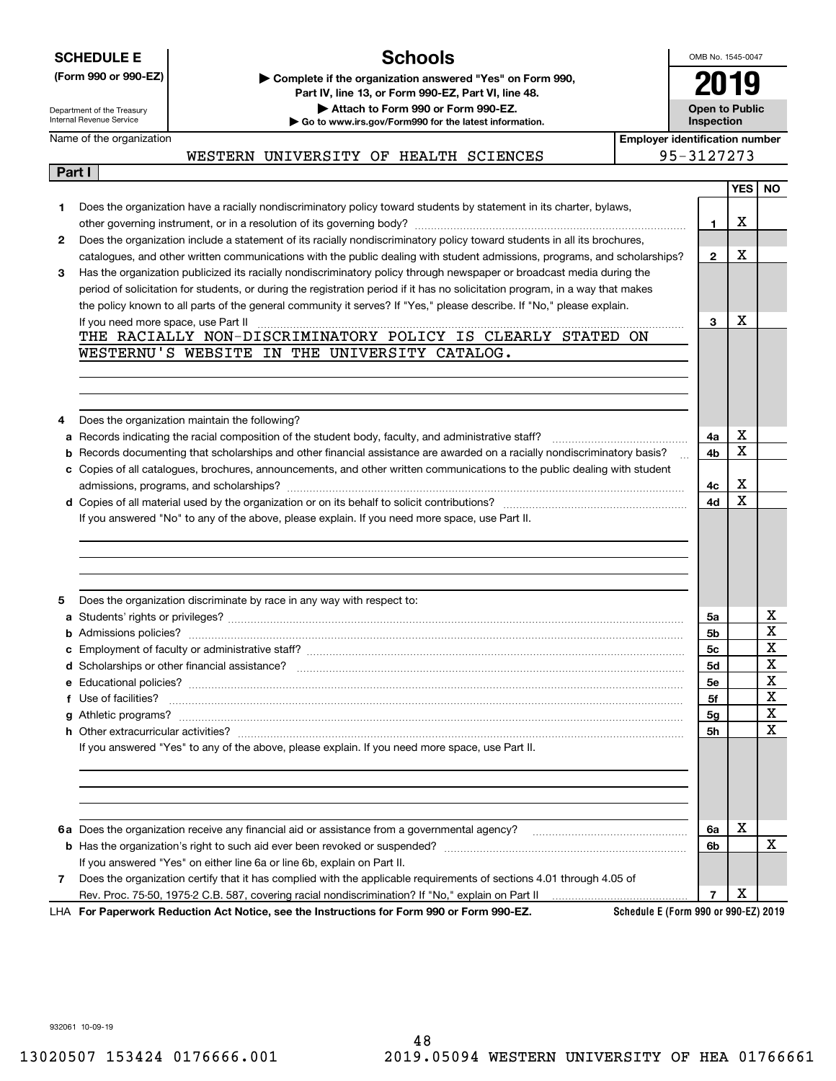|  |  |  |  | <b>SCHEDULE E</b> |  |
|--|--|--|--|-------------------|--|
|  |  |  |  |                   |  |

# **Schools**

OMB No. 1545-0047 **2019**

**Open to Public**

| (Form 990 or 990-EZ)       | ► Complete if the organization answered "Yes" on Form 990. |
|----------------------------|------------------------------------------------------------|
|                            | Part IV, line 13, or Form 990-EZ, Part VI, line 48,        |
| Department of the Treasury | Attach to Form 990 or Form 990-EZ.                         |

**| Go to www.irs.gov/Form990 for the latest information.**

Department of the Treasury Internal Revenue Service Name of the organization

**Part I**

**InspectionEmployer identification number**

| WESTERN UNIVERSITY OF HEALTH SCIENCES |  | 95-3127273 |
|---------------------------------------|--|------------|
|                                       |  |            |

|   |                                                                                                                                                                                                                                                                                                                            |              | YES | <b>NO</b> |
|---|----------------------------------------------------------------------------------------------------------------------------------------------------------------------------------------------------------------------------------------------------------------------------------------------------------------------------|--------------|-----|-----------|
| 1 | Does the organization have a racially nondiscriminatory policy toward students by statement in its charter, bylaws,                                                                                                                                                                                                        |              |     |           |
|   |                                                                                                                                                                                                                                                                                                                            | 1            | X   |           |
| 2 | Does the organization include a statement of its racially nondiscriminatory policy toward students in all its brochures,                                                                                                                                                                                                   |              |     |           |
|   | catalogues, and other written communications with the public dealing with student admissions, programs, and scholarships?                                                                                                                                                                                                  | $\mathbf{2}$ | х   |           |
| 3 | Has the organization publicized its racially nondiscriminatory policy through newspaper or broadcast media during the                                                                                                                                                                                                      |              |     |           |
|   | period of solicitation for students, or during the registration period if it has no solicitation program, in a way that makes                                                                                                                                                                                              |              |     |           |
|   | the policy known to all parts of the general community it serves? If "Yes," please describe. If "No," please explain.                                                                                                                                                                                                      |              |     |           |
|   | If you need more space, use Part II $\ldots$ $\ldots$ $\ldots$ $\ldots$ $\ldots$ $\ldots$ $\ldots$ $\ldots$ $\ldots$ $\ldots$ $\ldots$ $\ldots$ $\ldots$ $\ldots$ $\ldots$ $\ldots$ $\ldots$ $\ldots$ $\ldots$ $\ldots$ $\ldots$ $\ldots$ $\ldots$ $\ldots$ $\ldots$ $\ldots$ $\ldots$ $\ldots$ $\ldots$ $\ldots$ $\ldots$ | 3            | X   |           |
|   | THE RACIALLY NON-DISCRIMINATORY POLICY IS CLEARLY STATED ON                                                                                                                                                                                                                                                                |              |     |           |
|   | WESTERNU'S WEBSITE IN THE UNIVERSITY CATALOG.                                                                                                                                                                                                                                                                              |              |     |           |
|   |                                                                                                                                                                                                                                                                                                                            |              |     |           |
|   |                                                                                                                                                                                                                                                                                                                            |              |     |           |
|   |                                                                                                                                                                                                                                                                                                                            |              |     |           |
| 4 | Does the organization maintain the following?                                                                                                                                                                                                                                                                              |              | х   |           |
| а |                                                                                                                                                                                                                                                                                                                            | 4a           | х   |           |
| b | Records documenting that scholarships and other financial assistance are awarded on a racially nondiscriminatory basis?                                                                                                                                                                                                    | 4b           |     |           |
|   | c Copies of all catalogues, brochures, announcements, and other written communications to the public dealing with student                                                                                                                                                                                                  |              | X   |           |
|   |                                                                                                                                                                                                                                                                                                                            | 4с<br>4d     | X   |           |
|   | If you answered "No" to any of the above, please explain. If you need more space, use Part II.                                                                                                                                                                                                                             |              |     |           |
|   |                                                                                                                                                                                                                                                                                                                            |              |     |           |
|   |                                                                                                                                                                                                                                                                                                                            |              |     |           |
|   |                                                                                                                                                                                                                                                                                                                            |              |     |           |
|   |                                                                                                                                                                                                                                                                                                                            |              |     |           |
| 5 | Does the organization discriminate by race in any way with respect to:                                                                                                                                                                                                                                                     |              |     |           |
| a |                                                                                                                                                                                                                                                                                                                            | 5a           |     | х         |
|   |                                                                                                                                                                                                                                                                                                                            | 5b           |     | Х         |
|   |                                                                                                                                                                                                                                                                                                                            | 5с           |     | X         |
|   |                                                                                                                                                                                                                                                                                                                            | 5d           |     | X         |
|   |                                                                                                                                                                                                                                                                                                                            | 5е           |     | х         |
|   | f Use of facilities? <b>www.communities.</b> We can be a series of the contract of the contract of the contract of the contract of the contract of the contract of the contract of the contract of the contract of the contract of                                                                                         | 5f           |     | х         |
|   |                                                                                                                                                                                                                                                                                                                            | 5g           |     | Х         |
|   |                                                                                                                                                                                                                                                                                                                            | 5h           |     | X         |
|   | If you answered "Yes" to any of the above, please explain. If you need more space, use Part II.                                                                                                                                                                                                                            |              |     |           |
|   |                                                                                                                                                                                                                                                                                                                            |              |     |           |
|   |                                                                                                                                                                                                                                                                                                                            |              |     |           |
|   |                                                                                                                                                                                                                                                                                                                            |              |     |           |
|   |                                                                                                                                                                                                                                                                                                                            |              |     |           |
|   |                                                                                                                                                                                                                                                                                                                            | 6a           | х   |           |
|   |                                                                                                                                                                                                                                                                                                                            | 6b           |     | х         |
|   | If you answered "Yes" on either line 6a or line 6b, explain on Part II.                                                                                                                                                                                                                                                    |              |     |           |
| 7 | Does the organization certify that it has complied with the applicable requirements of sections 4.01 through 4.05 of                                                                                                                                                                                                       |              |     |           |
|   | Rev. Proc. 75-50, 1975-2 C.B. 587, covering racial nondiscrimination? If "No," explain on Part II                                                                                                                                                                                                                          | 7            | х   |           |
|   | Schedule E (Form 990 or 990-EZ) 2019<br>LHA For Paperwork Reduction Act Notice, see the Instructions for Form 990 or Form 990-EZ.                                                                                                                                                                                          |              |     |           |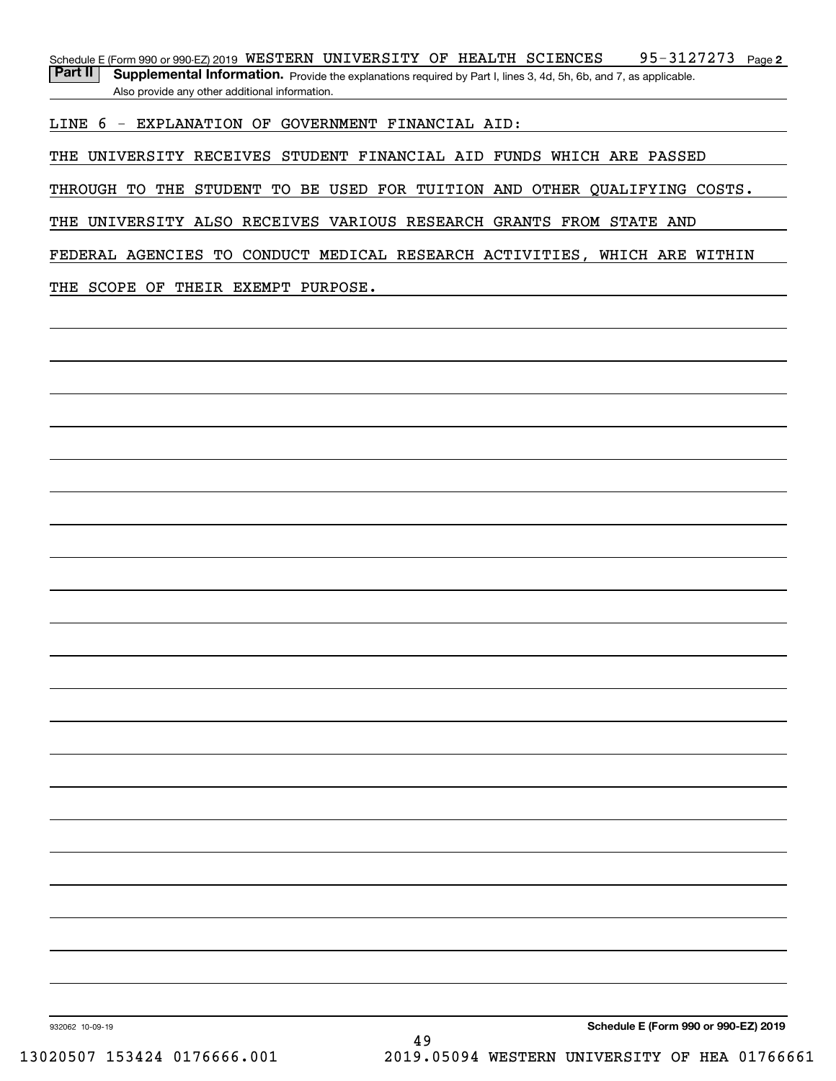95-3127273 Page 2 Schedule E (Form 990 or 990-EZ) 2019 <code>WESTERN UNIVERSITY OF HEALTH SCIENCES</code> 95-3127273 <code>Page</code> Part II | Supplemental Information. Provide the explanations required by Part I, lines 3, 4d, 5h, 6b, and 7, as applicable.

Also provide any other additional information.

LINE 6 - EXPLANATION OF GOVERNMENT FINANCIAL AID:

THE UNIVERSITY RECEIVES STUDENT FINANCIAL AID FUNDS WHICH ARE PASSED

THROUGH TO THE STUDENT TO BE USED FOR TUITION AND OTHER QUALIFYING COSTS.

THE UNIVERSITY ALSO RECEIVES VARIOUS RESEARCH GRANTS FROM STATE AND

FEDERAL AGENCIES TO CONDUCT MEDICAL RESEARCH ACTIVITIES, WHICH ARE WITHIN

THE SCOPE OF THEIR EXEMPT PURPOSE.

**Schedule E (Form 990 or 990-EZ) 2019**

932062 10-09-19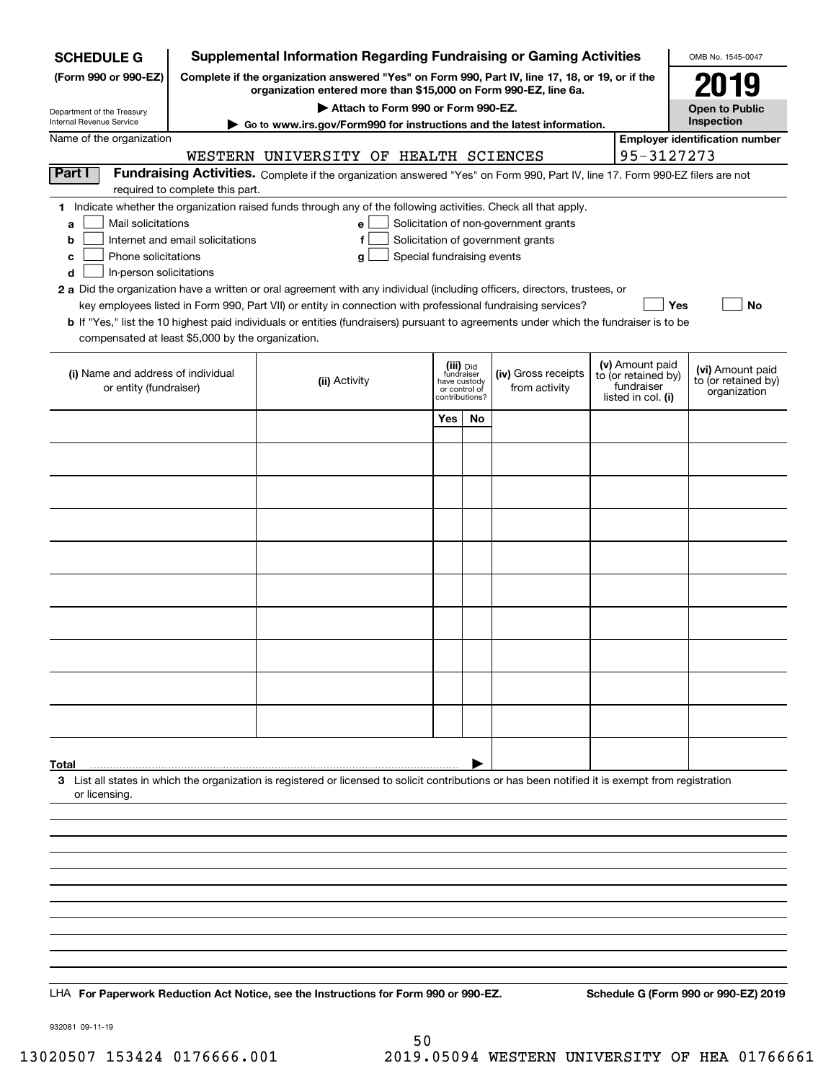| <b>SCHEDULE G</b>                                            |                                  | <b>Supplemental Information Regarding Fundraising or Gaming Activities</b>                                                                                                                                                                |              |                                 |                                       |                    |                                   | OMB No. 1545-0047                       |  |
|--------------------------------------------------------------|----------------------------------|-------------------------------------------------------------------------------------------------------------------------------------------------------------------------------------------------------------------------------------------|--------------|---------------------------------|---------------------------------------|--------------------|-----------------------------------|-----------------------------------------|--|
| (Form 990 or 990-EZ)                                         |                                  | Complete if the organization answered "Yes" on Form 990, Part IV, line 17, 18, or 19, or if the<br>organization entered more than \$15,000 on Form 990-EZ, line 6a.                                                                       |              |                                 |                                       |                    |                                   |                                         |  |
| Department of the Treasury                                   |                                  | Attach to Form 990 or Form 990-EZ.                                                                                                                                                                                                        |              |                                 |                                       |                    |                                   |                                         |  |
| Internal Revenue Service                                     |                                  | ► Go to www.irs.gov/Form990 for instructions and the latest information.                                                                                                                                                                  |              |                                 |                                       |                    |                                   | Inspection                              |  |
| Name of the organization                                     |                                  | WESTERN UNIVERSITY OF HEALTH SCIENCES                                                                                                                                                                                                     |              |                                 |                                       |                    | 95-3127273                        | <b>Employer identification number</b>   |  |
| Part I                                                       |                                  | Fundraising Activities. Complete if the organization answered "Yes" on Form 990, Part IV, line 17. Form 990-EZ filers are not                                                                                                             |              |                                 |                                       |                    |                                   |                                         |  |
|                                                              | required to complete this part.  |                                                                                                                                                                                                                                           |              |                                 |                                       |                    |                                   |                                         |  |
| Mail solicitations<br>a                                      |                                  | 1 Indicate whether the organization raised funds through any of the following activities. Check all that apply.<br>e                                                                                                                      |              |                                 | Solicitation of non-government grants |                    |                                   |                                         |  |
| b                                                            | Internet and email solicitations | f                                                                                                                                                                                                                                         |              |                                 | Solicitation of government grants     |                    |                                   |                                         |  |
| Phone solicitations<br>c                                     |                                  | Special fundraising events<br>g                                                                                                                                                                                                           |              |                                 |                                       |                    |                                   |                                         |  |
| In-person solicitations<br>d                                 |                                  |                                                                                                                                                                                                                                           |              |                                 |                                       |                    |                                   |                                         |  |
|                                                              |                                  | 2 a Did the organization have a written or oral agreement with any individual (including officers, directors, trustees, or<br>key employees listed in Form 990, Part VII) or entity in connection with professional fundraising services? |              |                                 |                                       |                    | Yes                               | No                                      |  |
|                                                              |                                  | <b>b</b> If "Yes," list the 10 highest paid individuals or entities (fundraisers) pursuant to agreements under which the fundraiser is to be                                                                                              |              |                                 |                                       |                    |                                   |                                         |  |
| compensated at least \$5,000 by the organization.            |                                  |                                                                                                                                                                                                                                           |              |                                 |                                       |                    |                                   |                                         |  |
|                                                              |                                  |                                                                                                                                                                                                                                           |              |                                 |                                       |                    | (v) Amount paid                   |                                         |  |
| (i) Name and address of individual<br>or entity (fundraiser) |                                  | (ii) Activity                                                                                                                                                                                                                             | have custody | (iii) Did<br>fundraiser         | (iv) Gross receipts<br>from activity  |                    | to (or retained by)<br>fundraiser | (vi) Amount paid<br>to (or retained by) |  |
|                                                              |                                  |                                                                                                                                                                                                                                           |              | or control of<br>contributions? |                                       | listed in col. (i) | organization                      |                                         |  |
|                                                              |                                  |                                                                                                                                                                                                                                           | Yes          | No                              |                                       |                    |                                   |                                         |  |
|                                                              |                                  |                                                                                                                                                                                                                                           |              |                                 |                                       |                    |                                   |                                         |  |
|                                                              |                                  |                                                                                                                                                                                                                                           |              |                                 |                                       |                    |                                   |                                         |  |
|                                                              |                                  |                                                                                                                                                                                                                                           |              |                                 |                                       |                    |                                   |                                         |  |
|                                                              |                                  |                                                                                                                                                                                                                                           |              |                                 |                                       |                    |                                   |                                         |  |
|                                                              |                                  |                                                                                                                                                                                                                                           |              |                                 |                                       |                    |                                   |                                         |  |
|                                                              |                                  |                                                                                                                                                                                                                                           |              |                                 |                                       |                    |                                   |                                         |  |
|                                                              |                                  |                                                                                                                                                                                                                                           |              |                                 |                                       |                    |                                   |                                         |  |
|                                                              |                                  |                                                                                                                                                                                                                                           |              |                                 |                                       |                    |                                   |                                         |  |
|                                                              |                                  |                                                                                                                                                                                                                                           |              |                                 |                                       |                    |                                   |                                         |  |
|                                                              |                                  |                                                                                                                                                                                                                                           |              |                                 |                                       |                    |                                   |                                         |  |
|                                                              |                                  |                                                                                                                                                                                                                                           |              |                                 |                                       |                    |                                   |                                         |  |
|                                                              |                                  |                                                                                                                                                                                                                                           |              |                                 |                                       |                    |                                   |                                         |  |
|                                                              |                                  |                                                                                                                                                                                                                                           |              |                                 |                                       |                    |                                   |                                         |  |
| Total                                                        |                                  | 3 List all states in which the organization is registered or licensed to solicit contributions or has been notified it is exempt from registration                                                                                        |              |                                 |                                       |                    |                                   |                                         |  |
| or licensing.                                                |                                  |                                                                                                                                                                                                                                           |              |                                 |                                       |                    |                                   |                                         |  |
|                                                              |                                  |                                                                                                                                                                                                                                           |              |                                 |                                       |                    |                                   |                                         |  |
|                                                              |                                  |                                                                                                                                                                                                                                           |              |                                 |                                       |                    |                                   |                                         |  |
|                                                              |                                  |                                                                                                                                                                                                                                           |              |                                 |                                       |                    |                                   |                                         |  |
|                                                              |                                  |                                                                                                                                                                                                                                           |              |                                 |                                       |                    |                                   |                                         |  |
|                                                              |                                  |                                                                                                                                                                                                                                           |              |                                 |                                       |                    |                                   |                                         |  |
|                                                              |                                  |                                                                                                                                                                                                                                           |              |                                 |                                       |                    |                                   |                                         |  |
|                                                              |                                  |                                                                                                                                                                                                                                           |              |                                 |                                       |                    |                                   |                                         |  |
|                                                              |                                  |                                                                                                                                                                                                                                           |              |                                 |                                       |                    |                                   |                                         |  |
|                                                              |                                  | LHA For Paperwork Reduction Act Notice, see the Instructions for Form 990 or 990-EZ.                                                                                                                                                      |              |                                 |                                       |                    |                                   | Schedule G (Form 990 or 990-EZ) 2019    |  |

932081 09-11-19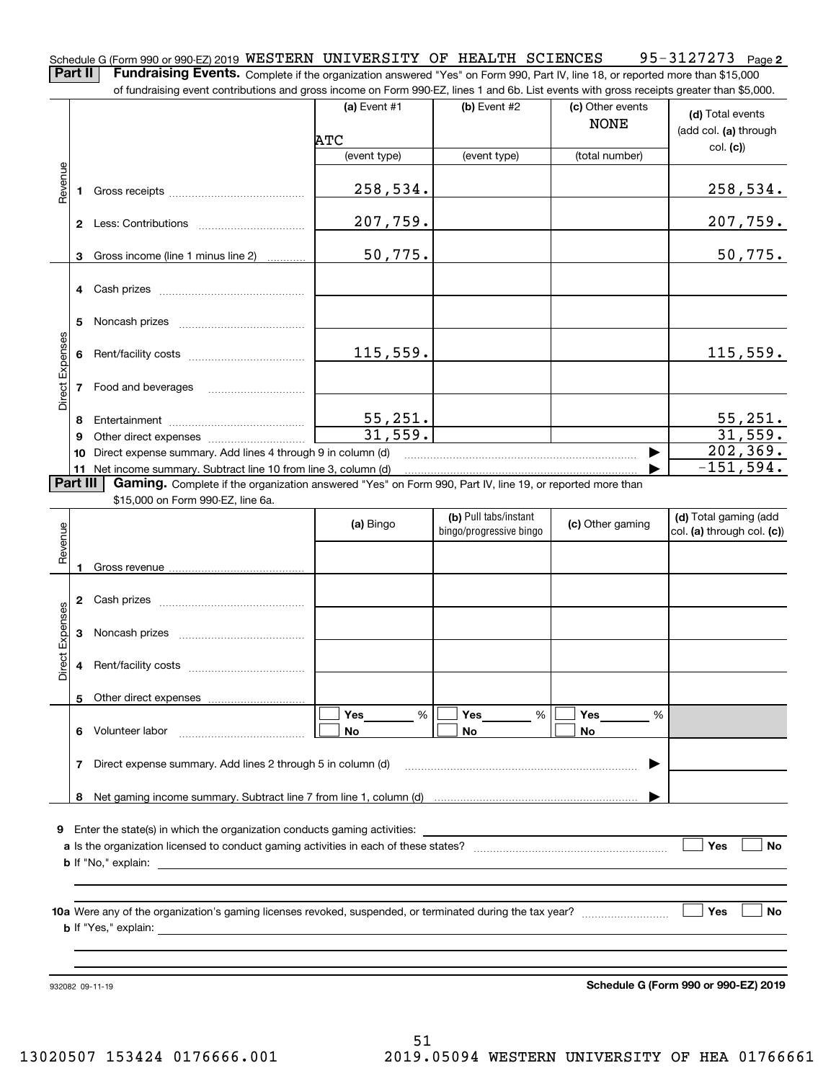**2** Schedule G (Form 990 or 990-EZ) 2019 <code>WESTERN UNIVERSITY OF HEALTH SCIENCES</code> 95-3127273  $\,$  Page

**Part II** | Fundraising Events. Complete if the organization answered "Yes" on Form 990, Part IV, line 18, or reported more than \$15,000

|                 |          | of fundraising event contributions and gross income on Form 990-EZ, lines 1 and 6b. List events with gross receipts greater than \$5,000. | (a) Event #1            | (b) Event #2            | (c) Other events |                                      |
|-----------------|----------|-------------------------------------------------------------------------------------------------------------------------------------------|-------------------------|-------------------------|------------------|--------------------------------------|
|                 |          |                                                                                                                                           |                         |                         | <b>NONE</b>      | (d) Total events                     |
|                 |          |                                                                                                                                           | ATC                     |                         |                  | (add col. (a) through                |
|                 |          |                                                                                                                                           | (event type)            | (event type)            | (total number)   | col. (c)                             |
| Revenue         |          |                                                                                                                                           |                         |                         |                  |                                      |
|                 | 1        |                                                                                                                                           | 258,534.                |                         |                  | <u>258,534.</u>                      |
|                 |          |                                                                                                                                           | 207,759.                |                         |                  | 207,759.                             |
|                 | 3        | Gross income (line 1 minus line 2)                                                                                                        | 50,775.                 |                         |                  | 50,775.                              |
|                 |          |                                                                                                                                           |                         |                         |                  |                                      |
|                 | 4        |                                                                                                                                           |                         |                         |                  |                                      |
|                 |          |                                                                                                                                           |                         |                         |                  |                                      |
|                 | 5        |                                                                                                                                           |                         |                         |                  |                                      |
| Direct Expenses | 6        |                                                                                                                                           | 115,559.                |                         |                  | 115,559.                             |
|                 |          |                                                                                                                                           |                         |                         |                  |                                      |
|                 | 7        | Food and beverages                                                                                                                        |                         |                         |                  |                                      |
|                 | 8        |                                                                                                                                           |                         |                         |                  |                                      |
|                 | 9        |                                                                                                                                           | $\frac{55,251}{31,559}$ |                         |                  | $\frac{55,251}{31,559}$              |
|                 | 10       | Direct expense summary. Add lines 4 through 9 in column (d)                                                                               |                         |                         |                  | 202, 369.                            |
|                 |          | 11 Net income summary. Subtract line 10 from line 3, column (d)                                                                           |                         |                         |                  | $-151,594.$                          |
|                 | Part III | Gaming. Complete if the organization answered "Yes" on Form 990, Part IV, line 19, or reported more than                                  |                         |                         |                  |                                      |
|                 |          | \$15,000 on Form 990-EZ, line 6a.                                                                                                         |                         |                         |                  |                                      |
|                 |          |                                                                                                                                           | (a) Bingo               | (b) Pull tabs/instant   | (c) Other gaming | (d) Total gaming (add                |
|                 |          |                                                                                                                                           |                         | bingo/progressive bingo |                  | col. (a) through col. (c))           |
| Revenue         |          |                                                                                                                                           |                         |                         |                  |                                      |
|                 | 1        |                                                                                                                                           |                         |                         |                  |                                      |
|                 |          |                                                                                                                                           |                         |                         |                  |                                      |
|                 | 2        |                                                                                                                                           |                         |                         |                  |                                      |
| Expenses        | 3        |                                                                                                                                           |                         |                         |                  |                                      |
|                 |          |                                                                                                                                           |                         |                         |                  |                                      |
| Direct          | 4        |                                                                                                                                           |                         |                         |                  |                                      |
|                 |          |                                                                                                                                           |                         |                         |                  |                                      |
|                 |          | 5 Other direct expenses                                                                                                                   |                         |                         |                  |                                      |
|                 |          |                                                                                                                                           | %<br>Yes                | %<br>Yes                | Yes<br>%         |                                      |
|                 | 6.       | Volunteer labor                                                                                                                           | No                      | No                      | No               |                                      |
|                 | 7        | Direct expense summary. Add lines 2 through 5 in column (d)                                                                               |                         |                         |                  |                                      |
|                 |          |                                                                                                                                           |                         |                         |                  |                                      |
|                 |          |                                                                                                                                           |                         |                         |                  |                                      |
|                 |          |                                                                                                                                           |                         |                         |                  |                                      |
| 9               |          |                                                                                                                                           |                         |                         |                  |                                      |
|                 |          |                                                                                                                                           |                         |                         |                  | Yes<br>No                            |
|                 |          |                                                                                                                                           |                         |                         |                  |                                      |
|                 |          |                                                                                                                                           |                         |                         |                  |                                      |
|                 |          |                                                                                                                                           |                         |                         |                  | Yes<br>No                            |
|                 |          |                                                                                                                                           |                         |                         |                  |                                      |
|                 |          |                                                                                                                                           |                         |                         |                  |                                      |
|                 |          |                                                                                                                                           |                         |                         |                  |                                      |
|                 |          |                                                                                                                                           |                         |                         |                  |                                      |
|                 |          | 932082 09-11-19                                                                                                                           |                         |                         |                  | Schedule G (Form 990 or 990-EZ) 2019 |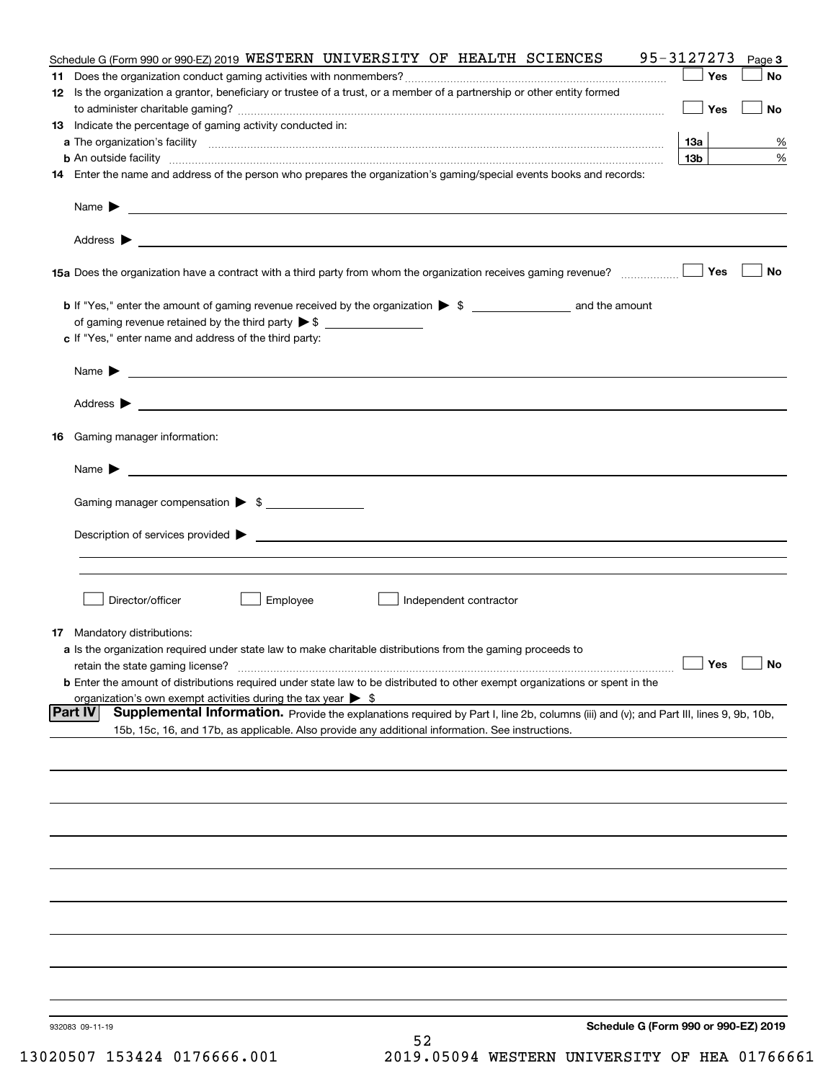|    | Schedule G (Form 990 or 990-EZ) 2019 WESTERN UNIVERSITY OF HEALTH SCIENCES                                                                                                                                                                                   | 95-3127273      | Page 3 |
|----|--------------------------------------------------------------------------------------------------------------------------------------------------------------------------------------------------------------------------------------------------------------|-----------------|--------|
|    |                                                                                                                                                                                                                                                              | Yes             | No     |
|    | 12 Is the organization a grantor, beneficiary or trustee of a trust, or a member of a partnership or other entity formed                                                                                                                                     |                 |        |
|    |                                                                                                                                                                                                                                                              | Yes             | No     |
|    | 13 Indicate the percentage of gaming activity conducted in:                                                                                                                                                                                                  |                 |        |
|    |                                                                                                                                                                                                                                                              | 13а             | %      |
|    | <b>b</b> An outside facility <i>www.communicality communicality communical</i> contract and an outside facility communical communications of the set of the set of the set of the set of the set of the set of the set of the set of the                     | 13 <sub>b</sub> | %      |
|    | 14 Enter the name and address of the person who prepares the organization's gaming/special events books and records:                                                                                                                                         |                 |        |
|    | Name $\blacktriangleright$<br><u> 1990 - Johann Stoff, amerikansk politiker (d. 1980)</u>                                                                                                                                                                    |                 |        |
|    |                                                                                                                                                                                                                                                              |                 |        |
|    | 15a Does the organization have a contract with a third party from whom the organization receives gaming revenue?                                                                                                                                             | Yes             | No     |
|    |                                                                                                                                                                                                                                                              |                 |        |
|    |                                                                                                                                                                                                                                                              |                 |        |
|    | c If "Yes," enter name and address of the third party:                                                                                                                                                                                                       |                 |        |
|    |                                                                                                                                                                                                                                                              |                 |        |
|    | Name $\blacktriangleright$<br><u> 1989 - Andrea State Barbara, amerikan personal di sebagai personal di sebagai personal di sebagai personal di</u>                                                                                                          |                 |        |
|    | Address $\blacktriangleright$<br><u>some started and the started and the started and the started and the started and the started and the started and</u>                                                                                                     |                 |        |
|    |                                                                                                                                                                                                                                                              |                 |        |
| 16 | Gaming manager information:                                                                                                                                                                                                                                  |                 |        |
|    | Name $\blacktriangleright$                                                                                                                                                                                                                                   |                 |        |
|    | Gaming manager compensation > \$                                                                                                                                                                                                                             |                 |        |
|    |                                                                                                                                                                                                                                                              |                 |        |
|    | Description of services provided $\blacktriangleright$<br><u> 1989 - Andrea Aonaichte ann an Comhan ann an Comhan ann an t-</u>                                                                                                                              |                 |        |
|    |                                                                                                                                                                                                                                                              |                 |        |
|    | Director/officer                                                                                                                                                                                                                                             |                 |        |
|    | Employee<br>Independent contractor                                                                                                                                                                                                                           |                 |        |
|    | <b>17</b> Mandatory distributions:                                                                                                                                                                                                                           |                 |        |
|    | a Is the organization required under state law to make charitable distributions from the gaming proceeds to                                                                                                                                                  |                 |        |
|    | retain the state gaming license?                                                                                                                                                                                                                             | $\Box$ Yes      |        |
|    | <b>b</b> Enter the amount of distributions required under state law to be distributed to other exempt organizations or spent in the                                                                                                                          |                 |        |
|    | organization's own exempt activities during the tax year $\triangleright$ \$                                                                                                                                                                                 |                 |        |
|    | <b>Part IV</b><br>Supplemental Information. Provide the explanations required by Part I, line 2b, columns (iii) and (v); and Part III, lines 9, 9b, 10b,<br>15b, 15c, 16, and 17b, as applicable. Also provide any additional information. See instructions. |                 |        |
|    |                                                                                                                                                                                                                                                              |                 |        |
|    |                                                                                                                                                                                                                                                              |                 |        |
|    |                                                                                                                                                                                                                                                              |                 |        |
|    |                                                                                                                                                                                                                                                              |                 |        |
|    |                                                                                                                                                                                                                                                              |                 |        |
|    |                                                                                                                                                                                                                                                              |                 |        |
|    |                                                                                                                                                                                                                                                              |                 |        |
|    |                                                                                                                                                                                                                                                              |                 |        |
|    |                                                                                                                                                                                                                                                              |                 |        |
|    |                                                                                                                                                                                                                                                              |                 |        |
|    |                                                                                                                                                                                                                                                              |                 |        |
|    |                                                                                                                                                                                                                                                              |                 |        |
|    | Schedule G (Form 990 or 990-EZ) 2019<br>932083 09-11-19<br>52                                                                                                                                                                                                |                 |        |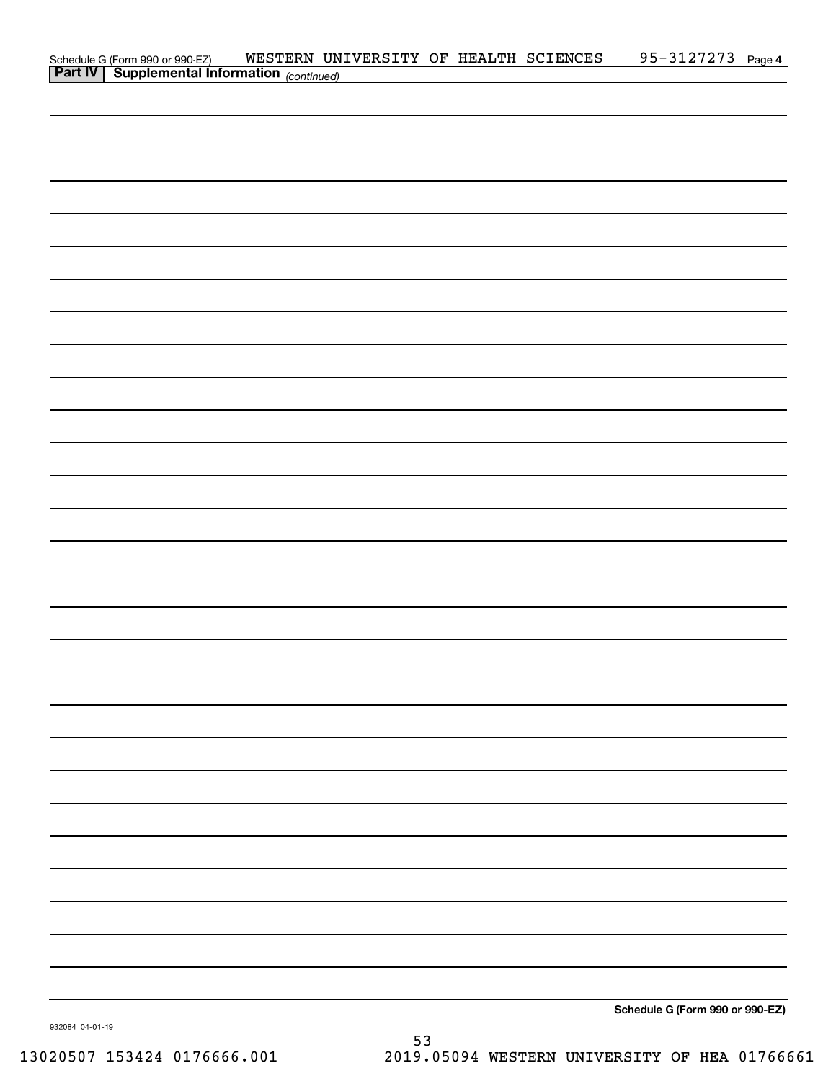| Schedule G (Form 990 or 990-EZ) WESTERN UN<br><b>Part IV</b> Supplemental Information (continued) | WESTERN UNIVERSITY OF HEALTH SCIENCES |  | 95-3127273 Page 4               |  |
|---------------------------------------------------------------------------------------------------|---------------------------------------|--|---------------------------------|--|
|                                                                                                   |                                       |  |                                 |  |
|                                                                                                   |                                       |  |                                 |  |
|                                                                                                   |                                       |  |                                 |  |
|                                                                                                   |                                       |  |                                 |  |
|                                                                                                   |                                       |  |                                 |  |
|                                                                                                   |                                       |  |                                 |  |
|                                                                                                   |                                       |  |                                 |  |
|                                                                                                   |                                       |  |                                 |  |
|                                                                                                   |                                       |  |                                 |  |
|                                                                                                   |                                       |  |                                 |  |
|                                                                                                   |                                       |  |                                 |  |
|                                                                                                   |                                       |  |                                 |  |
|                                                                                                   |                                       |  |                                 |  |
|                                                                                                   |                                       |  |                                 |  |
|                                                                                                   |                                       |  |                                 |  |
|                                                                                                   |                                       |  |                                 |  |
|                                                                                                   |                                       |  |                                 |  |
|                                                                                                   |                                       |  |                                 |  |
|                                                                                                   |                                       |  |                                 |  |
|                                                                                                   |                                       |  |                                 |  |
|                                                                                                   |                                       |  |                                 |  |
|                                                                                                   |                                       |  |                                 |  |
|                                                                                                   |                                       |  |                                 |  |
|                                                                                                   |                                       |  |                                 |  |
|                                                                                                   |                                       |  |                                 |  |
|                                                                                                   |                                       |  |                                 |  |
|                                                                                                   |                                       |  |                                 |  |
|                                                                                                   |                                       |  |                                 |  |
|                                                                                                   |                                       |  |                                 |  |
|                                                                                                   |                                       |  |                                 |  |
|                                                                                                   |                                       |  |                                 |  |
|                                                                                                   |                                       |  |                                 |  |
|                                                                                                   |                                       |  |                                 |  |
|                                                                                                   |                                       |  |                                 |  |
|                                                                                                   |                                       |  |                                 |  |
|                                                                                                   |                                       |  |                                 |  |
|                                                                                                   |                                       |  |                                 |  |
|                                                                                                   |                                       |  |                                 |  |
|                                                                                                   |                                       |  |                                 |  |
|                                                                                                   |                                       |  |                                 |  |
|                                                                                                   |                                       |  |                                 |  |
|                                                                                                   |                                       |  |                                 |  |
|                                                                                                   |                                       |  |                                 |  |
|                                                                                                   |                                       |  | Schedule G (Form 990 or 990-EZ) |  |

932084 04-01-19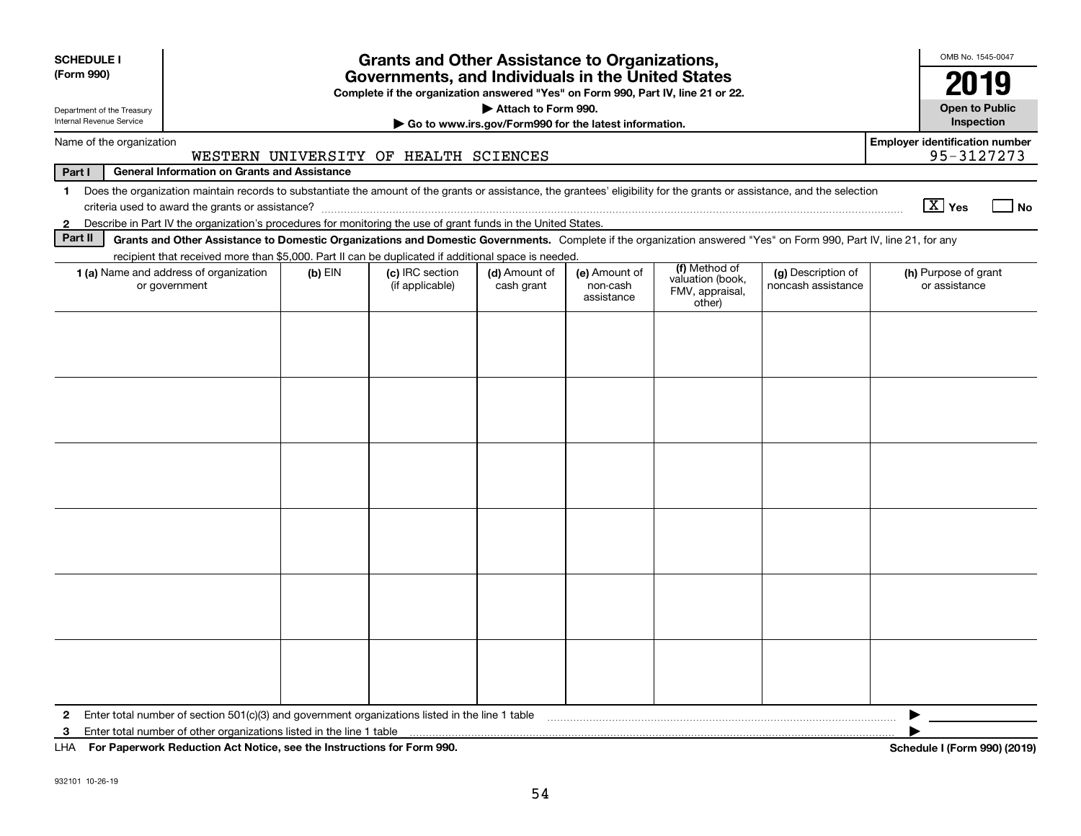| <b>SCHEDULE I</b>                                      |                                                                                                                                                                                                                                 |           | <b>Grants and Other Assistance to Organizations,</b>                                                                                  |                                                                              |                                         |                                               |                                          | OMB No. 1545-0047                     |
|--------------------------------------------------------|---------------------------------------------------------------------------------------------------------------------------------------------------------------------------------------------------------------------------------|-----------|---------------------------------------------------------------------------------------------------------------------------------------|------------------------------------------------------------------------------|-----------------------------------------|-----------------------------------------------|------------------------------------------|---------------------------------------|
| (Form 990)                                             |                                                                                                                                                                                                                                 |           | Governments, and Individuals in the United States<br>Complete if the organization answered "Yes" on Form 990, Part IV, line 21 or 22. |                                                                              |                                         |                                               |                                          | 2019                                  |
| Department of the Treasury<br>Internal Revenue Service |                                                                                                                                                                                                                                 |           |                                                                                                                                       | Attach to Form 990.<br>Go to www.irs.gov/Form990 for the latest information. |                                         |                                               |                                          | <b>Open to Public</b><br>Inspection   |
| Name of the organization                               |                                                                                                                                                                                                                                 |           |                                                                                                                                       |                                                                              |                                         |                                               |                                          | <b>Employer identification number</b> |
|                                                        |                                                                                                                                                                                                                                 |           | WESTERN UNIVERSITY OF HEALTH SCIENCES                                                                                                 |                                                                              |                                         |                                               |                                          | 95-3127273                            |
| Part I<br>$\mathbf 1$                                  | <b>General Information on Grants and Assistance</b><br>Does the organization maintain records to substantiate the amount of the grants or assistance, the grantees' eligibility for the grants or assistance, and the selection |           |                                                                                                                                       |                                                                              |                                         |                                               |                                          |                                       |
|                                                        |                                                                                                                                                                                                                                 |           |                                                                                                                                       |                                                                              |                                         |                                               |                                          | $\boxed{\text{X}}$ Yes<br><b>No</b>   |
| $\mathbf{2}$                                           | Describe in Part IV the organization's procedures for monitoring the use of grant funds in the United States.                                                                                                                   |           |                                                                                                                                       |                                                                              |                                         |                                               |                                          |                                       |
| Part II                                                | Grants and Other Assistance to Domestic Organizations and Domestic Governments. Complete if the organization answered "Yes" on Form 990, Part IV, line 21, for any                                                              |           |                                                                                                                                       |                                                                              |                                         |                                               |                                          |                                       |
|                                                        | recipient that received more than \$5,000. Part II can be duplicated if additional space is needed.                                                                                                                             |           | (c) IRC section                                                                                                                       | (d) Amount of                                                                |                                         | (f) Method of                                 |                                          |                                       |
|                                                        | <b>1 (a)</b> Name and address of organization<br>or government                                                                                                                                                                  | $(b)$ EIN | (if applicable)                                                                                                                       | cash grant                                                                   | (e) Amount of<br>non-cash<br>assistance | valuation (book,<br>FMV, appraisal,<br>other) | (g) Description of<br>noncash assistance | (h) Purpose of grant<br>or assistance |
|                                                        |                                                                                                                                                                                                                                 |           |                                                                                                                                       |                                                                              |                                         |                                               |                                          |                                       |
|                                                        |                                                                                                                                                                                                                                 |           |                                                                                                                                       |                                                                              |                                         |                                               |                                          |                                       |
|                                                        |                                                                                                                                                                                                                                 |           |                                                                                                                                       |                                                                              |                                         |                                               |                                          |                                       |
|                                                        |                                                                                                                                                                                                                                 |           |                                                                                                                                       |                                                                              |                                         |                                               |                                          |                                       |
|                                                        |                                                                                                                                                                                                                                 |           |                                                                                                                                       |                                                                              |                                         |                                               |                                          |                                       |
|                                                        |                                                                                                                                                                                                                                 |           |                                                                                                                                       |                                                                              |                                         |                                               |                                          |                                       |
|                                                        |                                                                                                                                                                                                                                 |           |                                                                                                                                       |                                                                              |                                         |                                               |                                          |                                       |
|                                                        |                                                                                                                                                                                                                                 |           |                                                                                                                                       |                                                                              |                                         |                                               |                                          |                                       |
|                                                        |                                                                                                                                                                                                                                 |           |                                                                                                                                       |                                                                              |                                         |                                               |                                          |                                       |
|                                                        |                                                                                                                                                                                                                                 |           |                                                                                                                                       |                                                                              |                                         |                                               |                                          |                                       |
|                                                        |                                                                                                                                                                                                                                 |           |                                                                                                                                       |                                                                              |                                         |                                               |                                          |                                       |
|                                                        |                                                                                                                                                                                                                                 |           |                                                                                                                                       |                                                                              |                                         |                                               |                                          |                                       |
|                                                        |                                                                                                                                                                                                                                 |           |                                                                                                                                       |                                                                              |                                         |                                               |                                          |                                       |
|                                                        |                                                                                                                                                                                                                                 |           |                                                                                                                                       |                                                                              |                                         |                                               |                                          |                                       |
|                                                        |                                                                                                                                                                                                                                 |           |                                                                                                                                       |                                                                              |                                         |                                               |                                          |                                       |
|                                                        |                                                                                                                                                                                                                                 |           |                                                                                                                                       |                                                                              |                                         |                                               |                                          |                                       |
|                                                        |                                                                                                                                                                                                                                 |           |                                                                                                                                       |                                                                              |                                         |                                               |                                          |                                       |
|                                                        |                                                                                                                                                                                                                                 |           |                                                                                                                                       |                                                                              |                                         |                                               |                                          |                                       |
|                                                        |                                                                                                                                                                                                                                 |           |                                                                                                                                       |                                                                              |                                         |                                               |                                          |                                       |
|                                                        |                                                                                                                                                                                                                                 |           |                                                                                                                                       |                                                                              |                                         |                                               |                                          |                                       |
| $\mathbf{2}$                                           | Enter total number of section $501(c)(3)$ and government organizations listed in the line 1 table                                                                                                                               |           |                                                                                                                                       |                                                                              |                                         |                                               |                                          |                                       |
| 3                                                      | Enter total number of other organizations listed in the line 1 table                                                                                                                                                            |           |                                                                                                                                       |                                                                              |                                         |                                               |                                          |                                       |
|                                                        | LHA For Paperwork Reduction Act Notice, see the Instructions for Form 990.                                                                                                                                                      |           |                                                                                                                                       |                                                                              |                                         |                                               |                                          | Schedule I (Form 990) (2019)          |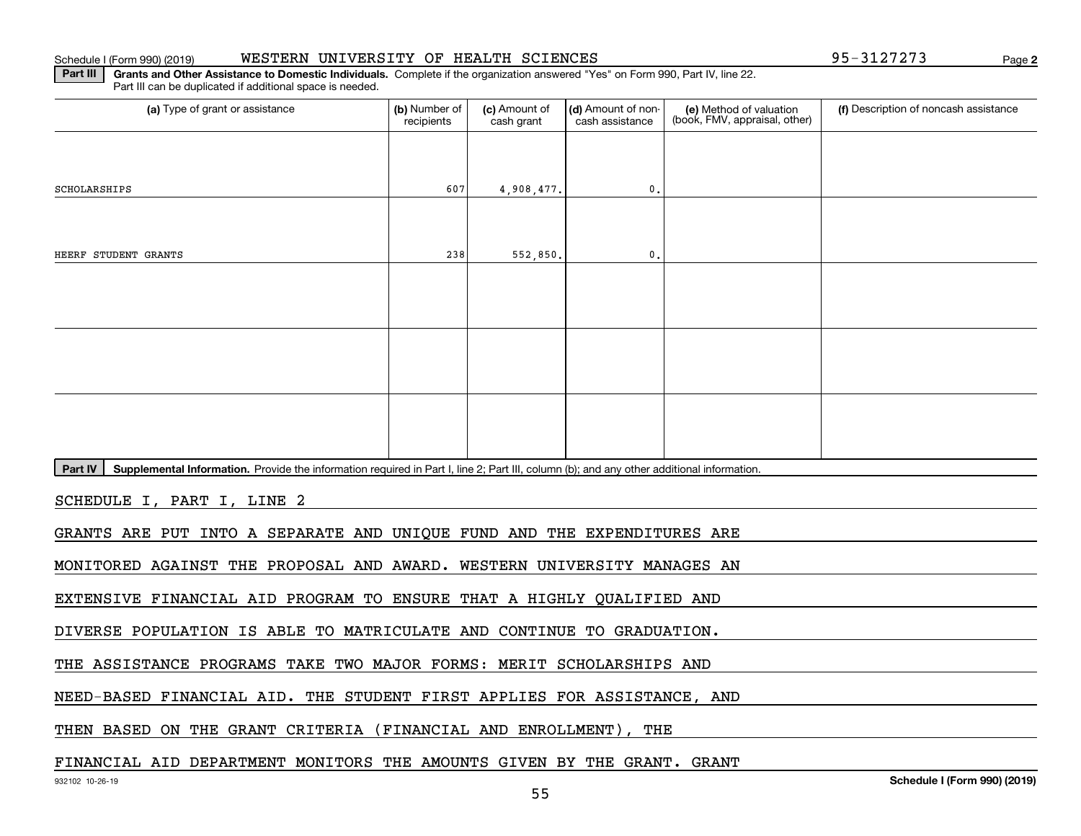## Schedule I (Form 990) (2019) Page WESTERN UNIVERSITY OF HEALTH SCIENCES 95-3127273

**2**

**Part III** | Grants and Other Assistance to Domestic Individuals. Complete if the organization answered "Yes" on Form 990, Part IV, line 22. Part III can be duplicated if additional space is needed.

| (a) Type of grant or assistance                                                                                                                      | (b) Number of<br>recipients | (c) Amount of<br>cash grant | (d) Amount of non-<br>cash assistance | (e) Method of valuation<br>(book, FMV, appraisal, other) | (f) Description of noncash assistance |
|------------------------------------------------------------------------------------------------------------------------------------------------------|-----------------------------|-----------------------------|---------------------------------------|----------------------------------------------------------|---------------------------------------|
|                                                                                                                                                      |                             |                             |                                       |                                                          |                                       |
| SCHOLARSHIPS                                                                                                                                         | 607                         | 4,908,477.                  | 0.                                    |                                                          |                                       |
|                                                                                                                                                      |                             |                             |                                       |                                                          |                                       |
| HEERF STUDENT GRANTS                                                                                                                                 | 238                         |                             | 0.                                    |                                                          |                                       |
|                                                                                                                                                      |                             | 552,850.                    |                                       |                                                          |                                       |
|                                                                                                                                                      |                             |                             |                                       |                                                          |                                       |
|                                                                                                                                                      |                             |                             |                                       |                                                          |                                       |
|                                                                                                                                                      |                             |                             |                                       |                                                          |                                       |
|                                                                                                                                                      |                             |                             |                                       |                                                          |                                       |
|                                                                                                                                                      |                             |                             |                                       |                                                          |                                       |
|                                                                                                                                                      |                             |                             |                                       |                                                          |                                       |
| Part IV<br>Supplemental Information. Provide the information required in Part I, line 2; Part III, column (b); and any other additional information. |                             |                             |                                       |                                                          |                                       |
| SCHEDULE I, PART I, LINE 2                                                                                                                           |                             |                             |                                       |                                                          |                                       |
| GRANTS ARE PUT INTO A SEPARATE AND UNIQUE FUND AND THE EXPENDITURES ARE                                                                              |                             |                             |                                       |                                                          |                                       |
| MONITORED AGAINST THE PROPOSAL AND AWARD. WESTERN UNIVERSITY MANAGES AN                                                                              |                             |                             |                                       |                                                          |                                       |
| EXTENSIVE FINANCIAL AID PROGRAM TO ENSURE THAT A HIGHLY QUALIFIED AND                                                                                |                             |                             |                                       |                                                          |                                       |
| DIVERSE POPULATION IS ABLE TO MATRICULATE AND CONTINUE TO GRADUATION.                                                                                |                             |                             |                                       |                                                          |                                       |
| THE ASSISTANCE PROGRAMS TAKE TWO MAJOR FORMS: MERIT SCHOLARSHIPS AND                                                                                 |                             |                             |                                       |                                                          |                                       |
| NEED-BASED FINANCIAL AID. THE STUDENT FIRST APPLIES FOR ASSISTANCE, AND                                                                              |                             |                             |                                       |                                                          |                                       |
| THEN BASED ON THE GRANT CRITERIA (FINANCIAL AND ENROLLMENT),                                                                                         |                             |                             | THE                                   |                                                          |                                       |

## FINANCIAL AID DEPARTMENT MONITORS THE AMOUNTS GIVEN BY THE GRANT. GRANT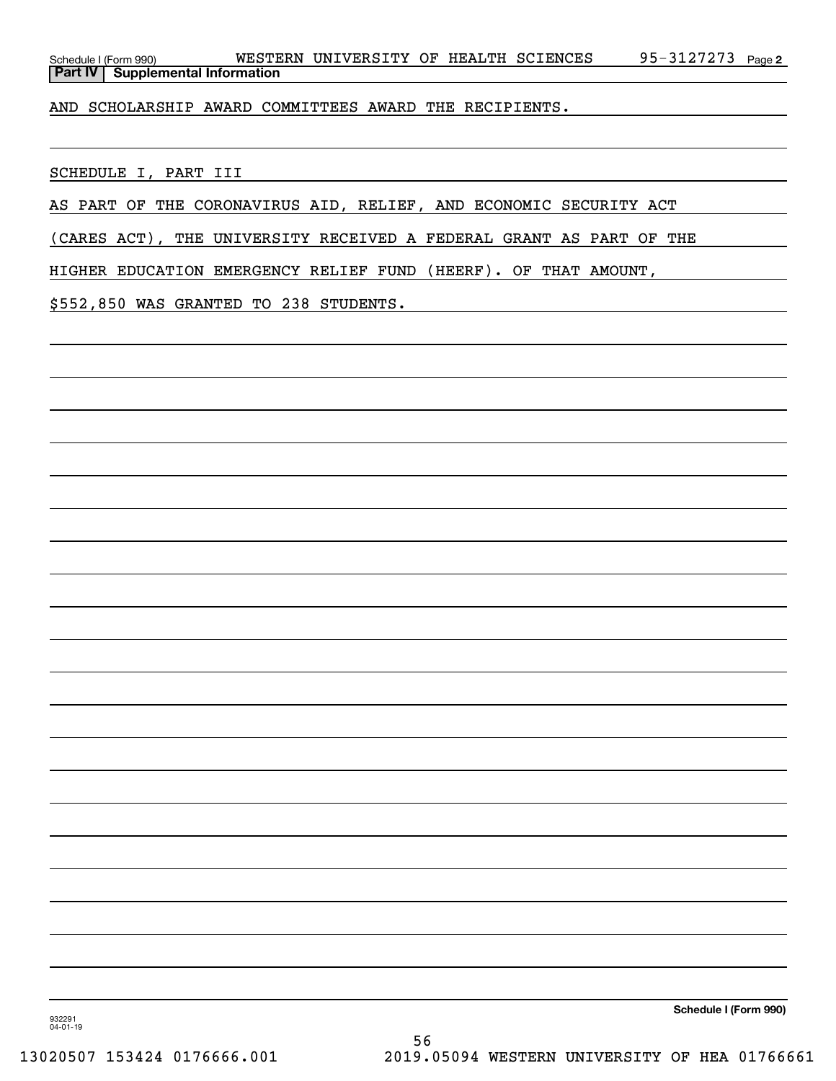| Schedule I (Form 990) |                                           | WESTERN UNIVERSITY OF HEALTH SCIENCES |  | 95-3127273 $_{\text{Page 2}}$ |  |
|-----------------------|-------------------------------------------|---------------------------------------|--|-------------------------------|--|
|                       | <b>Part IV   Supplemental Information</b> |                                       |  |                               |  |

AND SCHOLARSHIP AWARD COMMITTEES AWARD THE RECIPIENTS.

SCHEDULE I, PART III

AS PART OF THE CORONAVIRUS AID, RELIEF, AND ECONOMIC SECURITY ACT

(CARES ACT), THE UNIVERSITY RECEIVED A FEDERAL GRANT AS PART OF THE

HIGHER EDUCATION EMERGENCY RELIEF FUND (HEERF). OF THAT AMOUNT,

\$552,850 WAS GRANTED TO 238 STUDENTS.

**Schedule I (Form 990)**

932291 04-01-19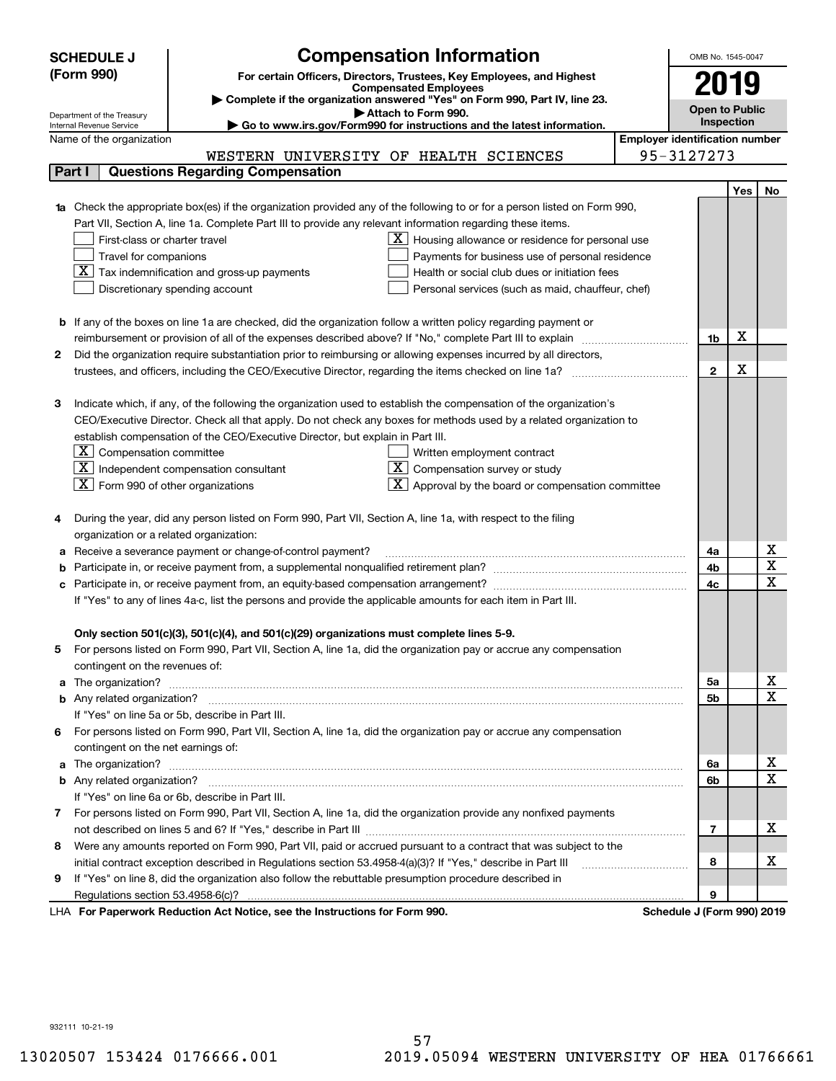|                                                                                     | <b>SCHEDULE J</b>                                      | <b>Compensation Information</b>                                                                                                                                                                                                     |                                       | OMB No. 1545-0047          |     |                                     |
|-------------------------------------------------------------------------------------|--------------------------------------------------------|-------------------------------------------------------------------------------------------------------------------------------------------------------------------------------------------------------------------------------------|---------------------------------------|----------------------------|-----|-------------------------------------|
|                                                                                     | (Form 990)                                             | For certain Officers, Directors, Trustees, Key Employees, and Highest                                                                                                                                                               |                                       |                            |     |                                     |
|                                                                                     |                                                        | <b>Compensated Employees</b>                                                                                                                                                                                                        |                                       | 2019                       |     |                                     |
|                                                                                     |                                                        | Complete if the organization answered "Yes" on Form 990, Part IV, line 23.<br>Attach to Form 990.                                                                                                                                   |                                       | <b>Open to Public</b>      |     |                                     |
|                                                                                     | Department of the Treasury<br>Internal Revenue Service | Go to www.irs.gov/Form990 for instructions and the latest information.                                                                                                                                                              |                                       | Inspection                 |     |                                     |
|                                                                                     | Name of the organization                               |                                                                                                                                                                                                                                     | <b>Employer identification number</b> |                            |     |                                     |
|                                                                                     |                                                        | WESTERN UNIVERSITY OF HEALTH SCIENCES                                                                                                                                                                                               |                                       | 95-3127273                 |     |                                     |
|                                                                                     | Part I                                                 | <b>Questions Regarding Compensation</b>                                                                                                                                                                                             |                                       |                            |     |                                     |
|                                                                                     |                                                        |                                                                                                                                                                                                                                     |                                       |                            | Yes | No                                  |
|                                                                                     |                                                        | <b>1a</b> Check the appropriate box(es) if the organization provided any of the following to or for a person listed on Form 990,                                                                                                    |                                       |                            |     |                                     |
|                                                                                     |                                                        | Part VII, Section A, line 1a. Complete Part III to provide any relevant information regarding these items.                                                                                                                          |                                       |                            |     |                                     |
|                                                                                     | First-class or charter travel                          | $\underline{\mathbf{X}}$ Housing allowance or residence for personal use                                                                                                                                                            |                                       |                            |     |                                     |
|                                                                                     | Travel for companions                                  | Payments for business use of personal residence                                                                                                                                                                                     |                                       |                            |     |                                     |
|                                                                                     |                                                        | $\boxed{\text{X}}$ Tax indemnification and gross-up payments<br>Health or social club dues or initiation fees                                                                                                                       |                                       |                            |     |                                     |
| Discretionary spending account<br>Personal services (such as maid, chauffeur, chef) |                                                        |                                                                                                                                                                                                                                     |                                       |                            |     |                                     |
|                                                                                     |                                                        | <b>b</b> If any of the boxes on line 1a are checked, did the organization follow a written policy regarding payment or                                                                                                              |                                       |                            |     |                                     |
|                                                                                     |                                                        | reimbursement or provision of all of the expenses described above? If "No," complete Part III to explain                                                                                                                            |                                       | 1b                         | х   |                                     |
| 2                                                                                   |                                                        | Did the organization require substantiation prior to reimbursing or allowing expenses incurred by all directors,                                                                                                                    |                                       |                            |     |                                     |
|                                                                                     |                                                        |                                                                                                                                                                                                                                     |                                       | $\mathbf 2$                | X   |                                     |
|                                                                                     |                                                        |                                                                                                                                                                                                                                     |                                       |                            |     |                                     |
| З                                                                                   |                                                        | Indicate which, if any, of the following the organization used to establish the compensation of the organization's                                                                                                                  |                                       |                            |     |                                     |
|                                                                                     |                                                        | CEO/Executive Director. Check all that apply. Do not check any boxes for methods used by a related organization to                                                                                                                  |                                       |                            |     |                                     |
|                                                                                     |                                                        | establish compensation of the CEO/Executive Director, but explain in Part III.                                                                                                                                                      |                                       |                            |     |                                     |
|                                                                                     | $\lfloor \texttt{X} \rfloor$ Compensation committee    | Written employment contract                                                                                                                                                                                                         |                                       |                            |     |                                     |
|                                                                                     |                                                        | $ \mathbf{X} $ Independent compensation consultant<br>$X$ Compensation survey or study                                                                                                                                              |                                       |                            |     |                                     |
|                                                                                     | $\boxed{\textbf{X}}$ Form 990 of other organizations   | $\mathbf{X}$ Approval by the board or compensation committee                                                                                                                                                                        |                                       |                            |     |                                     |
|                                                                                     |                                                        | During the year, did any person listed on Form 990, Part VII, Section A, line 1a, with respect to the filing                                                                                                                        |                                       |                            |     |                                     |
|                                                                                     | organization or a related organization:                |                                                                                                                                                                                                                                     |                                       |                            |     |                                     |
|                                                                                     |                                                        | Receive a severance payment or change-of-control payment?                                                                                                                                                                           |                                       | 4a                         |     | x                                   |
|                                                                                     |                                                        |                                                                                                                                                                                                                                     |                                       | 4b                         |     | $\overline{\mathtt{x}}$             |
|                                                                                     |                                                        |                                                                                                                                                                                                                                     |                                       | 4c                         |     | $\overline{\mathbf{x}}$             |
|                                                                                     |                                                        | If "Yes" to any of lines 4a-c, list the persons and provide the applicable amounts for each item in Part III.                                                                                                                       |                                       |                            |     |                                     |
|                                                                                     |                                                        |                                                                                                                                                                                                                                     |                                       |                            |     |                                     |
|                                                                                     |                                                        | Only section 501(c)(3), 501(c)(4), and 501(c)(29) organizations must complete lines 5-9.                                                                                                                                            |                                       |                            |     |                                     |
| 5.                                                                                  |                                                        | For persons listed on Form 990, Part VII, Section A, line 1a, did the organization pay or accrue any compensation                                                                                                                   |                                       |                            |     |                                     |
|                                                                                     | contingent on the revenues of:                         |                                                                                                                                                                                                                                     |                                       |                            |     |                                     |
|                                                                                     |                                                        | a The organization? <b>Entitation</b> 2008 Communication of the contract of the contract of the contract of the contract of the contract of the contract of the contract of the contract of the contract of the contract of the con |                                       | 5а                         |     | <u>x</u><br>$\overline{\mathbf{x}}$ |
|                                                                                     |                                                        |                                                                                                                                                                                                                                     |                                       | 5b                         |     |                                     |
|                                                                                     |                                                        | If "Yes" on line 5a or 5b, describe in Part III.                                                                                                                                                                                    |                                       |                            |     |                                     |
| 6.                                                                                  |                                                        | For persons listed on Form 990, Part VII, Section A, line 1a, did the organization pay or accrue any compensation                                                                                                                   |                                       |                            |     |                                     |
|                                                                                     | contingent on the net earnings of:                     |                                                                                                                                                                                                                                     |                                       |                            |     |                                     |
|                                                                                     |                                                        |                                                                                                                                                                                                                                     |                                       | 6a                         |     | <u>x</u><br>$\overline{\textbf{x}}$ |
|                                                                                     |                                                        |                                                                                                                                                                                                                                     |                                       | 6b                         |     |                                     |
|                                                                                     |                                                        | If "Yes" on line 6a or 6b, describe in Part III.                                                                                                                                                                                    |                                       |                            |     |                                     |
|                                                                                     |                                                        | 7 For persons listed on Form 990, Part VII, Section A, line 1a, did the organization provide any nonfixed payments                                                                                                                  |                                       | $\overline{7}$             |     | х                                   |
|                                                                                     |                                                        |                                                                                                                                                                                                                                     |                                       |                            |     |                                     |
| 8                                                                                   |                                                        | Were any amounts reported on Form 990, Part VII, paid or accrued pursuant to a contract that was subject to the                                                                                                                     |                                       | 8                          |     | х                                   |
|                                                                                     |                                                        | initial contract exception described in Regulations section 53.4958-4(a)(3)? If "Yes," describe in Part III                                                                                                                         |                                       |                            |     |                                     |
| 9                                                                                   |                                                        | If "Yes" on line 8, did the organization also follow the rebuttable presumption procedure described in                                                                                                                              |                                       | 9                          |     |                                     |
|                                                                                     |                                                        | exuark Reduction Act Notice, see the Instructions for Form 000                                                                                                                                                                      |                                       | Cabadule, L/Earm 000) 2010 |     |                                     |

LHA For Paperwork Reduction Act Notice, see the Instructions for Form 990. Schedule J (Form 990) 2019

932111 10-21-19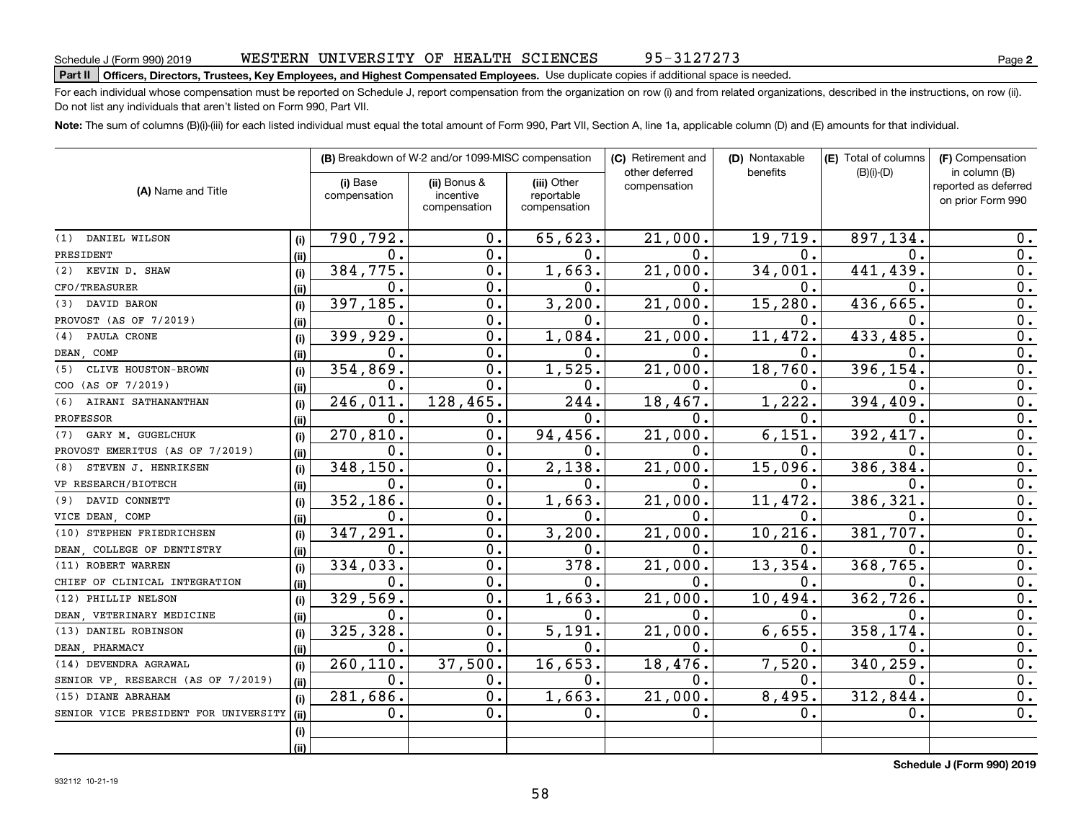# **Part II Officers, Directors, Trustees, Key Employees, and Highest Compensated Employees.**  Schedule J (Form 990) 2019 Page Use duplicate copies if additional space is needed.

For each individual whose compensation must be reported on Schedule J, report compensation from the organization on row (i) and from related organizations, described in the instructions, on row (ii). Do not list any individuals that aren't listed on Form 990, Part VII.

**Note:**  The sum of columns (B)(i)-(iii) for each listed individual must equal the total amount of Form 990, Part VII, Section A, line 1a, applicable column (D) and (E) amounts for that individual.

| (A) Name and Title                   |      |                          | (B) Breakdown of W-2 and/or 1099-MISC compensation |                                           | (C) Retirement and             | (D) Nontaxable | (E) Total of columns | (F) Compensation<br>in column (B)         |  |
|--------------------------------------|------|--------------------------|----------------------------------------------------|-------------------------------------------|--------------------------------|----------------|----------------------|-------------------------------------------|--|
|                                      |      | (i) Base<br>compensation | (ii) Bonus &<br>incentive<br>compensation          | (iii) Other<br>reportable<br>compensation | other deferred<br>compensation | benefits       | $(B)(i)-(D)$         | reported as deferred<br>on prior Form 990 |  |
| (1) DANIEL WILSON                    | (i)  | 790,792.                 | $\mathbf 0$ .                                      | 65,623.                                   | 21,000.                        | 19,719.        | 897,134.             | 0.                                        |  |
| PRESIDENT                            | (i)  | $\mathbf 0$ .            | 0.                                                 | 0.                                        | $0$ .                          | $\mathbf 0$ .  | 0.                   | 0.                                        |  |
| KEVIN D. SHAW<br>(2)                 | (i)  | 384,775.                 | 0.                                                 | 1,663.                                    | 21,000.                        | 34,001.        | 441,439              | 0.                                        |  |
| CFO/TREASURER                        | (ii) | $\mathbf 0$ .            | 0.                                                 | 0.                                        | $\mathbf 0$ .                  | 0.             | 0.                   | 0.                                        |  |
| DAVID BARON<br>(3)                   | (i)  | 397, 185.                | $\mathbf 0$ .                                      | 3,200.                                    | 21,000.                        | 15,280.        | 436,665              | $\overline{0}$ .                          |  |
| PROVOST (AS OF 7/2019)               | (ii) | $\mathbf{0}$ .           | $\mathbf 0$ .                                      | 0.                                        | $0$ .                          | 0.             | 0.                   | $\overline{0}$ .                          |  |
| PAULA CRONE<br>(4)                   | (i)  | 399,929.                 | $\mathbf 0$ .                                      | 1,084.                                    | 21,000.                        | 11,472.        | 433,485.             | $\overline{0}$ .                          |  |
| DEAN COMP                            | (ii) | 0.                       | $\mathbf 0$ .                                      | 0.                                        | $\mathbf 0$ .                  | 0.             | 0.                   | 0.                                        |  |
| CLIVE HOUSTON-BROWN<br>(5)           | (i)  | 354,869.                 | 0.                                                 | 1,525.                                    | 21,000.                        | 18,760.        | 396,154              | 0.                                        |  |
| COO (AS OF 7/2019)                   | (ii) | $\mathbf{0}$ .           | 0.                                                 | 0.                                        | $\mathbf 0$ .                  | 0.             | 0.                   | $\overline{0}$ .                          |  |
| AIRANI SATHANANTHAN<br>(6)           | (i)  | 246,011.                 | 128,465.                                           | 244.                                      | 18,467.                        | 1,222.         | 394,409              | 0.                                        |  |
| PROFESSOR                            | (ii) | $\mathbf 0$ .            | о.                                                 | 0.                                        | 0.                             | О.             | О.                   | 0.                                        |  |
| GARY M. GUGELCHUK<br>(7)             | (i)  | 270,810.                 | $\mathbf 0$ .                                      | 94,456.                                   | 21,000.                        | 6,151.         | 392,417.             | 0.                                        |  |
| PROVOST EMERITUS (AS OF 7/2019)      | (ii) | $\mathbf 0$ .            | 0.                                                 | 0.                                        | $\mathbf 0$ .                  | 0.             | 0.                   | 0.                                        |  |
| STEVEN J. HENRIKSEN<br>(8)           | (i)  | 348,150.                 | $\mathbf 0$ .                                      | 2,138.                                    | 21,000.                        | 15,096.        | 386,384              | $\overline{0}$ .                          |  |
| VP RESEARCH/BIOTECH                  | (ii) | $\mathbf 0$ .            | $\mathbf 0$ .                                      | 0.                                        | $\mathbf 0$ .                  | 0.             | О.                   | $\overline{0}$ .                          |  |
| DAVID CONNETT<br>(9)                 | (i)  | 352,186.                 | $\mathbf 0$ .                                      | 1,663.                                    | 21,000.                        | 11,472.        | 386, 321             | $\overline{0}$ .                          |  |
| VICE DEAN, COMP                      | (ii) | 0.                       | 0.                                                 | 0.                                        | 0.                             | 0.             | о.                   | 0.                                        |  |
| STEPHEN FRIEDRICHSEN<br>(10)         | (i)  | 347,291.                 | $\mathbf 0$ .                                      | 3,200.                                    | 21,000.                        | 10, 216.       | 381,707.             | 0.                                        |  |
| DEAN, COLLEGE OF DENTISTRY           | (ii) | $\mathbf 0$ .            | $\mathbf 0$ .                                      | 0.                                        | 0.                             | О.             | О.                   | 0.                                        |  |
| (11) ROBERT WARREN                   | (i)  | 334,033.                 | $\mathbf 0$ .                                      | 378.                                      | 21,000.                        | 13,354.        | 368,765.             | 0.                                        |  |
| CHIEF OF CLINICAL INTEGRATION        | (ii) | 0.                       | $\mathbf 0$ .                                      | 0.                                        | 0.                             | 0.             | О.                   | 0.                                        |  |
| (12) PHILLIP NELSON                  | (i)  | 329,569.                 | О.                                                 | 1,663.                                    | 21,000.                        | 10,494.        | 362,726              | 0.                                        |  |
| DEAN VETERINARY MEDICINE             | (ii) | 0.                       | $\mathbf 0$ .                                      | 0.                                        | 0.                             | О.             | 0.                   | 0.                                        |  |
| (13) DANIEL ROBINSON                 | (i)  | 325,328.                 | $\mathbf 0$ .                                      | 5,191.                                    | 21,000.                        | 6,655.         | 358,174              | 0.                                        |  |
| DEAN PHARMACY                        | (ii) | 0.                       | $\mathbf 0$ .                                      | 0.                                        | 0.                             | О.             | О.                   | 0.                                        |  |
| (14) DEVENDRA AGRAWAL                | (i)  | 260,110.                 | 37,500.                                            | 16,653.                                   | 18,476.                        | 7,520.         | 340,259              | 0.                                        |  |
| SENIOR VP RESEARCH (AS OF 7/2019)    | (ii) | 0.                       | 0.                                                 | 0.                                        | 0.                             | $\mathbf 0$ .  | $\mathbf 0$ .        | 0.                                        |  |
| (15) DIANE ABRAHAM                   | (i)  | 281,686.                 | $\mathbf 0$ .                                      | 1,663.                                    | 21,000.                        | 8,495.         | 312,844              | $\overline{0}$ .                          |  |
| SENIOR VICE PRESIDENT FOR UNIVERSITY | (ii) | 0.                       | $\mathbf 0$ .                                      | 0.                                        | 0.                             | $\mathbf 0$ .  | 0.                   | $\overline{0}$ .                          |  |
|                                      | (i)  |                          |                                                    |                                           |                                |                |                      |                                           |  |
|                                      | (ii) |                          |                                                    |                                           |                                |                |                      |                                           |  |

**Schedule J (Form 990) 2019**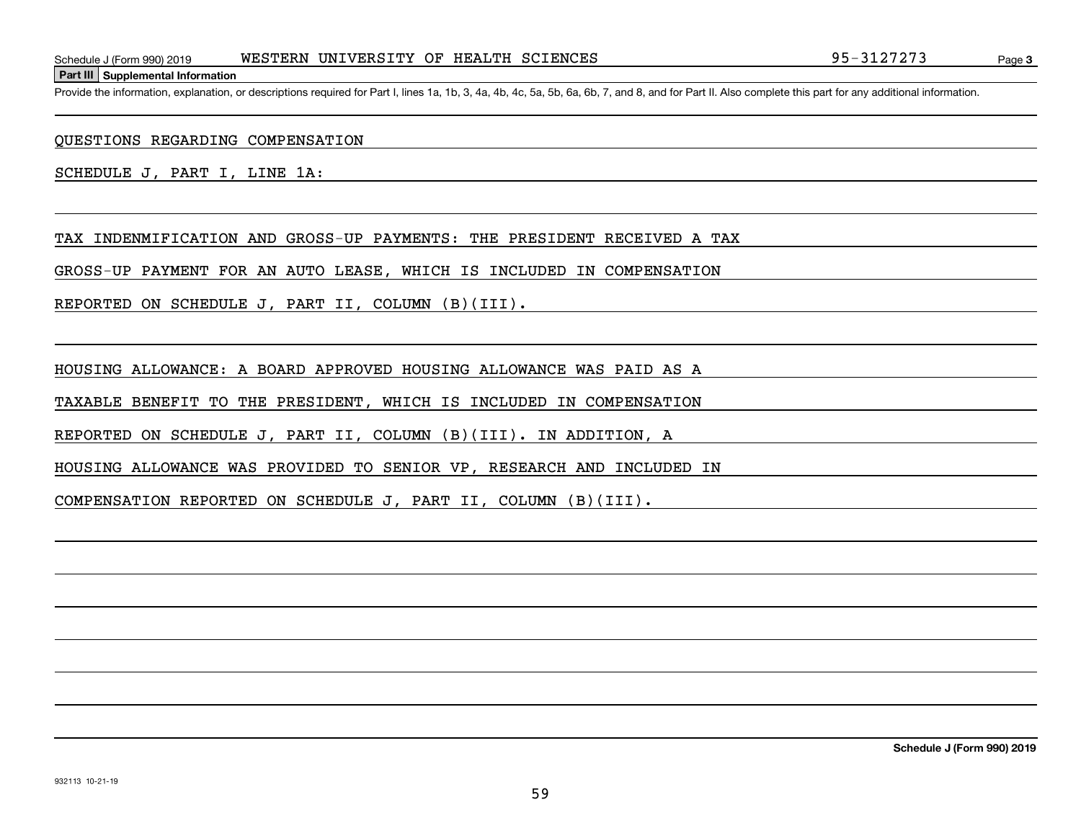**Part III Supplemental Information**

Schedule J (Form 990) 2019 WESTERN UNIVERSITY OF HEALTH SCIENCES 95-3127273<br>Part III Supplemental Information<br>Provide the information, explanation, or descriptions required for Part I, lines 1a, 1b, 3, 4a, 4b, 4c, 5a, 5b,

QUESTIONS REGARDING COMPENSATION

SCHEDULE J, PART I, LINE 1A:

TAX INDENMIFICATION AND GROSS-UP PAYMENTS: THE PRESIDENT RECEIVED A TAX

GROSS-UP PAYMENT FOR AN AUTO LEASE, WHICH IS INCLUDED IN COMPENSATION

REPORTED ON SCHEDULE J, PART II, COLUMN (B)(III).

HOUSING ALLOWANCE: A BOARD APPROVED HOUSING ALLOWANCE WAS PAID AS A

TAXABLE BENEFIT TO THE PRESIDENT, WHICH IS INCLUDED IN COMPENSATION

REPORTED ON SCHEDULE J, PART II, COLUMN (B)(III). IN ADDITION, A

HOUSING ALLOWANCE WAS PROVIDED TO SENIOR VP, RESEARCH AND INCLUDED IN

COMPENSATION REPORTED ON SCHEDULE J, PART II, COLUMN (B)(III).

**Schedule J (Form 990) 2019**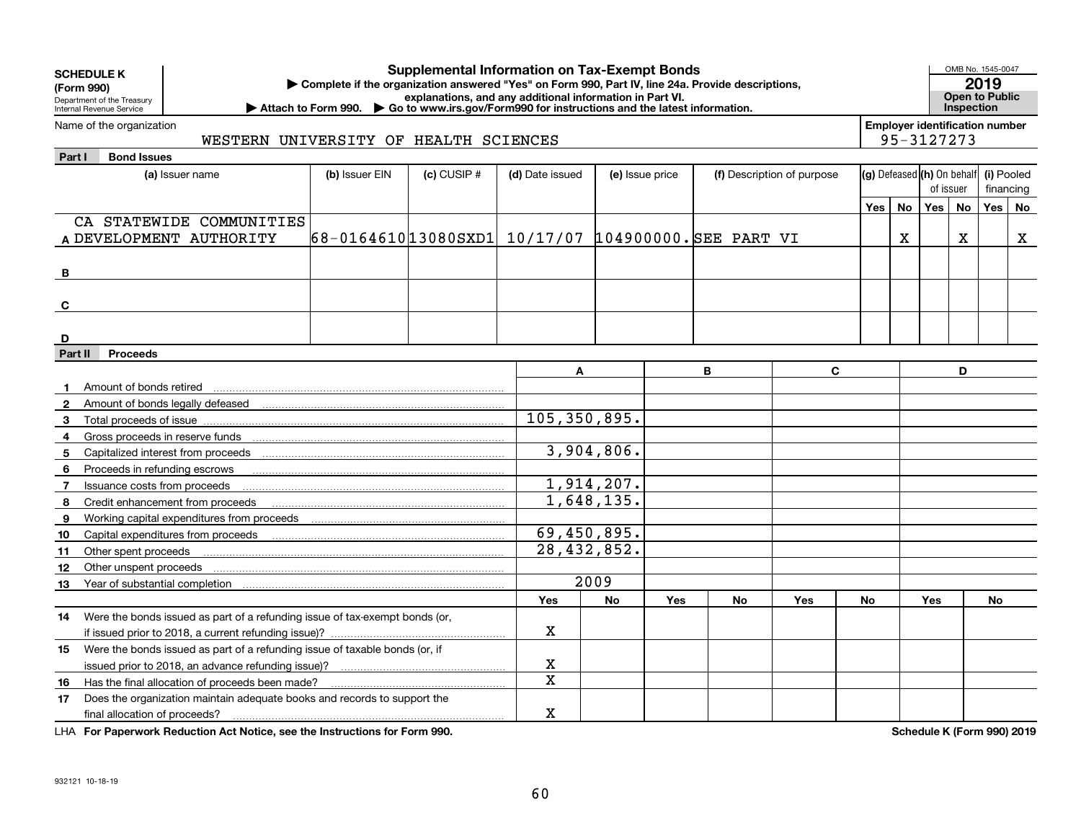| <b>SCHEDULE K</b><br>(Form 990)<br>Department of the Treasury<br>Internal Revenue Service                                   | <b>Supplemental Information on Tax-Exempt Bonds</b><br>Complete if the organization answered "Yes" on Form 990, Part IV, line 24a. Provide descriptions,<br>explanations, and any additional information in Part VI.<br>▶ Attach to Form 990. ▶ Go to www.irs.gov/Form990 for instructions and the latest information. |                 |                 |                          |                 |   |    |                            |                        |           |                  |                                       | OMB No. 1545-0047<br>2019<br><b>Open to Public</b><br><b>Inspection</b> |    |  |
|-----------------------------------------------------------------------------------------------------------------------------|------------------------------------------------------------------------------------------------------------------------------------------------------------------------------------------------------------------------------------------------------------------------------------------------------------------------|-----------------|-----------------|--------------------------|-----------------|---|----|----------------------------|------------------------|-----------|------------------|---------------------------------------|-------------------------------------------------------------------------|----|--|
| Name of the organization                                                                                                    | WESTERN UNIVERSITY OF HEALTH SCIENCES                                                                                                                                                                                                                                                                                  |                 |                 |                          |                 |   |    |                            |                        |           | 95-3127273       | <b>Employer identification number</b> |                                                                         |    |  |
| <b>Bond Issues</b><br>Part I                                                                                                |                                                                                                                                                                                                                                                                                                                        |                 |                 |                          |                 |   |    |                            |                        |           |                  |                                       |                                                                         |    |  |
| (a) Issuer name                                                                                                             | (b) Issuer EIN                                                                                                                                                                                                                                                                                                         | $(c)$ CUSIP $#$ | (d) Date issued |                          | (e) Issue price |   |    | (f) Description of purpose |                        |           |                  | (g) Defeased (h) On behalf            | (i) Pooled                                                              |    |  |
|                                                                                                                             |                                                                                                                                                                                                                                                                                                                        |                 |                 |                          |                 |   |    |                            | of issuer<br>financing |           |                  |                                       |                                                                         |    |  |
|                                                                                                                             |                                                                                                                                                                                                                                                                                                                        |                 |                 |                          |                 |   |    |                            | Yes                    | <b>No</b> | Yes <sub>1</sub> | No                                    | Yes                                                                     | No |  |
| CA STATEWIDE COMMUNITIES                                                                                                    |                                                                                                                                                                                                                                                                                                                        |                 |                 |                          |                 |   |    |                            |                        |           |                  |                                       |                                                                         |    |  |
| A DEVELOPMENT AUTHORITY                                                                                                     | 68-0164610 13080 SXD1 10/17/07 104900000. SEE PART VI                                                                                                                                                                                                                                                                  |                 |                 |                          |                 |   |    |                            |                        | X         |                  | x                                     |                                                                         | X  |  |
|                                                                                                                             |                                                                                                                                                                                                                                                                                                                        |                 |                 |                          |                 |   |    |                            |                        |           |                  |                                       |                                                                         |    |  |
| в                                                                                                                           |                                                                                                                                                                                                                                                                                                                        |                 |                 |                          |                 |   |    |                            |                        |           |                  |                                       |                                                                         |    |  |
|                                                                                                                             |                                                                                                                                                                                                                                                                                                                        |                 |                 |                          |                 |   |    |                            |                        |           |                  |                                       |                                                                         |    |  |
| C                                                                                                                           |                                                                                                                                                                                                                                                                                                                        |                 |                 |                          |                 |   |    |                            |                        |           |                  |                                       |                                                                         |    |  |
|                                                                                                                             |                                                                                                                                                                                                                                                                                                                        |                 |                 |                          |                 |   |    |                            |                        |           |                  |                                       |                                                                         |    |  |
| D                                                                                                                           |                                                                                                                                                                                                                                                                                                                        |                 |                 |                          |                 |   |    |                            |                        |           |                  |                                       |                                                                         |    |  |
| Part II<br><b>Proceeds</b>                                                                                                  |                                                                                                                                                                                                                                                                                                                        |                 |                 |                          |                 |   |    |                            |                        |           |                  |                                       |                                                                         |    |  |
|                                                                                                                             |                                                                                                                                                                                                                                                                                                                        |                 | A               |                          |                 | B |    | C                          |                        |           |                  | D                                     |                                                                         |    |  |
| Amount of bonds retired                                                                                                     |                                                                                                                                                                                                                                                                                                                        |                 |                 |                          |                 |   |    |                            |                        |           |                  |                                       |                                                                         |    |  |
| 2                                                                                                                           |                                                                                                                                                                                                                                                                                                                        |                 |                 |                          |                 |   |    |                            |                        |           |                  |                                       |                                                                         |    |  |
| 3                                                                                                                           |                                                                                                                                                                                                                                                                                                                        |                 | 105,350,895.    |                          |                 |   |    |                            |                        |           |                  |                                       |                                                                         |    |  |
| Gross proceeds in reserve funds <b>contained and all and all and all and all and all and all and all and all and a</b><br>4 |                                                                                                                                                                                                                                                                                                                        |                 |                 |                          |                 |   |    |                            |                        |           |                  |                                       |                                                                         |    |  |
| 5                                                                                                                           |                                                                                                                                                                                                                                                                                                                        |                 |                 | 3,904,806.               |                 |   |    |                            |                        |           |                  |                                       |                                                                         |    |  |
| Proceeds in refunding escrows<br>6                                                                                          |                                                                                                                                                                                                                                                                                                                        |                 |                 |                          |                 |   |    |                            |                        |           |                  |                                       |                                                                         |    |  |
| Issuance costs from proceeds<br>$\overline{7}$                                                                              |                                                                                                                                                                                                                                                                                                                        |                 |                 | $\overline{1,914,207}$ . |                 |   |    |                            |                        |           |                  |                                       |                                                                         |    |  |
| Credit enhancement from proceeds<br>8                                                                                       |                                                                                                                                                                                                                                                                                                                        |                 |                 | 1,648,135.               |                 |   |    |                            |                        |           |                  |                                       |                                                                         |    |  |
| Working capital expenditures from proceeds<br>9                                                                             |                                                                                                                                                                                                                                                                                                                        |                 |                 |                          |                 |   |    |                            |                        |           |                  |                                       |                                                                         |    |  |
| Capital expenditures from proceeds<br>10                                                                                    |                                                                                                                                                                                                                                                                                                                        |                 | 69,450,895.     |                          |                 |   |    |                            |                        |           |                  |                                       |                                                                         |    |  |
| Other spent proceeds<br>11                                                                                                  |                                                                                                                                                                                                                                                                                                                        |                 | 28,432,852.     |                          |                 |   |    |                            |                        |           |                  |                                       |                                                                         |    |  |
| Other unspent proceeds<br>12                                                                                                |                                                                                                                                                                                                                                                                                                                        |                 |                 |                          |                 |   |    |                            |                        |           |                  |                                       |                                                                         |    |  |
| 13                                                                                                                          |                                                                                                                                                                                                                                                                                                                        |                 |                 | 2009                     |                 |   |    |                            |                        |           |                  |                                       |                                                                         |    |  |
|                                                                                                                             |                                                                                                                                                                                                                                                                                                                        |                 | Yes             | <b>No</b>                | Yes             |   | No | Yes                        | No                     |           | <b>Yes</b>       |                                       | No                                                                      |    |  |
| Were the bonds issued as part of a refunding issue of tax-exempt bonds (or,<br>14                                           |                                                                                                                                                                                                                                                                                                                        |                 |                 |                          |                 |   |    |                            |                        |           |                  |                                       |                                                                         |    |  |
|                                                                                                                             |                                                                                                                                                                                                                                                                                                                        |                 | $\mathbf X$     |                          |                 |   |    |                            |                        |           |                  |                                       |                                                                         |    |  |
| Were the bonds issued as part of a refunding issue of taxable bonds (or, if<br>15                                           |                                                                                                                                                                                                                                                                                                                        |                 |                 |                          |                 |   |    |                            |                        |           |                  |                                       |                                                                         |    |  |
|                                                                                                                             |                                                                                                                                                                                                                                                                                                                        |                 | X               |                          |                 |   |    |                            |                        |           |                  |                                       |                                                                         |    |  |
| Has the final allocation of proceeds been made?<br>16                                                                       |                                                                                                                                                                                                                                                                                                                        |                 | X               |                          |                 |   |    |                            |                        |           |                  |                                       |                                                                         |    |  |
| Does the organization maintain adequate books and records to support the<br>17                                              |                                                                                                                                                                                                                                                                                                                        |                 |                 |                          |                 |   |    |                            |                        |           |                  |                                       |                                                                         |    |  |
| final allocation of proceeds?                                                                                               | X                                                                                                                                                                                                                                                                                                                      |                 |                 |                          |                 |   |    |                            |                        |           |                  |                                       |                                                                         |    |  |

**For Paperwork Reduction Act Notice, see the Instructions for Form 990. Schedule K (Form 990) 2019** LHA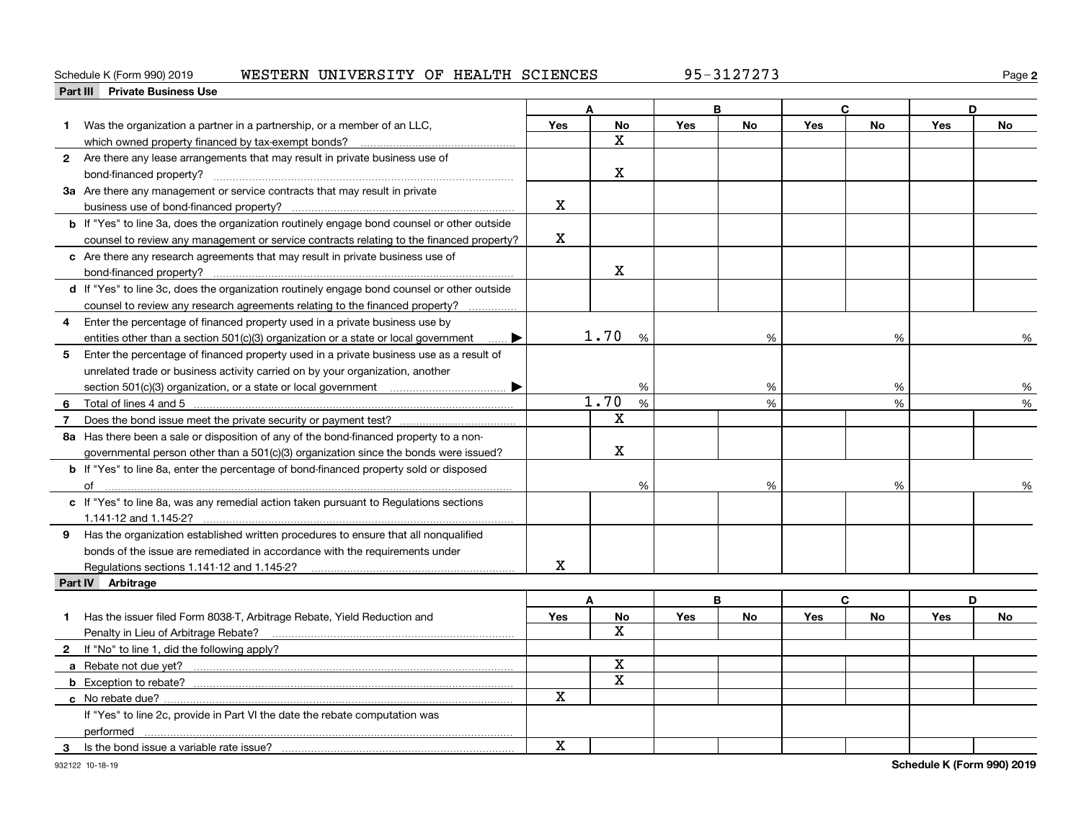## Schedule K (Form 990) 2019 Page WESTERN UNIVERSITY OF HEALTH SCIENCES 95-3127273

**2**

|   | Part III Private Business Use                                                                      |                |                         |            |    |            |           |            |           |
|---|----------------------------------------------------------------------------------------------------|----------------|-------------------------|------------|----|------------|-----------|------------|-----------|
|   |                                                                                                    |                | Δ                       |            | B  |            | C         |            | D         |
| 1 | Was the organization a partner in a partnership, or a member of an LLC,                            | Yes            | <b>No</b>               | Yes        | No | Yes        | <b>No</b> | Yes        | <b>No</b> |
|   |                                                                                                    |                | $\mathbf X$             |            |    |            |           |            |           |
|   | 2 Are there any lease arrangements that may result in private business use of                      |                |                         |            |    |            |           |            |           |
|   |                                                                                                    |                | $\mathbf X$             |            |    |            |           |            |           |
|   | 3a Are there any management or service contracts that may result in private                        |                |                         |            |    |            |           |            |           |
|   |                                                                                                    | X              |                         |            |    |            |           |            |           |
|   | <b>b</b> If "Yes" to line 3a, does the organization routinely engage bond counsel or other outside |                |                         |            |    |            |           |            |           |
|   | counsel to review any management or service contracts relating to the financed property?           | $\mathbf x$    |                         |            |    |            |           |            |           |
|   | c Are there any research agreements that may result in private business use of                     |                |                         |            |    |            |           |            |           |
|   |                                                                                                    |                | $\mathbf X$             |            |    |            |           |            |           |
|   | d If "Yes" to line 3c, does the organization routinely engage bond counsel or other outside        |                |                         |            |    |            |           |            |           |
|   | counsel to review any research agreements relating to the financed property?                       |                |                         |            |    |            |           |            |           |
| 4 | Enter the percentage of financed property used in a private business use by                        |                |                         |            |    |            |           |            |           |
|   | entities other than a section 501(c)(3) organization or a state or local government<br>▶           |                | 1.70<br>$\frac{9}{6}$   |            | %  |            | %         |            | %         |
| 5 | Enter the percentage of financed property used in a private business use as a result of            |                |                         |            |    |            |           |            |           |
|   | unrelated trade or business activity carried on by your organization, another                      |                |                         |            |    |            |           |            |           |
|   | ▶                                                                                                  |                | %                       |            | %  |            | %         |            | %         |
| 6 | Total of lines 4 and 5                                                                             | 1.70<br>%<br>% |                         |            |    | %          | %         |            |           |
| 7 |                                                                                                    |                | $\mathbf X$             |            |    |            |           |            |           |
|   | 8a Has there been a sale or disposition of any of the bond-financed property to a non-             |                |                         |            |    |            |           |            |           |
|   | governmental person other than a 501(c)(3) organization since the bonds were issued?               |                | х                       |            |    |            |           |            |           |
|   | <b>b</b> If "Yes" to line 8a, enter the percentage of bond-financed property sold or disposed      |                |                         |            |    |            |           |            |           |
|   |                                                                                                    |                | %                       |            | %  |            | %         |            |           |
|   | c If "Yes" to line 8a, was any remedial action taken pursuant to Regulations sections              |                |                         |            |    |            |           |            | %         |
|   |                                                                                                    |                |                         |            |    |            |           |            |           |
|   | 1.141-12 and 1.145-2?                                                                              |                |                         |            |    |            |           |            |           |
|   | 9 Has the organization established written procedures to ensure that all nonqualified              |                |                         |            |    |            |           |            |           |
|   | bonds of the issue are remediated in accordance with the requirements under                        |                |                         |            |    |            |           |            |           |
|   | Regulations sections 1.141-12 and 1.145-2?                                                         | x              |                         |            |    |            |           |            |           |
|   | Part IV Arbitrage                                                                                  |                |                         |            |    |            |           |            |           |
|   |                                                                                                    |                | A                       |            | B  |            | C         |            | D         |
| 1 | Has the issuer filed Form 8038-T, Arbitrage Rebate, Yield Reduction and                            | Yes            | No<br>X                 | <b>Yes</b> | No | <b>Yes</b> | No        | <b>Yes</b> | No        |
|   | Penalty in Lieu of Arbitrage Rebate?                                                               |                |                         |            |    |            |           |            |           |
|   | 2 If "No" to line 1, did the following apply?                                                      |                |                         |            |    |            |           |            |           |
|   |                                                                                                    |                | $\mathbf X$             |            |    |            |           |            |           |
|   |                                                                                                    |                | $\overline{\mathbf{x}}$ |            |    |            |           |            |           |
|   | c No rebate due?                                                                                   | X              |                         |            |    |            |           |            |           |
|   | If "Yes" to line 2c, provide in Part VI the date the rebate computation was                        |                |                         |            |    |            |           |            |           |
|   | performed <u>www.margin.communication.communication.communication.com</u>                          |                |                         |            |    |            |           |            |           |
| 3 | Is the bond issue a variable rate issue?                                                           | $\mathbf X$    |                         |            |    |            |           |            |           |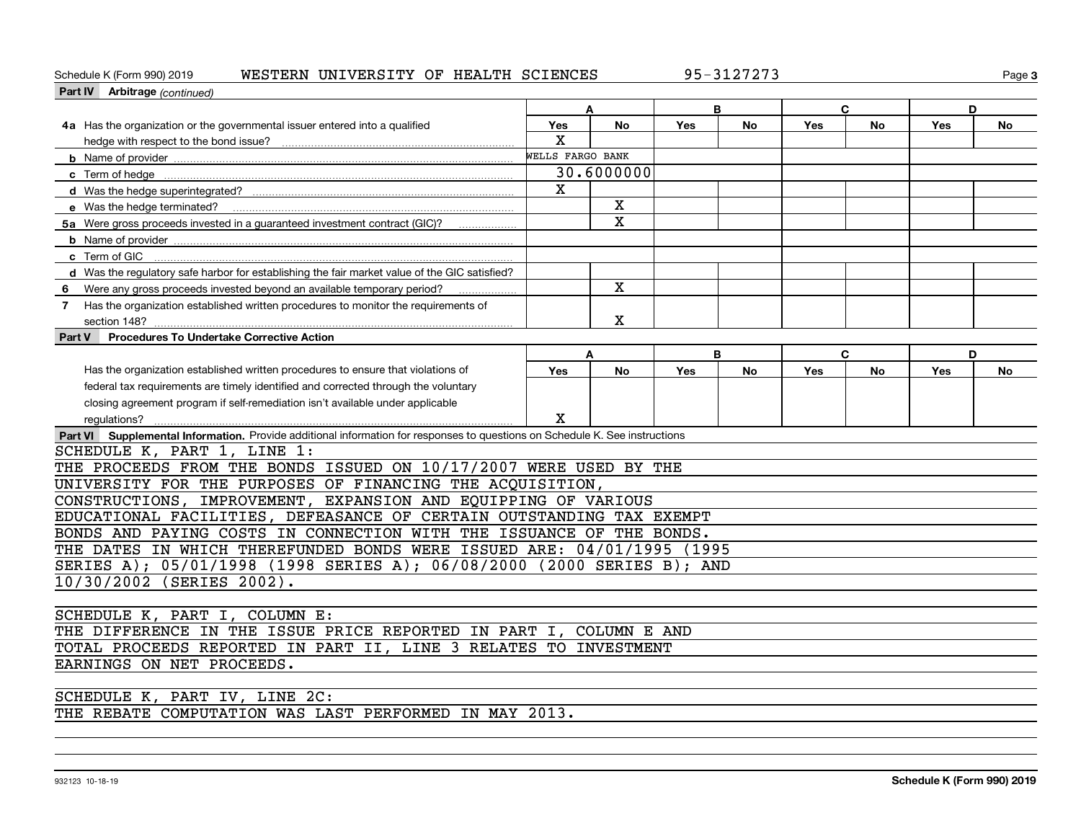## Schedule K (Form 990) 2019 Page WESTERN UNIVERSITY OF HEALTH SCIENCES 95-3127273

**3**

| Part IV Arbitrage (continued)                                                                                               |                  |             |     |    |     |           |     |    |  |
|-----------------------------------------------------------------------------------------------------------------------------|------------------|-------------|-----|----|-----|-----------|-----|----|--|
|                                                                                                                             | A                |             | B   |    | C   |           | D   |    |  |
| 4a Has the organization or the governmental issuer entered into a qualified                                                 | Yes              | No          | Yes | No | Yes | <b>No</b> | Yes | No |  |
|                                                                                                                             | x                |             |     |    |     |           |     |    |  |
|                                                                                                                             | WELLS FARGO BANK |             |     |    |     |           |     |    |  |
| c Term of hedge                                                                                                             |                  | 30.6000000  |     |    |     |           |     |    |  |
|                                                                                                                             | X                |             |     |    |     |           |     |    |  |
| e Was the hedge terminated?                                                                                                 |                  | $\mathbf X$ |     |    |     |           |     |    |  |
| 5a Were gross proceeds invested in a guaranteed investment contract (GIC)?                                                  |                  | $\mathbf x$ |     |    |     |           |     |    |  |
|                                                                                                                             |                  |             |     |    |     |           |     |    |  |
| c Term of GIC                                                                                                               |                  |             |     |    |     |           |     |    |  |
| d Was the regulatory safe harbor for establishing the fair market value of the GIC satisfied?                               |                  |             |     |    |     |           |     |    |  |
| Were any gross proceeds invested beyond an available temporary period?<br>6                                                 |                  | X           |     |    |     |           |     |    |  |
| Has the organization established written procedures to monitor the requirements of<br>$\mathbf{7}$                          |                  |             |     |    |     |           |     |    |  |
| section 148?                                                                                                                |                  | X           |     |    |     |           |     |    |  |
| <b>Procedures To Undertake Corrective Action</b><br>Part V                                                                  |                  |             |     |    |     |           |     |    |  |
|                                                                                                                             |                  | A           | в   |    | C   |           | D   |    |  |
| Has the organization established written procedures to ensure that violations of                                            | Yes              | <b>No</b>   | Yes | No | Yes | No        | Yes | No |  |
| federal tax requirements are timely identified and corrected through the voluntary                                          |                  |             |     |    |     |           |     |    |  |
| closing agreement program if self-remediation isn't available under applicable                                              |                  |             |     |    |     |           |     |    |  |
| requlations?                                                                                                                | X                |             |     |    |     |           |     |    |  |
| Part VI Supplemental Information. Provide additional information for responses to questions on Schedule K. See instructions |                  |             |     |    |     |           |     |    |  |
| SCHEDULE K, PART 1, LINE 1:                                                                                                 |                  |             |     |    |     |           |     |    |  |
| THE PROCEEDS FROM THE BONDS ISSUED ON 10/17/2007 WERE USED BY THE                                                           |                  |             |     |    |     |           |     |    |  |
| UNIVERSITY FOR THE PURPOSES OF FINANCING THE ACQUISITION,                                                                   |                  |             |     |    |     |           |     |    |  |
| CONSTRUCTIONS, IMPROVEMENT, EXPANSION AND EQUIPPING OF VARIOUS                                                              |                  |             |     |    |     |           |     |    |  |
| EDUCATIONAL FACILITIES, DEFEASANCE OF CERTAIN OUTSTANDING TAX EXEMPT                                                        |                  |             |     |    |     |           |     |    |  |
| BONDS AND PAYING COSTS IN CONNECTION WITH THE ISSUANCE OF THE BONDS.                                                        |                  |             |     |    |     |           |     |    |  |
| THE DATES IN WHICH THEREFUNDED BONDS WERE ISSUED ARE: 04/01/1995 (1995                                                      |                  |             |     |    |     |           |     |    |  |
| SERIES A); 05/01/1998 (1998 SERIES A); 06/08/2000 (2000 SERIES B); AND                                                      |                  |             |     |    |     |           |     |    |  |
| 10/30/2002 (SERIES 2002).                                                                                                   |                  |             |     |    |     |           |     |    |  |
|                                                                                                                             |                  |             |     |    |     |           |     |    |  |
| SCHEDULE K, PART I, COLUMN E:                                                                                               |                  |             |     |    |     |           |     |    |  |
| THE DIFFERENCE IN THE ISSUE PRICE REPORTED IN PART I, COLUMN E AND                                                          |                  |             |     |    |     |           |     |    |  |
| TOTAL PROCEEDS REPORTED IN PART II, LINE 3 RELATES TO INVESTMENT                                                            |                  |             |     |    |     |           |     |    |  |
| EARNINGS ON NET PROCEEDS.                                                                                                   |                  |             |     |    |     |           |     |    |  |
|                                                                                                                             |                  |             |     |    |     |           |     |    |  |
| SCHEDULE K, PART IV, LINE 2C:                                                                                               |                  |             |     |    |     |           |     |    |  |
| THE REBATE COMPUTATION WAS LAST PERFORMED IN MAY 2013.                                                                      |                  |             |     |    |     |           |     |    |  |
|                                                                                                                             |                  |             |     |    |     |           |     |    |  |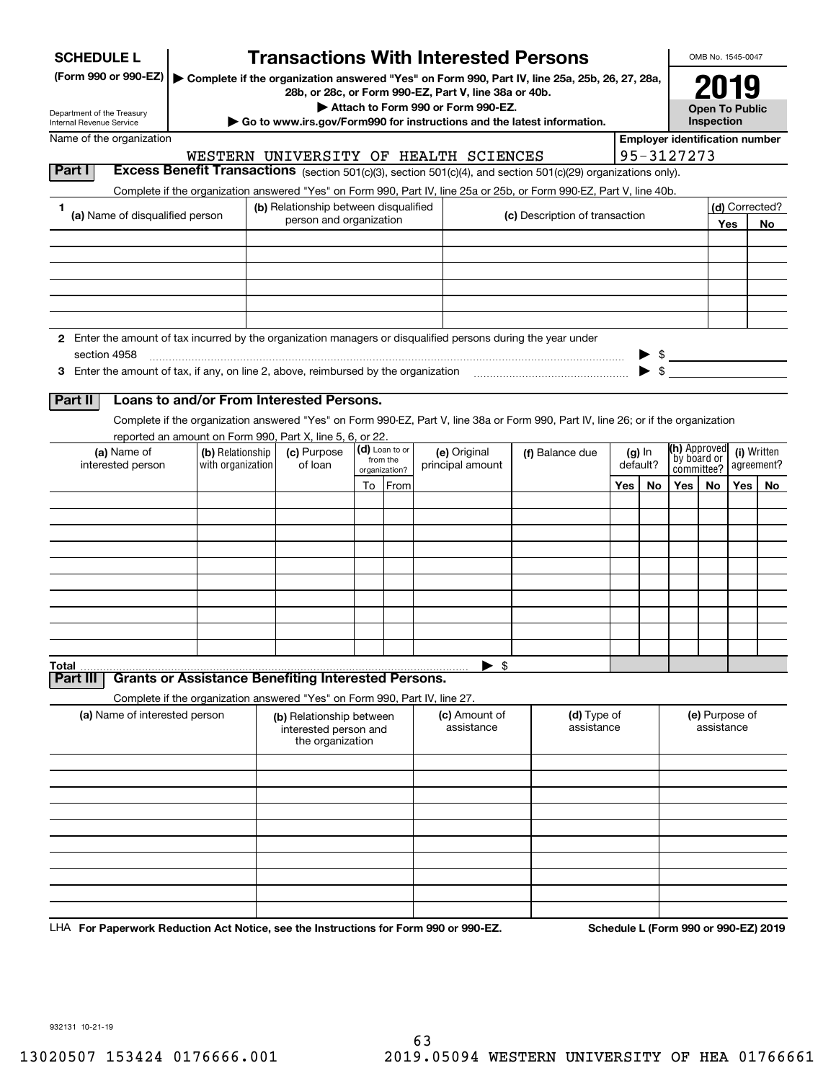| <b>SCHEDULE L</b>                                                                                                             |                   | <b>Transactions With Interested Persons</b>                                                                                                                             |                           |  |                                                                                             |  |                                |     |                         |                                       | OMB No. 1545-0047                           |     |                                      |  |  |  |                 |  |  |  |          |                           |  |  |            |
|-------------------------------------------------------------------------------------------------------------------------------|-------------------|-------------------------------------------------------------------------------------------------------------------------------------------------------------------------|---------------------------|--|---------------------------------------------------------------------------------------------|--|--------------------------------|-----|-------------------------|---------------------------------------|---------------------------------------------|-----|--------------------------------------|--|--|--|-----------------|--|--|--|----------|---------------------------|--|--|------------|
| (Form 990 or 990-EZ)<br>Department of the Treasury<br>Internal Revenue Service                                                |                   | Complete if the organization answered "Yes" on Form 990, Part IV, line 25a, 25b, 26, 27, 28a,<br>Go to www.irs.gov/Form990 for instructions and the latest information. |                           |  | 28b, or 28c, or Form 990-EZ, Part V, line 38a or 40b.<br>Attach to Form 990 or Form 990-EZ. |  |                                |     |                         |                                       | 2019<br><b>Open To Public</b><br>Inspection |     |                                      |  |  |  |                 |  |  |  |          |                           |  |  |            |
| Name of the organization                                                                                                      |                   |                                                                                                                                                                         |                           |  |                                                                                             |  |                                |     |                         | <b>Employer identification number</b> |                                             |     |                                      |  |  |  |                 |  |  |  |          |                           |  |  |            |
|                                                                                                                               |                   | WESTERN UNIVERSITY OF HEALTH SCIENCES                                                                                                                                   |                           |  |                                                                                             |  |                                |     |                         | 95-3127273                            |                                             |     |                                      |  |  |  |                 |  |  |  |          |                           |  |  |            |
| Part I                                                                                                                        |                   | Excess Benefit Transactions (section 501(c)(3), section 501(c)(4), and section 501(c)(29) organizations only).                                                          |                           |  |                                                                                             |  |                                |     |                         |                                       |                                             |     |                                      |  |  |  |                 |  |  |  |          |                           |  |  |            |
|                                                                                                                               |                   | Complete if the organization answered "Yes" on Form 990, Part IV, line 25a or 25b, or Form 990-EZ, Part V, line 40b.                                                    |                           |  |                                                                                             |  |                                |     |                         |                                       |                                             |     |                                      |  |  |  |                 |  |  |  |          |                           |  |  |            |
| 1<br>(a) Name of disqualified person                                                                                          |                   | (b) Relationship between disqualified                                                                                                                                   |                           |  |                                                                                             |  |                                |     |                         |                                       |                                             |     | (d) Corrected?                       |  |  |  |                 |  |  |  |          |                           |  |  |            |
|                                                                                                                               |                   | person and organization                                                                                                                                                 |                           |  |                                                                                             |  | (c) Description of transaction |     |                         |                                       |                                             | Yes | No                                   |  |  |  |                 |  |  |  |          |                           |  |  |            |
|                                                                                                                               |                   |                                                                                                                                                                         |                           |  |                                                                                             |  |                                |     |                         |                                       |                                             |     |                                      |  |  |  |                 |  |  |  |          |                           |  |  |            |
|                                                                                                                               |                   |                                                                                                                                                                         |                           |  |                                                                                             |  |                                |     |                         |                                       |                                             |     |                                      |  |  |  |                 |  |  |  |          |                           |  |  |            |
|                                                                                                                               |                   |                                                                                                                                                                         |                           |  |                                                                                             |  |                                |     |                         |                                       |                                             |     |                                      |  |  |  |                 |  |  |  |          |                           |  |  |            |
| 2 Enter the amount of tax incurred by the organization managers or disqualified persons during the year under<br>section 4958 |                   |                                                                                                                                                                         |                           |  |                                                                                             |  |                                |     |                         | $\frac{1}{2}$                         |                                             |     |                                      |  |  |  |                 |  |  |  |          |                           |  |  |            |
|                                                                                                                               |                   |                                                                                                                                                                         |                           |  |                                                                                             |  |                                |     | $\blacktriangleright$ s |                                       |                                             |     |                                      |  |  |  |                 |  |  |  |          |                           |  |  |            |
|                                                                                                                               |                   |                                                                                                                                                                         |                           |  |                                                                                             |  |                                |     |                         |                                       |                                             |     |                                      |  |  |  |                 |  |  |  |          |                           |  |  |            |
| Part II                                                                                                                       |                   | Loans to and/or From Interested Persons.                                                                                                                                |                           |  |                                                                                             |  |                                |     |                         |                                       |                                             |     |                                      |  |  |  |                 |  |  |  |          |                           |  |  |            |
|                                                                                                                               |                   | Complete if the organization answered "Yes" on Form 990-EZ, Part V, line 38a or Form 990, Part IV, line 26; or if the organization                                      |                           |  |                                                                                             |  |                                |     |                         |                                       |                                             |     |                                      |  |  |  |                 |  |  |  |          |                           |  |  |            |
| (a) Name of                                                                                                                   | (b) Relationship  | reported an amount on Form 990, Part X, line 5, 6, or 22.<br>(c) Purpose                                                                                                | (d) Loan to or            |  | (e) Original                                                                                |  |                                |     | $(g)$ In                | (h) Approved                          |                                             |     | (i) Written                          |  |  |  |                 |  |  |  |          |                           |  |  |            |
| interested person                                                                                                             | with organization | of loan                                                                                                                                                                 | from the<br>organization? |  |                                                                                             |  |                                |     | principal amount        |                                       |                                             |     |                                      |  |  |  | (f) Balance due |  |  |  | default? | by board or<br>committee? |  |  | agreement? |
|                                                                                                                               |                   |                                                                                                                                                                         | To From                   |  |                                                                                             |  |                                | Yes | No                      | <b>Yes</b>                            | No                                          | Yes | No                                   |  |  |  |                 |  |  |  |          |                           |  |  |            |
|                                                                                                                               |                   |                                                                                                                                                                         |                           |  |                                                                                             |  |                                |     |                         |                                       |                                             |     |                                      |  |  |  |                 |  |  |  |          |                           |  |  |            |
|                                                                                                                               |                   |                                                                                                                                                                         |                           |  |                                                                                             |  |                                |     |                         |                                       |                                             |     |                                      |  |  |  |                 |  |  |  |          |                           |  |  |            |
|                                                                                                                               |                   |                                                                                                                                                                         |                           |  |                                                                                             |  |                                |     |                         |                                       |                                             |     |                                      |  |  |  |                 |  |  |  |          |                           |  |  |            |
|                                                                                                                               |                   |                                                                                                                                                                         |                           |  |                                                                                             |  |                                |     |                         |                                       |                                             |     |                                      |  |  |  |                 |  |  |  |          |                           |  |  |            |
|                                                                                                                               |                   |                                                                                                                                                                         |                           |  |                                                                                             |  |                                |     |                         |                                       |                                             |     |                                      |  |  |  |                 |  |  |  |          |                           |  |  |            |
|                                                                                                                               |                   |                                                                                                                                                                         |                           |  |                                                                                             |  |                                |     |                         |                                       |                                             |     |                                      |  |  |  |                 |  |  |  |          |                           |  |  |            |
|                                                                                                                               |                   |                                                                                                                                                                         |                           |  |                                                                                             |  |                                |     |                         |                                       |                                             |     |                                      |  |  |  |                 |  |  |  |          |                           |  |  |            |
|                                                                                                                               |                   |                                                                                                                                                                         |                           |  |                                                                                             |  |                                |     |                         |                                       |                                             |     |                                      |  |  |  |                 |  |  |  |          |                           |  |  |            |
|                                                                                                                               |                   |                                                                                                                                                                         |                           |  |                                                                                             |  |                                |     |                         |                                       |                                             |     |                                      |  |  |  |                 |  |  |  |          |                           |  |  |            |
| Total                                                                                                                         |                   |                                                                                                                                                                         |                           |  | - \$<br>▶                                                                                   |  |                                |     |                         |                                       |                                             |     |                                      |  |  |  |                 |  |  |  |          |                           |  |  |            |
| Part II                                                                                                                       |                   | <b>Grants or Assistance Benefiting Interested Persons.</b>                                                                                                              |                           |  |                                                                                             |  |                                |     |                         |                                       |                                             |     |                                      |  |  |  |                 |  |  |  |          |                           |  |  |            |
|                                                                                                                               |                   | Complete if the organization answered "Yes" on Form 990, Part IV, line 27.                                                                                              |                           |  |                                                                                             |  |                                |     |                         |                                       |                                             |     |                                      |  |  |  |                 |  |  |  |          |                           |  |  |            |
| (a) Name of interested person                                                                                                 |                   | (b) Relationship between<br>interested person and<br>the organization                                                                                                   |                           |  | (c) Amount of<br>assistance                                                                 |  | (d) Type of<br>assistance      |     |                         |                                       | (e) Purpose of<br>assistance                |     |                                      |  |  |  |                 |  |  |  |          |                           |  |  |            |
|                                                                                                                               |                   |                                                                                                                                                                         |                           |  |                                                                                             |  |                                |     |                         |                                       |                                             |     |                                      |  |  |  |                 |  |  |  |          |                           |  |  |            |
|                                                                                                                               |                   |                                                                                                                                                                         |                           |  |                                                                                             |  |                                |     |                         |                                       |                                             |     |                                      |  |  |  |                 |  |  |  |          |                           |  |  |            |
|                                                                                                                               |                   |                                                                                                                                                                         |                           |  |                                                                                             |  |                                |     |                         |                                       |                                             |     |                                      |  |  |  |                 |  |  |  |          |                           |  |  |            |
|                                                                                                                               |                   |                                                                                                                                                                         |                           |  |                                                                                             |  |                                |     |                         |                                       |                                             |     |                                      |  |  |  |                 |  |  |  |          |                           |  |  |            |
|                                                                                                                               |                   |                                                                                                                                                                         |                           |  |                                                                                             |  |                                |     |                         |                                       |                                             |     |                                      |  |  |  |                 |  |  |  |          |                           |  |  |            |
|                                                                                                                               |                   |                                                                                                                                                                         |                           |  |                                                                                             |  |                                |     |                         |                                       |                                             |     |                                      |  |  |  |                 |  |  |  |          |                           |  |  |            |
|                                                                                                                               |                   |                                                                                                                                                                         |                           |  |                                                                                             |  |                                |     |                         |                                       |                                             |     |                                      |  |  |  |                 |  |  |  |          |                           |  |  |            |
|                                                                                                                               |                   |                                                                                                                                                                         |                           |  |                                                                                             |  |                                |     |                         |                                       |                                             |     |                                      |  |  |  |                 |  |  |  |          |                           |  |  |            |
|                                                                                                                               |                   |                                                                                                                                                                         |                           |  |                                                                                             |  |                                |     |                         |                                       |                                             |     |                                      |  |  |  |                 |  |  |  |          |                           |  |  |            |
| LHA For Paperwork Reduction Act Notice, see the Instructions for Form 990 or 990-EZ.                                          |                   |                                                                                                                                                                         |                           |  |                                                                                             |  |                                |     |                         |                                       |                                             |     | Schedule L (Form 990 or 990-EZ) 2019 |  |  |  |                 |  |  |  |          |                           |  |  |            |

932131 10-21-19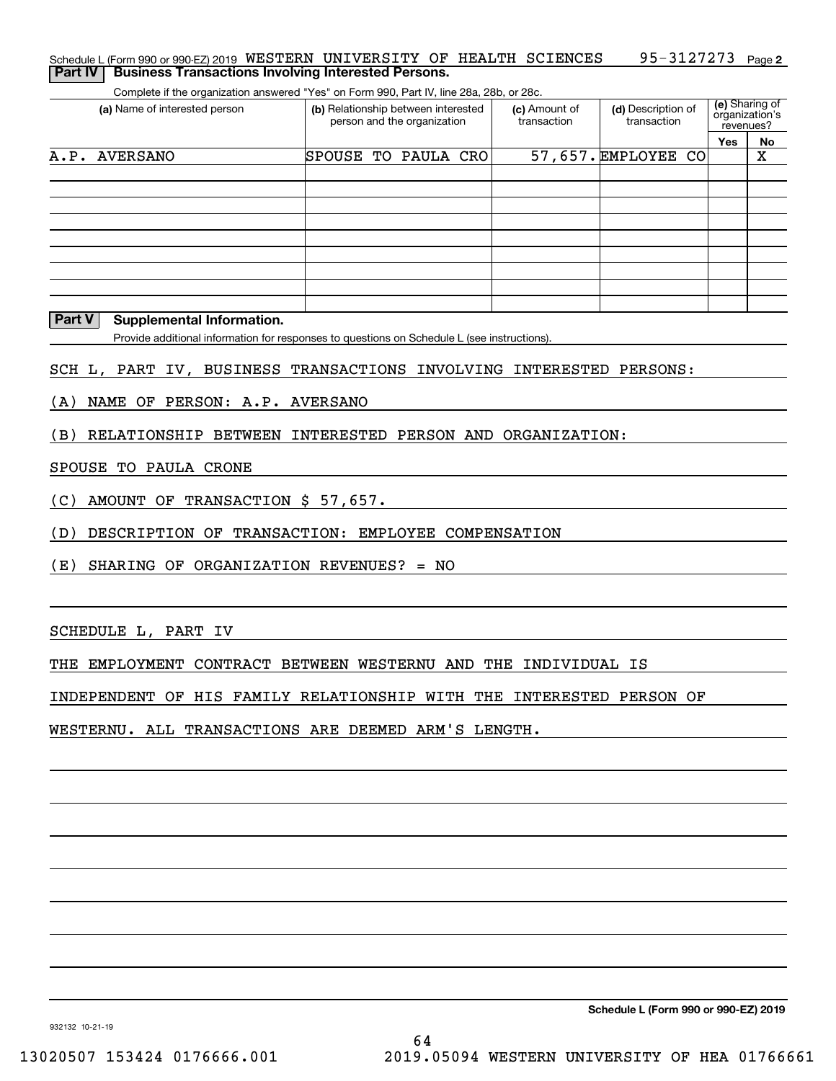| (a) Name of interested person                                       | (b) Relationship between interested                                                         | (c) Amount of | (d) Description of  | (e) Sharing of              |    |
|---------------------------------------------------------------------|---------------------------------------------------------------------------------------------|---------------|---------------------|-----------------------------|----|
|                                                                     | person and the organization                                                                 | transaction   | transaction         | organization's<br>revenues? |    |
|                                                                     |                                                                                             |               |                     | Yes                         | No |
| A.P. AVERSANO                                                       | SPOUSE TO PAULA CRO                                                                         |               | 57,657. EMPLOYEE CO |                             | X  |
|                                                                     |                                                                                             |               |                     |                             |    |
|                                                                     |                                                                                             |               |                     |                             |    |
|                                                                     |                                                                                             |               |                     |                             |    |
|                                                                     |                                                                                             |               |                     |                             |    |
|                                                                     |                                                                                             |               |                     |                             |    |
|                                                                     |                                                                                             |               |                     |                             |    |
|                                                                     |                                                                                             |               |                     |                             |    |
| Part V                                                              |                                                                                             |               |                     |                             |    |
| <b>Supplemental Information.</b>                                    |                                                                                             |               |                     |                             |    |
|                                                                     | Provide additional information for responses to questions on Schedule L (see instructions). |               |                     |                             |    |
| SCH L, PART IV, BUSINESS TRANSACTIONS INVOLVING INTERESTED PERSONS: |                                                                                             |               |                     |                             |    |
|                                                                     |                                                                                             |               |                     |                             |    |
| NAME OF PERSON: A.P. AVERSANO<br>(A)                                |                                                                                             |               |                     |                             |    |
| RELATIONSHIP BETWEEN INTERESTED PERSON AND ORGANIZATION:<br>(B)     |                                                                                             |               |                     |                             |    |
|                                                                     |                                                                                             |               |                     |                             |    |
|                                                                     |                                                                                             |               |                     |                             |    |
|                                                                     |                                                                                             |               |                     |                             |    |
|                                                                     |                                                                                             |               |                     |                             |    |
| AMOUNT OF TRANSACTION \$ 57,657.                                    |                                                                                             |               |                     |                             |    |
|                                                                     |                                                                                             |               |                     |                             |    |
| DESCRIPTION OF TRANSACTION: EMPLOYEE COMPENSATION                   |                                                                                             |               |                     |                             |    |
| SPOUSE TO PAULA CRONE<br>(C)<br>(D)                                 |                                                                                             |               |                     |                             |    |
| (E)<br>SHARING OF ORGANIZATION REVENUES? = NO                       |                                                                                             |               |                     |                             |    |
|                                                                     |                                                                                             |               |                     |                             |    |
|                                                                     |                                                                                             |               |                     |                             |    |
| SCHEDULE L, PART IV                                                 |                                                                                             |               |                     |                             |    |

Schedule L (Form 990 or 990-EZ) 2019  $\,$  WESTERN  $\,$  UNIVERSITY OF <code>HEALTH SCIENCES</code>  $\,$  <code>95–3127273</code> <code> Page</code>

INDEPENDENT OF HIS FAMILY RELATIONSHIP WITH THE INTERESTED PERSON OF

WESTERNU. ALL TRANSACTIONS ARE DEEMED ARM'S LENGTH.

**Schedule L (Form 990 or 990-EZ) 2019**

**2** 95-3127273

932132 10-21-19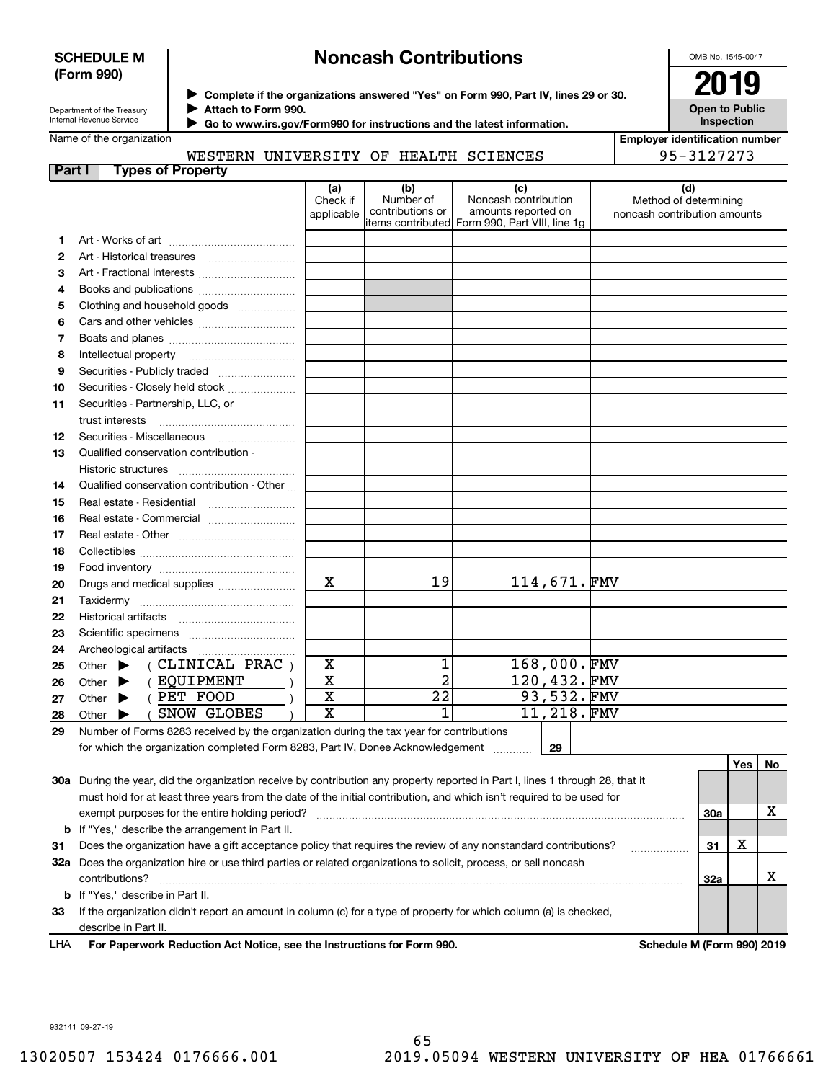## **SCHEDULE M (Form 990)**

# **Noncash Contributions**

OMB No. 1545-0047

**Open to Public Inspection**

**Employer identification number**

95-3127273

| Department of the Treasury |
|----------------------------|
| Internal Revenue Service   |

**Complete if the organizations answered "Yes" on Form 990, Part IV, lines 29 or 30.** <sup>J</sup>**2019 Attach to Form 990.** J

 **Go to www.irs.gov/Form990 for instructions and the latest information.** J

Name of the organization

|  | WESTERN UNIVERSITY OF HEALTH SCIENCES |  |  |
|--|---------------------------------------|--|--|
|  |                                       |  |  |

| 1.<br>2<br>3<br>4<br>Clothing and household goods<br>5<br>6<br>7<br>8<br>9<br>Securities - Closely held stock<br>10<br>Securities - Partnership, LLC, or<br>11<br>trust interests<br>Securities - Miscellaneous<br>12<br>Qualified conservation contribution -<br>13<br>Historic structures<br>Qualified conservation contribution - Other<br>14<br>15<br>Real estate - Commercial<br>16<br>17<br>18<br>19<br>114,671.FMV<br>$\mathbf x$<br>19<br>20<br>Drugs and medical supplies<br>21<br>22<br><b>Historical artifacts</b><br>23<br>24<br>Archeological artifacts<br>1<br>168,000.FMV<br>X<br>(CLINICAL PRAC)<br>Other $\blacktriangleright$<br>25<br>$\overline{2}$<br>120,432.FMV<br>X<br>( EQUIPMENT<br>Other $\blacktriangleright$<br>26<br>93,532.FMV<br>$\overline{22}$<br>X<br>( PET FOOD<br>Other $\blacktriangleright$<br>27<br>$\overline{1}$<br>$11, 218.$ FMV<br>$\overline{\mathbf{x}}$<br>SNOW GLOBES<br>28<br>Other $\blacktriangleright$ | Method of determining<br>noncash contribution amounts |
|-------------------------------------------------------------------------------------------------------------------------------------------------------------------------------------------------------------------------------------------------------------------------------------------------------------------------------------------------------------------------------------------------------------------------------------------------------------------------------------------------------------------------------------------------------------------------------------------------------------------------------------------------------------------------------------------------------------------------------------------------------------------------------------------------------------------------------------------------------------------------------------------------------------------------------------------------------------|-------------------------------------------------------|
|                                                                                                                                                                                                                                                                                                                                                                                                                                                                                                                                                                                                                                                                                                                                                                                                                                                                                                                                                             |                                                       |
|                                                                                                                                                                                                                                                                                                                                                                                                                                                                                                                                                                                                                                                                                                                                                                                                                                                                                                                                                             |                                                       |
|                                                                                                                                                                                                                                                                                                                                                                                                                                                                                                                                                                                                                                                                                                                                                                                                                                                                                                                                                             |                                                       |
|                                                                                                                                                                                                                                                                                                                                                                                                                                                                                                                                                                                                                                                                                                                                                                                                                                                                                                                                                             |                                                       |
|                                                                                                                                                                                                                                                                                                                                                                                                                                                                                                                                                                                                                                                                                                                                                                                                                                                                                                                                                             |                                                       |
|                                                                                                                                                                                                                                                                                                                                                                                                                                                                                                                                                                                                                                                                                                                                                                                                                                                                                                                                                             |                                                       |
|                                                                                                                                                                                                                                                                                                                                                                                                                                                                                                                                                                                                                                                                                                                                                                                                                                                                                                                                                             |                                                       |
|                                                                                                                                                                                                                                                                                                                                                                                                                                                                                                                                                                                                                                                                                                                                                                                                                                                                                                                                                             |                                                       |
|                                                                                                                                                                                                                                                                                                                                                                                                                                                                                                                                                                                                                                                                                                                                                                                                                                                                                                                                                             |                                                       |
|                                                                                                                                                                                                                                                                                                                                                                                                                                                                                                                                                                                                                                                                                                                                                                                                                                                                                                                                                             |                                                       |
|                                                                                                                                                                                                                                                                                                                                                                                                                                                                                                                                                                                                                                                                                                                                                                                                                                                                                                                                                             |                                                       |
|                                                                                                                                                                                                                                                                                                                                                                                                                                                                                                                                                                                                                                                                                                                                                                                                                                                                                                                                                             |                                                       |
|                                                                                                                                                                                                                                                                                                                                                                                                                                                                                                                                                                                                                                                                                                                                                                                                                                                                                                                                                             |                                                       |
|                                                                                                                                                                                                                                                                                                                                                                                                                                                                                                                                                                                                                                                                                                                                                                                                                                                                                                                                                             |                                                       |
|                                                                                                                                                                                                                                                                                                                                                                                                                                                                                                                                                                                                                                                                                                                                                                                                                                                                                                                                                             |                                                       |
|                                                                                                                                                                                                                                                                                                                                                                                                                                                                                                                                                                                                                                                                                                                                                                                                                                                                                                                                                             |                                                       |
|                                                                                                                                                                                                                                                                                                                                                                                                                                                                                                                                                                                                                                                                                                                                                                                                                                                                                                                                                             |                                                       |
|                                                                                                                                                                                                                                                                                                                                                                                                                                                                                                                                                                                                                                                                                                                                                                                                                                                                                                                                                             |                                                       |
|                                                                                                                                                                                                                                                                                                                                                                                                                                                                                                                                                                                                                                                                                                                                                                                                                                                                                                                                                             |                                                       |
|                                                                                                                                                                                                                                                                                                                                                                                                                                                                                                                                                                                                                                                                                                                                                                                                                                                                                                                                                             |                                                       |
|                                                                                                                                                                                                                                                                                                                                                                                                                                                                                                                                                                                                                                                                                                                                                                                                                                                                                                                                                             |                                                       |
|                                                                                                                                                                                                                                                                                                                                                                                                                                                                                                                                                                                                                                                                                                                                                                                                                                                                                                                                                             |                                                       |
|                                                                                                                                                                                                                                                                                                                                                                                                                                                                                                                                                                                                                                                                                                                                                                                                                                                                                                                                                             |                                                       |
|                                                                                                                                                                                                                                                                                                                                                                                                                                                                                                                                                                                                                                                                                                                                                                                                                                                                                                                                                             |                                                       |
|                                                                                                                                                                                                                                                                                                                                                                                                                                                                                                                                                                                                                                                                                                                                                                                                                                                                                                                                                             |                                                       |
|                                                                                                                                                                                                                                                                                                                                                                                                                                                                                                                                                                                                                                                                                                                                                                                                                                                                                                                                                             |                                                       |
|                                                                                                                                                                                                                                                                                                                                                                                                                                                                                                                                                                                                                                                                                                                                                                                                                                                                                                                                                             |                                                       |
|                                                                                                                                                                                                                                                                                                                                                                                                                                                                                                                                                                                                                                                                                                                                                                                                                                                                                                                                                             |                                                       |
|                                                                                                                                                                                                                                                                                                                                                                                                                                                                                                                                                                                                                                                                                                                                                                                                                                                                                                                                                             |                                                       |
|                                                                                                                                                                                                                                                                                                                                                                                                                                                                                                                                                                                                                                                                                                                                                                                                                                                                                                                                                             |                                                       |
| Number of Forms 8283 received by the organization during the tax year for contributions<br>29<br>for which the organization completed Form 8283, Part IV, Donee Acknowledgement<br>29                                                                                                                                                                                                                                                                                                                                                                                                                                                                                                                                                                                                                                                                                                                                                                       |                                                       |

**30a** During the year, did the organization receive by contribution any property reported in Part I, lines 1 through 28, that it **3132a** Does the organization hire or use third parties or related organizations to solicit, process, or sell noncash **33**If the organization didn't report an amount in column (c) for a type of property for which column (a) is checked, **b** If "Yes," describe the arrangement in Part II. **30a3132ab**If "Yes," describe in Part II. must hold for at least three years from the date of the initial contribution, and which isn't required to be used for exempt purposes for the entire holding period? ~~~~~~~~~~~~~~~~~~~~~~~~~~~~~~~~~~~~~~ Does the organization have a gift acceptance policy that requires the review of any nonstandard contributions? ~~~~~~contributions? ~~~~~~~~~~~~~~~~~~~~~~~~~~~~~~~~~~~~~~~~~~~~~~~~~~~~~~ describe in Part II. X X X

**For Paperwork Reduction Act Notice, see the Instructions for Form 990. Schedule M (Form 990) 2019** LHA

932141 09-27-19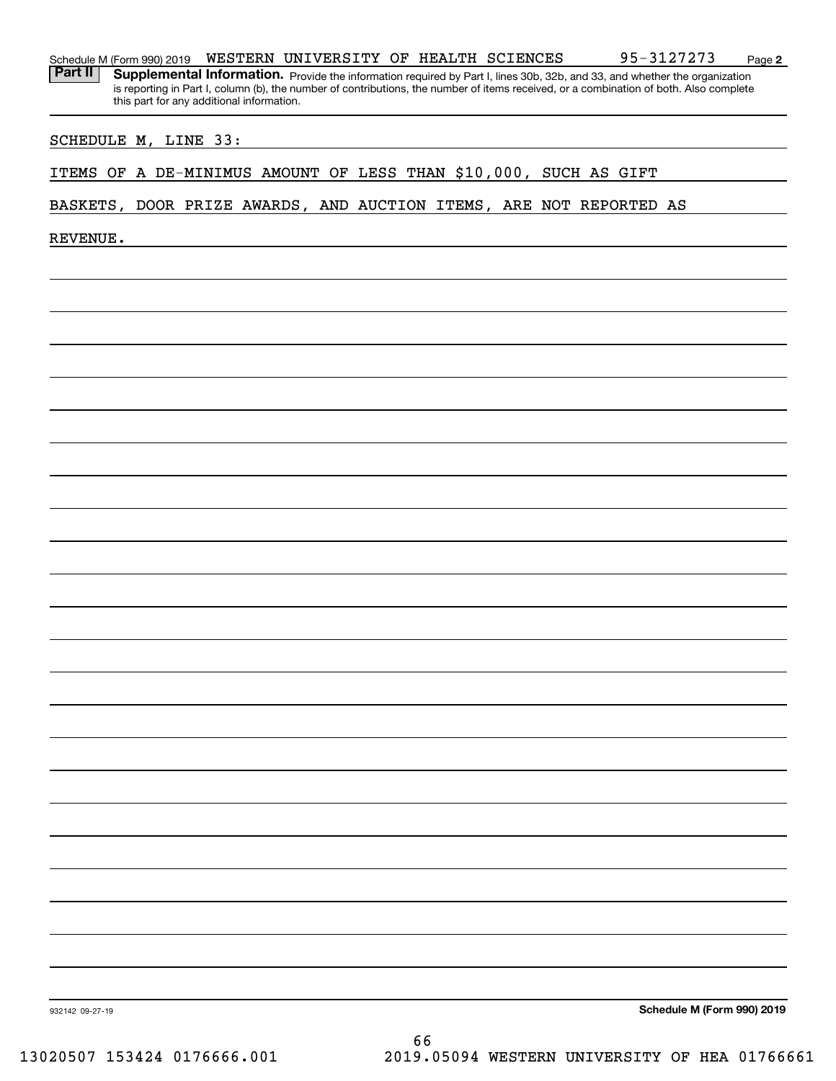| Schedule M (Form 990) 2019 | WESTERN | UNIVERSITY | OF |  | HEALTH SCIENCES | ר פיר פ<br>. .<br>$\overline{ }$<br>$\overline{\phantom{a}}$ | Paɑe |  |
|----------------------------|---------|------------|----|--|-----------------|--------------------------------------------------------------|------|--|
|----------------------------|---------|------------|----|--|-----------------|--------------------------------------------------------------|------|--|

Part II | Supplemental Information. Provide the information required by Part I, lines 30b, 32b, and 33, and whether the organization is reporting in Part I, column (b), the number of contributions, the number of items received, or a combination of both. Also complete this part for any additional information.

## SCHEDULE M, LINE 33:

## ITEMS OF A DE-MINIMUS AMOUNT OF LESS THAN \$10,000, SUCH AS GIFT

## BASKETS, DOOR PRIZE AWARDS, AND AUCTION ITEMS, ARE NOT REPORTED AS

REVENUE.

**Schedule M (Form 990) 2019**

**2**

932142 09-27-19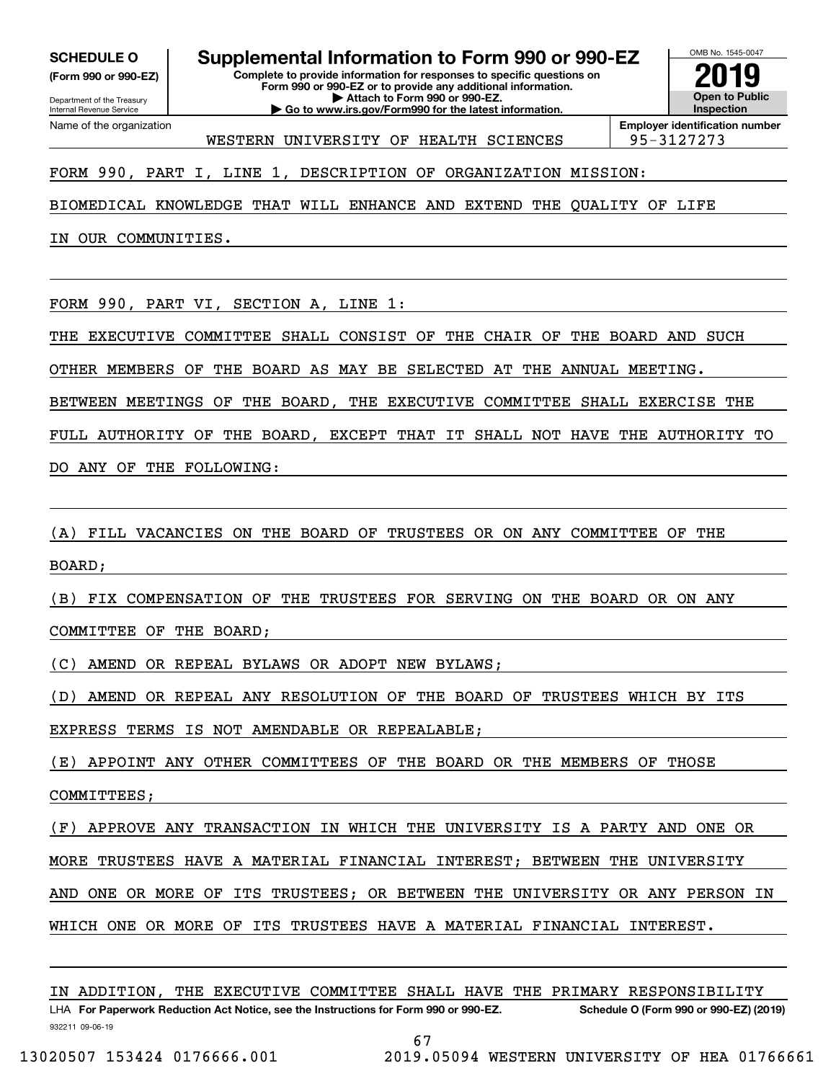**(Form 990 or 990-EZ)**

Department of the Treasury Internal Revenue Service Name of the organization

**Complete to provide information for responses to specific questions on SCHEDULE O Supplemental Information to Form 990 or 990-EZ**

OMB No. 1545-0047 **Open to Public Inspection2019**

**| Go to www.irs.gov/Form990 for the latest information.** WESTERN UNIVERSITY OF HEALTH SCIENCES | 95-3127273

**Form 990 or 990-EZ or to provide any additional information. | Attach to Form 990 or 990-EZ.**

**Employer identification number**

FORM 990, PART I, LINE 1, DESCRIPTION OF ORGANIZATION MISSION:

BIOMEDICAL KNOWLEDGE THAT WILL ENHANCE AND EXTEND THE QUALITY OF LIFE

IN OUR COMMUNITIES.

FORM 990, PART VI, SECTION A, LINE 1:

THE EXECUTIVE COMMITTEE SHALL CONSIST OF THE CHAIR OF THE BOARD AND SUCH

OTHER MEMBERS OF THE BOARD AS MAY BE SELECTED AT THE ANNUAL MEETING.

BETWEEN MEETINGS OF THE BOARD, THE EXECUTIVE COMMITTEE SHALL EXERCISE THE

FULL AUTHORITY OF THE BOARD, EXCEPT THAT IT SHALL NOT HAVE THE AUTHORITY TO

DO ANY OF THE FOLLOWING:

(A) FILL VACANCIES ON THE BOARD OF TRUSTEES OR ON ANY COMMITTEE OF THE

BOARD;

(B) FIX COMPENSATION OF THE TRUSTEES FOR SERVING ON THE BOARD OR ON ANY

COMMITTEE OF THE BOARD;

(C) AMEND OR REPEAL BYLAWS OR ADOPT NEW BYLAWS;

(D) AMEND OR REPEAL ANY RESOLUTION OF THE BOARD OF TRUSTEES WHICH BY ITS

EXPRESS TERMS IS NOT AMENDABLE OR REPEALABLE;

(E) APPOINT ANY OTHER COMMITTEES OF THE BOARD OR THE MEMBERS OF THOSE

COMMITTEES;

(F) APPROVE ANY TRANSACTION IN WHICH THE UNIVERSITY IS A PARTY AND ONE OR

MORE TRUSTEES HAVE A MATERIAL FINANCIAL INTEREST; BETWEEN THE UNIVERSITY

AND ONE OR MORE OF ITS TRUSTEES; OR BETWEEN THE UNIVERSITY OR ANY PERSON IN

WHICH ONE OR MORE OF ITS TRUSTEES HAVE A MATERIAL FINANCIAL INTEREST.

932211 09-06-19 LHA For Paperwork Reduction Act Notice, see the Instructions for Form 990 or 990-EZ. Schedule O (Form 990 or 990-EZ) (2019)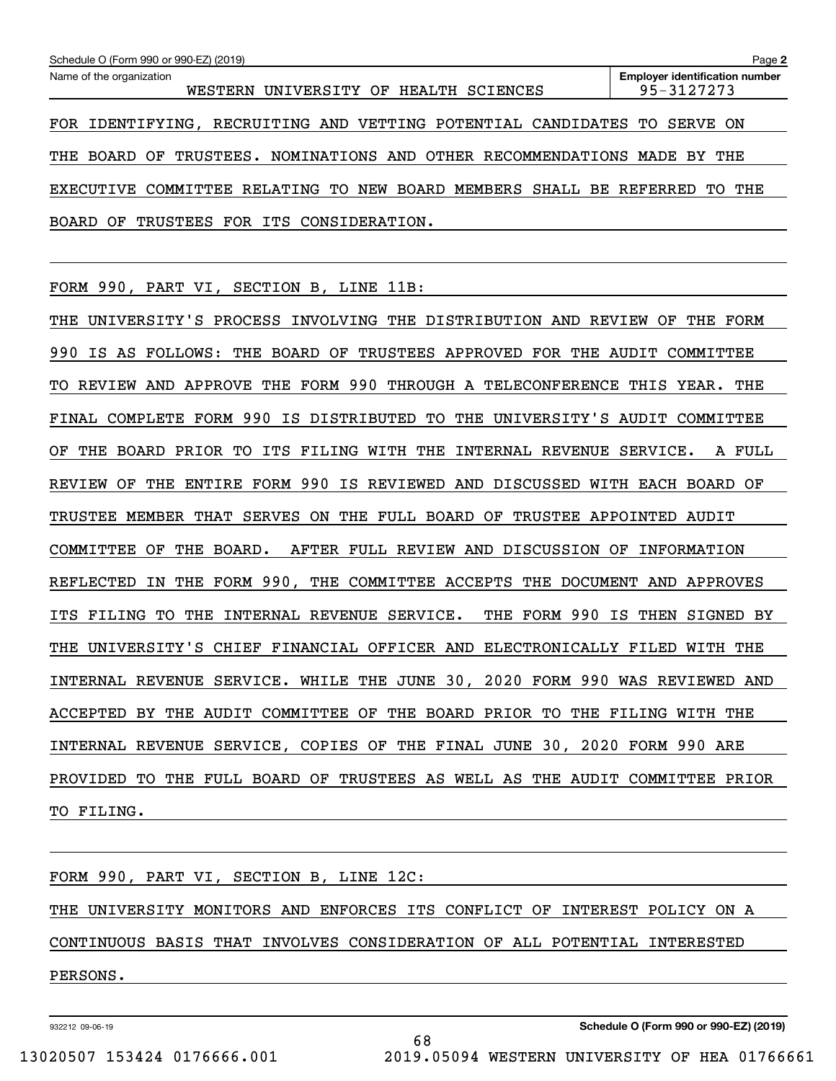| Schedule O (Form 990 or 990-EZ) (2019)<br>Page 2                               |                                                     |  |  |  |  |  |  |  |  |
|--------------------------------------------------------------------------------|-----------------------------------------------------|--|--|--|--|--|--|--|--|
| Name of the organization<br>WESTERN UNIVERSITY OF HEALTH SCIENCES              | <b>Employer identification number</b><br>95-3127273 |  |  |  |  |  |  |  |  |
| FOR IDENTIFYING, RECRUITING AND VETTING POTENTIAL CANDIDATES TO                | SERVE ON                                            |  |  |  |  |  |  |  |  |
| TRUSTEES. NOMINATIONS AND OTHER RECOMMENDATIONS MADE BY THE<br>THE<br>BOARD OF |                                                     |  |  |  |  |  |  |  |  |
| EXECUTIVE COMMITTEE RELATING TO NEW BOARD MEMBERS SHALL                        | BE REFERRED<br>THE<br>TO.                           |  |  |  |  |  |  |  |  |
| TRUSTEES<br>ITS CONSIDERATION.<br>BOARD OF<br>FOR                              |                                                     |  |  |  |  |  |  |  |  |

FORM 990, PART VI, SECTION B, LINE 11B:

THE UNIVERSITY'S PROCESS INVOLVING THE DISTRIBUTION AND REVIEW OF THE FORM 990 IS AS FOLLOWS: THE BOARD OF TRUSTEES APPROVED FOR THE AUDIT COMMITTEE TO REVIEW AND APPROVE THE FORM 990 THROUGH A TELECONFERENCE THIS YEAR. THE FINAL COMPLETE FORM 990 IS DISTRIBUTED TO THE UNIVERSITY'S AUDIT COMMITTEE OF THE BOARD PRIOR TO ITS FILING WITH THE INTERNAL REVENUE SERVICE. A FULL REVIEW OF THE ENTIRE FORM 990 IS REVIEWED AND DISCUSSED WITH EACH BOARD OF TRUSTEE MEMBER THAT SERVES ON THE FULL BOARD OF TRUSTEE APPOINTED AUDIT COMMITTEE OF THE BOARD. AFTER FULL REVIEW AND DISCUSSION OF INFORMATION REFLECTED IN THE FORM 990, THE COMMITTEE ACCEPTS THE DOCUMENT AND APPROVES ITS FILING TO THE INTERNAL REVENUE SERVICE. THE FORM 990 IS THEN SIGNED BY THE UNIVERSITY'S CHIEF FINANCIAL OFFICER AND ELECTRONICALLY FILED WITH THE INTERNAL REVENUE SERVICE. WHILE THE JUNE 30, 2020 FORM 990 WAS REVIEWED AND ACCEPTED BY THE AUDIT COMMITTEE OF THE BOARD PRIOR TO THE FILING WITH THE INTERNAL REVENUE SERVICE, COPIES OF THE FINAL JUNE 30, 2020 FORM 990 ARE PROVIDED TO THE FULL BOARD OF TRUSTEES AS WELL AS THE AUDIT COMMITTEE PRIOR TO FILING.

|          |  |  | FORM 990, PART VI, SECTION B, LINE 12C: |  |                                                                           |  |
|----------|--|--|-----------------------------------------|--|---------------------------------------------------------------------------|--|
|          |  |  |                                         |  |                                                                           |  |
|          |  |  |                                         |  | THE UNIVERSITY MONITORS AND ENFORCES ITS CONFLICT OF INTEREST POLICY ON A |  |
|          |  |  |                                         |  |                                                                           |  |
|          |  |  |                                         |  | CONTINUOUS BASIS THAT INVOLVES CONSIDERATION OF ALL POTENTIAL INTERESTED  |  |
|          |  |  |                                         |  |                                                                           |  |
| PERSONS. |  |  |                                         |  |                                                                           |  |
|          |  |  |                                         |  |                                                                           |  |

932212 09-06-19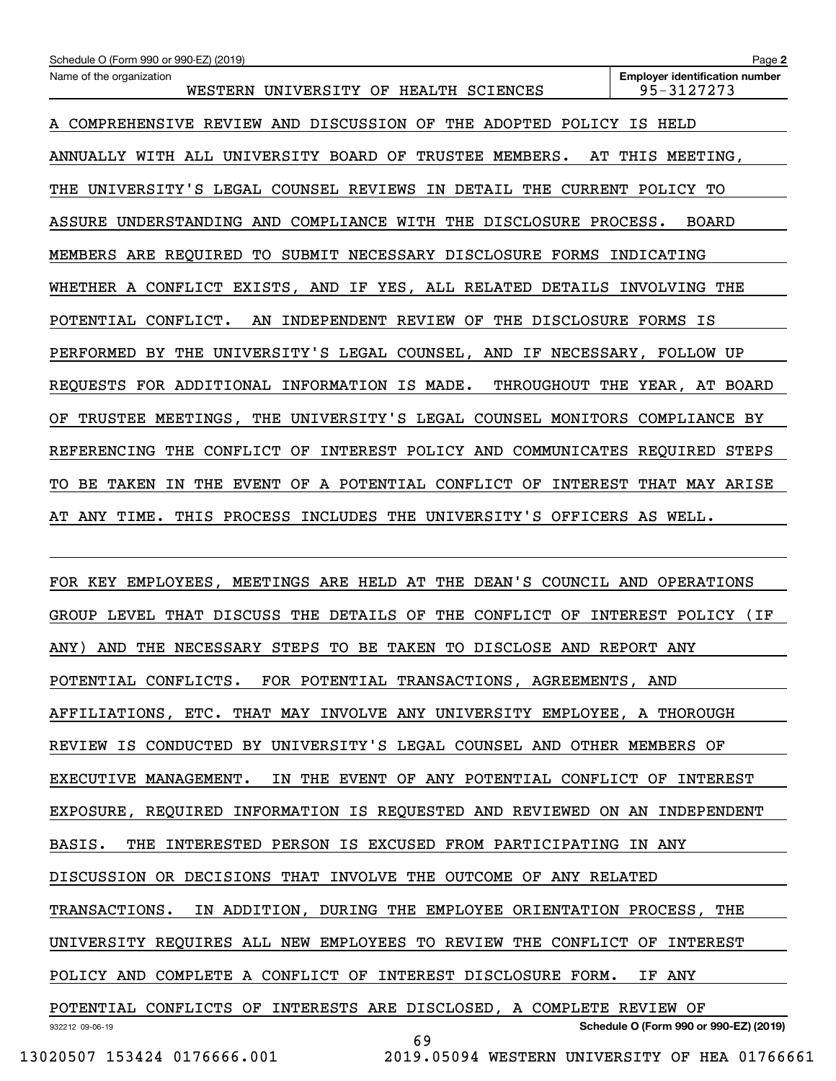932212 09-06-19 **Schedule O (Form 990 or 990-EZ) (2019)** POTENTIAL CONFLICTS. FOR POTENTIAL TRANSACTIONS, AGREEMENTS, AND AFFILIATIONS, ETC. THAT MAY INVOLVE ANY UNIVERSITY EMPLOYEE, A THOROUGH REVIEW IS CONDUCTED BY UNIVERSITY'S LEGAL COUNSEL AND OTHER MEMBERS OF EXECUTIVE MANAGEMENT. IN THE EVENT OF ANY POTENTIAL CONFLICT OF INTEREST EXPOSURE, REQUIRED INFORMATION IS REQUESTED AND REVIEWED ON AN INDEPENDENT BASIS. THE INTERESTED PERSON IS EXCUSED FROM PARTICIPATING IN ANY DISCUSSION OR DECISIONS THAT INVOLVE THE OUTCOME OF ANY RELATED TRANSACTIONS. IN ADDITION, DURING THE EMPLOYEE ORIENTATION PROCESS, THE UNIVERSITY REQUIRES ALL NEW EMPLOYEES TO REVIEW THE CONFLICT OF INTEREST POLICY AND COMPLETE A CONFLICT OF INTEREST DISCLOSURE FORM. IF ANY POTENTIAL CONFLICTS OF INTERESTS ARE DISCLOSED, A COMPLETE REVIEW OF 69

13020507 153424 0176666.001 2019.05094 WESTERN UNIVERSITY OF HEA 01766661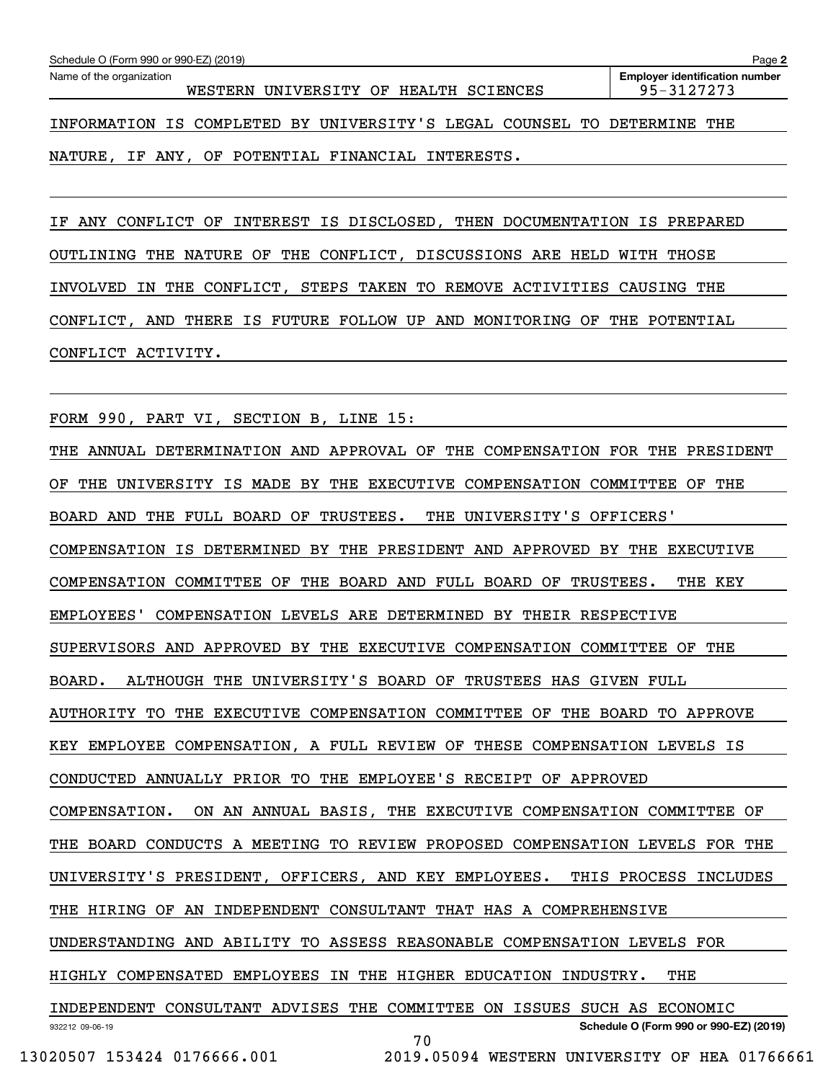| Schedule O (Form 990 or 990-EZ) (2019)<br>Page 2                        |                                                     |  |  |  |  |  |  |  |
|-------------------------------------------------------------------------|-----------------------------------------------------|--|--|--|--|--|--|--|
| Name of the organization<br>WESTERN UNIVERSITY OF HEALTH SCIENCES       | <b>Employer identification number</b><br>95-3127273 |  |  |  |  |  |  |  |
| INFORMATION IS COMPLETED BY UNIVERSITY'S LEGAL COUNSEL TO DETERMINE THE |                                                     |  |  |  |  |  |  |  |
| NATURE, IF ANY, OF POTENTIAL FINANCIAL INTERESTS.                       |                                                     |  |  |  |  |  |  |  |

IF ANY CONFLICT OF INTEREST IS DISCLOSED, THEN DOCUMENTATION IS PREPARED OUTLINING THE NATURE OF THE CONFLICT, DISCUSSIONS ARE HELD WITH THOSE INVOLVED IN THE CONFLICT, STEPS TAKEN TO REMOVE ACTIVITIES CAUSING THE CONFLICT, AND THERE IS FUTURE FOLLOW UP AND MONITORING OF THE POTENTIAL CONFLICT ACTIVITY.

FORM 990, PART VI, SECTION B, LINE 15:

932212 09-06-19 **Schedule O (Form 990 or 990-EZ) (2019)** THE ANNUAL DETERMINATION AND APPROVAL OF THE COMPENSATION FOR THE PRESIDENT OF THE UNIVERSITY IS MADE BY THE EXECUTIVE COMPENSATION COMMITTEE OF THE BOARD AND THE FULL BOARD OF TRUSTEES. THE UNIVERSITY'S OFFICERS' COMPENSATION IS DETERMINED BY THE PRESIDENT AND APPROVED BY THE EXECUTIVE COMPENSATION COMMITTEE OF THE BOARD AND FULL BOARD OF TRUSTEES. THE KEY EMPLOYEES' COMPENSATION LEVELS ARE DETERMINED BY THEIR RESPECTIVE SUPERVISORS AND APPROVED BY THE EXECUTIVE COMPENSATION COMMITTEE OF THE BOARD. ALTHOUGH THE UNIVERSITY'S BOARD OF TRUSTEES HAS GIVEN FULL AUTHORITY TO THE EXECUTIVE COMPENSATION COMMITTEE OF THE BOARD TO APPROVE KEY EMPLOYEE COMPENSATION, A FULL REVIEW OF THESE COMPENSATION LEVELS IS CONDUCTED ANNUALLY PRIOR TO THE EMPLOYEE'S RECEIPT OF APPROVED COMPENSATION. ON AN ANNUAL BASIS, THE EXECUTIVE COMPENSATION COMMITTEE OF THE BOARD CONDUCTS A MEETING TO REVIEW PROPOSED COMPENSATION LEVELS FOR THE UNIVERSITY'S PRESIDENT, OFFICERS, AND KEY EMPLOYEES. THIS PROCESS INCLUDES THE HIRING OF AN INDEPENDENT CONSULTANT THAT HAS A COMPREHENSIVE UNDERSTANDING AND ABILITY TO ASSESS REASONABLE COMPENSATION LEVELS FOR HIGHLY COMPENSATED EMPLOYEES IN THE HIGHER EDUCATION INDUSTRY. THE INDEPENDENT CONSULTANT ADVISES THE COMMITTEE ON ISSUES SUCH AS ECONOMIC 70

 <sup>13020507 153424 0176666.001 2019.05094</sup> WESTERN UNIVERSITY OF HEA 01766661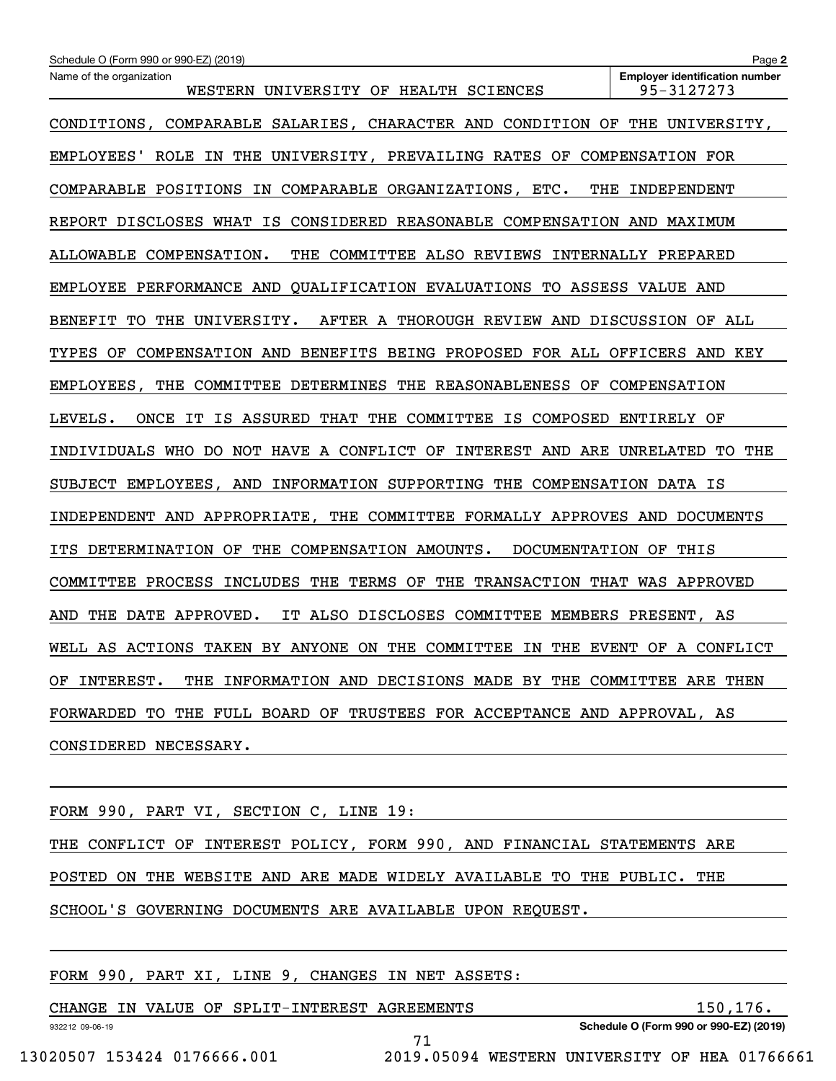| Name of the organization<br><b>Employer identification number</b><br>95-3127273<br>WESTERN UNIVERSITY OF HEALTH SCIENCES |
|--------------------------------------------------------------------------------------------------------------------------|
| CONDITIONS, COMPARABLE SALARIES, CHARACTER AND CONDITION OF THE UNIVERSITY,                                              |
| EMPLOYEES' ROLE IN THE UNIVERSITY, PREVAILING RATES OF COMPENSATION FOR                                                  |
| THE INDEPENDENT<br>COMPARABLE POSITIONS IN COMPARABLE ORGANIZATIONS, ETC.                                                |
| REPORT DISCLOSES WHAT IS CONSIDERED REASONABLE COMPENSATION AND MAXIMUM                                                  |
| ALLOWABLE COMPENSATION.<br>THE COMMITTEE ALSO REVIEWS INTERNALLY PREPARED                                                |
| EMPLOYEE PERFORMANCE AND QUALIFICATION EVALUATIONS TO ASSESS VALUE AND                                                   |
| BENEFIT TO THE UNIVERSITY.<br>AFTER A THOROUGH REVIEW AND DISCUSSION OF ALL                                              |
| TYPES OF COMPENSATION AND BENEFITS BEING PROPOSED FOR ALL OFFICERS AND KEY                                               |
| EMPLOYEES, THE COMMITTEE DETERMINES THE REASONABLENESS OF COMPENSATION                                                   |
| ONCE IT IS ASSURED THAT THE COMMITTEE IS COMPOSED ENTIRELY OF<br>LEVELS.                                                 |
| INDIVIDUALS WHO DO NOT HAVE A CONFLICT OF INTEREST AND ARE UNRELATED TO THE                                              |
| SUBJECT EMPLOYEES, AND INFORMATION SUPPORTING THE COMPENSATION DATA IS                                                   |
| INDEPENDENT AND APPROPRIATE, THE COMMITTEE FORMALLY APPROVES AND DOCUMENTS                                               |
| ITS DETERMINATION OF THE COMPENSATION AMOUNTS.<br>DOCUMENTATION OF THIS                                                  |
| COMMITTEE PROCESS INCLUDES THE TERMS OF THE TRANSACTION THAT WAS APPROVED                                                |
| IT ALSO DISCLOSES COMMITTEE MEMBERS PRESENT, AS<br>AND<br>THE DATE APPROVED.                                             |
| WELL AS ACTIONS TAKEN BY ANYONE ON THE COMMITTEE IN THE EVENT OF A CONFLICT                                              |
| OF INTEREST. THE INFORMATION AND DECISIONS MADE BY THE COMMITTEE ARE THEN                                                |
| FORWARDED TO THE FULL BOARD OF TRUSTEES FOR ACCEPTANCE AND APPROVAL, AS                                                  |
| CONSIDERED NECESSARY.                                                                                                    |
|                                                                                                                          |

|  |  | FORM 990, PART VI, SECTION C, LINE 19:                                  |  |  |  |  |  |  |
|--|--|-------------------------------------------------------------------------|--|--|--|--|--|--|
|  |  | THE CONFLICT OF INTEREST POLICY, FORM 990, AND FINANCIAL STATEMENTS ARE |  |  |  |  |  |  |
|  |  | POSTED ON THE WEBSITE AND ARE MADE WIDELY AVAILABLE TO THE PUBLIC. THE  |  |  |  |  |  |  |
|  |  | SCHOOL'S GOVERNING DOCUMENTS ARE AVAILABLE UPON REQUEST.                |  |  |  |  |  |  |
|  |  |                                                                         |  |  |  |  |  |  |

|  |  |  | FORM 990, PART XI, LINE 9, CHANGES IN NET ASSETS: |  |  |
|--|--|--|---------------------------------------------------|--|--|
|  |  |  |                                                   |  |  |

|                             |  |  |  | CHANGE IN VALUE OF SPLIT-INTEREST AGREEMENTS |  |                                               |  | 150,176. |
|-----------------------------|--|--|--|----------------------------------------------|--|-----------------------------------------------|--|----------|
| 932212 09-06-19             |  |  |  |                                              |  | Schedule O (Form 990 or 990-EZ) (2019)        |  |          |
|                             |  |  |  |                                              |  |                                               |  |          |
| 13020507 153424 0176666.001 |  |  |  |                                              |  | 2019.05094 WESTERN UNIVERSITY OF HEA 01766661 |  |          |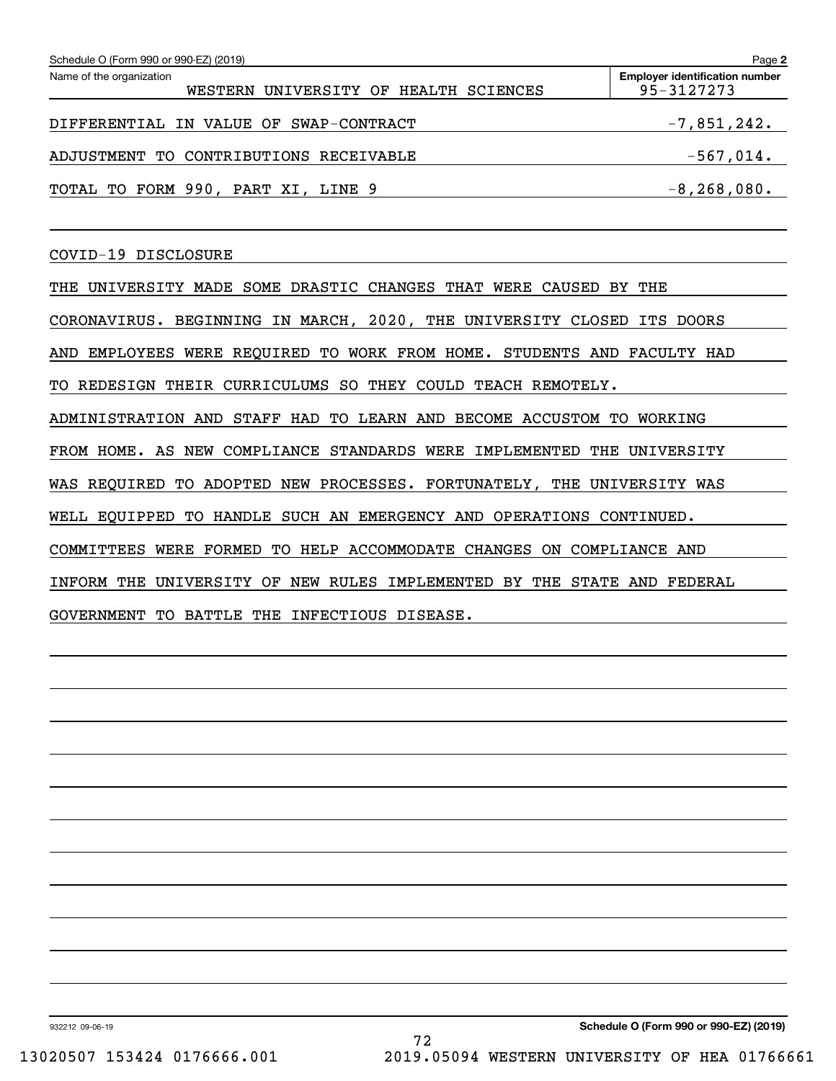| Schedule O (Form 990 or 990-EZ) (2019)                            | Page 2                                              |
|-------------------------------------------------------------------|-----------------------------------------------------|
| Name of the organization<br>WESTERN UNIVERSITY OF HEALTH SCIENCES | <b>Employer identification number</b><br>95-3127273 |
| DIFFERENTIAL IN VALUE OF SWAP-CONTRACT                            | $-7,851,242.$                                       |
| ADJUSTMENT TO CONTRIBUTIONS RECEIVABLE                            | $-567,014.$                                         |
| TOTAL TO FORM 990, PART XI, LINE 9                                | $-8, 268, 080.$                                     |

COVID-19 DISCLOSURE

THE UNIVERSITY MADE SOME DRASTIC CHANGES THAT WERE CAUSED BY THE CORONAVIRUS. BEGINNING IN MARCH, 2020, THE UNIVERSITY CLOSED ITS DOORS AND EMPLOYEES WERE REQUIRED TO WORK FROM HOME. STUDENTS AND FACULTY HAD TO REDESIGN THEIR CURRICULUMS SO THEY COULD TEACH REMOTELY. ADMINISTRATION AND STAFF HAD TO LEARN AND BECOME ACCUSTOM TO WORKING FROM HOME. AS NEW COMPLIANCE STANDARDS WERE IMPLEMENTED THE UNIVERSITY WAS REQUIRED TO ADOPTED NEW PROCESSES. FORTUNATELY, THE UNIVERSITY WAS WELL EQUIPPED TO HANDLE SUCH AN EMERGENCY AND OPERATIONS CONTINUED. COMMITTEES WERE FORMED TO HELP ACCOMMODATE CHANGES ON COMPLIANCE AND INFORM THE UNIVERSITY OF NEW RULES IMPLEMENTED BY THE STATE AND FEDERAL

GOVERNMENT TO BATTLE THE INFECTIOUS DISEASE.

932212 09-06-19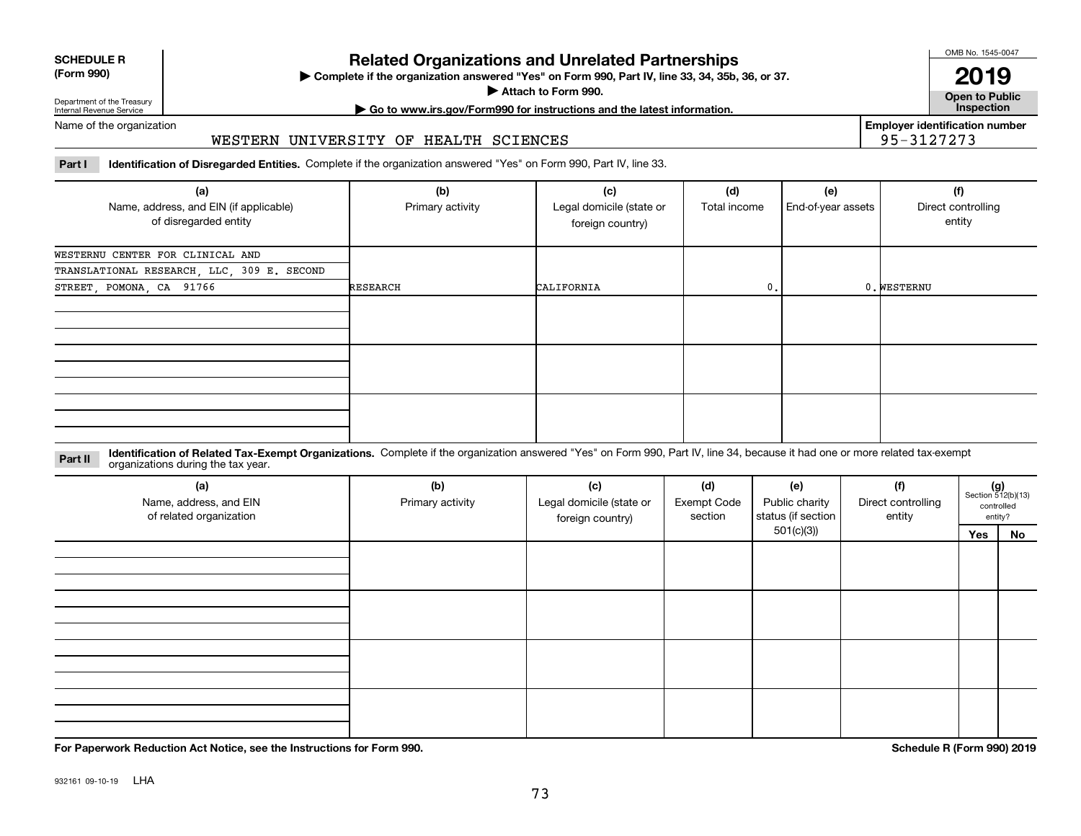| <b>SCHEDULE R</b> |  |
|-------------------|--|
| $(T - 0.00)$      |  |

## **(Form 990)**

# **Related Organizations and Unrelated Partnerships**

**Complete if the organization answered "Yes" on Form 990, Part IV, line 33, 34, 35b, 36, or 37.** |

**Attach to Form 990.**  |

OMB No. 1545-0047

**Open to Public 2019**

**Employer identification number**

95-3127273

Department of the Treasury Internal Revenue Service

# **| Go to www.irs.gov/Form990 for instructions and the latest information. Inspection**

Name of the organization

### WESTERN UNIVERSITY OF HEALTH SCIENCES

**Part I Identification of Disregarded Entities.**  Complete if the organization answered "Yes" on Form 990, Part IV, line 33.

| (a)<br>Name, address, and EIN (if applicable)<br>of disregarded entity | (b)<br>Primary activity | (c)<br>Legal domicile (state or<br>foreign country) | (d)<br>Total income | (e)<br>End-of-year assets | (f)<br>Direct controlling<br>entity |
|------------------------------------------------------------------------|-------------------------|-----------------------------------------------------|---------------------|---------------------------|-------------------------------------|
| WESTERNU CENTER FOR CLINICAL AND                                       |                         |                                                     |                     |                           |                                     |
| TRANSLATIONAL RESEARCH, LLC, 309 E. SECOND                             |                         |                                                     |                     |                           |                                     |
| STREET, POMONA, CA 91766                                               | <b>RESEARCH</b>         | CALIFORNIA                                          | 0.                  |                           | 0. WESTERNU                         |
|                                                                        |                         |                                                     |                     |                           |                                     |
|                                                                        |                         |                                                     |                     |                           |                                     |
|                                                                        |                         |                                                     |                     |                           |                                     |

**Identification of Related Tax-Exempt Organizations.** Complete if the organization answered "Yes" on Form 990, Part IV, line 34, because it had one or more related tax-exempt **Part II** organizations during the tax year.

| (a)<br>Name, address, and EIN<br>of related organization | (b)<br>Primary activity | (c)<br>Legal domicile (state or<br>foreign country) | (d)<br><b>Exempt Code</b><br>section | (e)<br>Public charity<br>status (if section | (f)<br>Direct controlling<br>entity |     | $(g)$<br>Section 512(b)(13)<br>controlled<br>entity? |
|----------------------------------------------------------|-------------------------|-----------------------------------------------------|--------------------------------------|---------------------------------------------|-------------------------------------|-----|------------------------------------------------------|
|                                                          |                         |                                                     |                                      | 501(c)(3)                                   |                                     | Yes | No                                                   |
|                                                          |                         |                                                     |                                      |                                             |                                     |     |                                                      |
|                                                          |                         |                                                     |                                      |                                             |                                     |     |                                                      |
|                                                          |                         |                                                     |                                      |                                             |                                     |     |                                                      |

**For Paperwork Reduction Act Notice, see the Instructions for Form 990. Schedule R (Form 990) 2019**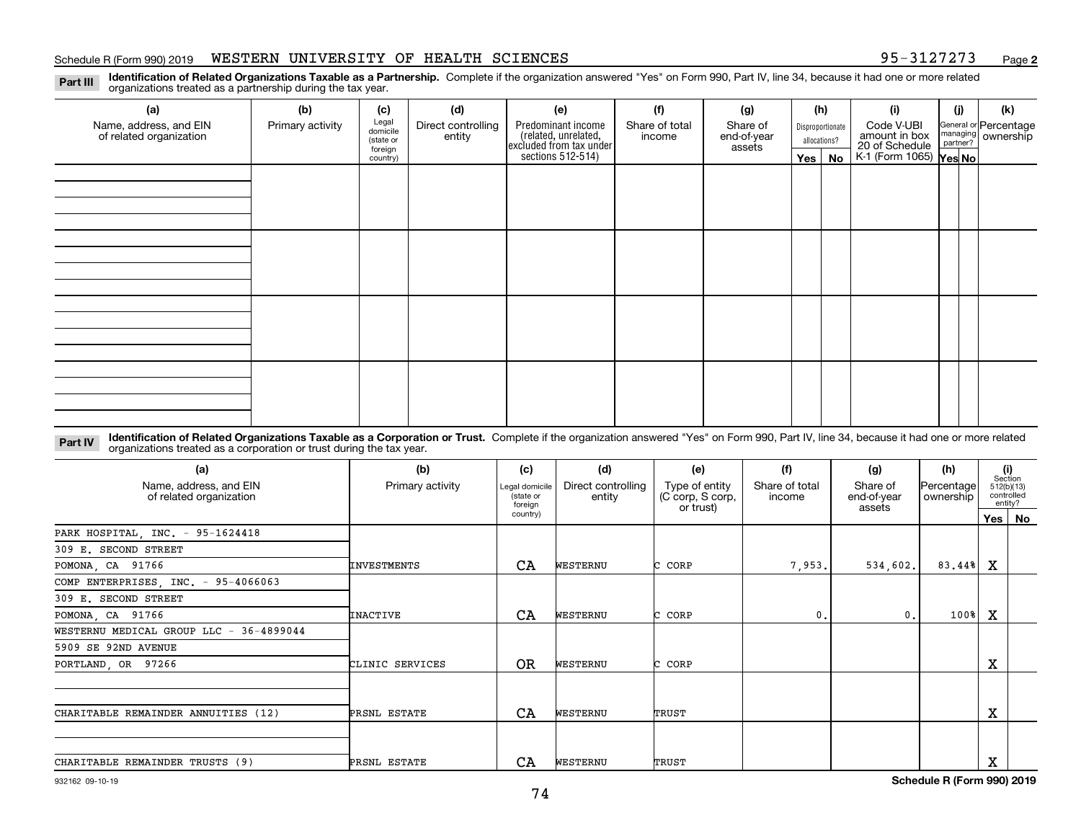#### Schedule R (Form 990) 2019 WESTERN UNIVERSITY OF HEALTH SCIENCES 95-3127273 Page

**2**

**Identification of Related Organizations Taxable as a Partnership.** Complete if the organization answered "Yes" on Form 990, Part IV, line 34, because it had one or more related **Part III** organizations treated as a partnership during the tax year.

| (a)                     | (b)              | (c)                  | (d)                | (e)                                                                 | (f)            | (g)                   | (h)              | (i)                                               | (j) | (k)                   |
|-------------------------|------------------|----------------------|--------------------|---------------------------------------------------------------------|----------------|-----------------------|------------------|---------------------------------------------------|-----|-----------------------|
| Name, address, and EIN  | Primary activity | Legal<br>domicile    | Direct controlling | Predominant income                                                  | Share of total | Share of              | Disproportionate | Code V-UBI                                        |     | General or Percentage |
| of related organization |                  | (state or<br>foreign | entity             | related, unrelated,<br>excluded from tax under<br>sections 512-514) | income         | end-of-year<br>assets | allocations?     | amount in box                                     |     | managing ownership    |
|                         |                  | country)             |                    |                                                                     |                |                       | Yes   No         | 20 of Schedule Partner?<br>K-1 (Form 1065) Yes No |     |                       |
|                         |                  |                      |                    |                                                                     |                |                       |                  |                                                   |     |                       |
|                         |                  |                      |                    |                                                                     |                |                       |                  |                                                   |     |                       |
|                         |                  |                      |                    |                                                                     |                |                       |                  |                                                   |     |                       |
|                         |                  |                      |                    |                                                                     |                |                       |                  |                                                   |     |                       |
|                         |                  |                      |                    |                                                                     |                |                       |                  |                                                   |     |                       |
|                         |                  |                      |                    |                                                                     |                |                       |                  |                                                   |     |                       |
|                         |                  |                      |                    |                                                                     |                |                       |                  |                                                   |     |                       |
|                         |                  |                      |                    |                                                                     |                |                       |                  |                                                   |     |                       |
|                         |                  |                      |                    |                                                                     |                |                       |                  |                                                   |     |                       |
|                         |                  |                      |                    |                                                                     |                |                       |                  |                                                   |     |                       |
|                         |                  |                      |                    |                                                                     |                |                       |                  |                                                   |     |                       |
|                         |                  |                      |                    |                                                                     |                |                       |                  |                                                   |     |                       |
|                         |                  |                      |                    |                                                                     |                |                       |                  |                                                   |     |                       |
|                         |                  |                      |                    |                                                                     |                |                       |                  |                                                   |     |                       |
|                         |                  |                      |                    |                                                                     |                |                       |                  |                                                   |     |                       |
|                         |                  |                      |                    |                                                                     |                |                       |                  |                                                   |     |                       |
|                         |                  |                      |                    |                                                                     |                |                       |                  |                                                   |     |                       |

**Identification of Related Organizations Taxable as a Corporation or Trust.** Complete if the organization answered "Yes" on Form 990, Part IV, line 34, because it had one or more related **Part IV** organizations treated as a corporation or trust during the tax year.

| (a)<br>Name, address, and EIN<br>of related organization | (b)<br>Primary activity | (c)<br>Legal domicile<br>(state or<br>foreian | (d)<br>Direct controlling<br>entity | (e)<br>Type of entity<br>(C corp, S corp,<br>or trust) | (f)<br>Share of total<br>income | (g)<br>Share of<br>end-of-year<br>assets | (h)<br> Percentage <br>ownership |   | (i)<br>Section<br>512(b)(13)<br>controlled<br>entity? |
|----------------------------------------------------------|-------------------------|-----------------------------------------------|-------------------------------------|--------------------------------------------------------|---------------------------------|------------------------------------------|----------------------------------|---|-------------------------------------------------------|
|                                                          |                         | country)                                      |                                     |                                                        |                                 |                                          |                                  |   | Yes   No                                              |
| PARK HOSPITAL, INC. - 95-1624418                         |                         |                                               |                                     |                                                        |                                 |                                          |                                  |   |                                                       |
| 309 E. SECOND STREET                                     |                         |                                               |                                     |                                                        |                                 |                                          |                                  |   |                                                       |
| POMONA, CA 91766                                         | <b>INVESTMENTS</b>      | CA                                            | WESTERNU                            | CORP                                                   | 7,953.                          | 534,602.                                 | 83.44%                           | x |                                                       |
| COMP ENTERPRISES, INC. - 95-4066063                      |                         |                                               |                                     |                                                        |                                 |                                          |                                  |   |                                                       |
| 309 E. SECOND STREET                                     |                         |                                               |                                     |                                                        |                                 |                                          |                                  |   |                                                       |
| POMONA, CA 91766                                         | <b>INACTIVE</b>         | CA                                            | WESTERNU                            | CORP                                                   | 0.                              | 0.                                       | $100$ <sup>8</sup>               | X |                                                       |
| WESTERNU MEDICAL GROUP LLC - 36-4899044                  |                         |                                               |                                     |                                                        |                                 |                                          |                                  |   |                                                       |
| 5909 SE 92ND AVENUE                                      |                         |                                               |                                     |                                                        |                                 |                                          |                                  |   |                                                       |
| PORTLAND, OR 97266                                       | CLINIC SERVICES         | <b>OR</b>                                     | WESTERNU                            | C CORP                                                 |                                 |                                          |                                  | х |                                                       |
|                                                          |                         |                                               |                                     |                                                        |                                 |                                          |                                  |   |                                                       |
| CHARITABLE REMAINDER ANNUITIES (12)                      | PRSNL ESTATE            | CA                                            | WESTERNU                            | TRUST                                                  |                                 |                                          |                                  | х |                                                       |
|                                                          |                         |                                               |                                     |                                                        |                                 |                                          |                                  |   |                                                       |
| CHARITABLE REMAINDER TRUSTS (9)                          | PRSNL ESTATE            | CA                                            | WESTERNU                            | TRUST                                                  |                                 |                                          |                                  | Χ |                                                       |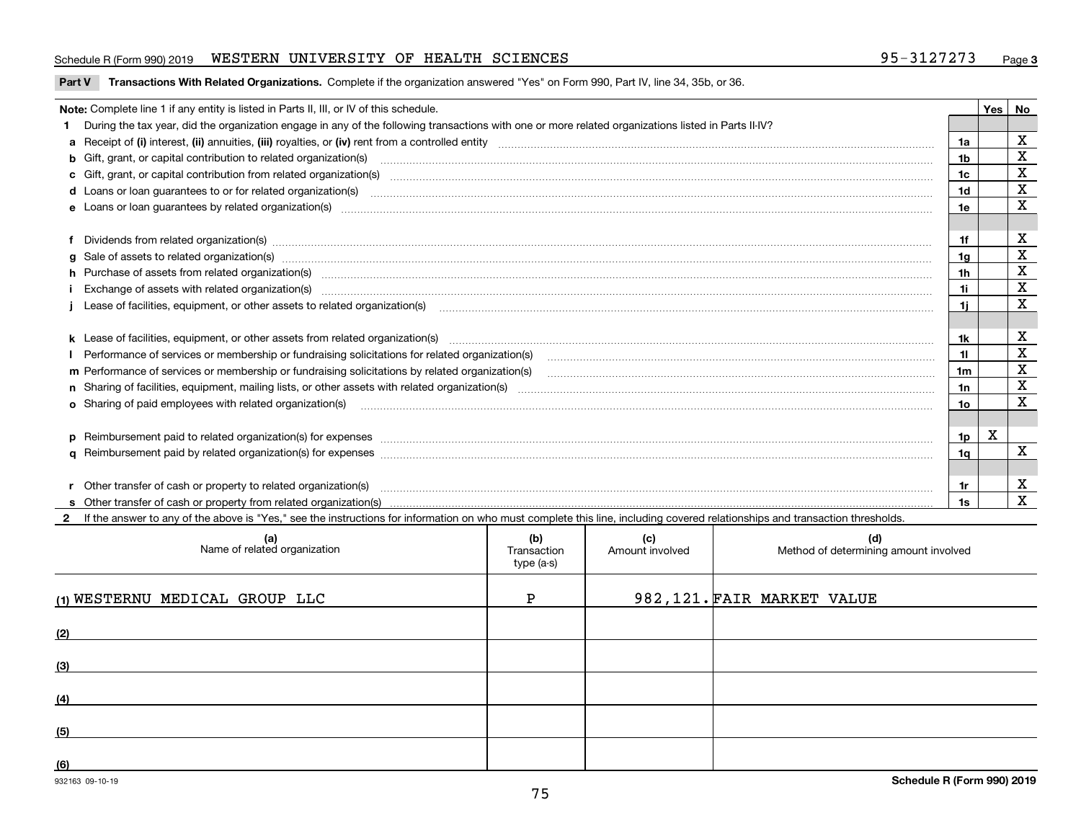### Schedule R (Form 990) 2019 WESTERN UNIVERSITY OF HEALTH SCIENCES 95-3127273 Page

**Part V** T**ransactions With Related Organizations.** Complete if the organization answered "Yes" on Form 990, Part IV, line 34, 35b, or 36.

| Note: Complete line 1 if any entity is listed in Parts II, III, or IV of this schedule.                                                                                                                                                                                                              |                | Yes | No          |
|------------------------------------------------------------------------------------------------------------------------------------------------------------------------------------------------------------------------------------------------------------------------------------------------------|----------------|-----|-------------|
| During the tax year, did the organization engage in any of the following transactions with one or more related organizations listed in Parts II-IV?                                                                                                                                                  |                |     |             |
|                                                                                                                                                                                                                                                                                                      | 1a             |     | $\mathbf X$ |
| b Gift, grant, or capital contribution to related organization(s) manufactured and contribution to related organization(s)                                                                                                                                                                           | 1 <sub>b</sub> |     | $\mathbf X$ |
|                                                                                                                                                                                                                                                                                                      | 1c             |     | $\mathbf X$ |
| d Loans or loan guarantees to or for related organization(s) mature material content to consume the content of the content of the content of the content of the content of the content of the content of the content of the co                                                                       | 1 <sub>d</sub> |     | X           |
|                                                                                                                                                                                                                                                                                                      | 1e             |     | X           |
|                                                                                                                                                                                                                                                                                                      |                |     |             |
| Dividends from related organization(s) Entertainment and the contract of the contract of the contract of the contract of the contract of the contract of the contract of the contract of the contract of the contract of the c                                                                       | 1f             |     | х           |
| g Sale of assets to related organization(s) www.communicallycommunicallycommunicallycommunicallycommunicallycommunicallycommunicallycommunicallycommunicallycommunicallycommunicallycommunicallycommunicallycommunicallycommun                                                                       | 1g             |     | $\mathbf X$ |
| h Purchase of assets from related organization(s) manufactured and content to content and content and content and content and content and content and content and content and content and content and content and content and                                                                        | 1 <sub>h</sub> |     | X           |
|                                                                                                                                                                                                                                                                                                      | 11             |     | $\mathbf X$ |
| Lease of facilities, equipment, or other assets to related organization(s) manufactured content to the set of facilities, equipment, or other assets to related organization(s) manufactured content to the set of facilities,                                                                       | 11             |     | X           |
|                                                                                                                                                                                                                                                                                                      |                |     |             |
|                                                                                                                                                                                                                                                                                                      | 1k             |     | х           |
|                                                                                                                                                                                                                                                                                                      | 11             |     | X           |
| m Performance of services or membership or fundraising solicitations by related organization(s)                                                                                                                                                                                                      | 1m             |     | X           |
|                                                                                                                                                                                                                                                                                                      | 1n             |     | $\mathbf X$ |
| <b>o</b> Sharing of paid employees with related organization(s)                                                                                                                                                                                                                                      | 10             |     | X           |
|                                                                                                                                                                                                                                                                                                      |                |     |             |
| p Reimbursement paid to related organization(s) for expenses [11111] [12] manufacture manufacture manufacture manufacture manufacture manufacture manufacture manufacture manufacture manufacture manufacture manufacture manu                                                                       | 1p             | X   |             |
|                                                                                                                                                                                                                                                                                                      | 1q             |     | $\mathbf x$ |
|                                                                                                                                                                                                                                                                                                      |                |     |             |
| r Other transfer of cash or property to related organization(s)<br>r Other transfer of cash or property to related organization(s) www.community.com/www.community.com/www.communi<br>S Other transfer of cash or property from related organization(s) www.community.community.community.community. | 1r             |     | X           |
|                                                                                                                                                                                                                                                                                                      | 1s             |     | $\mathbf x$ |
| 2 If the answer to any of the above is "Yes." see the instructions for information on who must complete this line, including covered relationships and transaction thresholds.                                                                                                                       |                |     |             |

| (a)<br>Name of related organization | (b)<br>Transaction<br>type (a-s) | (c)<br>Amount involved | (d)<br>Method of determining amount involved |
|-------------------------------------|----------------------------------|------------------------|----------------------------------------------|
| (1) WESTERNU MEDICAL GROUP LLC      | P                                |                        | 982, 121. FAIR MARKET VALUE                  |
| (2)                                 |                                  |                        |                                              |
| (3)                                 |                                  |                        |                                              |
| (4)                                 |                                  |                        |                                              |
| (5)                                 |                                  |                        |                                              |
| (6)                                 |                                  |                        |                                              |

 $\overline{\phantom{a}}$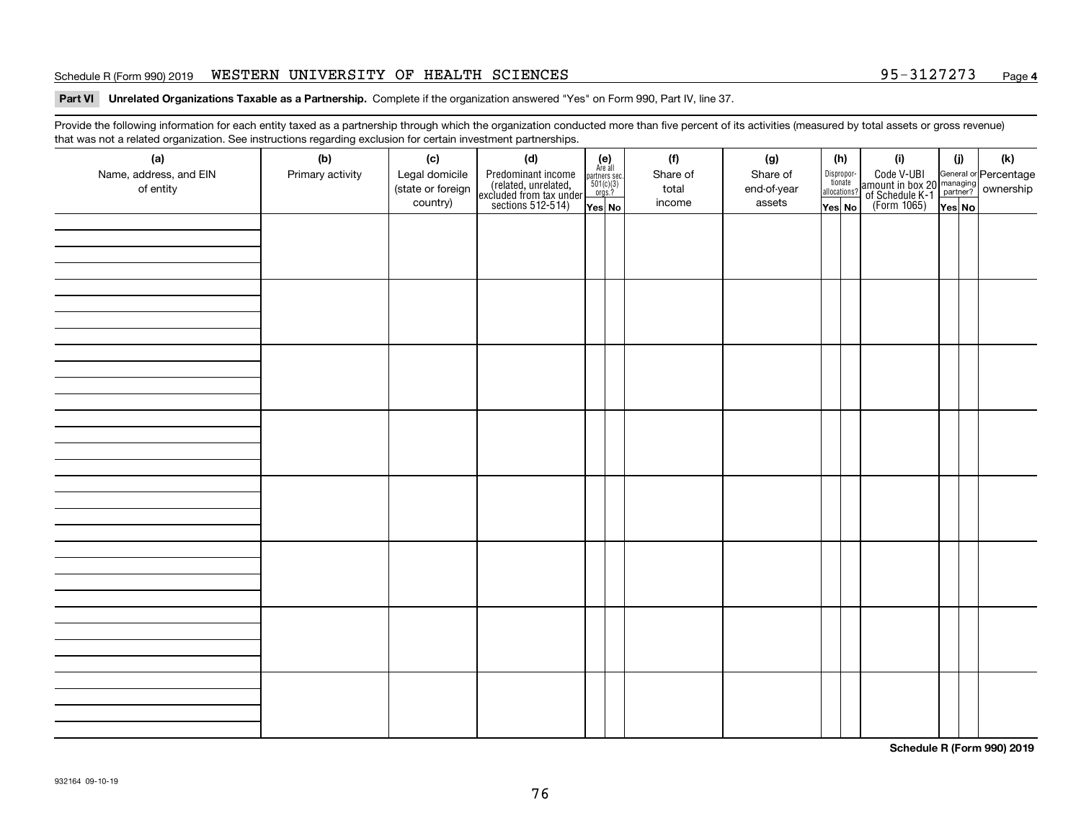#### Schedule R (Form 990) 2019 WESTERN UNIVERSITY OF HEALTH SCIENCES 95-3127273 Page

#### **Part VI Unrelated Organizations Taxable as a Partnership. Complete if the organization answered "Yes" on Form 990, Part IV, line 37.**

Provide the following information for each entity taxed as a partnership through which the organization conducted more than five percent of its activities (measured by total assets or gross revenue) that was not a related organization. See instructions regarding exclusion for certain investment partnerships.

| triat was not a related organization. See instructions regarding exclusion for certain investment partnerships.<br>(a) | (b)              | (c)                           | (d)                                                                                        |                                                                                                                  |  | (f)             | (g)                   |  | (h)                    | (i)                                                                                                                                   | (i)   | (k) |  |  |
|------------------------------------------------------------------------------------------------------------------------|------------------|-------------------------------|--------------------------------------------------------------------------------------------|------------------------------------------------------------------------------------------------------------------|--|-----------------|-----------------------|--|------------------------|---------------------------------------------------------------------------------------------------------------------------------------|-------|-----|--|--|
| Name, address, and EIN                                                                                                 | Primary activity | Legal domicile                | Predominant income<br>(related, unrelated,<br>excluded from tax under<br>sections 512-514) | $\begin{array}{c} \textbf{(e)}\\ \text{Are all} \\ \text{partners sec.}\\ 501(c)(3)\\ \text{orgs.?} \end{array}$ |  | Share of        | Share of              |  | Dispropor-<br>tionate  | Code V-UBI<br>  amount in box 20 managing<br>  of Schedule K-1 partner? ownership<br>  of Schedule K-1 partner? ownership<br>  Yes No |       |     |  |  |
| of entity                                                                                                              |                  | (state or foreign<br>country) |                                                                                            | Yes No                                                                                                           |  | total<br>income | end-of-year<br>assets |  | allocations?<br>Yes No |                                                                                                                                       | YesNO |     |  |  |
|                                                                                                                        |                  |                               |                                                                                            |                                                                                                                  |  |                 |                       |  |                        |                                                                                                                                       |       |     |  |  |
|                                                                                                                        |                  |                               |                                                                                            |                                                                                                                  |  |                 |                       |  |                        |                                                                                                                                       |       |     |  |  |
|                                                                                                                        |                  |                               |                                                                                            |                                                                                                                  |  |                 |                       |  |                        |                                                                                                                                       |       |     |  |  |
|                                                                                                                        |                  |                               |                                                                                            |                                                                                                                  |  |                 |                       |  |                        |                                                                                                                                       |       |     |  |  |
|                                                                                                                        |                  |                               |                                                                                            |                                                                                                                  |  |                 |                       |  |                        |                                                                                                                                       |       |     |  |  |
|                                                                                                                        |                  |                               |                                                                                            |                                                                                                                  |  |                 |                       |  |                        |                                                                                                                                       |       |     |  |  |
|                                                                                                                        |                  |                               |                                                                                            |                                                                                                                  |  |                 |                       |  |                        |                                                                                                                                       |       |     |  |  |
|                                                                                                                        |                  |                               |                                                                                            |                                                                                                                  |  |                 |                       |  |                        |                                                                                                                                       |       |     |  |  |
|                                                                                                                        |                  |                               |                                                                                            |                                                                                                                  |  |                 |                       |  |                        |                                                                                                                                       |       |     |  |  |
|                                                                                                                        |                  |                               |                                                                                            |                                                                                                                  |  |                 |                       |  |                        |                                                                                                                                       |       |     |  |  |
|                                                                                                                        |                  |                               |                                                                                            |                                                                                                                  |  |                 |                       |  |                        |                                                                                                                                       |       |     |  |  |
|                                                                                                                        |                  |                               |                                                                                            |                                                                                                                  |  |                 |                       |  |                        |                                                                                                                                       |       |     |  |  |
|                                                                                                                        |                  |                               |                                                                                            |                                                                                                                  |  |                 |                       |  |                        |                                                                                                                                       |       |     |  |  |
|                                                                                                                        |                  |                               |                                                                                            |                                                                                                                  |  |                 |                       |  |                        |                                                                                                                                       |       |     |  |  |
|                                                                                                                        |                  |                               |                                                                                            |                                                                                                                  |  |                 |                       |  |                        |                                                                                                                                       |       |     |  |  |
|                                                                                                                        |                  |                               |                                                                                            |                                                                                                                  |  |                 |                       |  |                        |                                                                                                                                       |       |     |  |  |
|                                                                                                                        |                  |                               |                                                                                            |                                                                                                                  |  |                 |                       |  |                        |                                                                                                                                       |       |     |  |  |
|                                                                                                                        |                  |                               |                                                                                            |                                                                                                                  |  |                 |                       |  |                        |                                                                                                                                       |       |     |  |  |
|                                                                                                                        |                  |                               |                                                                                            |                                                                                                                  |  |                 |                       |  |                        |                                                                                                                                       |       |     |  |  |
|                                                                                                                        |                  |                               |                                                                                            |                                                                                                                  |  |                 |                       |  |                        |                                                                                                                                       |       |     |  |  |
|                                                                                                                        |                  |                               |                                                                                            |                                                                                                                  |  |                 |                       |  |                        |                                                                                                                                       |       |     |  |  |
|                                                                                                                        |                  |                               |                                                                                            |                                                                                                                  |  |                 |                       |  |                        |                                                                                                                                       |       |     |  |  |
|                                                                                                                        |                  |                               |                                                                                            |                                                                                                                  |  |                 |                       |  |                        |                                                                                                                                       |       |     |  |  |
|                                                                                                                        |                  |                               |                                                                                            |                                                                                                                  |  |                 |                       |  |                        |                                                                                                                                       |       |     |  |  |
|                                                                                                                        |                  |                               |                                                                                            |                                                                                                                  |  |                 |                       |  |                        |                                                                                                                                       |       |     |  |  |
|                                                                                                                        |                  |                               |                                                                                            |                                                                                                                  |  |                 |                       |  |                        |                                                                                                                                       |       |     |  |  |
|                                                                                                                        |                  |                               |                                                                                            |                                                                                                                  |  |                 |                       |  |                        |                                                                                                                                       |       |     |  |  |

**Schedule R (Form 990) 2019**